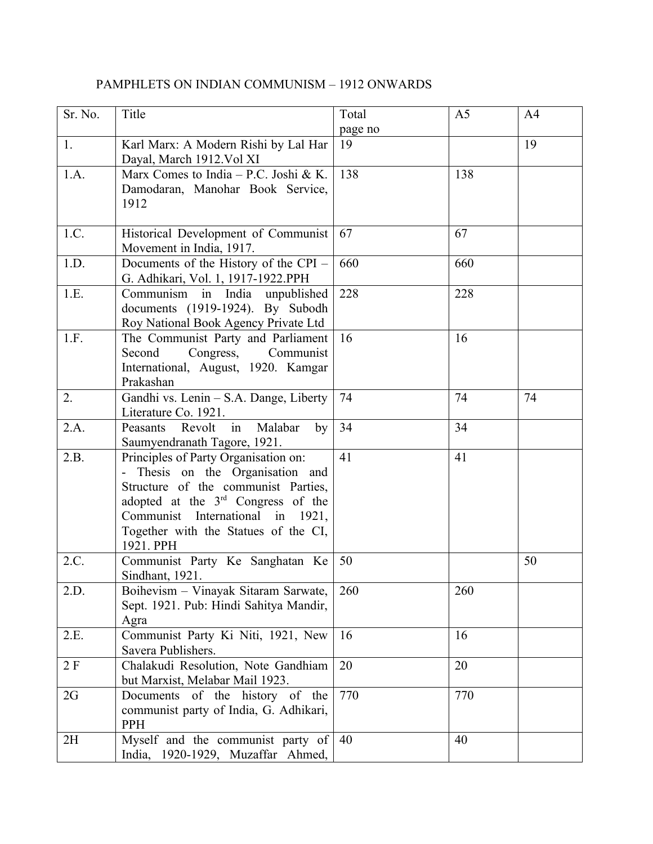| Sr. No. | Title                                                                                                                                                                                                                                                      | Total         | A <sub>5</sub> | A <sub>4</sub> |
|---------|------------------------------------------------------------------------------------------------------------------------------------------------------------------------------------------------------------------------------------------------------------|---------------|----------------|----------------|
| 1.      | Karl Marx: A Modern Rishi by Lal Har<br>Dayal, March 1912. Vol XI                                                                                                                                                                                          | page no<br>19 |                | 19             |
| 1.A.    | Marx Comes to India - P.C. Joshi & K.<br>Damodaran, Manohar Book Service,<br>1912                                                                                                                                                                          | 138           | 138            |                |
| 1.C.    | Historical Development of Communist<br>Movement in India, 1917.                                                                                                                                                                                            | 67            | 67             |                |
| 1.D.    | Documents of the History of the CPI -<br>G. Adhikari, Vol. 1, 1917-1922.PPH                                                                                                                                                                                | 660           | 660            |                |
| 1.E.    | Communism in India unpublished<br>documents (1919-1924). By Subodh<br>Roy National Book Agency Private Ltd                                                                                                                                                 | 228           | 228            |                |
| 1.F.    | The Communist Party and Parliament<br>Second<br>Congress, Communist<br>International, August, 1920. Kamgar<br>Prakashan                                                                                                                                    | 16            | 16             |                |
| 2.      | Gandhi vs. Lenin - S.A. Dange, Liberty<br>Literature Co. 1921.                                                                                                                                                                                             | 74            | 74             | 74             |
| 2.A.    | Revolt<br>Malabar<br>Peasants<br>in<br>by<br>Saumyendranath Tagore, 1921.                                                                                                                                                                                  | 34            | 34             |                |
| 2.B.    | Principles of Party Organisation on:<br>- Thesis on the Organisation and<br>Structure of the communist Parties,<br>adopted at the 3 <sup>rd</sup> Congress of the<br>Communist International in 1921,<br>Together with the Statues of the CI,<br>1921. PPH | 41            | 41             |                |
| 2.C.    | Communist Party Ke Sanghatan Ke<br>Sindhant, 1921.                                                                                                                                                                                                         | 50            |                | 50             |
| 2.D.    | Boihevism - Vinayak Sitaram Sarwate,<br>Sept. 1921. Pub: Hindi Sahitya Mandir,<br>Agra                                                                                                                                                                     | 260           | 260            |                |
| 2.E.    | Communist Party Ki Niti, 1921, New<br>Savera Publishers.                                                                                                                                                                                                   | 16            | 16             |                |
| 2 F     | Chalakudi Resolution, Note Gandhiam<br>but Marxist, Melabar Mail 1923.                                                                                                                                                                                     | 20            | 20             |                |
| 2G      | Documents of the history of the<br>communist party of India, G. Adhikari,<br>PPH                                                                                                                                                                           | 770           | 770            |                |
| 2H      | Myself and the communist party of<br>India, 1920-1929, Muzaffar Ahmed,                                                                                                                                                                                     | 40            | 40             |                |

## PAMPHLETS ON INDIAN COMMUNISM – 1912 ONWARDS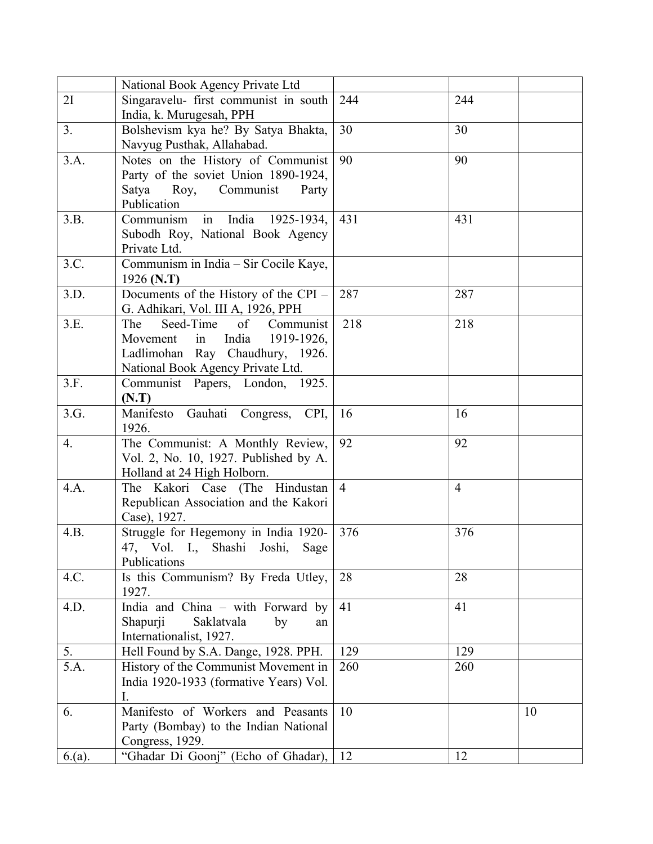|        | National Book Agency Private Ltd             |                |                |    |
|--------|----------------------------------------------|----------------|----------------|----|
| 2I     | Singaravelu- first communist in south        | 244            | 244            |    |
|        | India, k. Murugesah, PPH                     |                |                |    |
| 3.     | Bolshevism kya he? By Satya Bhakta,          | 30             | 30             |    |
|        | Navyug Pusthak, Allahabad.                   |                |                |    |
| 3.A.   | Notes on the History of Communist            | 90             | 90             |    |
|        | Party of the soviet Union 1890-1924,         |                |                |    |
|        | Satya Roy, Communist<br>Party                |                |                |    |
|        | Publication                                  |                |                |    |
| 3.B.   | in India<br>Communism<br>1925-1934,          | 431            | 431            |    |
|        | Subodh Roy, National Book Agency             |                |                |    |
|        | Private Ltd.                                 |                |                |    |
| 3.C.   | Communism in India - Sir Cocile Kaye,        |                |                |    |
|        | 1926 (N.T)                                   |                |                |    |
| 3.D.   | Documents of the History of the CPI -        | 287            | 287            |    |
|        | G. Adhikari, Vol. III A, 1926, PPH           |                |                |    |
| 3.E.   | Seed-Time<br>The<br>of Communist             | 218            | 218            |    |
|        | India<br>Movement<br>in<br>1919-1926,        |                |                |    |
|        | Ladlimohan Ray Chaudhury, 1926.              |                |                |    |
|        | National Book Agency Private Ltd.            |                |                |    |
| 3.F.   | Communist Papers, London, 1925.              |                |                |    |
| 3.G.   | (N.T)<br>Manifesto<br>Gauhati Congress, CPI, | 16             | 16             |    |
|        | 1926.                                        |                |                |    |
| 4.     | The Communist: A Monthly Review,             | 92             | 92             |    |
|        | Vol. 2, No. 10, 1927. Published by A.        |                |                |    |
|        | Holland at 24 High Holborn.                  |                |                |    |
| 4.A.   | The Kakori Case (The Hindustan               | $\overline{4}$ | $\overline{4}$ |    |
|        | Republican Association and the Kakori        |                |                |    |
|        | Case), 1927.                                 |                |                |    |
| 4.B.   | Struggle for Hegemony in India 1920-         | 376            | 376            |    |
|        | 47, Vol. I., Shashi Joshi,<br>Sage           |                |                |    |
|        | Publications                                 |                |                |    |
| 4.C.   | Is this Communism? By Freda Utley,           | 28             | 28             |    |
|        | 1927.                                        |                |                |    |
| 4.D.   | India and China - with Forward by            | 41             | 41             |    |
|        | Shapurji<br>Saklatvala<br>by<br>an           |                |                |    |
|        | Internationalist, 1927.                      |                |                |    |
| 5.     | Hell Found by S.A. Dange, 1928. PPH.         | 129            | 129            |    |
| 5.A.   | History of the Communist Movement in         | 260            | 260            |    |
|        | India 1920-1933 (formative Years) Vol.       |                |                |    |
|        | I.                                           |                |                |    |
| 6.     | Manifesto of Workers and Peasants            | 10             |                | 10 |
|        | Party (Bombay) to the Indian National        |                |                |    |
|        | Congress, 1929.                              |                |                |    |
| 6.(a). | "Ghadar Di Goonj" (Echo of Ghadar),          | 12             | 12             |    |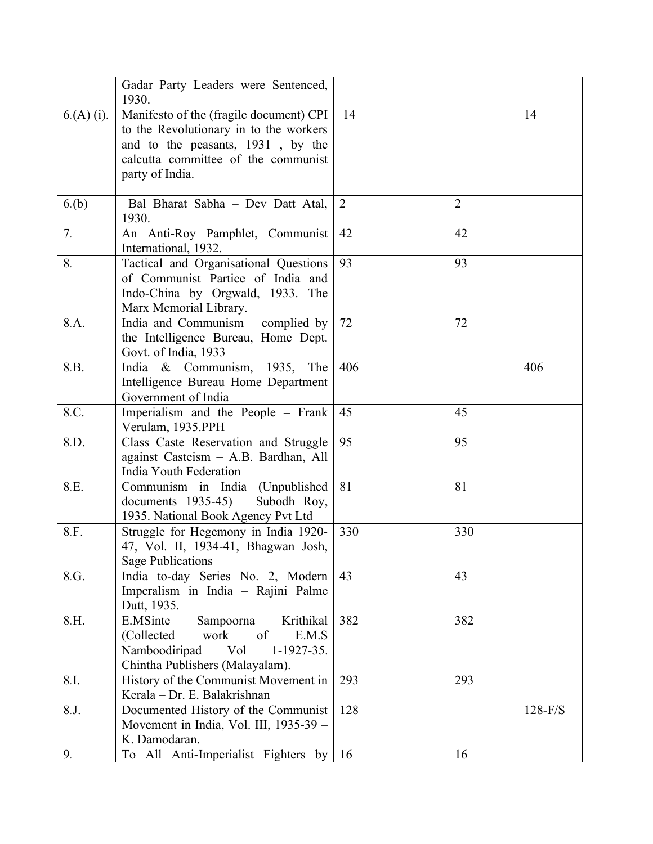|             | Gadar Party Leaders were Sentenced,<br>1930.                                                                                                                                     |     |                |           |
|-------------|----------------------------------------------------------------------------------------------------------------------------------------------------------------------------------|-----|----------------|-----------|
| $6(A)$ (i). | Manifesto of the (fragile document) CPI<br>to the Revolutionary in to the workers<br>and to the peasants, 1931, by the<br>calcutta committee of the communist<br>party of India. | 14  |                | 14        |
| 6.(b)       | Bal Bharat Sabha - Dev Datt Atal,<br>1930.                                                                                                                                       | 2   | $\overline{2}$ |           |
| 7.          | An Anti-Roy Pamphlet, Communist<br>International, 1932.                                                                                                                          | 42  | 42             |           |
| 8.          | Tactical and Organisational Questions<br>of Communist Partice of India and<br>Indo-China by Orgwald, 1933. The<br>Marx Memorial Library.                                         | 93  | 93             |           |
| 8.A.        | India and Communism $-$ complied by<br>the Intelligence Bureau, Home Dept.<br>Govt. of India, 1933                                                                               | 72  | 72             |           |
| 8.B.        | India & Communism, 1935, The<br>Intelligence Bureau Home Department<br>Government of India                                                                                       | 406 |                | 406       |
| 8.C.        | Imperialism and the People – Frank<br>Verulam, 1935.PPH                                                                                                                          | 45  | 45             |           |
| 8.D.        | Class Caste Reservation and Struggle<br>against Casteism - A.B. Bardhan, All<br>India Youth Federation                                                                           | 95  | 95             |           |
| 8.E.        | Communism in India (Unpublished<br>documents $1935-45$ - Subodh Roy,<br>1935. National Book Agency Pvt Ltd                                                                       | 81  | 81             |           |
| 8.F.        | Struggle for Hegemony in India 1920-<br>47, Vol. II, 1934-41, Bhagwan Josh,<br><b>Sage Publications</b>                                                                          | 330 | 330            |           |
| 8.G.        | India to-day Series No. 2, Modern<br>Imperalism in India - Rajini Palme<br>Dutt, 1935.                                                                                           | 43  | 43             |           |
| 8.H.        | E.MSinte<br>Krithikal<br>Sampoorna<br>work<br>(Collected<br>of<br>E.M.S<br>Vol<br>Namboodiripad<br>$1-1927-35.$<br>Chintha Publishers (Malayalam).                               | 382 | 382            |           |
| 8.I.        | History of the Communist Movement in<br>Kerala – Dr. E. Balakrishnan                                                                                                             | 293 | 293            |           |
| 8.J.        | Documented History of the Communist<br>Movement in India, Vol. III, 1935-39 -<br>K. Damodaran.                                                                                   | 128 |                | $128-F/S$ |
| 9.          | To All Anti-Imperialist Fighters by                                                                                                                                              | 16  | 16             |           |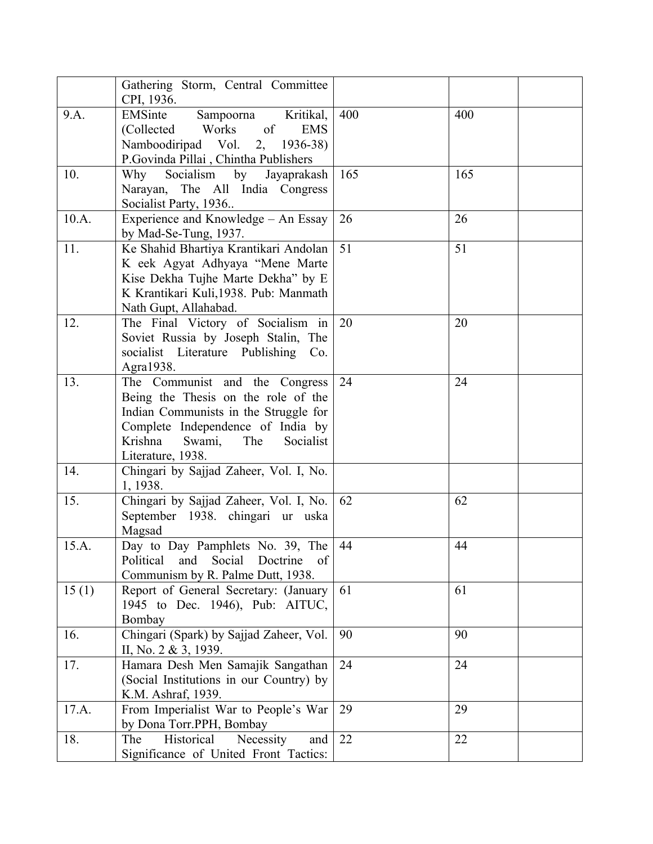|       | Gathering Storm, Central Committee<br>CPI, 1936.                                                                                                                                                                  |     |     |
|-------|-------------------------------------------------------------------------------------------------------------------------------------------------------------------------------------------------------------------|-----|-----|
| 9.A.  | EMSinte<br>Kritikal,<br>Sampoorna<br>of<br>(Collected<br>Works<br><b>EMS</b><br>Namboodiripad Vol.<br>$2, 1936-38$<br>P.Govinda Pillai, Chintha Publishers                                                        | 400 | 400 |
| 10.   | Socialism by Jayaprakash<br>Why<br>Narayan, The All India Congress<br>Socialist Party, 1936                                                                                                                       | 165 | 165 |
| 10.A. | Experience and Knowledge - An Essay<br>by Mad-Se-Tung, 1937.                                                                                                                                                      | 26  | 26  |
| 11.   | Ke Shahid Bhartiya Krantikari Andolan<br>K eek Agyat Adhyaya "Mene Marte<br>Kise Dekha Tujhe Marte Dekha" by E<br>K Krantikari Kuli, 1938. Pub: Manmath<br>Nath Gupt, Allahabad.                                  | 51  | 51  |
| 12.   | The Final Victory of Socialism in<br>Soviet Russia by Joseph Stalin, The<br>socialist Literature Publishing Co.<br>Agra1938.                                                                                      | 20  | 20  |
| 13.   | The Communist and the Congress<br>Being the Thesis on the role of the<br>Indian Communists in the Struggle for<br>Complete Independence of India by<br>Krishna<br>Swami,<br>The<br>Socialist<br>Literature, 1938. | 24  | 24  |
| 14.   | Chingari by Sajjad Zaheer, Vol. I, No.<br>1, 1938.                                                                                                                                                                |     |     |
| 15.   | Chingari by Sajjad Zaheer, Vol. I, No.<br>September 1938. chingari ur uska<br>Magsad                                                                                                                              | 62  | 62  |
| 15.A. | Day to Day Pamphlets No. 39, The<br>Political<br>and<br>Social<br>Doctrine<br>of<br>Communism by R. Palme Dutt, 1938.                                                                                             | 44  | 44  |
| 15(1) | Report of General Secretary: (January<br>1945 to Dec. 1946), Pub: AITUC,<br>Bombay                                                                                                                                | 61  | 61  |
| 16.   | Chingari (Spark) by Sajjad Zaheer, Vol.<br>II, No. 2 & 3, 1939.                                                                                                                                                   | 90  | 90  |
| 17.   | Hamara Desh Men Samajik Sangathan<br>(Social Institutions in our Country) by<br>K.M. Ashraf, 1939.                                                                                                                | 24  | 24  |
| 17.A. | From Imperialist War to People's War<br>by Dona Torr.PPH, Bombay                                                                                                                                                  | 29  | 29  |
| 18.   | The<br>Historical<br>Necessity<br>and<br>Significance of United Front Tactics:                                                                                                                                    | 22  | 22  |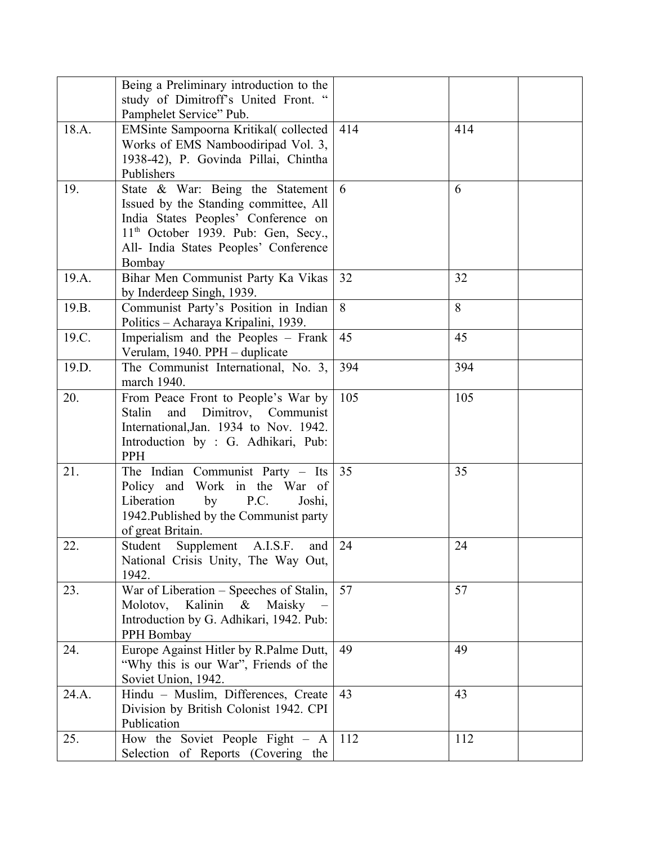|       | Being a Preliminary introduction to the               |     |     |  |
|-------|-------------------------------------------------------|-----|-----|--|
|       | study of Dimitroff's United Front. "                  |     |     |  |
|       | Pamphelet Service" Pub.                               |     |     |  |
| 18.A. | EMSinte Sampoorna Kritikal(collected                  | 414 | 414 |  |
|       | Works of EMS Namboodiripad Vol. 3,                    |     |     |  |
|       |                                                       |     |     |  |
|       | 1938-42), P. Govinda Pillai, Chintha                  |     |     |  |
|       | Publishers                                            |     |     |  |
| 19.   | State & War: Being the Statement                      | 6   | 6   |  |
|       | Issued by the Standing committee, All                 |     |     |  |
|       | India States Peoples' Conference on                   |     |     |  |
|       | $11th$ October 1939. Pub: Gen, Secy.,                 |     |     |  |
|       | All- India States Peoples' Conference                 |     |     |  |
|       | Bombay                                                |     |     |  |
| 19.A. | Bihar Men Communist Party Ka Vikas                    | 32  | 32  |  |
|       | by Inderdeep Singh, 1939.                             |     |     |  |
| 19.B. | Communist Party's Position in Indian                  | 8   | 8   |  |
|       | Politics - Acharaya Kripalini, 1939.                  |     |     |  |
| 19.C. | Imperialism and the Peoples – Frank                   | 45  | 45  |  |
|       | Verulam, 1940. PPH - duplicate                        |     |     |  |
| 19.D. | The Communist International, No. 3,                   | 394 | 394 |  |
|       | march 1940.                                           |     |     |  |
| 20.   | From Peace Front to People's War by                   | 105 | 105 |  |
|       | and Dimitrov, Communist<br>Stalin                     |     |     |  |
|       | International, Jan. 1934 to Nov. 1942.                |     |     |  |
|       | Introduction by : G. Adhikari, Pub:                   |     |     |  |
|       | PPH                                                   |     |     |  |
| 21.   | The Indian Communist Party – Its                      | 35  | 35  |  |
|       | Policy and Work in the War of                         |     |     |  |
|       | Liberation<br>P.C.<br>by<br>Joshi,                    |     |     |  |
|       | 1942. Published by the Communist party                |     |     |  |
|       | of great Britain.                                     |     |     |  |
| 22.   | Student<br>Supplement<br>A.I.S.F.<br>and              | 24  | 24  |  |
|       | National Crisis Unity, The Way Out,                   |     |     |  |
|       | 1942.                                                 |     |     |  |
| 23.   | War of Liberation – Speeches of Stalin,               | 57  | 57  |  |
|       | Kalinin &<br>Molotov,<br>Maisky                       |     |     |  |
|       | Introduction by G. Adhikari, 1942. Pub:               |     |     |  |
|       | PPH Bombay                                            |     |     |  |
| 24.   | Europe Against Hitler by R.Palme Dutt,                | 49  | 49  |  |
|       | "Why this is our War", Friends of the                 |     |     |  |
|       | Soviet Union, 1942.                                   |     |     |  |
| 24.A. | Hindu - Muslim, Differences, Create                   | 43  | 43  |  |
|       |                                                       |     |     |  |
|       | Division by British Colonist 1942. CPI<br>Publication |     |     |  |
|       |                                                       |     |     |  |
| 25.   | How the Soviet People Fight - A                       | 112 | 112 |  |
|       | Selection of Reports (Covering the                    |     |     |  |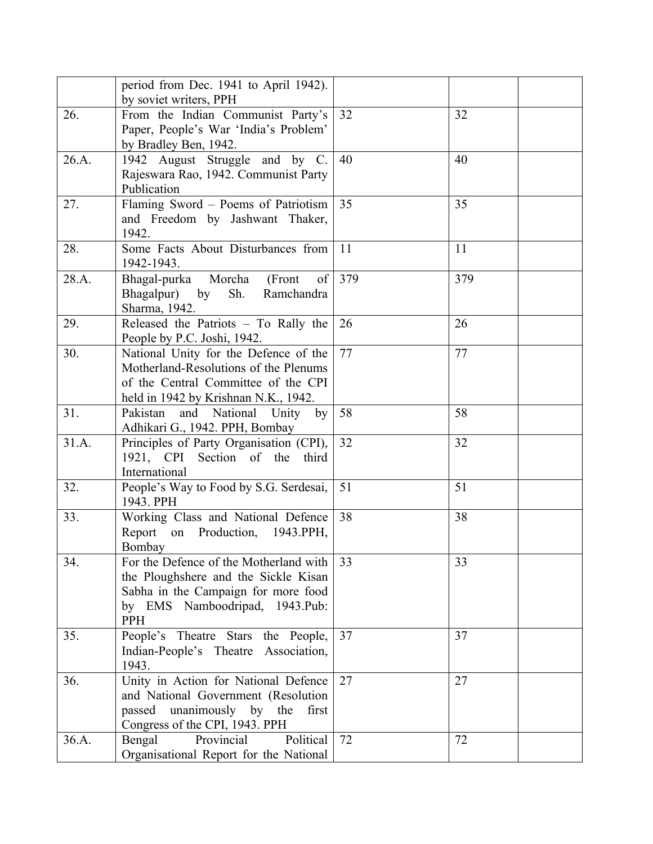|       | period from Dec. 1941 to April 1942).<br>by soviet writers, PPH                                                                                                |               |     |
|-------|----------------------------------------------------------------------------------------------------------------------------------------------------------------|---------------|-----|
| 26.   | From the Indian Communist Party's<br>Paper, People's War 'India's Problem'<br>by Bradley Ben, 1942.                                                            | 32            | 32  |
| 26.A. | 1942 August Struggle and by C.<br>Rajeswara Rao, 1942. Communist Party<br>Publication                                                                          | 40            | 40  |
| 27.   | Flaming Sword - Poems of Patriotism<br>and Freedom by Jashwant Thaker,<br>1942.                                                                                | 35            | 35  |
| 28.   | Some Facts About Disturbances from<br>1942-1943.                                                                                                               | <sup>11</sup> | 11  |
| 28.A. | Bhagal-purka Morcha<br>(Front<br>of<br>Bhagalpur) by<br>Sh.<br>Ramchandra<br>Sharma, 1942.                                                                     | 379           | 379 |
| 29.   | Released the Patriots - To Rally the<br>People by P.C. Joshi, 1942.                                                                                            | 26            | 26  |
| 30.   | National Unity for the Defence of the<br>Motherland-Resolutions of the Plenums<br>of the Central Committee of the CPI<br>held in 1942 by Krishnan N.K., 1942.  | 77            | 77  |
| 31.   | Pakistan and National Unity by<br>Adhikari G., 1942. PPH, Bombay                                                                                               | 58            | 58  |
| 31.A. | Principles of Party Organisation (CPI),<br>1921, CPI Section of the<br>third<br>International                                                                  | 32            | 32  |
| 32.   | People's Way to Food by S.G. Serdesai,<br>1943. PPH                                                                                                            | 51            | 51  |
| 33.   | Working Class and National Defence<br>Report on Production, 1943.PPH,<br>Bombay                                                                                | 38            | 38  |
| 34.   | For the Defence of the Motherland with<br>the Ploughshere and the Sickle Kisan<br>Sabha in the Campaign for more food<br>by EMS Namboodripad, 1943.Pub:<br>PPH | 33            | 33  |
| 35.   | People's Theatre Stars the People,<br>Indian-People's Theatre Association,<br>1943.                                                                            | 37            | 37  |
| 36.   | Unity in Action for National Defence<br>and National Government (Resolution<br>passed unanimously by the<br>first<br>Congress of the CPI, 1943. PPH            | 27            | 27  |
| 36.A. | Political<br>Provincial<br>Bengal<br>Organisational Report for the National                                                                                    | 72            | 72  |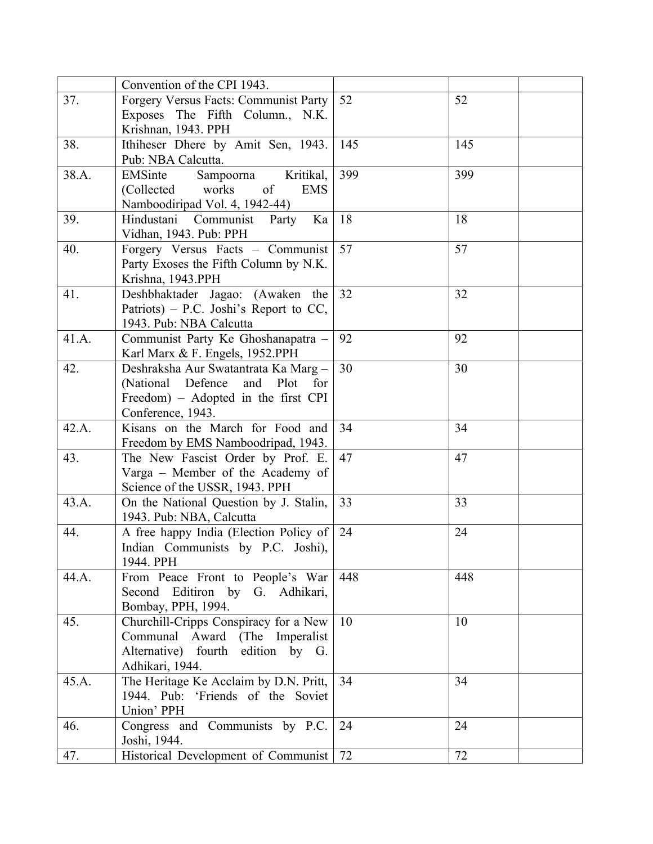|       | Convention of the CPI 1943.                                         |     |     |
|-------|---------------------------------------------------------------------|-----|-----|
| 37.   | Forgery Versus Facts: Communist Party                               | 52  | 52  |
|       | Exposes The Fifth Column., N.K.                                     |     |     |
|       | Krishnan, 1943. PPH                                                 |     |     |
| 38.   | Ithiheser Dhere by Amit Sen, 1943.                                  | 145 | 145 |
|       | Pub: NBA Calcutta.                                                  |     |     |
| 38.A. | EMSinte<br>Sampoorna<br>Kritikal,                                   | 399 | 399 |
|       | of<br>(Collected works)<br><b>EMS</b>                               |     |     |
|       | Namboodiripad Vol. 4, 1942-44)                                      |     |     |
| 39.   | Hindustani Communist Party Ka                                       | 18  | 18  |
|       | Vidhan, 1943. Pub: PPH                                              |     |     |
| 40.   | Forgery Versus Facts - Communist                                    | 57  | 57  |
|       | Party Exoses the Fifth Column by N.K.                               |     |     |
|       | Krishna, 1943.PPH                                                   |     |     |
| 41.   | Deshbhaktader Jagao: (Awaken the                                    | 32  | 32  |
|       | Patriots) – P.C. Joshi's Report to CC,                              |     |     |
|       | 1943. Pub: NBA Calcutta                                             |     |     |
| 41.A. | Communist Party Ke Ghoshanapatra -                                  | 92  | 92  |
|       | Karl Marx & F. Engels, 1952.PPH                                     |     |     |
| 42.   | Deshraksha Aur Swatantrata Ka Marg -                                | 30  | 30  |
|       | (National Defence<br>and Plot<br>for                                |     |     |
|       | Freedom) – Adopted in the first CPI                                 |     |     |
|       | Conference, 1943.                                                   |     |     |
| 42.A. | Kisans on the March for Food and                                    | 34  | 34  |
|       | Freedom by EMS Namboodripad, 1943.                                  |     |     |
| 43.   | The New Fascist Order by Prof. E.                                   | 47  | 47  |
|       | Varga - Member of the Academy of                                    |     |     |
|       | Science of the USSR, 1943. PPH                                      |     |     |
| 43.A. | On the National Question by J. Stalin,                              | 33  | 33  |
|       | 1943. Pub: NBA, Calcutta                                            |     |     |
| 44.   | A free happy India (Election Policy of                              | 24  | 24  |
|       | Indian Communists by P.C. Joshi),                                   |     |     |
|       | 1944. PPH                                                           |     |     |
| 44.A. |                                                                     | 448 | 448 |
|       | From Peace Front to People's War<br>Second Editiron by G. Adhikari, |     |     |
|       |                                                                     |     |     |
|       | Bombay, PPH, 1994.                                                  | 10  |     |
| 45.   | Churchill-Cripps Conspiracy for a New                               |     | 10  |
|       | Communal Award (The Imperalist                                      |     |     |
|       | Alternative) fourth edition by G.                                   |     |     |
|       | Adhikari, 1944.                                                     |     |     |
| 45.A. | The Heritage Ke Acclaim by D.N. Pritt,                              | 34  | 34  |
|       | 1944. Pub: 'Friends of the Soviet                                   |     |     |
|       | Union' PPH                                                          |     |     |
| 46.   | Congress and Communists by P.C.                                     | 24  | 24  |
|       | Joshi, 1944.                                                        |     |     |
| 47.   | Historical Development of Communist                                 | 72  | 72  |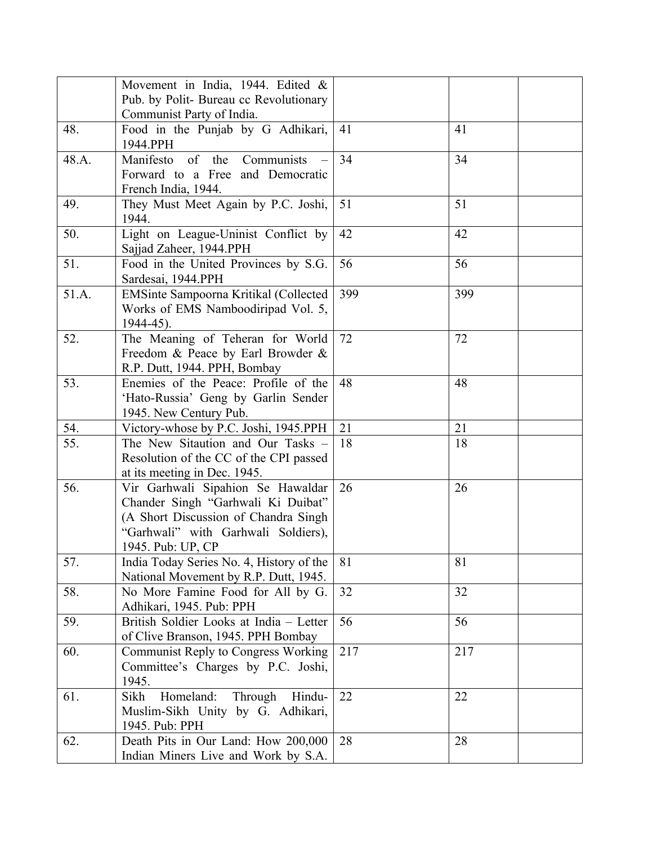|       | Movement in India, 1944. Edited &                                                                                                                                           |     |     |
|-------|-----------------------------------------------------------------------------------------------------------------------------------------------------------------------------|-----|-----|
|       | Pub. by Polit- Bureau cc Revolutionary                                                                                                                                      |     |     |
|       | Communist Party of India.                                                                                                                                                   |     |     |
| 48.   | Food in the Punjab by G Adhikari,<br>1944.PPH                                                                                                                               | 41  | 41  |
| 48.A. | $\sigma$<br>Manifesto<br>the<br>Communists                                                                                                                                  | 34  | 34  |
|       | Forward to a Free and Democratic<br>French India, 1944.                                                                                                                     |     |     |
| 49.   | They Must Meet Again by P.C. Joshi,<br>1944.                                                                                                                                | 51  | 51  |
| 50.   | Light on League-Uninist Conflict by<br>Sajjad Zaheer, 1944.PPH                                                                                                              | 42  | 42  |
| 51.   | Food in the United Provinces by S.G.<br>Sardesai, 1944.PPH                                                                                                                  | 56  | 56  |
| 51.A. | EMSinte Sampoorna Kritikal (Collected<br>Works of EMS Namboodiripad Vol. 5,<br>$1944 - 45$ ).                                                                               | 399 | 399 |
| 52.   | The Meaning of Teheran for World<br>Freedom & Peace by Earl Browder &<br>R.P. Dutt, 1944. PPH, Bombay                                                                       | 72  | 72  |
| 53.   | Enemies of the Peace: Profile of the<br>'Hato-Russia' Geng by Garlin Sender<br>1945. New Century Pub.                                                                       | 48  | 48  |
| 54.   | Victory-whose by P.C. Joshi, 1945.PPH                                                                                                                                       | 21  | 21  |
| 55.   | The New Sitaution and Our Tasks -<br>Resolution of the CC of the CPI passed<br>at its meeting in Dec. 1945.                                                                 | 18  | 18  |
| 56.   | Vir Garhwali Sipahion Se Hawaldar<br>Chander Singh "Garhwali Ki Duibat"<br>(A Short Discussion of Chandra Singh<br>"Garhwali" with Garhwali Soldiers),<br>1945. Pub: UP, CP | 26  | 26  |
| 57.   | India Today Series No. 4, History of the<br>National Movement by R.P. Dutt, 1945.                                                                                           | 81  | 81  |
| 58.   | No More Famine Food for All by G.<br>Adhikari, 1945. Pub: PPH                                                                                                               | 32  | 32  |
| 59.   | British Soldier Looks at India - Letter<br>of Clive Branson, 1945. PPH Bombay                                                                                               | 56  | 56  |
| 60.   | Communist Reply to Congress Working<br>Committee's Charges by P.C. Joshi,<br>1945.                                                                                          | 217 | 217 |
| 61.   | Sikh<br>Homeland:<br>Through<br>Hindu-<br>Muslim-Sikh Unity by G. Adhikari,<br>1945. Pub: PPH                                                                               | 22  | 22  |
| 62.   | Death Pits in Our Land: How 200,000<br>Indian Miners Live and Work by S.A.                                                                                                  | 28  | 28  |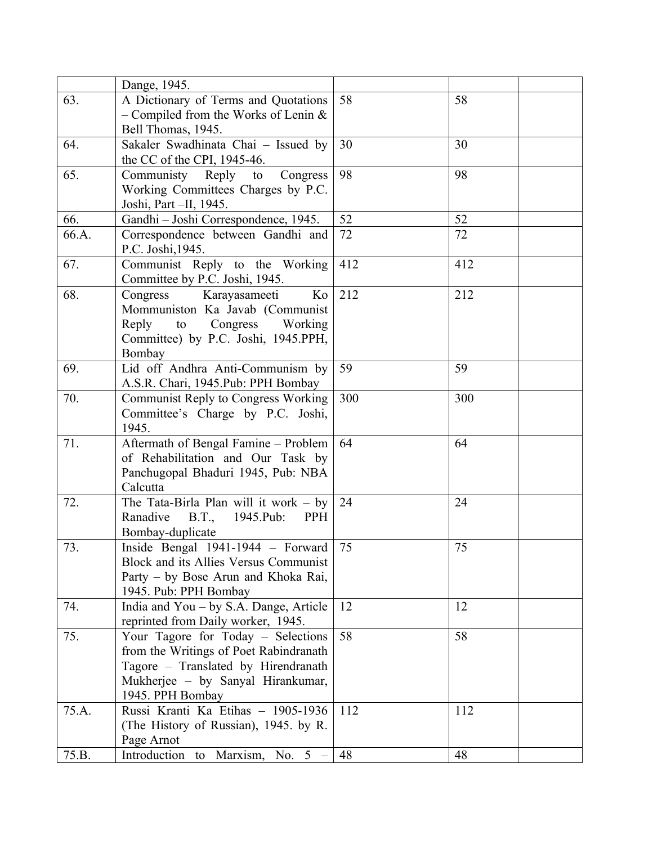|       | Dange, 1945.                                                               |     |     |  |
|-------|----------------------------------------------------------------------------|-----|-----|--|
| 63.   | A Dictionary of Terms and Quotations                                       | 58  | 58  |  |
|       | - Compiled from the Works of Lenin $&$                                     |     |     |  |
|       | Bell Thomas, 1945.                                                         |     |     |  |
| 64.   | Sakaler Swadhinata Chai - Issued by                                        | 30  | 30  |  |
|       | the CC of the CPI, 1945-46.                                                |     |     |  |
| 65.   | Communisty Reply to<br>Congress                                            | 98  | 98  |  |
|       | Working Committees Charges by P.C.                                         |     |     |  |
|       | Joshi, Part -II, 1945.                                                     |     |     |  |
| 66.   | Gandhi - Joshi Correspondence, 1945.                                       | 52  | 52  |  |
| 66.A. | Correspondence between Gandhi and                                          | 72  | 72  |  |
|       | P.C. Joshi, 1945.                                                          |     |     |  |
| 67.   | Communist Reply to the Working                                             | 412 | 412 |  |
|       | Committee by P.C. Joshi, 1945.                                             |     |     |  |
| 68.   | Karayasameeti<br>Congress<br>Ko                                            | 212 | 212 |  |
|       | Mommuniston Ka Javab (Communist                                            |     |     |  |
|       | Congress Working<br>Reply<br>to                                            |     |     |  |
|       | Committee) by P.C. Joshi, 1945.PPH,                                        |     |     |  |
|       | Bombay                                                                     |     |     |  |
| 69.   | Lid off Andhra Anti-Communism by                                           | 59  | 59  |  |
|       | A.S.R. Chari, 1945.Pub: PPH Bombay                                         |     |     |  |
| 70.   | <b>Communist Reply to Congress Working</b>                                 | 300 | 300 |  |
|       | Committee's Charge by P.C. Joshi,                                          |     |     |  |
|       | 1945.                                                                      |     |     |  |
| 71.   | Aftermath of Bengal Famine - Problem                                       | 64  | 64  |  |
|       | of Rehabilitation and Our Task by                                          |     |     |  |
|       | Panchugopal Bhaduri 1945, Pub: NBA                                         |     |     |  |
|       | Calcutta                                                                   |     |     |  |
| 72.   | The Tata-Birla Plan will it work $-$ by                                    | 24  | 24  |  |
|       | Ranadive<br><b>B.T.,</b><br>1945.Pub:<br>PPH                               |     |     |  |
| 73.   | Bombay-duplicate                                                           | 75  | 75  |  |
|       | Inside Bengal 1941-1944 - Forward<br>Block and its Allies Versus Communist |     |     |  |
|       | Party – by Bose Arun and Khoka Rai,                                        |     |     |  |
|       | 1945. Pub: PPH Bombay                                                      |     |     |  |
| 74.   | India and You – by S.A. Dange, Article                                     | 12  | 12  |  |
|       | reprinted from Daily worker, 1945.                                         |     |     |  |
| 75.   | Your Tagore for Today - Selections                                         | 58  | 58  |  |
|       | from the Writings of Poet Rabindranath                                     |     |     |  |
|       | Tagore - Translated by Hirendranath                                        |     |     |  |
|       | Mukherjee - by Sanyal Hirankumar,                                          |     |     |  |
|       | 1945. PPH Bombay                                                           |     |     |  |
| 75.A. | Russi Kranti Ka Etihas - 1905-1936                                         | 112 | 112 |  |
|       | (The History of Russian), 1945. by R.                                      |     |     |  |
|       | Page Arnot                                                                 |     |     |  |
| 75.B. | Introduction to Marxism, No. 5 -                                           | 48  | 48  |  |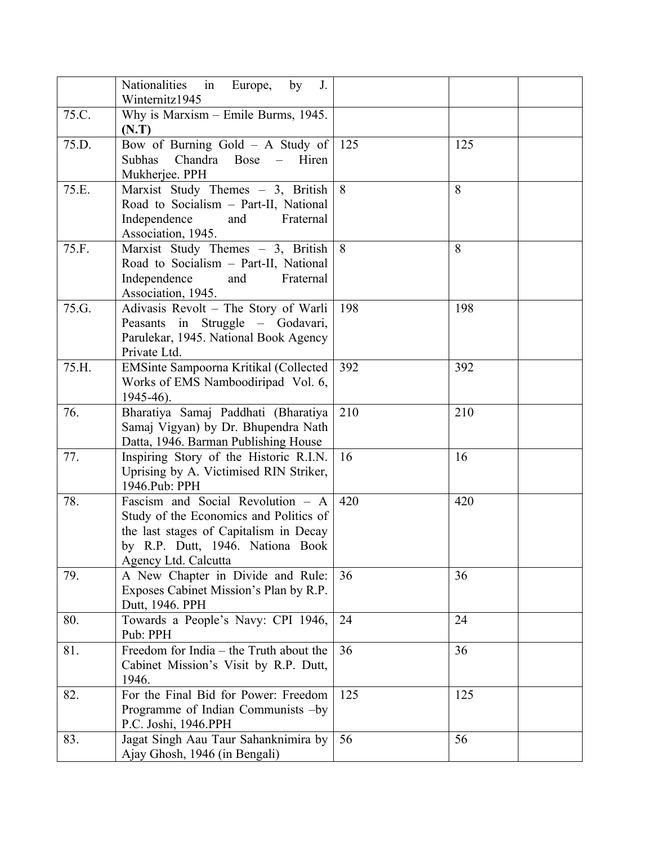|       | Nationalities in<br>Europe,<br>by<br>J.<br>Winternitz1945                                                                                                                         |     |     |
|-------|-----------------------------------------------------------------------------------------------------------------------------------------------------------------------------------|-----|-----|
| 75.C. | Why is Marxism – Emile Burms, 1945.<br>(N.T)                                                                                                                                      |     |     |
| 75.D. | Bow of Burning Gold $-$ A Study of<br>Subhas<br>Chandra Bose<br>$\overline{a}$<br>Hiren<br>Mukherjee. PPH                                                                         | 125 | 125 |
| 75.E. | Marxist Study Themes - 3, British<br>Road to Socialism - Part-II, National<br>Independence<br>and<br>Fraternal<br>Association, 1945.                                              | 8   | 8   |
| 75.F. | Marxist Study Themes - 3, British<br>Road to Socialism - Part-II, National<br>Independence<br>and<br>Fraternal<br>Association, 1945.                                              | 8   | 8   |
| 75.G. | Adivasis Revolt - The Story of Warli<br>Peasants in Struggle - Godavari,<br>Parulekar, 1945. National Book Agency<br>Private Ltd.                                                 | 198 | 198 |
| 75.H. | EMSinte Sampoorna Kritikal (Collected<br>Works of EMS Namboodiripad Vol. 6,<br>1945-46).                                                                                          | 392 | 392 |
| 76.   | Bharatiya Samaj Paddhati (Bharatiya<br>Samaj Vigyan) by Dr. Bhupendra Nath<br>Datta, 1946. Barman Publishing House                                                                | 210 | 210 |
| 77.   | Inspiring Story of the Historic R.I.N.<br>Uprising by A. Victimised RIN Striker,<br>1946.Pub: PPH                                                                                 | 16  | 16  |
| 78.   | Fascism and Social Revolution - A<br>Study of the Economics and Politics of<br>the last stages of Capitalism in Decay<br>by R.P. Dutt, 1946. Nationa Book<br>Agency Ltd. Calcutta | 420 | 420 |
| 79.   | A New Chapter in Divide and Rule:<br>Exposes Cabinet Mission's Plan by R.P.<br>Dutt, 1946. PPH                                                                                    | 36  | 36  |
| 80.   | Towards a People's Navy: CPI 1946,<br>Pub: PPH                                                                                                                                    | 24  | 24  |
| 81.   | Freedom for India - the Truth about the<br>Cabinet Mission's Visit by R.P. Dutt,<br>1946.                                                                                         | 36  | 36  |
| 82.   | For the Final Bid for Power: Freedom<br>Programme of Indian Communists -by<br>P.C. Joshi, 1946.PPH                                                                                | 125 | 125 |
| 83.   | Jagat Singh Aau Taur Sahanknimira by<br>Ajay Ghosh, 1946 (in Bengali)                                                                                                             | 56  | 56  |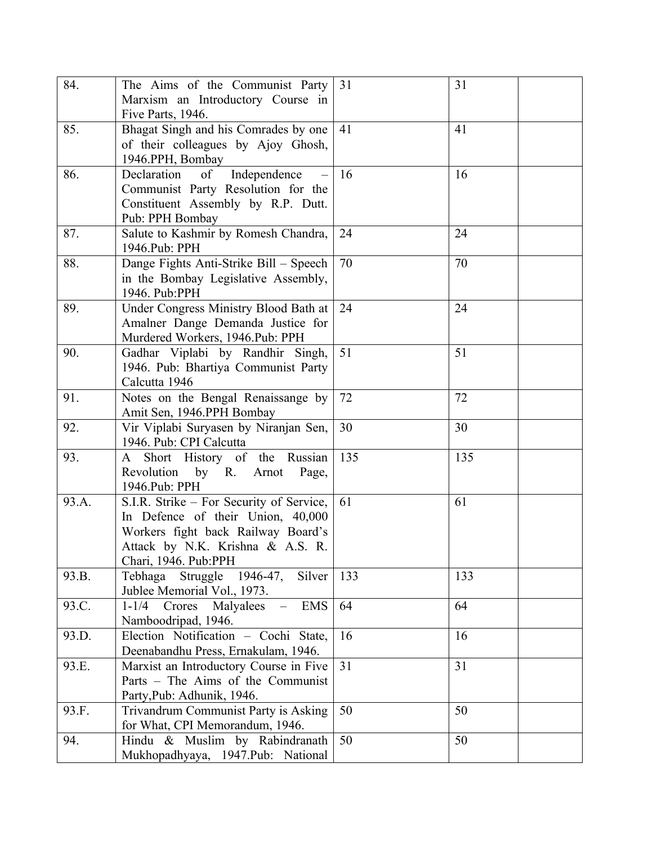| 84.   | The Aims of the Communist Party<br>Marxism an Introductory Course in       | 31  | 31  |
|-------|----------------------------------------------------------------------------|-----|-----|
|       | Five Parts, 1946.                                                          |     |     |
| 85.   | Bhagat Singh and his Comrades by one                                       | 41  | 41  |
|       | of their colleagues by Ajoy Ghosh,                                         |     |     |
|       | 1946.PPH, Bombay                                                           |     |     |
| 86.   | Declaration<br>of<br>Independence                                          | 16  | 16  |
|       | Communist Party Resolution for the                                         |     |     |
|       | Constituent Assembly by R.P. Dutt.                                         |     |     |
|       | Pub: PPH Bombay                                                            |     |     |
| 87.   | Salute to Kashmir by Romesh Chandra,                                       | 24  | 24  |
|       | 1946.Pub: PPH                                                              |     |     |
| 88.   | Dange Fights Anti-Strike Bill - Speech                                     | 70  | 70  |
|       | in the Bombay Legislative Assembly,                                        |     |     |
|       | 1946. Pub:PPH                                                              |     |     |
| 89.   | Under Congress Ministry Blood Bath at                                      | 24  | 24  |
|       | Amalner Dange Demanda Justice for                                          |     |     |
|       | Murdered Workers, 1946.Pub: PPH                                            |     |     |
| 90.   | Gadhar Viplabi by Randhir Singh,                                           | 51  | 51  |
|       | 1946. Pub: Bhartiya Communist Party                                        |     |     |
|       | Calcutta 1946                                                              |     |     |
| 91.   | Notes on the Bengal Renaissange by                                         | 72  | 72  |
|       | Amit Sen, 1946.PPH Bombay                                                  |     |     |
| 92.   | Vir Viplabi Suryasen by Niranjan Sen,                                      | 30  | 30  |
|       | 1946. Pub: CPI Calcutta                                                    |     |     |
| 93.   | A Short History of the Russian                                             | 135 | 135 |
|       | Revolution by R. Arnot<br>Page,                                            |     |     |
|       | 1946.Pub: PPH                                                              |     |     |
| 93.A. | S.I.R. Strike – For Security of Service,                                   | 61  | 61  |
|       | In Defence of their Union, 40,000                                          |     |     |
|       | Workers fight back Railway Board's                                         |     |     |
|       | Attack by N.K. Krishna & A.S. R.                                           |     |     |
|       | Chari, 1946. Pub:PPH                                                       | 133 |     |
| 93.B. | Tebhaga<br>Struggle<br>1946-47,<br>Silver<br>Jublee Memorial Vol., 1973.   |     | 133 |
| 93.C. | <b>EMS</b><br>Crores<br>$1 - 1/4$<br>Malyalees<br>$\overline{\phantom{m}}$ | 64  | 64  |
|       | Namboodripad, 1946.                                                        |     |     |
| 93.D. | Election Notification - Cochi State,                                       | 16  | 16  |
|       | Deenabandhu Press, Ernakulam, 1946.                                        |     |     |
| 93.E. | Marxist an Introductory Course in Five                                     | 31  | 31  |
|       | Parts - The Aims of the Communist                                          |     |     |
|       | Party, Pub: Adhunik, 1946.                                                 |     |     |
| 93.F. | Trivandrum Communist Party is Asking                                       | 50  | 50  |
|       | for What, CPI Memorandum, 1946.                                            |     |     |
| 94.   | Hindu & Muslim by Rabindranath                                             | 50  | 50  |
|       | Mukhopadhyaya, 1947.Pub: National                                          |     |     |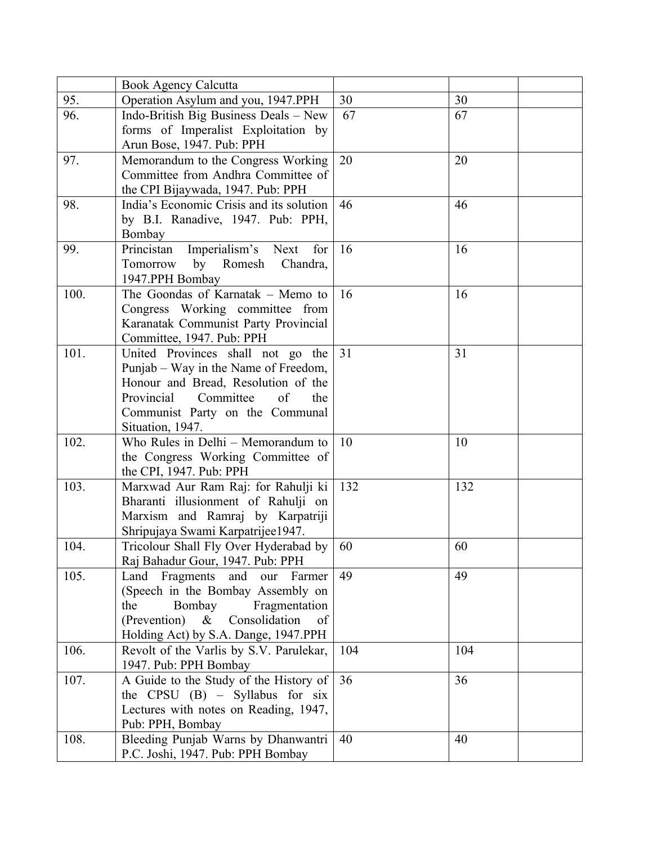|      | <b>Book Agency Calcutta</b>                                    |     |     |
|------|----------------------------------------------------------------|-----|-----|
| 95.  | Operation Asylum and you, 1947.PPH                             | 30  | 30  |
| 96.  | Indo-British Big Business Deals - New                          | 67  | 67  |
|      | forms of Imperalist Exploitation by                            |     |     |
|      | Arun Bose, 1947. Pub: PPH                                      |     |     |
| 97.  | Memorandum to the Congress Working                             | 20  | 20  |
|      | Committee from Andhra Committee of                             |     |     |
|      | the CPI Bijaywada, 1947. Pub: PPH                              |     |     |
| 98.  | India's Economic Crisis and its solution                       | 46  | 46  |
|      | by B.I. Ranadive, 1947. Pub: PPH,                              |     |     |
|      | Bombay                                                         |     |     |
| 99.  | Imperialism's Next<br>Princistan<br>for                        | 16  | 16  |
|      | by Romesh Chandra,<br>Tomorrow                                 |     |     |
|      | 1947.PPH Bombay                                                |     |     |
| 100. | The Goondas of Karnatak - Memo to                              | 16  | 16  |
|      | Congress Working committee from                                |     |     |
|      | Karanatak Communist Party Provincial                           |     |     |
|      | Committee, 1947. Pub: PPH                                      |     |     |
| 101. | United Provinces shall not go the                              | 31  | 31  |
|      | Punjab – Way in the Name of Freedom,                           |     |     |
|      | Honour and Bread, Resolution of the                            |     |     |
|      | Committee<br>of<br>Provincial<br>the                           |     |     |
|      | Communist Party on the Communal                                |     |     |
|      | Situation, 1947.                                               |     |     |
| 102. | Who Rules in Delhi - Memorandum to                             | 10  | 10  |
|      | the Congress Working Committee of                              |     |     |
| 103. | the CPI, 1947. Pub: PPH<br>Marxwad Aur Ram Raj: for Rahulji ki | 132 | 132 |
|      | Bharanti illusionment of Rahulji on                            |     |     |
|      | Marxism and Ramraj by Karpatriji                               |     |     |
|      | Shripujaya Swami Karpatrijee1947.                              |     |     |
| 104. | Tricolour Shall Fly Over Hyderabad by                          | 60  | 60  |
|      | Raj Bahadur Gour, 1947. Pub: PPH                               |     |     |
| 105. | Fragments<br>and<br>Farmer<br>Land<br>our                      | 49  | 49  |
|      | (Speech in the Bombay Assembly on                              |     |     |
|      | Bombay<br>the<br>Fragmentation                                 |     |     |
|      | (Prevention)<br>$\&$<br>Consolidation<br>of                    |     |     |
|      | Holding Act) by S.A. Dange, 1947.PPH                           |     |     |
| 106. | Revolt of the Varlis by S.V. Parulekar,                        | 104 | 104 |
|      | 1947. Pub: PPH Bombay                                          |     |     |
| 107. | A Guide to the Study of the History of                         | 36  | 36  |
|      | the CPSU $(B)$ – Syllabus for six                              |     |     |
|      | Lectures with notes on Reading, 1947,                          |     |     |
|      | Pub: PPH, Bombay                                               |     |     |
| 108. | Bleeding Punjab Warns by Dhanwantri                            | 40  | 40  |
|      | P.C. Joshi, 1947. Pub: PPH Bombay                              |     |     |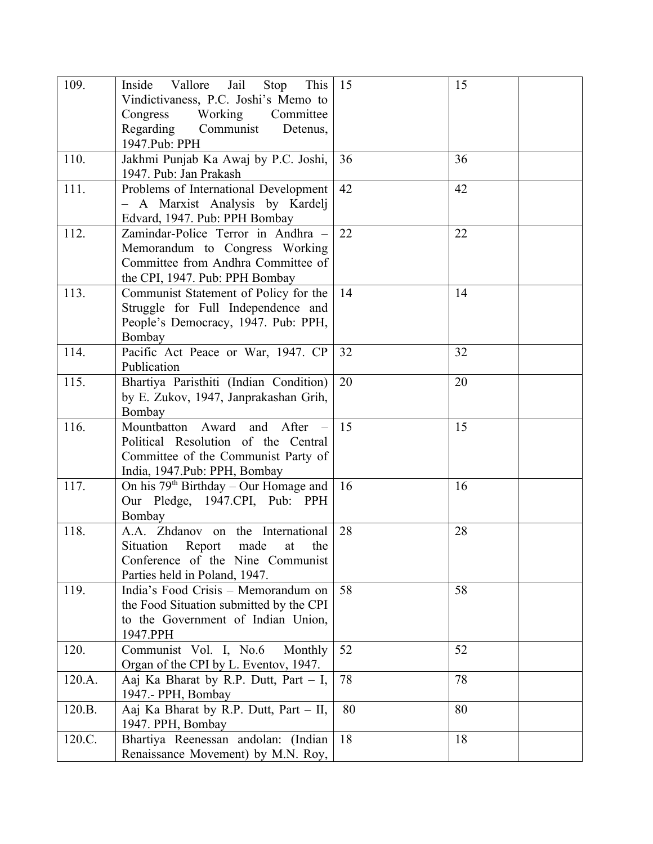| 109.   | Jail<br>Inside Vallore<br>Stop<br>This<br>Vindictivaness, P.C. Joshi's Memo to<br>Working<br>Congress<br>Committee<br>Regarding Communist<br>Detenus,<br>1947.Pub: PPH | 15 | 15 |
|--------|------------------------------------------------------------------------------------------------------------------------------------------------------------------------|----|----|
| 110.   | Jakhmi Punjab Ka Awaj by P.C. Joshi,<br>1947. Pub: Jan Prakash                                                                                                         | 36 | 36 |
| 111.   | Problems of International Development<br>- A Marxist Analysis by Kardelj<br>Edvard, 1947. Pub: PPH Bombay                                                              | 42 | 42 |
| 112.   | Zamindar-Police Terror in Andhra -<br>Memorandum to Congress Working<br>Committee from Andhra Committee of<br>the CPI, 1947. Pub: PPH Bombay                           | 22 | 22 |
| 113.   | Communist Statement of Policy for the<br>Struggle for Full Independence and<br>People's Democracy, 1947. Pub: PPH,<br>Bombay                                           | 14 | 14 |
| 114.   | Pacific Act Peace or War, 1947. CP<br>Publication                                                                                                                      | 32 | 32 |
| 115.   | Bhartiya Paristhiti (Indian Condition)<br>by E. Zukov, 1947, Janprakashan Grih,<br>Bombay                                                                              | 20 | 20 |
| 116.   | Mountbatton<br>Award and After<br>Political Resolution of the Central<br>Committee of the Communist Party of<br>India, 1947. Pub: PPH, Bombay                          | 15 | 15 |
| 117.   | On his $79th$ Birthday – Our Homage and<br>Our Pledge, 1947.CPI, Pub: PPH<br>Bombay                                                                                    | 16 | 16 |
| 118.   | A.A. Zhdanov on the International<br>Situation<br>Report<br>made<br>the<br>at<br>Conference of the Nine Communist<br>Parties held in Poland, 1947.                     | 28 | 28 |
| 119.   | India's Food Crisis - Memorandum on<br>the Food Situation submitted by the CPI<br>to the Government of Indian Union,<br>1947.PPH                                       | 58 | 58 |
| 120.   | Communist Vol. I, No.6<br>Monthly<br>Organ of the CPI by L. Eventov, 1947.                                                                                             | 52 | 52 |
| 120.A. | Aaj Ka Bharat by R.P. Dutt, Part - I,<br>1947.- PPH, Bombay                                                                                                            | 78 | 78 |
| 120.B. | Aaj Ka Bharat by R.P. Dutt, Part - II,<br>1947. PPH, Bombay                                                                                                            | 80 | 80 |
| 120.C. | Bhartiya Reenessan andolan: (Indian<br>Renaissance Movement) by M.N. Roy,                                                                                              | 18 | 18 |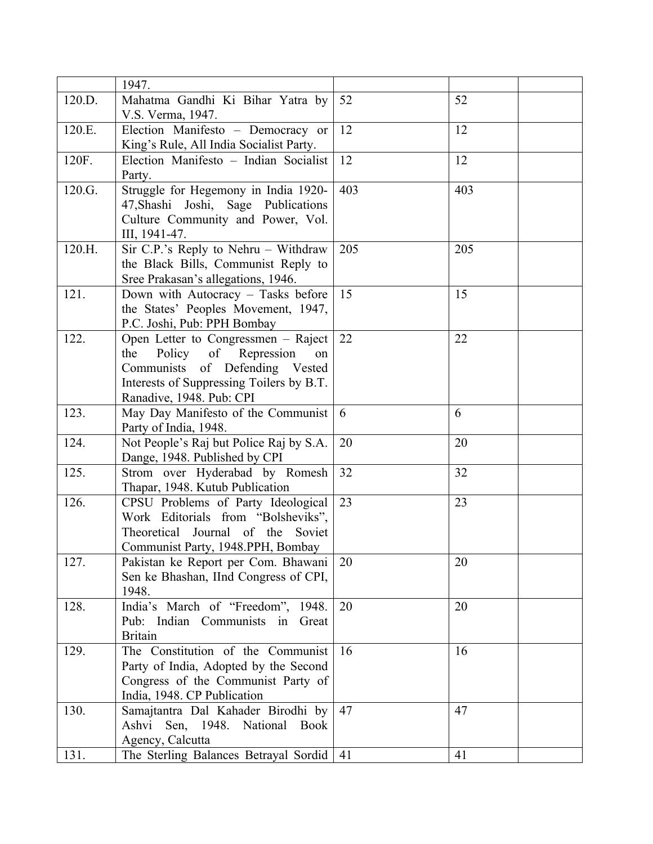|        | 1947.                                    |     |     |
|--------|------------------------------------------|-----|-----|
| 120.D. | Mahatma Gandhi Ki Bihar Yatra by         | 52  | 52  |
|        | V.S. Verma, 1947.                        |     |     |
| 120.E. | Election Manifesto - Democracy or        | 12  | 12  |
|        | King's Rule, All India Socialist Party.  |     |     |
| 120F.  | Election Manifesto - Indian Socialist    | 12  | 12  |
|        | Party.                                   |     |     |
| 120.G. | Struggle for Hegemony in India 1920-     | 403 | 403 |
|        | 47, Shashi Joshi, Sage Publications      |     |     |
|        | Culture Community and Power, Vol.        |     |     |
|        | III, 1941-47.                            |     |     |
| 120.H. | Sir C.P.'s Reply to Nehru - Withdraw     | 205 | 205 |
|        | the Black Bills, Communist Reply to      |     |     |
|        | Sree Prakasan's allegations, 1946.       |     |     |
| 121.   | Down with Autocracy - Tasks before       | 15  | 15  |
|        | the States' Peoples Movement, 1947,      |     |     |
|        | P.C. Joshi, Pub: PPH Bombay              |     |     |
| 122.   | Open Letter to Congressmen – Raject      | 22  | 22  |
|        | the<br>Policy of Repression<br>on        |     |     |
|        | Communists of Defending Vested           |     |     |
|        | Interests of Suppressing Toilers by B.T. |     |     |
|        | Ranadive, 1948. Pub: CPI                 |     |     |
| 123.   | May Day Manifesto of the Communist       | 6   | 6   |
|        | Party of India, 1948.                    |     |     |
| 124.   | Not People's Raj but Police Raj by S.A.  | 20  | 20  |
|        | Dange, 1948. Published by CPI            |     |     |
| 125.   | Strom over Hyderabad by Romesh           | 32  | 32  |
|        | Thapar, 1948. Kutub Publication          |     |     |
| 126.   | CPSU Problems of Party Ideological       | 23  | 23  |
|        | Work Editorials from "Bolsheviks",       |     |     |
|        | Theoretical Journal of the Soviet        |     |     |
|        | Communist Party, 1948.PPH, Bombay        |     |     |
| 127.   | Pakistan ke Report per Com. Bhawani      | 20  | 20  |
|        | Sen ke Bhashan, IInd Congress of CPI,    |     |     |
|        | 1948.                                    |     |     |
| 128.   | India's March of "Freedom", 1948.        | 20  | 20  |
|        | Pub: Indian Communists in Great          |     |     |
|        | <b>Britain</b>                           |     |     |
| 129.   | The Constitution of the Communist        | 16  | 16  |
|        | Party of India, Adopted by the Second    |     |     |
|        | Congress of the Communist Party of       |     |     |
|        | India, 1948. CP Publication              |     |     |
| 130.   | Samajtantra Dal Kahader Birodhi by       | 47  | 47  |
|        | Ashvi Sen, 1948. National<br><b>Book</b> |     |     |
|        | Agency, Calcutta                         |     |     |
| 131.   | The Sterling Balances Betrayal Sordid    | -41 | 41  |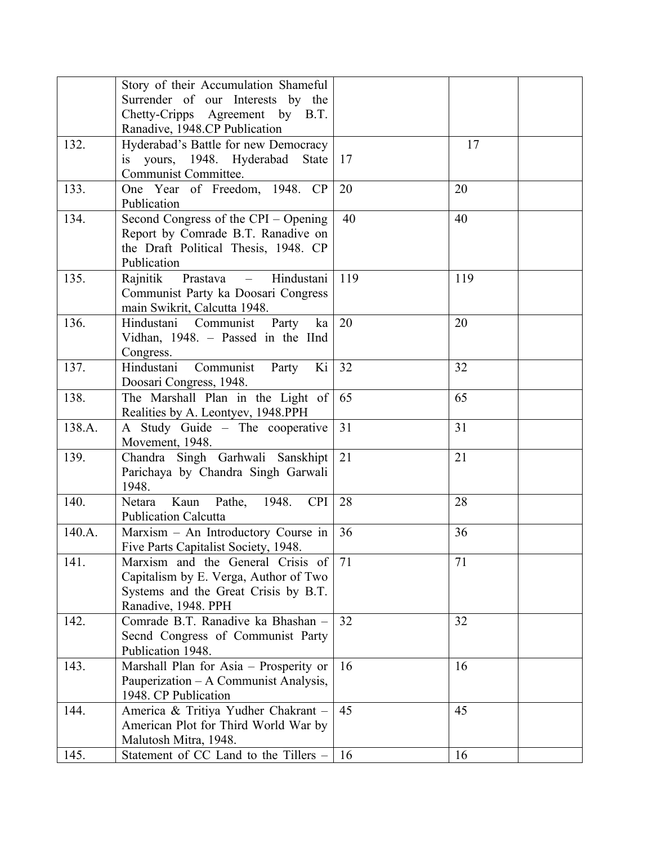|        | Story of their Accumulation Shameful           |     |     |  |
|--------|------------------------------------------------|-----|-----|--|
|        | Surrender of our Interests by the              |     |     |  |
|        | Chetty-Cripps Agreement by B.T.                |     |     |  |
|        | Ranadive, 1948.CP Publication                  |     |     |  |
| 132.   | Hyderabad's Battle for new Democracy           |     | 17  |  |
|        | is yours, 1948. Hyderabad State                | 17  |     |  |
|        | Communist Committee.                           |     |     |  |
| 133.   | One Year of Freedom, 1948. CP                  | 20  | 20  |  |
|        | Publication                                    |     |     |  |
| 134.   | Second Congress of the CPI – Opening           | 40  | 40  |  |
|        | Report by Comrade B.T. Ranadive on             |     |     |  |
|        | the Draft Political Thesis, 1948. CP           |     |     |  |
|        | Publication                                    |     |     |  |
| 135.   | Prastava<br>Hindustani<br>Rajnitik<br>$\equiv$ | 119 | 119 |  |
|        | Communist Party ka Doosari Congress            |     |     |  |
|        | main Swikrit, Calcutta 1948.                   |     |     |  |
| 136.   | Hindustani Communist Party<br>ka               | 20  | 20  |  |
|        | Vidhan, 1948. – Passed in the IInd             |     |     |  |
|        | Congress.                                      |     |     |  |
| 137.   | Hindustani<br>Ki<br>Communist<br>Party         | 32  | 32  |  |
|        | Doosari Congress, 1948.                        |     |     |  |
| 138.   | The Marshall Plan in the Light of              | 65  | 65  |  |
|        | Realities by A. Leontyev, 1948.PPH             |     |     |  |
| 138.A. | A Study Guide - The cooperative                | 31  | 31  |  |
|        | Movement, 1948.                                |     |     |  |
| 139.   | Chandra Singh Garhwali Sanskhipt               | 21  | 21  |  |
|        | Parichaya by Chandra Singh Garwali             |     |     |  |
|        | 1948.                                          |     |     |  |
| 140.   | Kaun<br>Pathe, 1948.<br><b>CPI</b><br>Netara   | 28  | 28  |  |
|        | <b>Publication Calcutta</b>                    |     |     |  |
| 140.A. | Marxism - An Introductory Course in            | 36  | 36  |  |
|        | Five Parts Capitalist Society, 1948.           |     |     |  |
| 141.   | Marxism and the General Crisis of              | 71  | 71  |  |
|        | Capitalism by E. Verga, Author of Two          |     |     |  |
|        | Systems and the Great Crisis by B.T.           |     |     |  |
|        | Ranadive, 1948. PPH                            |     |     |  |
| 142.   | Comrade B.T. Ranadive ka Bhashan -             | 32  | 32  |  |
|        | Secnd Congress of Communist Party              |     |     |  |
|        | Publication 1948.                              |     |     |  |
| 143.   | Marshall Plan for Asia - Prosperity or         | 16  | 16  |  |
|        | Pauperization – A Communist Analysis,          |     |     |  |
|        | 1948. CP Publication                           |     |     |  |
| 144.   | America & Tritiya Yudher Chakrant -            | 45  | 45  |  |
|        | American Plot for Third World War by           |     |     |  |
|        | Malutosh Mitra, 1948.                          |     |     |  |
| 145.   | Statement of CC Land to the Tillers -          | 16  | 16  |  |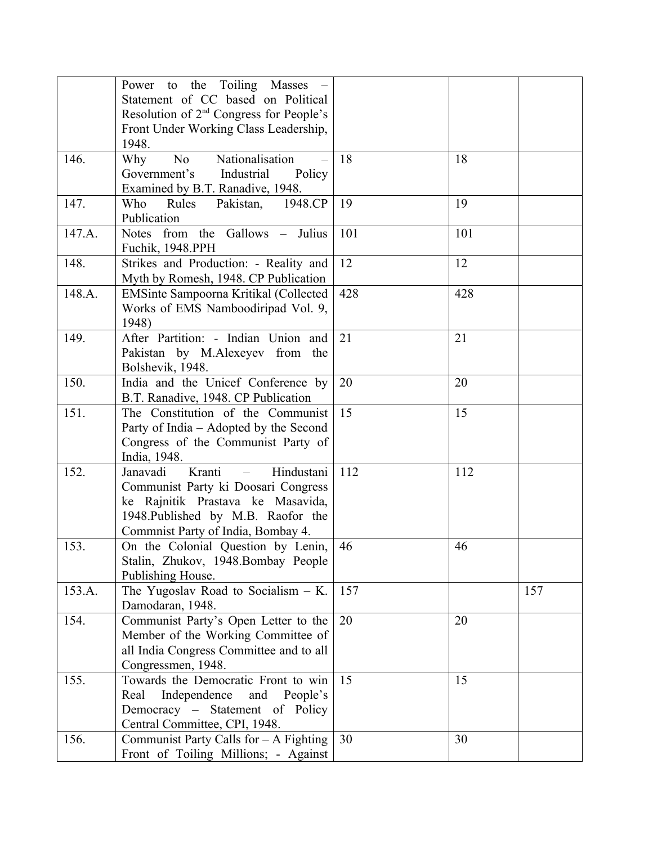|        | Power to the Toiling Masses -<br>Statement of CC based on Political<br>Resolution of 2 <sup>nd</sup> Congress for People's                                                                           |     |     |     |
|--------|------------------------------------------------------------------------------------------------------------------------------------------------------------------------------------------------------|-----|-----|-----|
|        | Front Under Working Class Leadership,<br>1948.                                                                                                                                                       |     |     |     |
| 146.   | Nationalisation<br>No.<br>Why<br>Government's Industrial<br>Policy<br>Examined by B.T. Ranadive, 1948.                                                                                               | 18  | 18  |     |
| 147.   | Pakistan,<br>1948.CP<br>Who<br>Rules<br>Publication                                                                                                                                                  | 19  | 19  |     |
| 147.A. | Notes from the Gallows - Julius<br>Fuchik, 1948.PPH                                                                                                                                                  | 101 | 101 |     |
| 148.   | Strikes and Production: - Reality and<br>Myth by Romesh, 1948. CP Publication                                                                                                                        | 12  | 12  |     |
| 148.A. | EMSinte Sampoorna Kritikal (Collected<br>Works of EMS Namboodiripad Vol. 9,<br>1948)                                                                                                                 | 428 | 428 |     |
| 149.   | After Partition: - Indian Union and<br>Pakistan by M.Alexeyev from the<br>Bolshevik, 1948.                                                                                                           | 21  | 21  |     |
| 150.   | India and the Unicef Conference by<br>B.T. Ranadive, 1948. CP Publication                                                                                                                            | 20  | 20  |     |
| 151.   | The Constitution of the Communist<br>Party of India - Adopted by the Second<br>Congress of the Communist Party of<br>India, 1948.                                                                    | 15  | 15  |     |
| 152.   | Kranti<br>Hindustani<br>Janavadi<br>$\equiv$<br>Communist Party ki Doosari Congress<br>ke Rajnitik Prastava ke Masavida,<br>1948. Published by M.B. Raofor the<br>Commnist Party of India, Bombay 4. | 112 | 112 |     |
| 153.   | On the Colonial Question by Lenin,<br>Stalin, Zhukov, 1948.Bombay People<br>Publishing House.                                                                                                        | 46  | 46  |     |
| 153.A. | The Yugoslav Road to Socialism - K.<br>Damodaran, 1948.                                                                                                                                              | 157 |     | 157 |
| 154.   | Communist Party's Open Letter to the<br>Member of the Working Committee of<br>all India Congress Committee and to all<br>Congressmen, 1948.                                                          | 20  | 20  |     |
| 155.   | Towards the Democratic Front to win<br>Independence<br>and People's<br>Real<br>Democracy – Statement of Policy<br>Central Committee, CPI, 1948.                                                      | 15  | 15  |     |
| 156.   | Communist Party Calls for $-$ A Fighting<br>Front of Toiling Millions; - Against                                                                                                                     | 30  | 30  |     |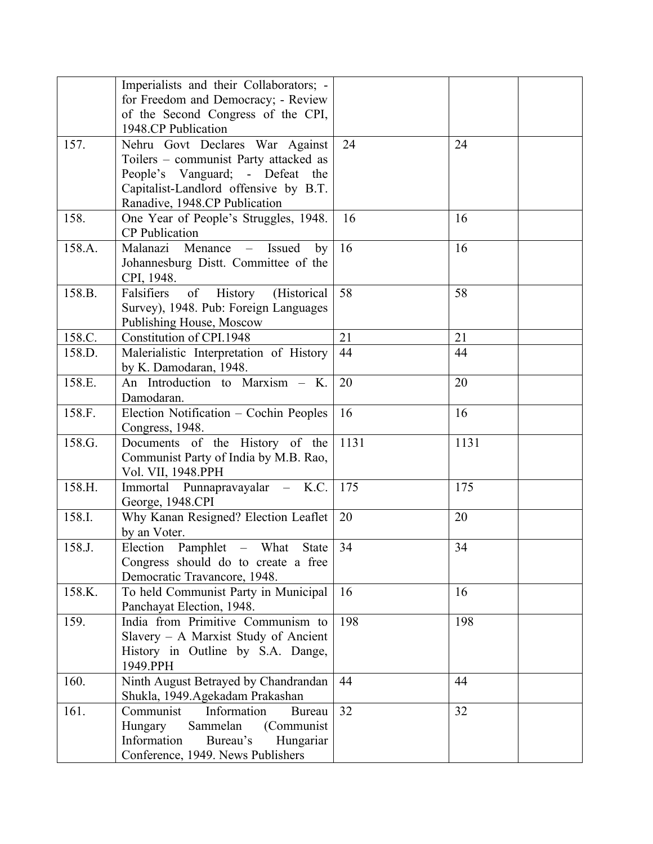|        | Imperialists and their Collaborators; -                      |      |      |
|--------|--------------------------------------------------------------|------|------|
|        | for Freedom and Democracy; - Review                          |      |      |
|        | of the Second Congress of the CPI,                           |      |      |
|        | 1948.CP Publication                                          |      |      |
| 157.   | Nehru Govt Declares War Against                              | 24   | 24   |
|        | Toilers – communist Party attacked as                        |      |      |
|        | People's Vanguard; - Defeat the                              |      |      |
|        | Capitalist-Landlord offensive by B.T.                        |      |      |
|        | Ranadive, 1948.CP Publication                                |      |      |
| 158.   | One Year of People's Struggles, 1948.                        | 16   | 16   |
|        | <b>CP</b> Publication                                        |      |      |
| 158.A. | Malanazi Menance<br>Issued<br>by<br>$\overline{\phantom{m}}$ | 16   | 16   |
|        | Johannesburg Distt. Committee of the                         |      |      |
|        | CPI, 1948.                                                   |      |      |
| 158.B. | (Historical<br>Falsifiers<br>of<br>History                   | 58   | 58   |
|        | Survey), 1948. Pub: Foreign Languages                        |      |      |
|        | Publishing House, Moscow                                     |      |      |
| 158.C. | Constitution of CPI.1948                                     | 21   | 21   |
| 158.D. | Malerialistic Interpretation of History                      | 44   | 44   |
|        | by K. Damodaran, 1948.                                       |      |      |
| 158.E. | An Introduction to Marxism - K.                              | 20   | 20   |
|        | Damodaran.                                                   |      |      |
| 158.F. | Election Notification - Cochin Peoples                       | 16   | 16   |
|        | Congress, 1948.                                              |      |      |
| 158.G. | Documents of the History of the                              | 1131 | 1131 |
|        | Communist Party of India by M.B. Rao,                        |      |      |
|        | Vol. VII, 1948.PPH                                           |      |      |
| 158.H. | Immortal Punnapravayalar - K.C.                              | 175  | 175  |
|        | George, 1948.CPI                                             |      |      |
| 158.I. | Why Kanan Resigned? Election Leaflet                         | 20   | 20   |
|        | by an Voter.                                                 |      |      |
| 158.J. | Election Pamphlet - What<br>State                            | 34   | 34   |
|        | Congress should do to create a free                          |      |      |
|        | Democratic Travancore, 1948.                                 |      |      |
| 158.K. | To held Communist Party in Municipal                         | 16   | 16   |
|        | Panchayat Election, 1948.                                    |      |      |
| 159.   | India from Primitive Communism to                            | 198  | 198  |
|        | Slavery $-$ A Marxist Study of Ancient                       |      |      |
|        | History in Outline by S.A. Dange,                            |      |      |
|        | 1949.PPH                                                     |      |      |
| 160.   | Ninth August Betrayed by Chandrandan                         | 44   | 44   |
|        | Shukla, 1949.Agekadam Prakashan                              |      |      |
| 161.   | Information<br>Communist<br>Bureau                           | 32   | 32   |
|        | Hungary<br>Sammelan<br>(Communist)                           |      |      |
|        | Information<br>Bureau's<br>Hungariar                         |      |      |
|        | Conference, 1949. News Publishers                            |      |      |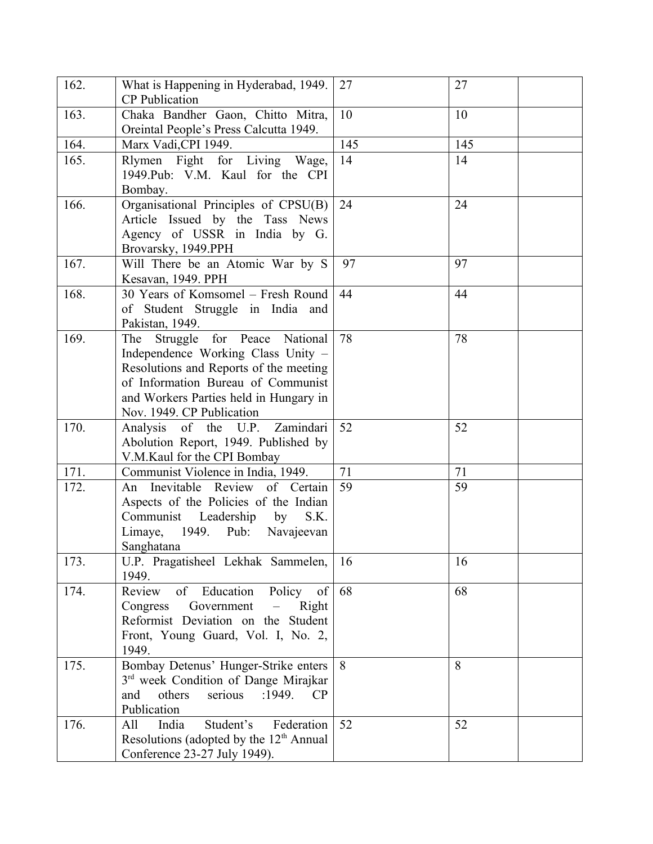| 162. | What is Happening in Hyderabad, 1949.<br><b>CP</b> Publication                                                                                                                                                                     | 27  | 27  |
|------|------------------------------------------------------------------------------------------------------------------------------------------------------------------------------------------------------------------------------------|-----|-----|
| 163. | Chaka Bandher Gaon, Chitto Mitra,<br>Oreintal People's Press Calcutta 1949.                                                                                                                                                        | 10  | 10  |
| 164. | Marx Vadi, CPI 1949.                                                                                                                                                                                                               | 145 | 145 |
| 165. | Rlymen Fight for Living Wage,<br>1949. Pub: V.M. Kaul for the CPI<br>Bombay.                                                                                                                                                       | 14  | 14  |
| 166. | Organisational Principles of CPSU(B)<br>Article Issued by the Tass News<br>Agency of USSR in India by G.<br>Brovarsky, 1949.PPH                                                                                                    | 24  | 24  |
| 167. | Will There be an Atomic War by S<br>Kesavan, 1949. PPH                                                                                                                                                                             | 97  | 97  |
| 168. | 30 Years of Komsomel - Fresh Round<br>of Student Struggle in India and<br>Pakistan, 1949.                                                                                                                                          | 44  | 44  |
| 169. | for Peace National<br>Struggle<br>The<br>Independence Working Class Unity -<br>Resolutions and Reports of the meeting<br>of Information Bureau of Communist<br>and Workers Parties held in Hungary in<br>Nov. 1949. CP Publication | 78  | 78  |
| 170. | Zamindari<br>Analysis of the U.P.<br>Abolution Report, 1949. Published by<br>V.M.Kaul for the CPI Bombay                                                                                                                           | 52  | 52  |
| 171. | Communist Violence in India, 1949.                                                                                                                                                                                                 | 71  | 71  |
| 172. | An Inevitable Review of Certain<br>Aspects of the Policies of the Indian<br>Communist Leadership<br>by<br>S.K.<br>1949. Pub:<br>Limaye,<br>Navajeevan<br>Sanghatana                                                                | 59  | 59  |
| 173. | U.P. Pragatisheel Lekhak Sammelen,<br>1949.                                                                                                                                                                                        | 16  | 16  |
| 174. | Review<br>of<br>Education<br>Policy<br>of<br>Government<br>Congress<br>Right<br>Reformist Deviation on the Student<br>Front, Young Guard, Vol. I, No. 2,<br>1949.                                                                  | 68  | 68  |
| 175. | Bombay Detenus' Hunger-Strike enters<br>3 <sup>rd</sup> week Condition of Dange Mirajkar<br>others<br>serious<br>:1949.<br>and<br>CP<br>Publication                                                                                | 8   | 8   |
| 176. | Student's<br>India<br>Federation<br>All<br>Resolutions (adopted by the 12 <sup>th</sup> Annual<br>Conference 23-27 July 1949).                                                                                                     | 52  | 52  |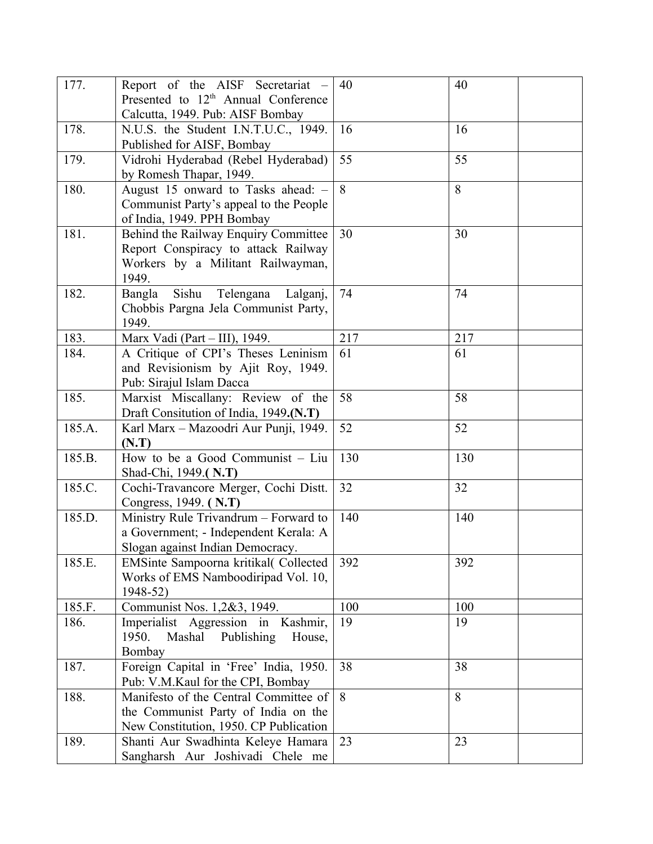| 177.   | Report of the AISF Secretariat –                                              | 40  | 40  |
|--------|-------------------------------------------------------------------------------|-----|-----|
|        | Presented to 12 <sup>th</sup> Annual Conference                               |     |     |
|        | Calcutta, 1949. Pub: AISF Bombay                                              |     |     |
| 178.   | N.U.S. the Student I.N.T.U.C., 1949.                                          | 16  | 16  |
|        | Published for AISF, Bombay                                                    |     |     |
| 179.   | Vidrohi Hyderabad (Rebel Hyderabad)                                           | 55  | 55  |
|        | by Romesh Thapar, 1949.                                                       |     |     |
| 180.   | August 15 onward to Tasks ahead: -                                            | 8   | 8   |
|        | Communist Party's appeal to the People                                        |     |     |
|        | of India, 1949. PPH Bombay                                                    |     |     |
| 181.   | Behind the Railway Enquiry Committee                                          | 30  | 30  |
|        | Report Conspiracy to attack Railway                                           |     |     |
|        | Workers by a Militant Railwayman,                                             |     |     |
|        | 1949.                                                                         |     |     |
| 182.   | Sishu<br>Telengana<br>Bangla<br>Lalganj,                                      | 74  | 74  |
|        | Chobbis Pargna Jela Communist Party,                                          |     |     |
|        | 1949.                                                                         |     |     |
| 183.   | Marx Vadi (Part - III), 1949.                                                 | 217 | 217 |
| 184.   | A Critique of CPI's Theses Leninism                                           | 61  | 61  |
|        | and Revisionism by Ajit Roy, 1949.                                            |     |     |
| 185.   | Pub: Sirajul Islam Dacca                                                      | 58  | 58  |
|        | Marxist Miscallany: Review of the<br>Draft Consitution of India, 1949.(N.T)   |     |     |
| 185.A. | Karl Marx - Mazoodri Aur Punji, 1949.                                         | 52  | 52  |
|        | (N.T)                                                                         |     |     |
| 185.B. | How to be a Good Communist - Liu                                              | 130 | 130 |
|        | Shad-Chi, 1949.(N.T)                                                          |     |     |
| 185.C. | Cochi-Travancore Merger, Cochi Distt.                                         | 32  | 32  |
|        | Congress, 1949. (N.T)                                                         |     |     |
| 185.D. | Ministry Rule Trivandrum - Forward to                                         | 140 | 140 |
|        | a Government; - Independent Kerala: A                                         |     |     |
|        | Slogan against Indian Democracy.                                              |     |     |
| 185.E. | EMSinte Sampoorna kritikal(Collected                                          | 392 | 392 |
|        | Works of EMS Namboodiripad Vol. 10,                                           |     |     |
|        | 1948-52)                                                                      |     |     |
| 185.F. | Communist Nos. 1,2&3, 1949.                                                   | 100 | 100 |
| 186.   | Imperialist Aggression in<br>Kashmir,                                         | 19  | 19  |
|        | 1950.<br>Mashal Publishing<br>House,                                          |     |     |
|        | Bombay                                                                        |     |     |
| 187.   | Foreign Capital in 'Free' India, 1950.                                        | 38  | 38  |
|        | Pub: V.M.Kaul for the CPI, Bombay                                             |     | 8   |
| 188.   | Manifesto of the Central Committee of                                         | 8   |     |
|        | the Communist Party of India on the<br>New Constitution, 1950. CP Publication |     |     |
| 189.   | Shanti Aur Swadhinta Keleye Hamara                                            | 23  | 23  |
|        | Sangharsh Aur Joshivadi Chele me                                              |     |     |
|        |                                                                               |     |     |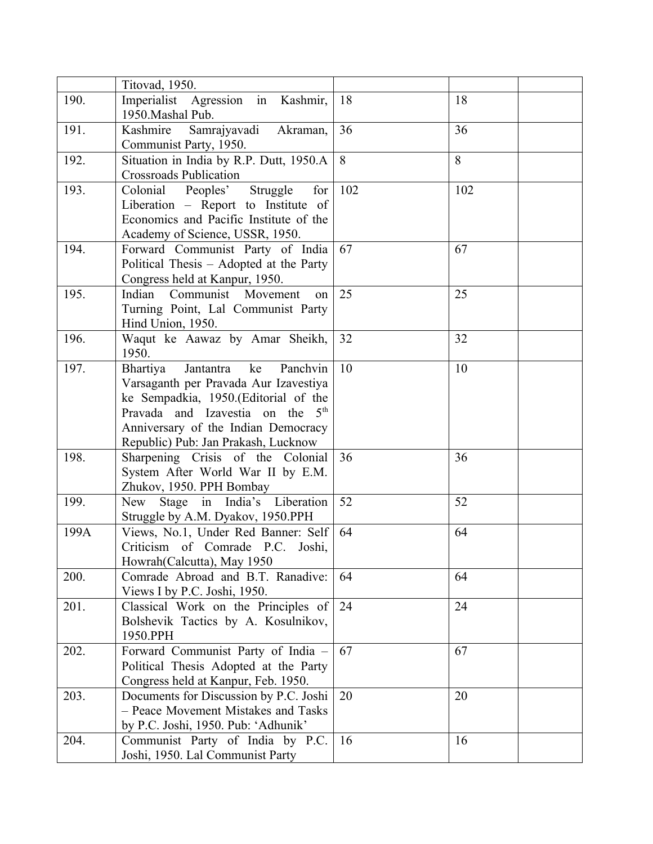|      | Titovad, 1950.                                                                                                                                                                                                                                         |     |     |  |
|------|--------------------------------------------------------------------------------------------------------------------------------------------------------------------------------------------------------------------------------------------------------|-----|-----|--|
| 190. | Imperialist Agression in Kashmir,<br>1950. Mashal Pub.                                                                                                                                                                                                 | 18  | 18  |  |
| 191. | Samrajyavadi Akraman,<br>Kashmire<br>Communist Party, 1950.                                                                                                                                                                                            | 36  | 36  |  |
| 192. | Situation in India by R.P. Dutt, 1950.A<br><b>Crossroads Publication</b>                                                                                                                                                                               | 8   | 8   |  |
| 193. | Colonial Peoples'<br>Struggle<br>for<br>Liberation – Report to Institute of<br>Economics and Pacific Institute of the<br>Academy of Science, USSR, 1950.                                                                                               | 102 | 102 |  |
| 194. | Forward Communist Party of India<br>Political Thesis - Adopted at the Party<br>Congress held at Kanpur, 1950.                                                                                                                                          | 67  | 67  |  |
| 195. | Indian<br>Movement<br>Communist<br>on<br>Turning Point, Lal Communist Party<br>Hind Union, 1950.                                                                                                                                                       | 25  | 25  |  |
| 196. | Waqut ke Aawaz by Amar Sheikh,<br>1950.                                                                                                                                                                                                                | 32  | 32  |  |
| 197. | Jantantra<br>ke<br>Panchvin<br>Bhartiya<br>Varsaganth per Pravada Aur Izavestiya<br>ke Sempadkia, 1950.(Editorial of the<br>Pravada and Izavestia on the 5 <sup>th</sup><br>Anniversary of the Indian Democracy<br>Republic) Pub: Jan Prakash, Lucknow | 10  | 10  |  |
| 198. | Sharpening Crisis of the Colonial<br>System After World War II by E.M.<br>Zhukov, 1950. PPH Bombay                                                                                                                                                     | 36  | 36  |  |
| 199. | Stage in India's Liberation<br>New<br>Struggle by A.M. Dyakov, 1950.PPH                                                                                                                                                                                | 52  | 52  |  |
| 199A | Views, No.1, Under Red Banner: Self<br>Criticism of Comrade P.C. Joshi,<br>Howrah (Calcutta), May 1950                                                                                                                                                 | 64  | 64  |  |
| 200. | Comrade Abroad and B.T. Ranadive:<br>Views I by P.C. Joshi, 1950.                                                                                                                                                                                      | 64  | 64  |  |
| 201. | Classical Work on the Principles of<br>Bolshevik Tactics by A. Kosulnikov,<br>1950.PPH                                                                                                                                                                 | 24  | 24  |  |
| 202. | Forward Communist Party of India -<br>Political Thesis Adopted at the Party<br>Congress held at Kanpur, Feb. 1950.                                                                                                                                     | 67  | 67  |  |
| 203. | Documents for Discussion by P.C. Joshi<br>- Peace Movement Mistakes and Tasks<br>by P.C. Joshi, 1950. Pub: 'Adhunik'                                                                                                                                   | 20  | 20  |  |
| 204. | Communist Party of India by P.C.<br>Joshi, 1950. Lal Communist Party                                                                                                                                                                                   | 16  | 16  |  |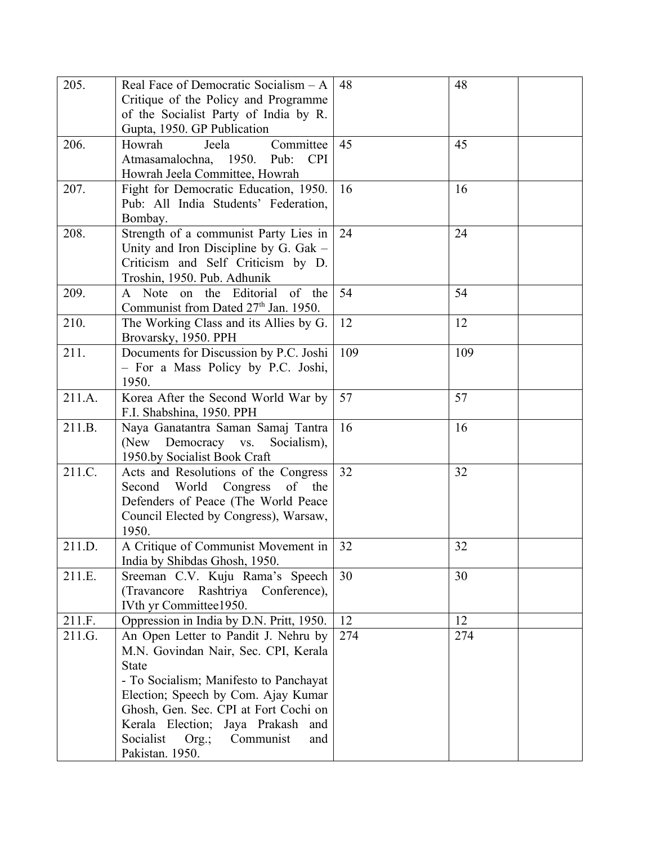| 205.   | Real Face of Democratic Socialism - A            | 48  | 48  |
|--------|--------------------------------------------------|-----|-----|
|        | Critique of the Policy and Programme             |     |     |
|        | of the Socialist Party of India by R.            |     |     |
|        | Gupta, 1950. GP Publication                      |     |     |
| 206.   | Committee<br>Howrah<br>Jeela                     | 45  | 45  |
|        | Atmasamalochna, 1950.<br>Pub:<br><b>CPI</b>      |     |     |
|        | Howrah Jeela Committee, Howrah                   |     |     |
| 207.   | Fight for Democratic Education, 1950.            | 16  | 16  |
|        | Pub: All India Students' Federation,             |     |     |
|        | Bombay.                                          |     |     |
| 208.   | Strength of a communist Party Lies in            | 24  | 24  |
|        | Unity and Iron Discipline by G. Gak -            |     |     |
|        | Criticism and Self Criticism by D.               |     |     |
|        | Troshin, 1950. Pub. Adhunik                      |     |     |
| 209.   | A Note on the Editorial of the                   | 54  | 54  |
|        | Communist from Dated 27 <sup>th</sup> Jan. 1950. |     |     |
| 210.   | The Working Class and its Allies by G.           | 12  | 12  |
|        | Brovarsky, 1950. PPH                             |     |     |
| 211.   | Documents for Discussion by P.C. Joshi           | 109 | 109 |
|        | - For a Mass Policy by P.C. Joshi,               |     |     |
|        | 1950.                                            |     |     |
| 211.A. | Korea After the Second World War by              | 57  | 57  |
|        | F.I. Shabshina, 1950. PPH                        |     |     |
| 211.B. | Naya Ganatantra Saman Samaj Tantra               | 16  | 16  |
|        | (New<br>Democracy vs.<br>Socialism),             |     |     |
|        | 1950.by Socialist Book Craft                     |     |     |
| 211.C. | Acts and Resolutions of the Congress             | 32  | 32  |
|        | Second<br>World<br>of the<br>Congress            |     |     |
|        | Defenders of Peace (The World Peace              |     |     |
|        | Council Elected by Congress), Warsaw,            |     |     |
|        | 1950.                                            |     |     |
| 211.D. | A Critique of Communist Movement in              | 32  | 32  |
|        | India by Shibdas Ghosh, 1950.                    |     |     |
| 211.E. | Sreeman C.V. Kuju Rama's Speech                  | 30  | 30  |
|        | (Travancore)<br>Rashtriya Conference),           |     |     |
|        | IVth yr Committee1950.                           |     |     |
| 211.F. | Oppression in India by D.N. Pritt, 1950.         | 12  | 12  |
| 211.G. | An Open Letter to Pandit J. Nehru by             | 274 | 274 |
|        | M.N. Govindan Nair, Sec. CPI, Kerala             |     |     |
|        | State                                            |     |     |
|        | - To Socialism; Manifesto to Panchayat           |     |     |
|        | Election; Speech by Com. Ajay Kumar              |     |     |
|        | Ghosh, Gen. Sec. CPI at Fort Cochi on            |     |     |
|        | Kerala Election;<br>Jaya Prakash<br>and          |     |     |
|        | Socialist<br>Communist<br>Org.;<br>and           |     |     |
|        | Pakistan. 1950.                                  |     |     |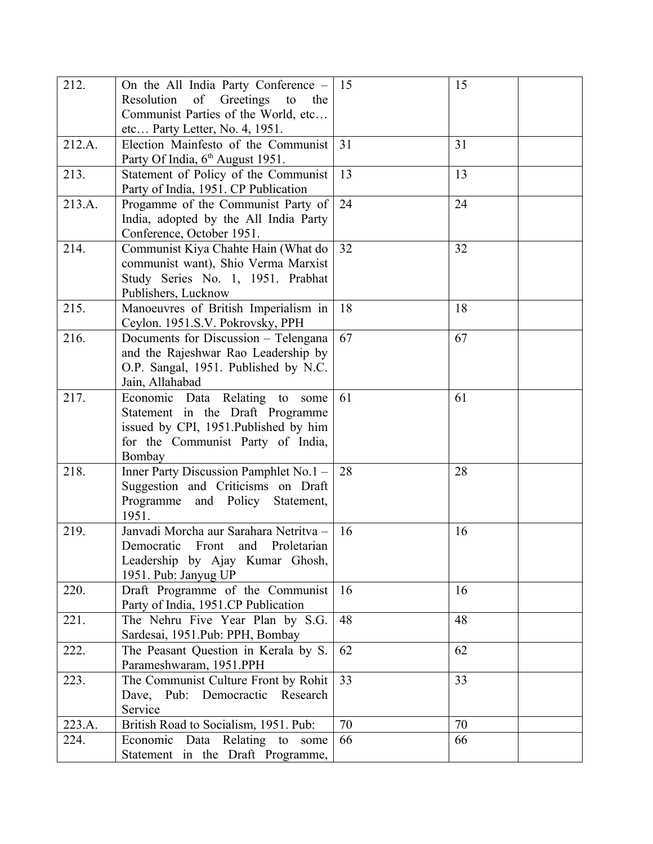| 212.   | On the All India Party Conference -                                         | 15 | 15 |
|--------|-----------------------------------------------------------------------------|----|----|
|        | of Greetings to<br>Resolution<br>the<br>Communist Parties of the World, etc |    |    |
|        | etc Party Letter, No. 4, 1951.                                              |    |    |
| 212.A. | Election Mainfesto of the Communist                                         | 31 | 31 |
|        | Party Of India, 6 <sup>th</sup> August 1951.                                |    |    |
| 213.   | Statement of Policy of the Communist                                        | 13 | 13 |
|        | Party of India, 1951. CP Publication                                        |    |    |
| 213.A. | Progamme of the Communist Party of                                          | 24 | 24 |
|        | India, adopted by the All India Party                                       |    |    |
|        | Conference, October 1951.                                                   |    |    |
| 214.   | Communist Kiya Chahte Hain (What do<br>communist want), Shio Verma Marxist  | 32 | 32 |
|        | Study Series No. 1, 1951. Prabhat                                           |    |    |
|        | Publishers, Lucknow                                                         |    |    |
| 215.   | Manoeuvres of British Imperialism in                                        | 18 | 18 |
|        | Ceylon. 1951.S.V. Pokrovsky, PPH                                            |    |    |
| 216.   | Documents for Discussion - Telengana                                        | 67 | 67 |
|        | and the Rajeshwar Rao Leadership by                                         |    |    |
|        | O.P. Sangal, 1951. Published by N.C.                                        |    |    |
|        | Jain, Allahabad                                                             |    |    |
| 217.   | Economic Data Relating to<br>some                                           | 61 | 61 |
|        | Statement in the Draft Programme                                            |    |    |
|        | issued by CPI, 1951. Published by him                                       |    |    |
|        | for the Communist Party of India,                                           |    |    |
| 218.   | Bombay<br>Inner Party Discussion Pamphlet No.1 -                            | 28 | 28 |
|        | Suggestion and Criticisms on Draft                                          |    |    |
|        | and Policy<br>Programme<br>Statement,                                       |    |    |
|        | 1951.                                                                       |    |    |
| 219.   | Janvadi Morcha aur Sarahara Netritva -                                      | 16 | 16 |
|        | and<br>Democratic Front<br>Proletarian                                      |    |    |
|        | Leadership by Ajay Kumar Ghosh,                                             |    |    |
|        | 1951. Pub: Janyug UP                                                        |    |    |
| 220.   | Draft Programme of the Communist                                            | 16 | 16 |
|        | Party of India, 1951.CP Publication                                         |    |    |
| 221.   | The Nehru Five Year Plan by S.G.                                            | 48 | 48 |
| 222.   | Sardesai, 1951.Pub: PPH, Bombay<br>The Peasant Question in Kerala by S.     | 62 | 62 |
|        | Parameshwaram, 1951.PPH                                                     |    |    |
| 223.   | The Communist Culture Front by Rohit                                        | 33 | 33 |
|        | Dave, Pub: Democractic Research                                             |    |    |
|        | Service                                                                     |    |    |
| 223.A. | British Road to Socialism, 1951. Pub:                                       | 70 | 70 |
| 224.   | Economic Data Relating to<br>some                                           | 66 | 66 |
|        | Statement in the Draft Programme,                                           |    |    |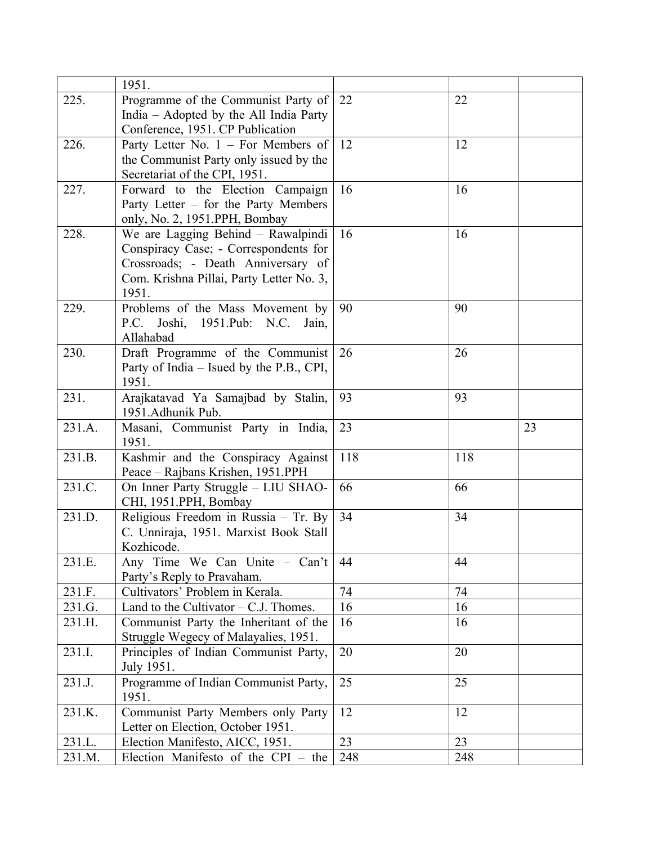|                  | 1951.                                                                  |           |           |    |
|------------------|------------------------------------------------------------------------|-----------|-----------|----|
| 225.             | Programme of the Communist Party of                                    | 22        | 22        |    |
|                  | India – Adopted by the All India Party                                 |           |           |    |
|                  | Conference, 1951. CP Publication                                       |           |           |    |
| 226.             | Party Letter No. $1 -$ For Members of                                  | 12        | 12        |    |
|                  | the Communist Party only issued by the                                 |           |           |    |
|                  | Secretariat of the CPI, 1951.                                          |           |           |    |
| 227.             | Forward to the Election Campaign                                       | 16        | 16        |    |
|                  | Party Letter – for the Party Members                                   |           |           |    |
|                  | only, No. 2, 1951.PPH, Bombay                                          |           |           |    |
| 228.             | We are Lagging Behind - Rawalpindi                                     | 16        | 16        |    |
|                  | Conspiracy Case; - Correspondents for                                  |           |           |    |
|                  | Crossroads; - Death Anniversary of                                     |           |           |    |
|                  | Com. Krishna Pillai, Party Letter No. 3,                               |           |           |    |
|                  | 1951.                                                                  |           |           |    |
| 229.             | Problems of the Mass Movement by                                       | 90        | 90        |    |
|                  | P.C. Joshi, 1951.Pub: N.C. Jain,                                       |           |           |    |
|                  | Allahabad                                                              |           |           |    |
| 230.             | Draft Programme of the Communist                                       | 26        | 26        |    |
|                  | Party of India – Isued by the P.B., CPI,                               |           |           |    |
|                  | 1951.                                                                  |           |           |    |
| 231.             | Arajkatavad Ya Samajbad by Stalin,                                     | 93        | 93        |    |
|                  | 1951.Adhunik Pub.                                                      |           |           |    |
| 231.A.           | Masani, Communist Party in India,                                      | 23        |           | 23 |
|                  | 1951.                                                                  |           |           |    |
| 231.B.           | Kashmir and the Conspiracy Against                                     | 118       | 118       |    |
|                  | Peace - Rajbans Krishen, 1951.PPH                                      |           |           |    |
| 231.C.           | On Inner Party Struggle - LIU SHAO-                                    | 66        | 66        |    |
|                  | CHI, 1951.PPH, Bombay                                                  |           |           |    |
| 231.D.           | Religious Freedom in Russia - Tr. By                                   |           |           |    |
|                  |                                                                        | 34        | 34        |    |
|                  | C. Unniraja, 1951. Marxist Book Stall                                  |           |           |    |
|                  | Kozhicode.                                                             |           |           |    |
| 231.E.           | Any Time We Can Unite - Can't                                          | 44        | 44        |    |
|                  | Party's Reply to Pravaham.                                             |           |           |    |
| 231.F.           | Cultivators' Problem in Kerala.                                        | 74        | 74        |    |
| 231.G.           | Land to the Cultivator $-$ C.J. Thomes.                                | 16        | 16        |    |
| 231.H.           | Communist Party the Inheritant of the                                  | 16        | 16        |    |
|                  | Struggle Wegecy of Malayalies, 1951.                                   |           |           |    |
| 231.I.           | Principles of Indian Communist Party,                                  | 20        | 20        |    |
|                  | July 1951.                                                             |           |           |    |
| 231.J.           | Programme of Indian Communist Party,                                   | 25        | 25        |    |
|                  | 1951.                                                                  |           |           |    |
| 231.K.           | Communist Party Members only Party                                     | 12        | 12        |    |
|                  | Letter on Election, October 1951.                                      |           |           |    |
| 231.L.<br>231.M. | Election Manifesto, AICC, 1951.<br>Election Manifesto of the CPI - the | 23<br>248 | 23<br>248 |    |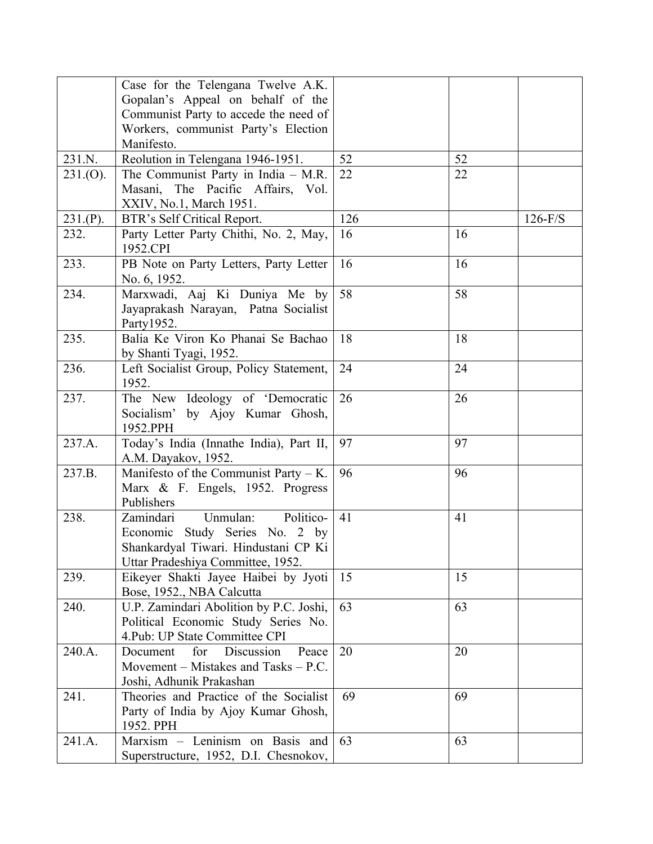|          | Case for the Telengana Twelve A.K.      |     |    |           |
|----------|-----------------------------------------|-----|----|-----------|
|          | Gopalan's Appeal on behalf of the       |     |    |           |
|          | Communist Party to accede the need of   |     |    |           |
|          | Workers, communist Party's Election     |     |    |           |
|          | Manifesto.                              |     |    |           |
| 231.N.   | Reolution in Telengana 1946-1951.       | 52  | 52 |           |
| 231.(O). | The Communist Party in India $-$ M.R.   | 22  | 22 |           |
|          | Masani, The Pacific Affairs, Vol.       |     |    |           |
|          | XXIV, No.1, March 1951.                 |     |    |           |
| 231.(P). | BTR's Self Critical Report.             | 126 |    | $126-F/S$ |
| 232.     | Party Letter Party Chithi, No. 2, May,  | 16  | 16 |           |
|          | 1952.CPI                                |     |    |           |
| 233.     | PB Note on Party Letters, Party Letter  | 16  | 16 |           |
|          | No. 6, 1952.                            |     |    |           |
| 234.     | Marxwadi, Aaj Ki Duniya Me by           | 58  | 58 |           |
|          | Jayaprakash Narayan, Patna Socialist    |     |    |           |
|          | Party1952.                              |     |    |           |
| 235.     | Balia Ke Viron Ko Phanai Se Bachao      | 18  | 18 |           |
|          | by Shanti Tyagi, 1952.                  |     |    |           |
| 236.     | Left Socialist Group, Policy Statement, | 24  | 24 |           |
|          | 1952.                                   |     |    |           |
| 237.     | The New Ideology of 'Democratic         | 26  | 26 |           |
|          | Socialism' by Ajoy Kumar Ghosh,         |     |    |           |
|          | 1952.PPH                                |     |    |           |
| 237.A.   | Today's India (Innathe India), Part II, | 97  | 97 |           |
|          | A.M. Dayakov, 1952.                     |     |    |           |
| 237.B.   | Manifesto of the Communist Party $-K$ . | 96  | 96 |           |
|          | Marx & F. Engels, 1952. Progress        |     |    |           |
|          | Publishers                              |     |    |           |
| 238.     | Politico-<br>Unmulan:<br>Zamindari      | 41  | 41 |           |
|          | Economic Study Series No. 2 by          |     |    |           |
|          | Shankardyal Tiwari. Hindustani CP Ki    |     |    |           |
|          | Uttar Pradeshiya Committee, 1952.       |     |    |           |
| 239.     | Eikeyer Shakti Jayee Haibei by Jyoti    | 15  | 15 |           |
|          | Bose, 1952., NBA Calcutta               |     |    |           |
| 240.     | U.P. Zamindari Abolition by P.C. Joshi, | 63  | 63 |           |
|          | Political Economic Study Series No.     |     |    |           |
|          | 4. Pub: UP State Committee CPI          |     |    |           |
| 240.A.   | Discussion<br>Peace<br>for<br>Document  | 20  | 20 |           |
|          | Movement – Mistakes and Tasks – $P.C.$  |     |    |           |
|          | Joshi, Adhunik Prakashan                |     |    |           |
| 241.     | Theories and Practice of the Socialist  | 69  | 69 |           |
|          | Party of India by Ajoy Kumar Ghosh,     |     |    |           |
|          | 1952. PPH                               |     |    |           |
| 241.A.   | Marxism - Leninism on Basis and         | 63  | 63 |           |
|          |                                         |     |    |           |
|          | Superstructure, 1952, D.I. Chesnokov,   |     |    |           |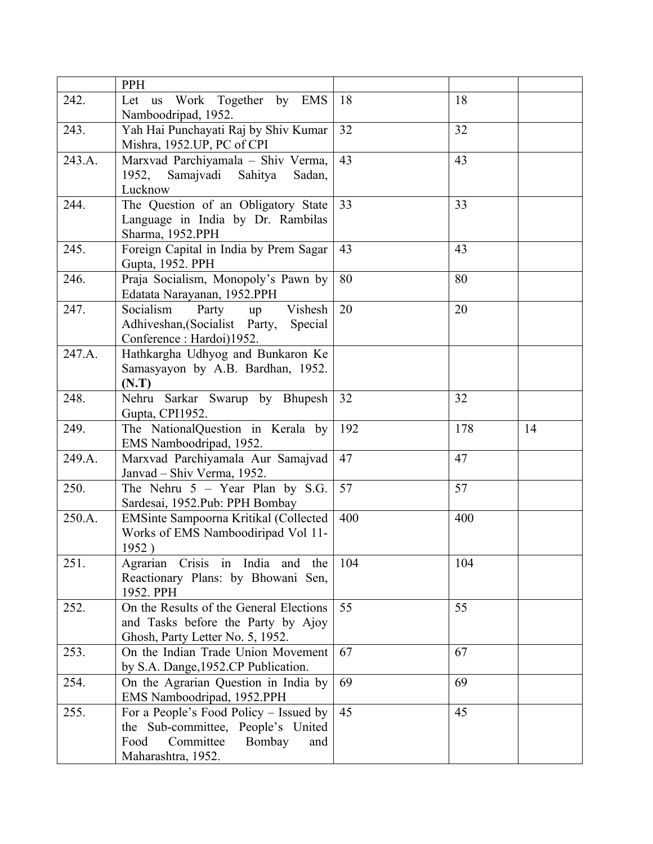|        | PPH                                                                      |     |     |    |
|--------|--------------------------------------------------------------------------|-----|-----|----|
| 242.   | Let us Work Together by EMS                                              | 18  | 18  |    |
|        | Namboodripad, 1952.                                                      |     |     |    |
| 243.   | Yah Hai Punchayati Raj by Shiv Kumar                                     | 32  | 32  |    |
|        | Mishra, 1952.UP, PC of CPI                                               |     |     |    |
| 243.A. | Marxvad Parchiyamala - Shiv Verma,                                       | 43  | 43  |    |
|        | 1952, Samajvadi Sahitya<br>Sadan,                                        |     |     |    |
|        | Lucknow                                                                  |     |     |    |
| 244.   | The Question of an Obligatory State                                      | 33  | 33  |    |
|        | Language in India by Dr. Rambilas                                        |     |     |    |
|        | Sharma, 1952.PPH                                                         |     |     |    |
| 245.   | Foreign Capital in India by Prem Sagar                                   | 43  | 43  |    |
|        | Gupta, 1952. PPH                                                         |     |     |    |
| 246.   | Praja Socialism, Monopoly's Pawn by                                      | 80  | 80  |    |
|        | Edatata Narayanan, 1952.PPH                                              |     |     |    |
| 247.   | Socialism<br>Vishesh<br>Party                                            | 20  | 20  |    |
|        | up<br>Adhiveshan, (Socialist Party,<br>Special                           |     |     |    |
|        | Conference: Hardoi)1952.                                                 |     |     |    |
| 247.A. | Hathkargha Udhyog and Bunkaron Ke                                        |     |     |    |
|        | Samasyayon by A.B. Bardhan, 1952.                                        |     |     |    |
|        |                                                                          |     |     |    |
| 248.   | (N.T)<br>Nehru Sarkar Swarup by Bhupesh                                  | 32  | 32  |    |
|        | Gupta, CPI1952.                                                          |     |     |    |
| 249.   | The NationalQuestion in Kerala by                                        | 192 | 178 | 14 |
|        | EMS Namboodripad, 1952.                                                  |     |     |    |
| 249.A. | Marxvad Parchiyamala Aur Samajvad                                        | 47  | 47  |    |
|        | Janvad - Shiv Verma, 1952.                                               |     |     |    |
| 250.   | The Nehru $5 - Year$ Plan by S.G.                                        | 57  | 57  |    |
|        | Sardesai, 1952.Pub: PPH Bombay                                           |     |     |    |
| 250.A. | EMSinte Sampoorna Kritikal (Collected                                    | 400 | 400 |    |
|        | Works of EMS Namboodiripad Vol 11-                                       |     |     |    |
|        | 1952)                                                                    |     |     |    |
| 251.   | Agrarian Crisis in India and the                                         | 104 | 104 |    |
|        | Reactionary Plans: by Bhowani Sen,                                       |     |     |    |
|        | 1952. PPH                                                                |     |     |    |
| 252.   | On the Results of the General Elections                                  | 55  | 55  |    |
|        | and Tasks before the Party by Ajoy                                       |     |     |    |
|        | Ghosh, Party Letter No. 5, 1952.                                         |     |     |    |
| 253.   | On the Indian Trade Union Movement                                       | 67  | 67  |    |
|        | by S.A. Dange, 1952.CP Publication.                                      |     |     |    |
| 254.   | On the Agrarian Question in India by                                     | 69  | 69  |    |
|        |                                                                          |     |     |    |
|        |                                                                          |     |     |    |
|        | EMS Namboodripad, 1952.PPH                                               | 45  | 45  |    |
| 255.   | For a People's Food Policy – Issued by                                   |     |     |    |
|        | the Sub-committee, People's United<br>Committee<br>Bombay<br>Food<br>and |     |     |    |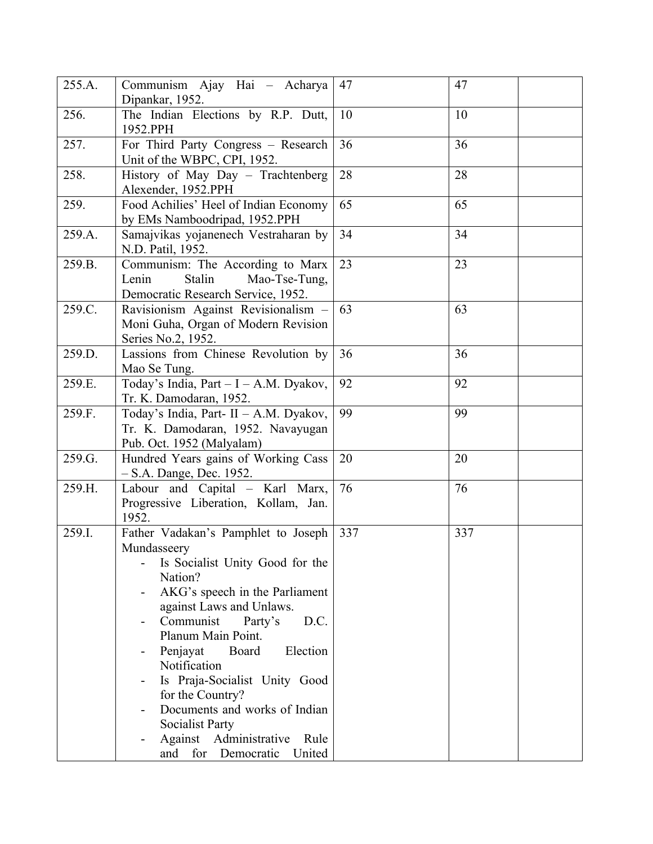| 255.A. | Communism Ajay Hai - Acharya<br>Dipankar, 1952.                                                                                                                                                                                                                                                                                                                                                                                                       | 47  | 47  |
|--------|-------------------------------------------------------------------------------------------------------------------------------------------------------------------------------------------------------------------------------------------------------------------------------------------------------------------------------------------------------------------------------------------------------------------------------------------------------|-----|-----|
| 256.   | The Indian Elections by R.P. Dutt,<br>1952.PPH                                                                                                                                                                                                                                                                                                                                                                                                        | 10  | 10  |
| 257.   | For Third Party Congress - Research<br>Unit of the WBPC, CPI, 1952.                                                                                                                                                                                                                                                                                                                                                                                   | 36  | 36  |
| 258.   | History of May Day - Trachtenberg<br>Alexender, 1952.PPH                                                                                                                                                                                                                                                                                                                                                                                              | 28  | 28  |
| 259.   | Food Achilies' Heel of Indian Economy<br>by EMs Namboodripad, 1952.PPH                                                                                                                                                                                                                                                                                                                                                                                | 65  | 65  |
| 259.A. | Samajvikas yojanenech Vestraharan by<br>N.D. Patil, 1952.                                                                                                                                                                                                                                                                                                                                                                                             | 34  | 34  |
| 259.B. | Communism: The According to Marx<br>Stalin<br>Lenin<br>Mao-Tse-Tung,<br>Democratic Research Service, 1952.                                                                                                                                                                                                                                                                                                                                            | 23  | 23  |
| 259.C. | Ravisionism Against Revisionalism -<br>Moni Guha, Organ of Modern Revision<br>Series No.2, 1952.                                                                                                                                                                                                                                                                                                                                                      | 63  | 63  |
| 259.D. | Lassions from Chinese Revolution by<br>Mao Se Tung.                                                                                                                                                                                                                                                                                                                                                                                                   | 36  | 36  |
| 259.E. | Today's India, Part - I - A.M. Dyakov,<br>Tr. K. Damodaran, 1952.                                                                                                                                                                                                                                                                                                                                                                                     | 92  | 92  |
| 259.F. | Today's India, Part- II - A.M. Dyakov,<br>Tr. K. Damodaran, 1952. Navayugan<br>Pub. Oct. 1952 (Malyalam)                                                                                                                                                                                                                                                                                                                                              | 99  | 99  |
| 259.G. | Hundred Years gains of Working Cass<br>- S.A. Dange, Dec. 1952.                                                                                                                                                                                                                                                                                                                                                                                       | 20  | 20  |
| 259.H. | Labour and Capital - Karl Marx,<br>Progressive Liberation, Kollam, Jan.<br>1952.                                                                                                                                                                                                                                                                                                                                                                      | 76  | 76  |
| 259.I. | Father Vadakan's Pamphlet to Joseph<br>Mundasseery<br>Is Socialist Unity Good for the<br>Nation?<br>AKG's speech in the Parliament<br>against Laws and Unlaws.<br>Communist<br>D.C.<br>Party's<br>-<br>Planum Main Point.<br>Board<br>Penjayat<br>Election<br>Notification<br>Is Praja-Socialist Unity Good<br>for the Country?<br>Documents and works of Indian<br>Socialist Party<br>Against Administrative<br>Rule<br>and for Democratic<br>United | 337 | 337 |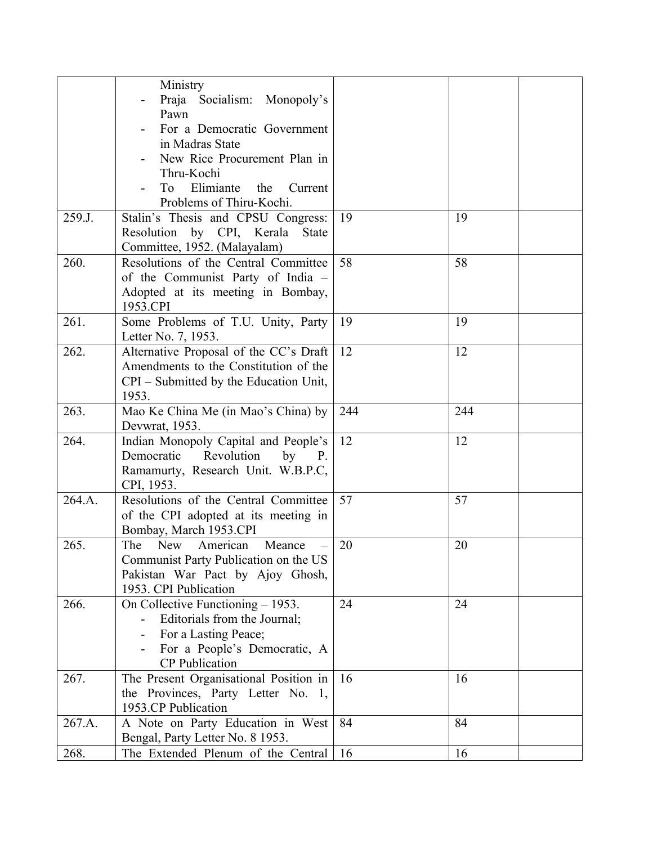|        | Ministry                                     |     |     |
|--------|----------------------------------------------|-----|-----|
|        | Praja Socialism: Monopoly's                  |     |     |
|        | Pawn                                         |     |     |
|        | For a Democratic Government                  |     |     |
|        | in Madras State                              |     |     |
|        | New Rice Procurement Plan in                 |     |     |
|        | Thru-Kochi                                   |     |     |
|        | Elimiante<br>the<br>Current<br>To            |     |     |
|        | Problems of Thiru-Kochi.                     |     |     |
| 259.J. | Stalin's Thesis and CPSU Congress:           | 19  | 19  |
|        | by CPI, Kerala<br>Resolution<br><b>State</b> |     |     |
|        | Committee, 1952. (Malayalam)                 |     |     |
| 260.   | Resolutions of the Central Committee         | 58  | 58  |
|        | of the Communist Party of India -            |     |     |
|        | Adopted at its meeting in Bombay,            |     |     |
|        | 1953.CPI                                     |     |     |
| 261.   | Some Problems of T.U. Unity, Party           | 19  | 19  |
|        | Letter No. 7, 1953.                          |     |     |
| 262.   | Alternative Proposal of the CC's Draft       | 12  | 12  |
|        | Amendments to the Constitution of the        |     |     |
|        | CPI – Submitted by the Education Unit,       |     |     |
|        | 1953.                                        |     |     |
| 263.   | Mao Ke China Me (in Mao's China) by          | 244 | 244 |
|        | Devwrat, 1953.                               |     |     |
| 264.   | Indian Monopoly Capital and People's         | 12  | 12  |
|        | Democratic<br>Revolution<br>by<br><b>P.</b>  |     |     |
|        | Ramamurty, Research Unit. W.B.P.C,           |     |     |
|        | CPI, 1953.                                   |     |     |
| 264.A. | Resolutions of the Central Committee         | 57  | 57  |
|        | of the CPI adopted at its meeting in         |     |     |
|        | Bombay, March 1953.CPI                       |     |     |
| 265.   | The New<br>American<br>Meance                | 20  | 20  |
|        | Communist Party Publication on the US        |     |     |
|        | Pakistan War Pact by Ajoy Ghosh,             |     |     |
|        | 1953. CPI Publication                        |     |     |
| 266.   | On Collective Functioning - 1953.            | 24  | 24  |
|        | Editorials from the Journal;                 |     |     |
|        | For a Lasting Peace;                         |     |     |
|        | For a People's Democratic, A                 |     |     |
|        | <b>CP</b> Publication                        |     |     |
| 267.   | The Present Organisational Position in       | 16  | 16  |
|        | the Provinces, Party Letter No. 1,           |     |     |
|        | 1953.CP Publication                          |     |     |
| 267.A. | A Note on Party Education in West            | 84  | 84  |
|        | Bengal, Party Letter No. 8 1953.             |     |     |
| 268.   | The Extended Plenum of the Central           | 16  | 16  |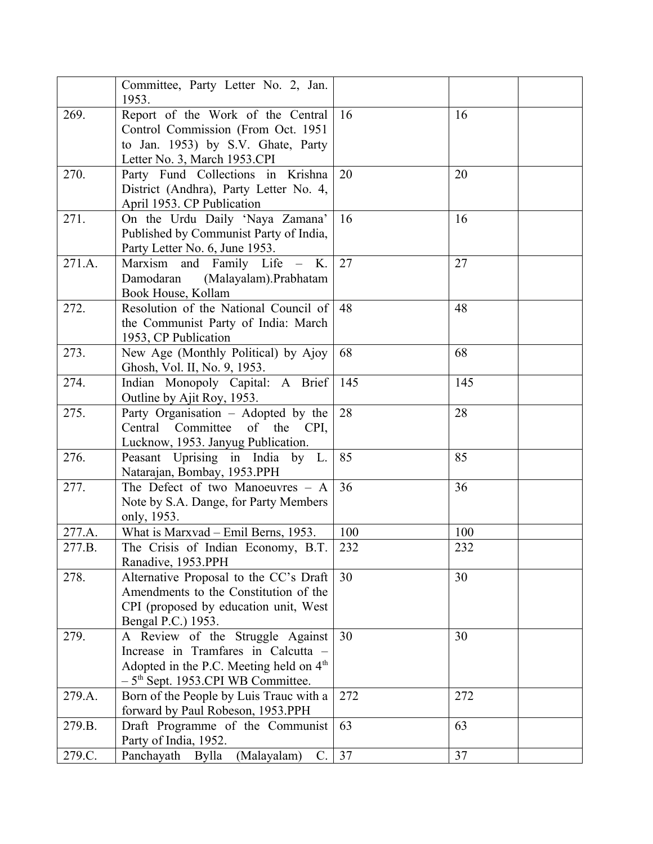|        | Committee, Party Letter No. 2, Jan.<br>1953.                                                                                                                                      |     |     |
|--------|-----------------------------------------------------------------------------------------------------------------------------------------------------------------------------------|-----|-----|
| 269.   | Report of the Work of the Central<br>Control Commission (From Oct. 1951<br>to Jan. 1953) by S.V. Ghate, Party<br>Letter No. 3, March 1953.CPI                                     | 16  | 16  |
| 270.   | Party Fund Collections in Krishna<br>District (Andhra), Party Letter No. 4,<br>April 1953. CP Publication                                                                         | 20  | 20  |
| 271.   | On the Urdu Daily 'Naya Zamana'<br>Published by Communist Party of India,<br>Party Letter No. 6, June 1953.                                                                       | 16  | 16  |
| 271.A. | Marxism and Family Life - K.<br>(Malayalam).Prabhatam<br>Damodaran<br>Book House, Kollam                                                                                          | 27  | 27  |
| 272.   | Resolution of the National Council of<br>the Communist Party of India: March<br>1953, CP Publication                                                                              | 48  | 48  |
| 273.   | New Age (Monthly Political) by Ajoy<br>Ghosh, Vol. II, No. 9, 1953.                                                                                                               | 68  | 68  |
| 274.   | Indian Monopoly Capital: A Brief<br>Outline by Ajit Roy, 1953.                                                                                                                    | 145 | 145 |
| 275.   | Party Organisation - Adopted by the<br>Committee<br>of the CPI,<br>Central<br>Lucknow, 1953. Janyug Publication.                                                                  | 28  | 28  |
| 276.   | Peasant Uprising in India by L.<br>Natarajan, Bombay, 1953.PPH                                                                                                                    | 85  | 85  |
| 277.   | The Defect of two Manoeuvres $-$ A<br>Note by S.A. Dange, for Party Members<br>only, 1953.                                                                                        | 36  | 36  |
| 277.A. | What is Marxvad – Emil Berns, 1953.                                                                                                                                               | 100 | 100 |
| 277.B. | The Crisis of Indian Economy, B.T.<br>Ranadive, 1953.PPH                                                                                                                          | 232 | 232 |
| 278.   | Alternative Proposal to the CC's Draft<br>Amendments to the Constitution of the<br>CPI (proposed by education unit, West<br>Bengal P.C.) 1953.                                    | 30  | 30  |
| 279.   | A Review of the Struggle Against<br>Increase in Tramfares in Calcutta -<br>Adopted in the P.C. Meeting held on 4 <sup>th</sup><br>$-5$ <sup>th</sup> Sept. 1953.CPI WB Committee. | 30  | 30  |
| 279.A. | Born of the People by Luis Trauc with a<br>forward by Paul Robeson, 1953.PPH                                                                                                      | 272 | 272 |
| 279.B. | Draft Programme of the Communist<br>Party of India, 1952.                                                                                                                         | 63  | 63  |
| 279.C. | Panchayath Bylla<br>(Malayalam)<br>C.                                                                                                                                             | 37  | 37  |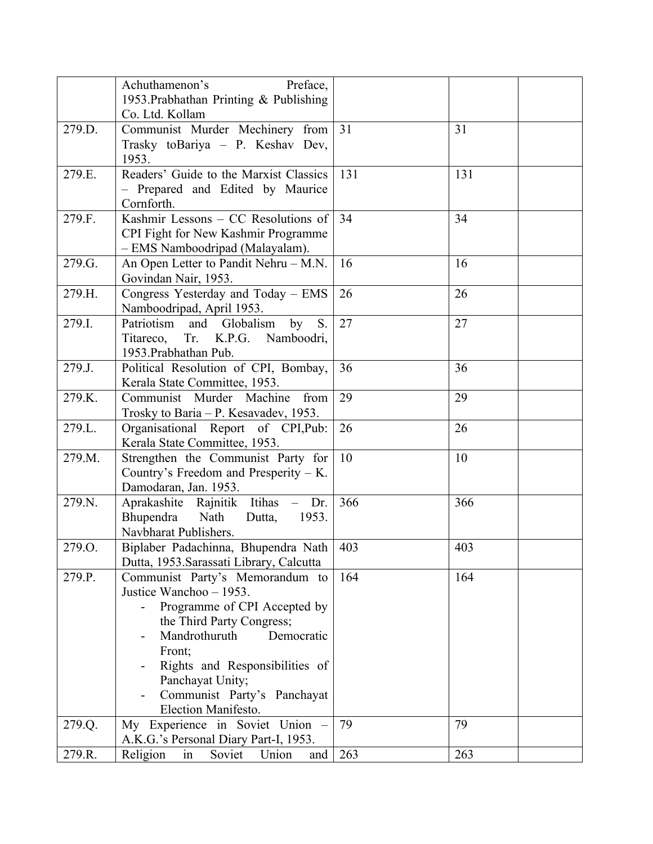|                                                                    | Achuthamenon's<br>Preface,                                                                                                                                                                                                                                                                                                                                                                                                                                                                                                                                                                                                                                                                                                                                   |                                           |                                           |
|--------------------------------------------------------------------|--------------------------------------------------------------------------------------------------------------------------------------------------------------------------------------------------------------------------------------------------------------------------------------------------------------------------------------------------------------------------------------------------------------------------------------------------------------------------------------------------------------------------------------------------------------------------------------------------------------------------------------------------------------------------------------------------------------------------------------------------------------|-------------------------------------------|-------------------------------------------|
|                                                                    | 1953. Prabhathan Printing & Publishing                                                                                                                                                                                                                                                                                                                                                                                                                                                                                                                                                                                                                                                                                                                       |                                           |                                           |
|                                                                    | Co. Ltd. Kollam                                                                                                                                                                                                                                                                                                                                                                                                                                                                                                                                                                                                                                                                                                                                              |                                           |                                           |
| 279.D.                                                             | Communist Murder Mechinery from                                                                                                                                                                                                                                                                                                                                                                                                                                                                                                                                                                                                                                                                                                                              | 31                                        | 31                                        |
|                                                                    | Trasky toBariya - P. Keshav Dev,                                                                                                                                                                                                                                                                                                                                                                                                                                                                                                                                                                                                                                                                                                                             |                                           |                                           |
|                                                                    | 1953.                                                                                                                                                                                                                                                                                                                                                                                                                                                                                                                                                                                                                                                                                                                                                        |                                           |                                           |
| 279.E.                                                             | Readers' Guide to the Marxist Classics                                                                                                                                                                                                                                                                                                                                                                                                                                                                                                                                                                                                                                                                                                                       | 131                                       | 131                                       |
|                                                                    | - Prepared and Edited by Maurice<br>Cornforth.                                                                                                                                                                                                                                                                                                                                                                                                                                                                                                                                                                                                                                                                                                               |                                           |                                           |
| 279.F.                                                             | Kashmir Lessons – CC Resolutions of                                                                                                                                                                                                                                                                                                                                                                                                                                                                                                                                                                                                                                                                                                                          | 34                                        | 34                                        |
|                                                                    | CPI Fight for New Kashmir Programme                                                                                                                                                                                                                                                                                                                                                                                                                                                                                                                                                                                                                                                                                                                          |                                           |                                           |
|                                                                    | - EMS Namboodripad (Malayalam).                                                                                                                                                                                                                                                                                                                                                                                                                                                                                                                                                                                                                                                                                                                              |                                           |                                           |
| 279.G.                                                             | An Open Letter to Pandit Nehru - M.N.                                                                                                                                                                                                                                                                                                                                                                                                                                                                                                                                                                                                                                                                                                                        | 16                                        | 16                                        |
|                                                                    | Govindan Nair, 1953.                                                                                                                                                                                                                                                                                                                                                                                                                                                                                                                                                                                                                                                                                                                                         |                                           |                                           |
| 279.H.                                                             | Congress Yesterday and Today - EMS                                                                                                                                                                                                                                                                                                                                                                                                                                                                                                                                                                                                                                                                                                                           | 26                                        | 26                                        |
|                                                                    | Namboodripad, April 1953.                                                                                                                                                                                                                                                                                                                                                                                                                                                                                                                                                                                                                                                                                                                                    |                                           |                                           |
| 279.I.                                                             | Patriotism and Globalism<br>by<br>S.                                                                                                                                                                                                                                                                                                                                                                                                                                                                                                                                                                                                                                                                                                                         | 27                                        | 27                                        |
|                                                                    | Tr. K.P.G.<br>Namboodri,<br>Titareco,                                                                                                                                                                                                                                                                                                                                                                                                                                                                                                                                                                                                                                                                                                                        |                                           |                                           |
|                                                                    | 1953. Prabhathan Pub.                                                                                                                                                                                                                                                                                                                                                                                                                                                                                                                                                                                                                                                                                                                                        |                                           |                                           |
| 279.J.                                                             | Political Resolution of CPI, Bombay,                                                                                                                                                                                                                                                                                                                                                                                                                                                                                                                                                                                                                                                                                                                         | 36                                        | 36                                        |
|                                                                    |                                                                                                                                                                                                                                                                                                                                                                                                                                                                                                                                                                                                                                                                                                                                                              |                                           |                                           |
|                                                                    |                                                                                                                                                                                                                                                                                                                                                                                                                                                                                                                                                                                                                                                                                                                                                              |                                           |                                           |
|                                                                    |                                                                                                                                                                                                                                                                                                                                                                                                                                                                                                                                                                                                                                                                                                                                                              |                                           |                                           |
|                                                                    |                                                                                                                                                                                                                                                                                                                                                                                                                                                                                                                                                                                                                                                                                                                                                              |                                           |                                           |
|                                                                    |                                                                                                                                                                                                                                                                                                                                                                                                                                                                                                                                                                                                                                                                                                                                                              |                                           |                                           |
|                                                                    |                                                                                                                                                                                                                                                                                                                                                                                                                                                                                                                                                                                                                                                                                                                                                              |                                           |                                           |
|                                                                    |                                                                                                                                                                                                                                                                                                                                                                                                                                                                                                                                                                                                                                                                                                                                                              |                                           |                                           |
|                                                                    |                                                                                                                                                                                                                                                                                                                                                                                                                                                                                                                                                                                                                                                                                                                                                              |                                           |                                           |
|                                                                    |                                                                                                                                                                                                                                                                                                                                                                                                                                                                                                                                                                                                                                                                                                                                                              |                                           |                                           |
|                                                                    |                                                                                                                                                                                                                                                                                                                                                                                                                                                                                                                                                                                                                                                                                                                                                              |                                           |                                           |
|                                                                    |                                                                                                                                                                                                                                                                                                                                                                                                                                                                                                                                                                                                                                                                                                                                                              |                                           |                                           |
|                                                                    |                                                                                                                                                                                                                                                                                                                                                                                                                                                                                                                                                                                                                                                                                                                                                              |                                           |                                           |
| 279.P.                                                             |                                                                                                                                                                                                                                                                                                                                                                                                                                                                                                                                                                                                                                                                                                                                                              | 164                                       | 164                                       |
|                                                                    | Justice Wanchoo - 1953.                                                                                                                                                                                                                                                                                                                                                                                                                                                                                                                                                                                                                                                                                                                                      |                                           |                                           |
|                                                                    | Programme of CPI Accepted by                                                                                                                                                                                                                                                                                                                                                                                                                                                                                                                                                                                                                                                                                                                                 |                                           |                                           |
|                                                                    | the Third Party Congress;                                                                                                                                                                                                                                                                                                                                                                                                                                                                                                                                                                                                                                                                                                                                    |                                           |                                           |
|                                                                    | Mandrothuruth<br>Democratic                                                                                                                                                                                                                                                                                                                                                                                                                                                                                                                                                                                                                                                                                                                                  |                                           |                                           |
|                                                                    | Front;                                                                                                                                                                                                                                                                                                                                                                                                                                                                                                                                                                                                                                                                                                                                                       |                                           |                                           |
|                                                                    |                                                                                                                                                                                                                                                                                                                                                                                                                                                                                                                                                                                                                                                                                                                                                              |                                           |                                           |
|                                                                    |                                                                                                                                                                                                                                                                                                                                                                                                                                                                                                                                                                                                                                                                                                                                                              |                                           |                                           |
|                                                                    |                                                                                                                                                                                                                                                                                                                                                                                                                                                                                                                                                                                                                                                                                                                                                              |                                           |                                           |
|                                                                    |                                                                                                                                                                                                                                                                                                                                                                                                                                                                                                                                                                                                                                                                                                                                                              |                                           |                                           |
|                                                                    |                                                                                                                                                                                                                                                                                                                                                                                                                                                                                                                                                                                                                                                                                                                                                              |                                           |                                           |
|                                                                    |                                                                                                                                                                                                                                                                                                                                                                                                                                                                                                                                                                                                                                                                                                                                                              |                                           |                                           |
| 279.K.<br>279.L.<br>279.M.<br>279.N.<br>279.O.<br>279.Q.<br>279.R. | Kerala State Committee, 1953.<br>Communist Murder Machine<br>from<br>Trosky to Baria - P. Kesavadev, 1953.<br>Organisational Report of CPI, Pub:<br>Kerala State Committee, 1953.<br>Strengthen the Communist Party for<br>Country's Freedom and Presperity $-$ K.<br>Damodaran, Jan. 1953.<br>Aprakashite Rajnitik Itihas<br>Dr.<br>Bhupendra<br>Nath<br>1953.<br>Dutta,<br>Navbharat Publishers.<br>Biplaber Padachinna, Bhupendra Nath<br>Dutta, 1953. Sarassati Library, Calcutta<br>Communist Party's Memorandum to<br>Rights and Responsibilities of<br>Panchayat Unity;<br>Communist Party's Panchayat<br>Election Manifesto.<br>My Experience in Soviet Union -<br>A.K.G.'s Personal Diary Part-I, 1953.<br>Religion<br>Soviet<br>Union<br>in<br>and | 29<br>26<br>10<br>366<br>403<br>79<br>263 | 29<br>26<br>10<br>366<br>403<br>79<br>263 |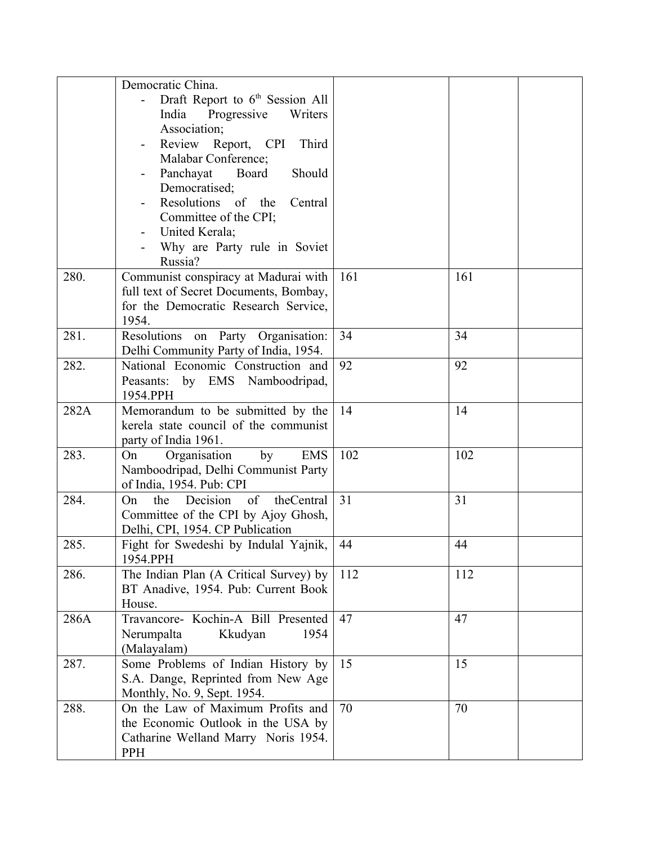|      | Democratic China.                           |     |     |  |
|------|---------------------------------------------|-----|-----|--|
|      | Draft Report to 6 <sup>th</sup> Session All |     |     |  |
|      | India<br>Progressive<br>Writers             |     |     |  |
|      | Association;                                |     |     |  |
|      | Review Report, CPI<br>Third                 |     |     |  |
|      | Malabar Conference;                         |     |     |  |
|      | Panchayat<br>Board<br>Should                |     |     |  |
|      | Democratised;                               |     |     |  |
|      | Resolutions of the<br>Central               |     |     |  |
|      | Committee of the CPI;                       |     |     |  |
|      | United Kerala;                              |     |     |  |
|      | Why are Party rule in Soviet                |     |     |  |
|      | Russia?                                     |     |     |  |
| 280. | Communist conspiracy at Madurai with        | 161 | 161 |  |
|      | full text of Secret Documents, Bombay,      |     |     |  |
|      | for the Democratic Research Service,        |     |     |  |
|      | 1954.                                       |     |     |  |
| 281. | Resolutions on Party Organisation:          | 34  | 34  |  |
|      | Delhi Community Party of India, 1954.       |     |     |  |
| 282. | National Economic Construction and          | 92  | 92  |  |
|      | Peasants: by EMS Namboodripad,              |     |     |  |
|      | 1954.PPH                                    |     |     |  |
| 282A | Memorandum to be submitted by the           | 14  | 14  |  |
|      | kerela state council of the communist       |     |     |  |
|      | party of India 1961.                        |     |     |  |
| 283. | Organisation<br>by<br><b>EMS</b><br>On      | 102 | 102 |  |
|      | Namboodripad, Delhi Communist Party         |     |     |  |
|      | of India, 1954. Pub: CPI                    |     |     |  |
| 284. | the<br>Decision<br>of<br>theCentral<br>On   | 31  | 31  |  |
|      | Committee of the CPI by Ajoy Ghosh,         |     |     |  |
|      | Delhi, CPI, 1954. CP Publication            |     |     |  |
| 285. | Fight for Swedeshi by Indulal Yajnik,       | 44  | 44  |  |
|      | 1954.PPH                                    |     |     |  |
| 286. | The Indian Plan (A Critical Survey) by      | 112 | 112 |  |
|      | BT Anadive, 1954. Pub: Current Book         |     |     |  |
|      | House.                                      |     |     |  |
| 286A | Travancore- Kochin-A Bill Presented         | 47  | 47  |  |
|      | Nerumpalta<br>Kkudyan<br>1954               |     |     |  |
|      | (Malayalam)                                 |     |     |  |
| 287. | Some Problems of Indian History by          | 15  | 15  |  |
|      | S.A. Dange, Reprinted from New Age          |     |     |  |
|      | Monthly, No. 9, Sept. 1954.                 |     |     |  |
| 288. | On the Law of Maximum Profits and           | 70  | 70  |  |
|      | the Economic Outlook in the USA by          |     |     |  |
|      | Catharine Welland Marry Noris 1954.         |     |     |  |
|      | <b>PPH</b>                                  |     |     |  |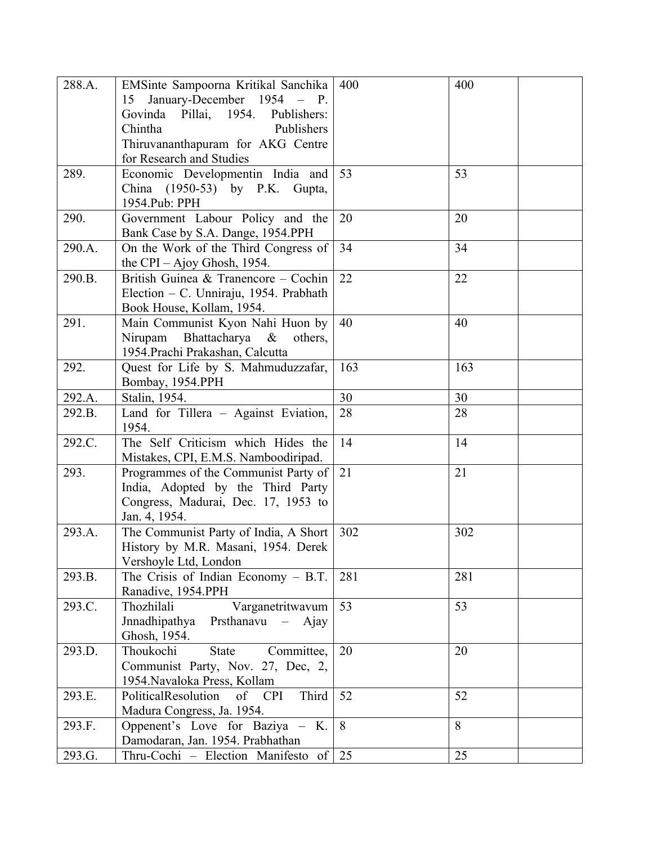| 288.A. | EMSinte Sampoorna Kritikal Sanchika     | 400 | 400 |
|--------|-----------------------------------------|-----|-----|
|        | 15 January-December 1954 - P.           |     |     |
|        | Govinda Pillai, 1954.<br>Publishers:    |     |     |
|        | Chintha<br>Publishers                   |     |     |
|        | Thiruvananthapuram for AKG Centre       |     |     |
|        | for Research and Studies                |     |     |
| 289.   | Economic Developmentin India and        | 53  | 53  |
|        | China (1950-53) by P.K. Gupta,          |     |     |
|        | 1954.Pub: PPH                           |     |     |
| 290.   | Government Labour Policy and the        | 20  | 20  |
|        | Bank Case by S.A. Dange, 1954.PPH       |     |     |
| 290.A. | On the Work of the Third Congress of    | 34  | 34  |
|        | the CPI – Ajoy Ghosh, 1954.             |     |     |
| 290.B. | British Guinea & Tranencore - Cochin    | 22  | 22  |
|        | Election – C. Unniraju, 1954. Prabhath  |     |     |
|        | Book House, Kollam, 1954.               |     |     |
| 291.   | Main Communist Kyon Nahi Huon by        | 40  | 40  |
|        | Nirupam Bhattacharya &<br>others,       |     |     |
|        | 1954. Prachi Prakashan, Calcutta        |     |     |
| 292.   | Quest for Life by S. Mahmuduzzafar,     | 163 | 163 |
|        | Bombay, 1954.PPH                        |     |     |
| 292.A. | Stalin, 1954.                           | 30  | 30  |
| 292.B. | Land for Tillera - Against Eviation,    | 28  | 28  |
|        | 1954.                                   |     |     |
| 292.C. | The Self Criticism which Hides the      | 14  | 14  |
|        | Mistakes, CPI, E.M.S. Namboodiripad.    |     |     |
| 293.   | Programmes of the Communist Party of    | 21  | 21  |
|        | India, Adopted by the Third Party       |     |     |
|        | Congress, Madurai, Dec. 17, 1953 to     |     |     |
|        | Jan. 4, 1954.                           |     |     |
| 293.A. | The Communist Party of India, A Short   | 302 | 302 |
|        | History by M.R. Masani, 1954. Derek     |     |     |
|        | Vershoyle Ltd, London                   |     |     |
| 293.B. | The Crisis of Indian Economy $- B.T.$   | 281 | 281 |
|        | Ranadive, 1954.PPH                      |     |     |
| 293.C. | Varganetritwavum<br>Thozhilali          | 53  | 53  |
|        | Jnnadhipathya<br>Prsthanavu $-$ Ajay    |     |     |
|        | Ghosh, 1954.                            |     |     |
| 293.D. | Thoukochi<br><b>State</b><br>Committee, | 20  | 20  |
|        | Communist Party, Nov. 27, Dec, 2,       |     |     |
|        | 1954. Navaloka Press, Kollam            |     |     |
| 293.E. | Third<br>PoliticalResolution<br>of CPI  | 52  | 52  |
|        | Madura Congress, Ja. 1954.              |     | 8   |
| 293.F. | Oppenent's Love for Baziya - K.         | 8   |     |
|        | Damodaran, Jan. 1954. Prabhathan        |     |     |
| 293.G. | Thru-Cochi – Election Manifesto of      | 25  | 25  |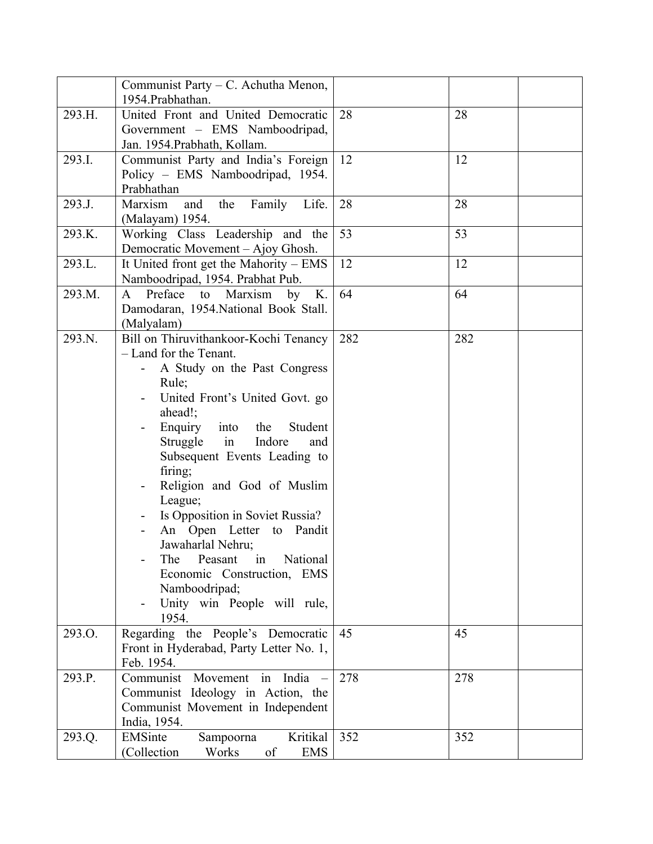|        | Communist Party – C. Achutha Menon,<br>1954.Prabhathan.                                                                                                                                                                                                                                                                                                                                                                                                                                                                          |     |     |  |
|--------|----------------------------------------------------------------------------------------------------------------------------------------------------------------------------------------------------------------------------------------------------------------------------------------------------------------------------------------------------------------------------------------------------------------------------------------------------------------------------------------------------------------------------------|-----|-----|--|
| 293.H. | United Front and United Democratic<br>Government - EMS Namboodripad,<br>Jan. 1954. Prabhath, Kollam.                                                                                                                                                                                                                                                                                                                                                                                                                             | 28  | 28  |  |
| 293.I. | Communist Party and India's Foreign<br>Policy - EMS Namboodripad, 1954.<br>Prabhathan                                                                                                                                                                                                                                                                                                                                                                                                                                            | 12  | 12  |  |
| 293.J. | Marxism<br>Family<br>Life.<br>the<br>and<br>(Malayam) 1954.                                                                                                                                                                                                                                                                                                                                                                                                                                                                      | 28  | 28  |  |
| 293.K. | Working Class Leadership and the<br>Democratic Movement – Ajoy Ghosh.                                                                                                                                                                                                                                                                                                                                                                                                                                                            | 53  | 53  |  |
| 293.L. | It United front get the Mahority - EMS<br>Namboodripad, 1954. Prabhat Pub.                                                                                                                                                                                                                                                                                                                                                                                                                                                       | 12  | 12  |  |
| 293.M. | Preface<br>Marxism<br>K.<br>$\mathbf{A}$<br>to<br>by<br>Damodaran, 1954. National Book Stall.<br>(Malyalam)                                                                                                                                                                                                                                                                                                                                                                                                                      | 64  | 64  |  |
| 293.N. | Bill on Thiruvithankoor-Kochi Tenancy<br>- Land for the Tenant.<br>A Study on the Past Congress<br>Rule;<br>United Front's United Govt. go<br>ahead!;<br>into<br>Enquiry<br>the<br>Student<br>Struggle<br>in<br>Indore<br>and<br>Subsequent Events Leading to<br>firing;<br>Religion and God of Muslim<br>League;<br>Is Opposition in Soviet Russia?<br>An Open Letter to Pandit<br>Jawaharlal Nehru;<br>in<br>National<br>The<br>Peasant<br>Economic Construction, EMS<br>Namboodripad;<br>Unity win People will rule,<br>1954. | 282 | 282 |  |
| 293.O. | Regarding the People's Democratic<br>Front in Hyderabad, Party Letter No. 1,<br>Feb. 1954.                                                                                                                                                                                                                                                                                                                                                                                                                                       | 45  | 45  |  |
| 293.P. | India<br>Communist<br>Movement in<br>Communist Ideology in Action, the<br>Communist Movement in Independent<br>India, 1954.                                                                                                                                                                                                                                                                                                                                                                                                      | 278 | 278 |  |
| 293.Q. | Kritikal<br>EMSinte<br>Sampoorna<br>(Collection<br>Works<br><b>EMS</b><br>of                                                                                                                                                                                                                                                                                                                                                                                                                                                     | 352 | 352 |  |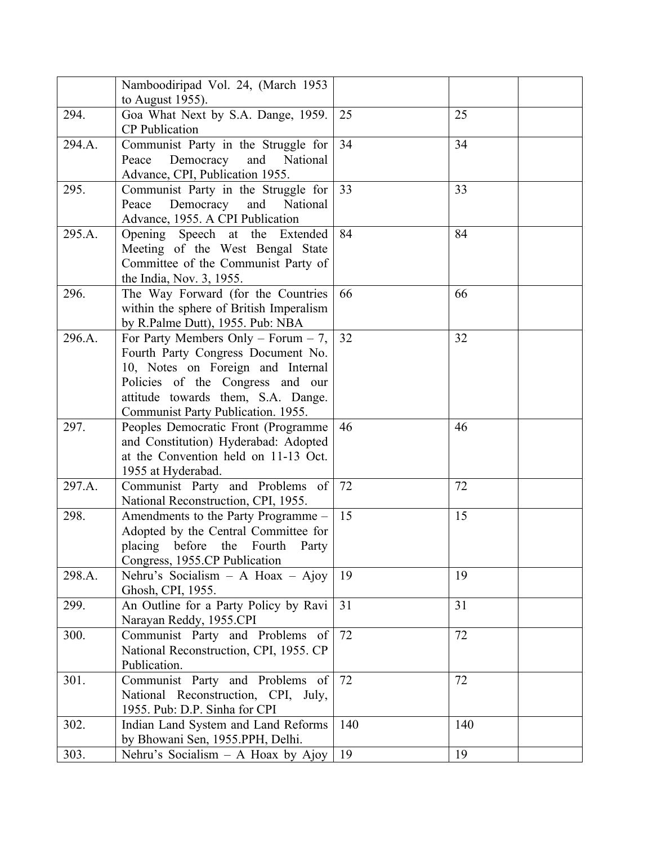|        | Namboodiripad Vol. 24, (March 1953                                           |     |     |  |
|--------|------------------------------------------------------------------------------|-----|-----|--|
|        | to August 1955).                                                             |     |     |  |
| 294.   | Goa What Next by S.A. Dange, 1959.                                           | 25  | 25  |  |
|        | <b>CP</b> Publication                                                        |     |     |  |
| 294.A. | Communist Party in the Struggle for                                          | 34  | 34  |  |
|        | Democracy and<br>Peace<br>National                                           |     |     |  |
|        | Advance, CPI, Publication 1955.                                              |     |     |  |
| 295.   | Communist Party in the Struggle for                                          | 33  | 33  |  |
|        | Peace<br>Democracy<br>and<br>National                                        |     |     |  |
|        | Advance, 1955. A CPI Publication                                             |     |     |  |
| 295.A. | Opening Speech at the Extended                                               | 84  | 84  |  |
|        | Meeting of the West Bengal State                                             |     |     |  |
|        | Committee of the Communist Party of                                          |     |     |  |
|        | the India, Nov. 3, 1955.                                                     |     |     |  |
| 296.   | The Way Forward (for the Countries                                           | 66  | 66  |  |
|        | within the sphere of British Imperalism                                      |     |     |  |
|        | by R.Palme Dutt), 1955. Pub: NBA                                             |     |     |  |
| 296.A. | For Party Members Only – Forum – 7,                                          | 32  | 32  |  |
|        | Fourth Party Congress Document No.                                           |     |     |  |
|        | 10, Notes on Foreign and Internal                                            |     |     |  |
|        | Policies of the Congress and our                                             |     |     |  |
|        | attitude towards them, S.A. Dange.                                           |     |     |  |
|        | Communist Party Publication. 1955.                                           |     |     |  |
| 297.   | Peoples Democratic Front (Programme                                          | 46  | 46  |  |
|        | and Constitution) Hyderabad: Adopted<br>at the Convention held on 11-13 Oct. |     |     |  |
|        | 1955 at Hyderabad.                                                           |     |     |  |
| 297.A. | Communist Party and Problems of                                              | 72  | 72  |  |
|        | National Reconstruction, CPI, 1955.                                          |     |     |  |
| 298.   | Amendments to the Party Programme -                                          | 15  | 15  |  |
|        | Adopted by the Central Committee for                                         |     |     |  |
|        | placing before the Fourth Party                                              |     |     |  |
|        | Congress, 1955.CP Publication                                                |     |     |  |
| 298.A. | Nehru's Socialism - A Hoax - Ajoy                                            | 19  | 19  |  |
|        | Ghosh, CPI, 1955.                                                            |     |     |  |
| 299.   | An Outline for a Party Policy by Ravi                                        | 31  | 31  |  |
|        | Narayan Reddy, 1955.CPI                                                      |     |     |  |
| 300.   | Communist Party and Problems of                                              | 72  | 72  |  |
|        | National Reconstruction, CPI, 1955. CP                                       |     |     |  |
|        | Publication.                                                                 |     |     |  |
| 301.   | Communist Party and Problems of                                              | 72  | 72  |  |
|        | National Reconstruction, CPI, July,                                          |     |     |  |
|        | 1955. Pub: D.P. Sinha for CPI                                                |     |     |  |
| 302.   | Indian Land System and Land Reforms                                          | 140 | 140 |  |
|        | by Bhowani Sen, 1955.PPH, Delhi.                                             |     |     |  |
| 303.   | Nehru's Socialism $-$ A Hoax by Ajoy                                         | 19  | 19  |  |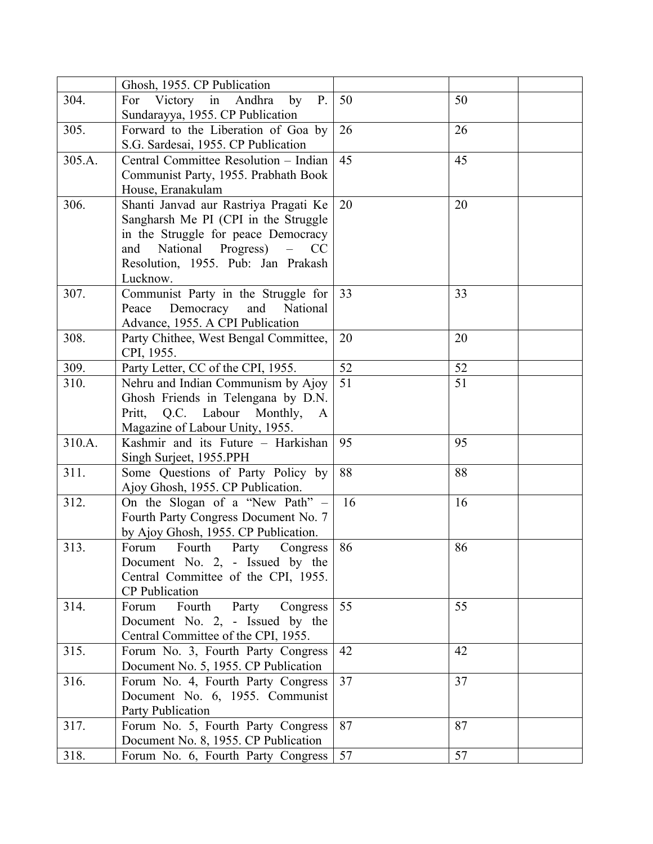|        | Ghosh, 1955. CP Publication                                         |    |                       |
|--------|---------------------------------------------------------------------|----|-----------------------|
| 304.   | For Victory in Andhra<br>by<br>P.                                   | 50 | 50                    |
|        | Sundarayya, 1955. CP Publication                                    |    |                       |
| 305.   | Forward to the Liberation of Goa by                                 | 26 | 26                    |
|        | S.G. Sardesai, 1955. CP Publication                                 |    |                       |
| 305.A. | Central Committee Resolution - Indian                               | 45 | 45                    |
|        | Communist Party, 1955. Prabhath Book                                |    |                       |
|        | House, Eranakulam                                                   |    |                       |
| 306.   | Shanti Janvad aur Rastriya Pragati Ke                               | 20 | 20                    |
|        | Sangharsh Me PI (CPI in the Struggle                                |    |                       |
|        | in the Struggle for peace Democracy                                 |    |                       |
|        | National<br>Progress)<br>$\equiv$<br>and<br>CC                      |    |                       |
|        | Resolution, 1955. Pub: Jan Prakash                                  |    |                       |
|        | Lucknow.                                                            |    |                       |
| 307.   | Communist Party in the Struggle for                                 | 33 | 33                    |
|        | Peace<br>Democracy<br>and<br>National                               |    |                       |
|        | Advance, 1955. A CPI Publication                                    |    |                       |
| 308.   | Party Chithee, West Bengal Committee,                               | 20 | 20                    |
|        | CPI, 1955.                                                          |    |                       |
| 309.   | Party Letter, CC of the CPI, 1955.                                  | 52 | 52<br>$\overline{51}$ |
| 310.   | Nehru and Indian Communism by Ajoy                                  | 51 |                       |
|        | Ghosh Friends in Telengana by D.N.                                  |    |                       |
|        | Pritt, Q.C. Labour Monthly,<br>A<br>Magazine of Labour Unity, 1955. |    |                       |
| 310.A. | Kashmir and its Future - Harkishan                                  | 95 | 95                    |
|        | Singh Surject, 1955.PPH                                             |    |                       |
| 311.   | Some Questions of Party Policy by                                   | 88 | 88                    |
|        | Ajoy Ghosh, 1955. CP Publication.                                   |    |                       |
| 312.   | On the Slogan of a "New Path" -                                     | 16 | 16                    |
|        | Fourth Party Congress Document No. 7                                |    |                       |
|        | by Ajoy Ghosh, 1955. CP Publication.                                |    |                       |
| 313.   | Fourth<br>Forum<br>Party<br>Congress                                | 86 | 86                    |
|        | Document No. 2, - Issued by the                                     |    |                       |
|        | Central Committee of the CPI, 1955.                                 |    |                       |
|        | CP Publication                                                      |    |                       |
| 314.   | Fourth<br>Party<br>Congress<br>Forum                                | 55 | 55                    |
|        | Document No. 2, - Issued by the                                     |    |                       |
|        | Central Committee of the CPI, 1955.                                 |    |                       |
| 315.   | Forum No. 3, Fourth Party Congress                                  | 42 | 42                    |
|        | Document No. 5, 1955. CP Publication                                |    |                       |
| 316.   | Forum No. 4, Fourth Party Congress                                  | 37 | 37                    |
|        | Document No. 6, 1955. Communist                                     |    |                       |
|        | <b>Party Publication</b>                                            |    |                       |
| 317.   | Forum No. 5, Fourth Party Congress                                  | 87 | 87                    |
|        | Document No. 8, 1955. CP Publication                                |    |                       |
| 318.   | Forum No. 6, Fourth Party Congress                                  | 57 | 57                    |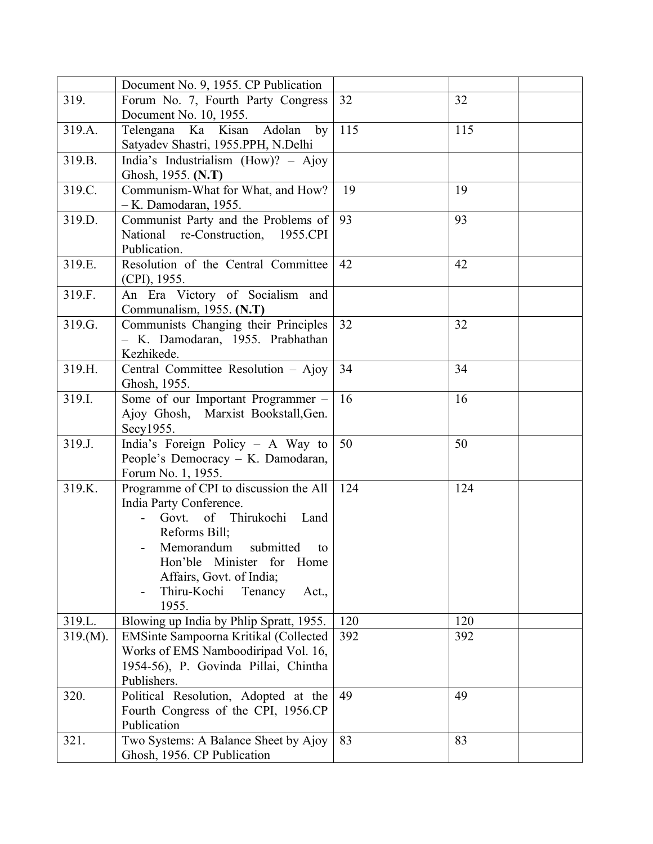|          | Document No. 9, 1955. CP Publication    |     |     |
|----------|-----------------------------------------|-----|-----|
| 319.     | Forum No. 7, Fourth Party Congress      | 32  | 32  |
|          | Document No. 10, 1955.                  |     |     |
| 319.A.   | Ka Kisan Adolan<br>Telengana<br>by      | 115 | 115 |
|          | Satyadev Shastri, 1955.PPH, N.Delhi     |     |     |
| 319.B.   | India's Industrialism (How)? - Ajoy     |     |     |
|          | Ghosh, 1955. (N.T)                      |     |     |
| 319.C.   | Communism-What for What, and How?       | 19  | 19  |
|          | $-K.$ Damodaran, 1955.                  |     |     |
| 319.D.   | Communist Party and the Problems of     | 93  | 93  |
|          | National re-Construction, 1955.CPI      |     |     |
|          | Publication.                            |     |     |
| 319.E.   | Resolution of the Central Committee     | 42  | 42  |
|          | (CPI), 1955.                            |     |     |
| 319.F.   | An Era Victory of Socialism and         |     |     |
|          | Communalism, 1955. (N.T)                |     |     |
| 319.G.   | Communists Changing their Principles    | 32  | 32  |
|          | - K. Damodaran, 1955. Prabhathan        |     |     |
|          | Kezhikede.                              |     |     |
| 319.H.   | Central Committee Resolution - Ajoy     | 34  | 34  |
|          | Ghosh, 1955.                            |     |     |
| 319.I.   | Some of our Important Programmer -      | 16  | 16  |
|          | Ajoy Ghosh, Marxist Bookstall, Gen.     |     |     |
|          | Secy1955.                               |     |     |
| 319.J.   | India's Foreign Policy - A Way to       | 50  | 50  |
|          | People's Democracy - K. Damodaran,      |     |     |
|          | Forum No. 1, 1955.                      |     |     |
| 319.K.   | Programme of CPI to discussion the All  | 124 | 124 |
|          | India Party Conference.                 |     |     |
|          | of Thirukochi<br>Land<br>Govt.          |     |     |
|          | Reforms Bill;                           |     |     |
|          | Memorandum submitted<br>to              |     |     |
|          | Hon'ble<br>Minister for Home            |     |     |
|          | Affairs, Govt. of India;                |     |     |
|          | Thiru-Kochi<br>Tenancy<br>Act.,         |     |     |
|          | 1955.                                   |     |     |
| 319.L.   | Blowing up India by Phlip Spratt, 1955. | 120 | 120 |
| 319.(M). | EMSinte Sampoorna Kritikal (Collected   | 392 | 392 |
|          | Works of EMS Namboodiripad Vol. 16,     |     |     |
|          | 1954-56), P. Govinda Pillai, Chintha    |     |     |
|          | Publishers.                             |     |     |
| 320.     | Political Resolution, Adopted at the    | 49  | 49  |
|          | Fourth Congress of the CPI, 1956.CP     |     |     |
|          | Publication                             |     |     |
| 321.     | Two Systems: A Balance Sheet by Ajoy    | 83  | 83  |
|          | Ghosh, 1956. CP Publication             |     |     |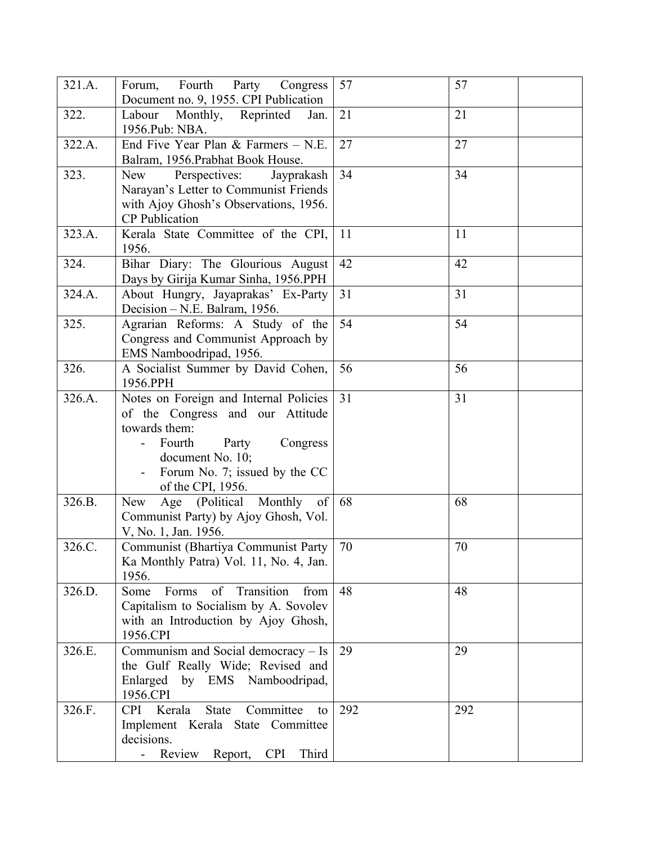| 321.A. | Forum, Fourth Party Congress<br>Document no. 9, 1955. CPI Publication                                                                                                                                | 57  | 57  |
|--------|------------------------------------------------------------------------------------------------------------------------------------------------------------------------------------------------------|-----|-----|
| 322.   | Labour<br>Monthly,<br>Reprinted<br>Jan.<br>1956.Pub: NBA.                                                                                                                                            | 21  | 21  |
| 322.A. | End Five Year Plan & Farmers $-\overline{N.E.}$<br>Balram, 1956. Prabhat Book House.                                                                                                                 | 27  | 27  |
| 323.   | Perspectives:<br>Jayprakash<br>New<br>Narayan's Letter to Communist Friends<br>with Ajoy Ghosh's Observations, 1956.<br><b>CP</b> Publication                                                        | 34  | 34  |
| 323.A. | Kerala State Committee of the CPI,<br>1956.                                                                                                                                                          | 11  | 11  |
| 324.   | Bihar Diary: The Glourious August<br>Days by Girija Kumar Sinha, 1956.PPH                                                                                                                            | 42  | 42  |
| 324.A. | About Hungry, Jayaprakas' Ex-Party<br>Decision - N.E. Balram, 1956.                                                                                                                                  | 31  | 31  |
| 325.   | Agrarian Reforms: A Study of the<br>Congress and Communist Approach by<br>EMS Namboodripad, 1956.                                                                                                    | 54  | 54  |
| 326.   | A Socialist Summer by David Cohen,<br>1956.PPH                                                                                                                                                       | 56  | 56  |
| 326.A. | Notes on Foreign and Internal Policies<br>of the Congress and our Attitude<br>towards them:<br>Fourth<br>Party<br>Congress<br>document No. 10;<br>Forum No. 7; issued by the CC<br>of the CPI, 1956. | 31  | 31  |
| 326.B. | Age (Political Monthly<br>New<br>of<br>Communist Party) by Ajoy Ghosh, Vol.<br>V, No. 1, Jan. 1956.                                                                                                  | 68  | 68  |
| 326.C. | Communist (Bhartiya Communist Party<br>Ka Monthly Patra) Vol. 11, No. 4, Jan.<br>1956.                                                                                                               | 70  | 70  |
| 326.D. | of Transition<br>Some<br>Forms<br>from<br>Capitalism to Socialism by A. Sovolev<br>with an Introduction by Ajoy Ghosh,<br>1956.CPI                                                                   | 48  | 48  |
| 326.E. | Communism and Social democracy - Is<br>the Gulf Really Wide; Revised and<br>Enlarged by EMS Namboodripad,<br>1956.CPI                                                                                | 29  | 29  |
| 326.F. | Kerala<br><b>State</b><br>Committee<br><b>CPI</b><br>to<br>Implement Kerala State Committee<br>decisions.<br>Review<br><b>CPI</b><br>Report,<br>Third                                                | 292 | 292 |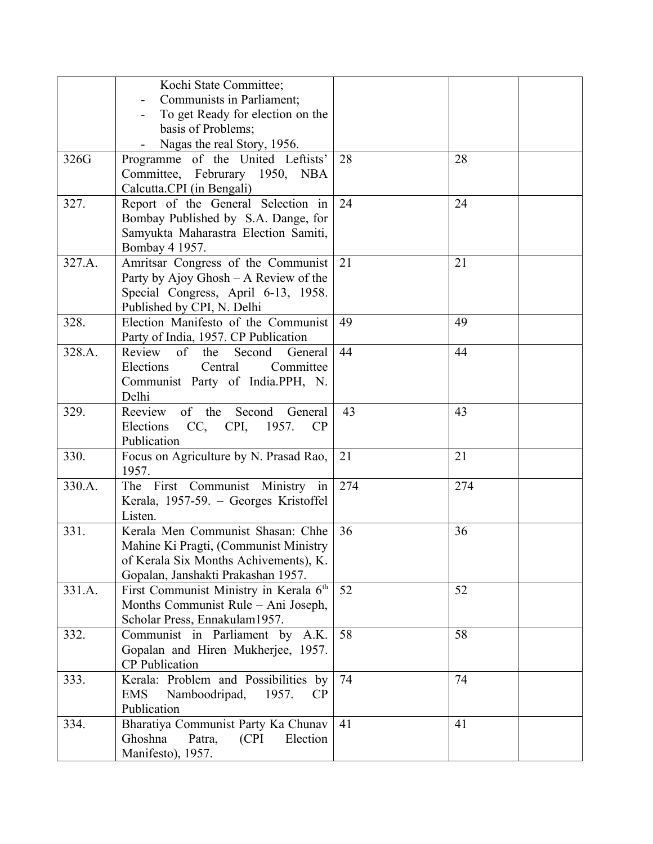|        | Kochi State Committee;                     |     |     |
|--------|--------------------------------------------|-----|-----|
|        | Communists in Parliament;                  |     |     |
|        | To get Ready for election on the           |     |     |
|        | basis of Problems;                         |     |     |
|        | Nagas the real Story, 1956.                |     |     |
| 326G   | Programme of the United Leftists'          | 28  | 28  |
|        |                                            |     |     |
|        | Committee, Februrary 1950, NBA             |     |     |
|        | Calcutta.CPI (in Bengali)                  |     |     |
| 327.   | Report of the General Selection in         | 24  | 24  |
|        | Bombay Published by S.A. Dange, for        |     |     |
|        | Samyukta Maharastra Election Samiti,       |     |     |
|        | Bombay 4 1957.                             |     |     |
| 327.A. | Amritsar Congress of the Communist         | 21  | 21  |
|        | Party by Ajoy Ghosh – A Review of the      |     |     |
|        | Special Congress, April 6-13, 1958.        |     |     |
|        | Published by CPI, N. Delhi                 |     |     |
| 328.   | Election Manifesto of the Communist        | 49  | 49  |
|        | Party of India, 1957. CP Publication       |     |     |
| 328.A. | Review of<br>the<br>Second<br>General      | 44  | 44  |
|        | Central<br>Committee<br>Elections          |     |     |
|        |                                            |     |     |
|        | Communist Party of India.PPH, N.           |     |     |
|        | Delhi                                      |     |     |
| 329.   | Reeview of the Second<br>General           | 43  | 43  |
|        | Elections CC, CPI, 1957.<br>CP             |     |     |
|        | Publication                                |     |     |
| 330.   | Focus on Agriculture by N. Prasad Rao,     | 21  | 21  |
|        | 1957.                                      |     |     |
| 330.A. | The First Communist Ministry in            | 274 | 274 |
|        | Kerala, 1957-59. - Georges Kristoffel      |     |     |
|        | Listen.                                    |     |     |
| 331.   | Kerala Men Communist Shasan: Chhe          | 36  | 36  |
|        | Mahine Ki Pragti, (Communist Ministry      |     |     |
|        | of Kerala Six Months Achivements), K.      |     |     |
|        | Gopalan, Janshakti Prakashan 1957.         |     |     |
| 331.A. | First Communist Ministry in Kerala 6th     | 52  | 52  |
|        | Months Communist Rule - Ani Joseph,        |     |     |
|        | Scholar Press, Ennakulam1957.              |     |     |
|        |                                            | 58  | 58  |
| 332.   | Communist in Parliament by A.K.            |     |     |
|        | Gopalan and Hiren Mukherjee, 1957.         |     |     |
|        | <b>CP</b> Publication                      |     |     |
| 333.   | Kerala: Problem and Possibilities by       | 74  | 74  |
|        | Namboodripad,<br><b>EMS</b><br>1957.<br>CP |     |     |
|        | Publication                                |     |     |
| 334.   | Bharatiya Communist Party Ka Chunav        | 41  | 41  |
|        | Ghoshna<br>(CPI)<br>Election<br>Patra,     |     |     |
|        | Manifesto), 1957.                          |     |     |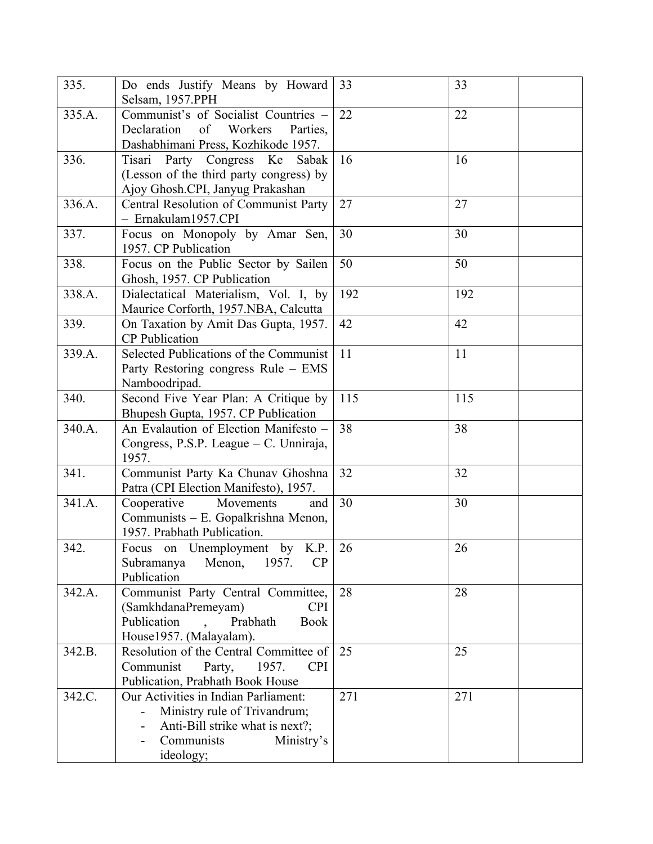| 335.   | Do ends Justify Means by Howard<br>Selsam, 1957.PPH                                                                                              | 33  | 33  |
|--------|--------------------------------------------------------------------------------------------------------------------------------------------------|-----|-----|
| 335.A. | Communist's of Socialist Countries -<br>Declaration<br>of<br>Workers<br>Parties,<br>Dashabhimani Press, Kozhikode 1957.                          | 22  | 22  |
| 336.   | Tisari Party Congress Ke Sabak<br>(Lesson of the third party congress) by<br>Ajoy Ghosh.CPI, Janyug Prakashan                                    | 16  | 16  |
| 336.A. | Central Resolution of Communist Party<br>- Ernakulam1957.CPI                                                                                     | 27  | 27  |
| 337.   | Focus on Monopoly by Amar Sen,<br>1957. CP Publication                                                                                           | 30  | 30  |
| 338.   | Focus on the Public Sector by Sailen<br>Ghosh, 1957. CP Publication                                                                              | 50  | 50  |
| 338.A. | Dialectatical Materialism, Vol. I, by<br>Maurice Corforth, 1957.NBA, Calcutta                                                                    | 192 | 192 |
| 339.   | On Taxation by Amit Das Gupta, 1957.<br><b>CP</b> Publication                                                                                    | 42  | 42  |
| 339.A. | Selected Publications of the Communist<br>Party Restoring congress Rule - EMS<br>Namboodripad.                                                   | 11  | 11  |
| 340.   | Second Five Year Plan: A Critique by<br>Bhupesh Gupta, 1957. CP Publication                                                                      | 115 | 115 |
| 340.A. | An Evalaution of Election Manifesto -<br>Congress, P.S.P. League – C. Unniraja,<br>1957.                                                         | 38  | 38  |
| 341.   | Communist Party Ka Chunav Ghoshna<br>Patra (CPI Election Manifesto), 1957.                                                                       | 32  | 32  |
| 341.A. | Cooperative<br>Movements<br>and<br>Communists - E. Gopalkrishna Menon,<br>1957. Prabhath Publication.                                            | 30  | 30  |
| 342.   | Focus on Unemployment by K.P.<br>Subramanya<br>Menon,<br>CP<br>1957.<br>Publication                                                              | 26  | 26  |
| 342.A. | Communist Party Central Committee,<br>(SamkhdanaPremeyam)<br><b>CPI</b><br>Publication<br>Prabhath<br><b>Book</b><br>House1957. (Malayalam).     | 28  | 28  |
| 342.B. | Resolution of the Central Committee of<br>Communist<br>1957.<br><b>CPI</b><br>Party,<br>Publication, Prabhath Book House                         | 25  | 25  |
| 342.C. | Our Activities in Indian Parliament:<br>Ministry rule of Trivandrum;<br>Anti-Bill strike what is next?;<br>Communists<br>Ministry's<br>ideology; | 271 | 271 |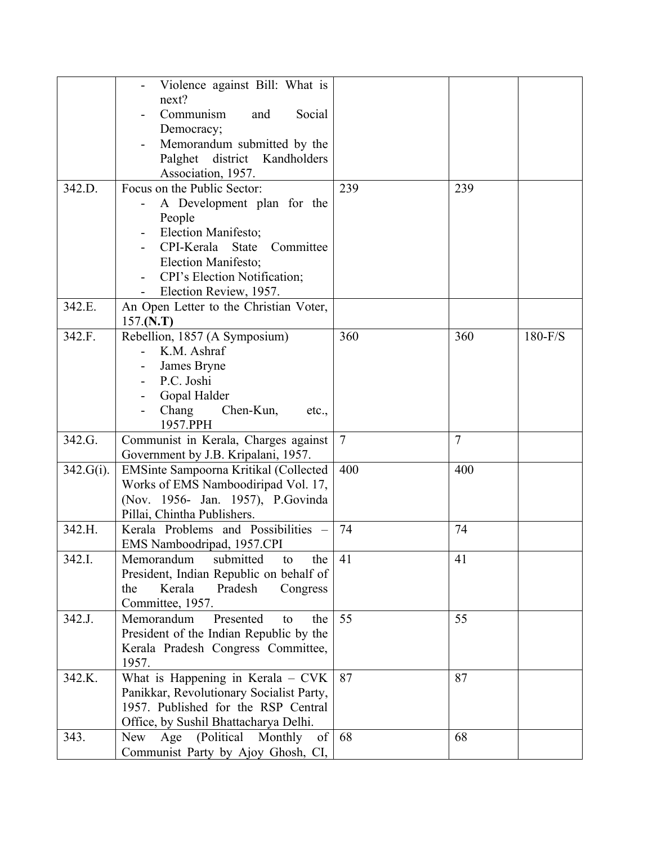|           | Violence against Bill: What is           |                |                |           |
|-----------|------------------------------------------|----------------|----------------|-----------|
|           | next?                                    |                |                |           |
|           | Communism<br>Social<br>and               |                |                |           |
|           | Democracy;                               |                |                |           |
|           | Memorandum submitted by the              |                |                |           |
|           | Palghet district Kandholders             |                |                |           |
|           | Association, 1957.                       |                |                |           |
| 342.D.    | Focus on the Public Sector:              | 239            | 239            |           |
|           | A Development plan for the               |                |                |           |
|           | People                                   |                |                |           |
|           | Election Manifesto;                      |                |                |           |
|           | CPI-Kerala<br><b>State</b><br>Committee  |                |                |           |
|           | Election Manifesto;                      |                |                |           |
|           | CPI's Election Notification;             |                |                |           |
|           | Election Review, 1957.                   |                |                |           |
| 342.E.    | An Open Letter to the Christian Voter,   |                |                |           |
|           | 157.(N.T)                                |                |                |           |
| 342.F.    | Rebellion, 1857 (A Symposium)            | 360            | 360            | $180-F/S$ |
|           | K.M. Ashraf                              |                |                |           |
|           | James Bryne                              |                |                |           |
|           | P.C. Joshi                               |                |                |           |
|           | Gopal Halder                             |                |                |           |
|           | Chang<br>Chen-Kun,<br>etc.,              |                |                |           |
|           | 1957.PPH                                 |                |                |           |
| 342.G.    | Communist in Kerala, Charges against     | $\overline{7}$ | $\overline{7}$ |           |
|           | Government by J.B. Kripalani, 1957.      |                |                |           |
| 342.G(i). | EMSinte Sampoorna Kritikal (Collected    | 400            | 400            |           |
|           | Works of EMS Namboodiripad Vol. 17,      |                |                |           |
|           | (Nov. 1956- Jan. 1957), P. Govinda       |                |                |           |
|           | Pillai, Chintha Publishers.              |                |                |           |
| 342.H.    | Kerala Problems and Possibilities -      | 74             | 74             |           |
|           | EMS Namboodripad, 1957.CPI               |                |                |           |
| 342.I.    | Memorandum<br>submitted<br>the<br>to     | 41             | 41             |           |
|           | President, Indian Republic on behalf of  |                |                |           |
|           | Kerala<br>Pradesh<br>the<br>Congress     |                |                |           |
|           | Committee, 1957.                         |                |                |           |
| 342.J.    | Memorandum<br>Presented<br>the<br>to     | 55             | 55             |           |
|           | President of the Indian Republic by the  |                |                |           |
|           | Kerala Pradesh Congress Committee,       |                |                |           |
|           | 1957.                                    |                |                |           |
| 342.K.    | What is Happening in Kerala - CVK        | 87             | 87             |           |
|           | Panikkar, Revolutionary Socialist Party, |                |                |           |
|           | 1957. Published for the RSP Central      |                |                |           |
|           | Office, by Sushil Bhattacharya Delhi.    |                |                |           |
| 343.      | (Political)<br>New<br>Age<br>of          | 68             | 68             |           |
|           | Monthly                                  |                |                |           |
|           | Communist Party by Ajoy Ghosh, CI,       |                |                |           |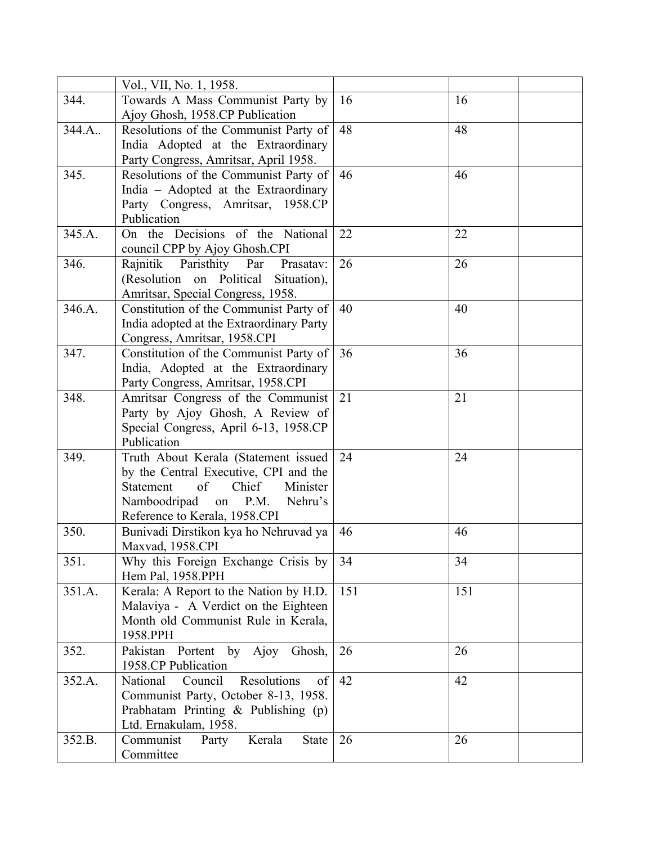|        | Vol., VII, No. 1, 1958.                                                |     |     |  |
|--------|------------------------------------------------------------------------|-----|-----|--|
| 344.   | Towards A Mass Communist Party by                                      | 16  | 16  |  |
|        | Ajoy Ghosh, 1958.CP Publication                                        |     |     |  |
| 344.A. | Resolutions of the Communist Party of                                  | 48  | 48  |  |
|        | India Adopted at the Extraordinary                                     |     |     |  |
|        | Party Congress, Amritsar, April 1958.                                  |     |     |  |
| 345.   | Resolutions of the Communist Party of                                  | 46  | 46  |  |
|        | India - Adopted at the Extraordinary                                   |     |     |  |
|        | Party Congress, Amritsar, 1958.CP                                      |     |     |  |
|        | Publication                                                            |     |     |  |
| 345.A. | On the Decisions of the National                                       | 22  | 22  |  |
|        | council CPP by Ajoy Ghosh.CPI                                          |     |     |  |
| 346.   | Rajnitik Paristhity Par<br>Prasatav:                                   | 26  | 26  |  |
|        | (Resolution on Political Situation),                                   |     |     |  |
|        | Amritsar, Special Congress, 1958.                                      |     |     |  |
| 346.A. | Constitution of the Communist Party of                                 | 40  | 40  |  |
|        | India adopted at the Extraordinary Party                               |     |     |  |
|        |                                                                        |     |     |  |
| 347.   | Congress, Amritsar, 1958.CPI<br>Constitution of the Communist Party of | 36  | 36  |  |
|        | India, Adopted at the Extraordinary                                    |     |     |  |
|        |                                                                        |     |     |  |
| 348.   | Party Congress, Amritsar, 1958.CPI                                     | 21  | 21  |  |
|        | Amritsar Congress of the Communist                                     |     |     |  |
|        | Party by Ajoy Ghosh, A Review of                                       |     |     |  |
|        | Special Congress, April 6-13, 1958.CP                                  |     |     |  |
|        | Publication                                                            |     |     |  |
| 349.   | Truth About Kerala (Statement issued                                   | 24  | 24  |  |
|        | by the Central Executive, CPI and the                                  |     |     |  |
|        | of<br>Chief<br>Minister<br>Statement                                   |     |     |  |
|        | Namboodripad<br>P.M.<br>on<br>Nehru's                                  |     |     |  |
|        | Reference to Kerala, 1958.CPI                                          |     |     |  |
| 350.   | Bunivadi Dirstikon kya ho Nehruvad ya                                  | 46  | 46  |  |
|        | Maxvad, 1958.CPI                                                       |     |     |  |
| 351.   | Why this Foreign Exchange Crisis by                                    | 34  | 34  |  |
|        | Hem Pal, 1958.PPH                                                      |     |     |  |
| 351.A. | Kerala: A Report to the Nation by H.D.                                 | 151 | 151 |  |
|        | Malaviya - A Verdict on the Eighteen                                   |     |     |  |
|        | Month old Communist Rule in Kerala,                                    |     |     |  |
|        | 1958.PPH                                                               |     |     |  |
| 352.   | Portent by Ajoy Ghosh,<br>Pakistan                                     | 26  | 26  |  |
|        | 1958.CP Publication                                                    |     |     |  |
| 352.A. | Council<br>Resolutions<br>National<br>of                               | 42  | 42  |  |
|        | Communist Party, October 8-13, 1958.                                   |     |     |  |
|        | Prabhatam Printing & Publishing (p)                                    |     |     |  |
|        | Ltd. Ernakulam, 1958.                                                  |     |     |  |
| 352.B. | Kerala<br>Communist<br><b>State</b><br>Party                           | 26  | 26  |  |
|        | Committee                                                              |     |     |  |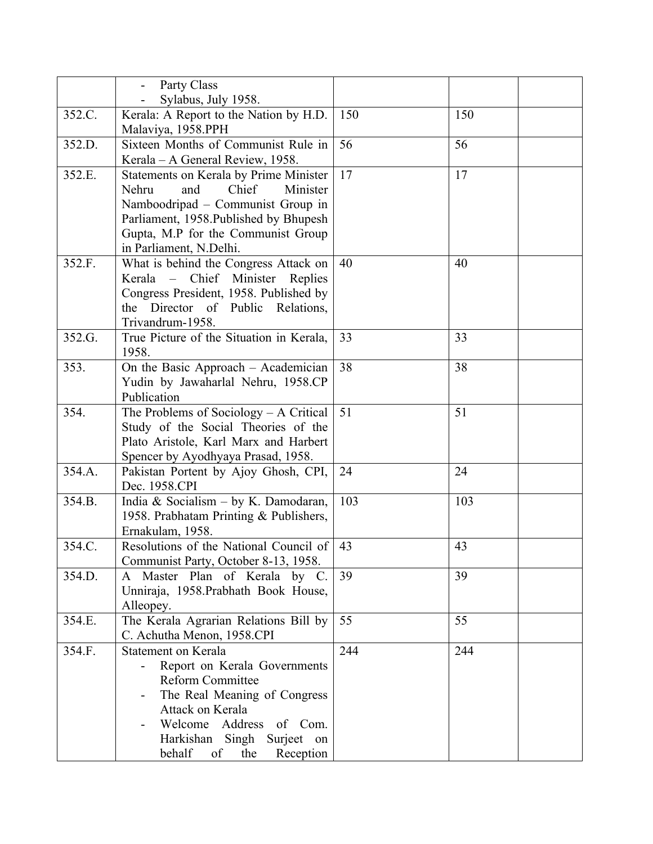|        | Party Class                                                                                                                                                                                                                     |     |     |
|--------|---------------------------------------------------------------------------------------------------------------------------------------------------------------------------------------------------------------------------------|-----|-----|
|        | Sylabus, July 1958.                                                                                                                                                                                                             |     |     |
| 352.C. | Kerala: A Report to the Nation by H.D.<br>Malaviya, 1958.PPH                                                                                                                                                                    | 150 | 150 |
| 352.D. | Sixteen Months of Communist Rule in<br>Kerala – A General Review, 1958.                                                                                                                                                         | 56  | 56  |
| 352.E. | Statements on Kerala by Prime Minister<br>Chief<br>Minister<br>Nehru<br>and<br>Namboodripad – Communist Group in<br>Parliament, 1958. Published by Bhupesh<br>Gupta, M.P for the Communist Group<br>in Parliament, N.Delhi.     | 17  | 17  |
| 352.F. | What is behind the Congress Attack on<br>Kerala – Chief Minister Replies<br>Congress President, 1958. Published by<br>the Director of Public Relations,<br>Trivandrum-1958.                                                     | 40  | 40  |
| 352.G. | True Picture of the Situation in Kerala,<br>1958.                                                                                                                                                                               | 33  | 33  |
| 353.   | On the Basic Approach - Academician<br>Yudin by Jawaharlal Nehru, 1958.CP<br>Publication                                                                                                                                        | 38  | 38  |
| 354.   | The Problems of Sociology - A Critical<br>Study of the Social Theories of the<br>Plato Aristole, Karl Marx and Harbert<br>Spencer by Ayodhyaya Prasad, 1958.                                                                    | 51  | 51  |
| 354.A. | Pakistan Portent by Ajoy Ghosh, CPI,<br>Dec. 1958.CPI                                                                                                                                                                           | 24  | 24  |
| 354.B. | India & Socialism - by K. Damodaran,<br>1958. Prabhatam Printing & Publishers,<br>Ernakulam, 1958.                                                                                                                              | 103 | 103 |
| 354.C. | Resolutions of the National Council of<br>Communist Party, October 8-13, 1958.                                                                                                                                                  | 43  | 43  |
| 354.D. | A Master Plan of Kerala by C.<br>Unniraja, 1958. Prabhath Book House,<br>Alleopey.                                                                                                                                              | 39  | 39  |
| 354.E. | The Kerala Agrarian Relations Bill by<br>C. Achutha Menon, 1958.CPI                                                                                                                                                             | 55  | 55  |
| 354.F. | Statement on Kerala<br>Report on Kerala Governments<br><b>Reform Committee</b><br>The Real Meaning of Congress<br>Attack on Kerala<br>Welcome Address of Com.<br>Harkishan Singh Surjeet on<br>behalf<br>the<br>Reception<br>of | 244 | 244 |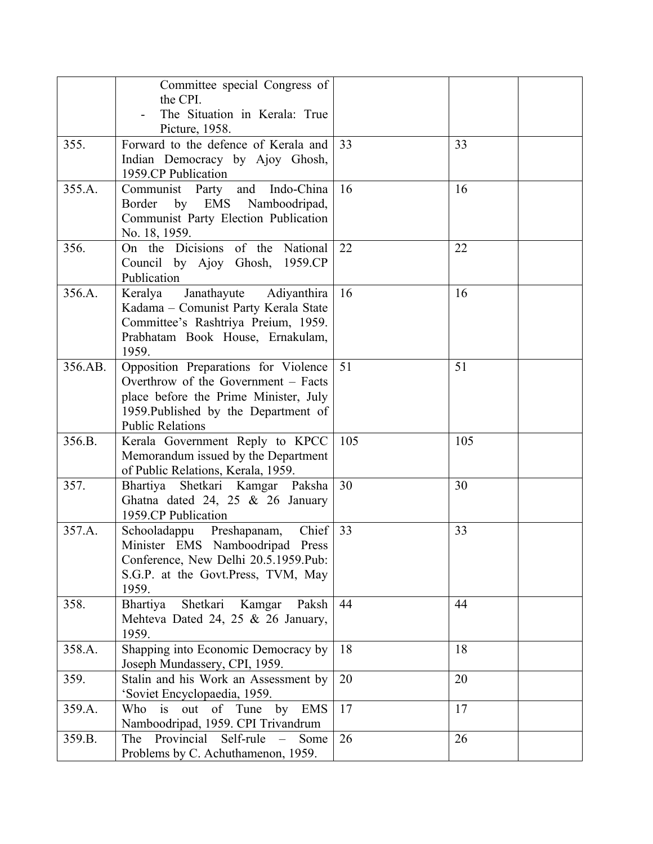|         | Committee special Congress of                                               |     |     |  |
|---------|-----------------------------------------------------------------------------|-----|-----|--|
|         | the CPI.<br>The Situation in Kerala: True                                   |     |     |  |
|         | Picture, 1958.                                                              |     |     |  |
| 355.    | Forward to the defence of Kerala and                                        | 33  | 33  |  |
|         | Indian Democracy by Ajoy Ghosh,                                             |     |     |  |
|         | 1959.CP Publication                                                         |     |     |  |
| 355.A.  | Communist Party<br>and<br>Indo-China                                        | 16  | 16  |  |
|         | EMS Namboodripad,<br>by<br>Border                                           |     |     |  |
|         | Communist Party Election Publication                                        |     |     |  |
| 356.    | No. 18, 1959.<br>On the Dicisions of the<br>National                        | 22  | 22  |  |
|         | Council by Ajoy Ghosh,<br>1959.CP                                           |     |     |  |
|         | Publication                                                                 |     |     |  |
| 356.A.  | Janathayute Adiyanthira<br>Keralya                                          | 16  | 16  |  |
|         | Kadama - Comunist Party Kerala State                                        |     |     |  |
|         | Committee's Rashtriya Preium, 1959.                                         |     |     |  |
|         | Prabhatam Book House, Ernakulam,                                            |     |     |  |
| 356.AB. | 1959.                                                                       | 51  | 51  |  |
|         | Opposition Preparations for Violence<br>Overthrow of the Government – Facts |     |     |  |
|         | place before the Prime Minister, July                                       |     |     |  |
|         | 1959. Published by the Department of                                        |     |     |  |
|         | <b>Public Relations</b>                                                     |     |     |  |
| 356.B.  | Kerala Government Reply to KPCC                                             | 105 | 105 |  |
|         | Memorandum issued by the Department                                         |     |     |  |
|         | of Public Relations, Kerala, 1959.                                          |     |     |  |
| 357.    | Shetkari Kamgar Paksha<br>Bhartiya                                          | 30  | 30  |  |
|         | Ghatna dated 24, 25 $&$ 26 January<br>1959.CP Publication                   |     |     |  |
| 357.A.  | Chief<br>Schooladappu Preshapanam,                                          | 33  | 33  |  |
|         | Minister EMS Namboodripad Press                                             |     |     |  |
|         | Conference, New Delhi 20.5.1959.Pub:                                        |     |     |  |
|         | S.G.P. at the Govt.Press, TVM, May                                          |     |     |  |
|         | 1959.                                                                       |     |     |  |
| 358.    | Bhartiya<br>Shetkari<br>Kamgar<br>Paksh                                     | 44  | 44  |  |
|         | Mehteva Dated 24, 25 & 26 January,<br>1959.                                 |     |     |  |
| 358.A.  | Shapping into Economic Democracy by                                         | 18  | 18  |  |
|         | Joseph Mundassery, CPI, 1959.                                               |     |     |  |
| 359.    | Stalin and his Work an Assessment by                                        | 20  | 20  |  |
|         | 'Soviet Encyclopaedia, 1959.                                                |     |     |  |
| 359.A.  | Who<br>is out of Tune<br><b>EMS</b><br>by                                   | 17  | 17  |  |
|         | Namboodripad, 1959. CPI Trivandrum                                          |     |     |  |
| 359.B.  | Provincial<br>Self-rule<br>The<br>Some                                      | 26  | 26  |  |
|         | Problems by C. Achuthamenon, 1959.                                          |     |     |  |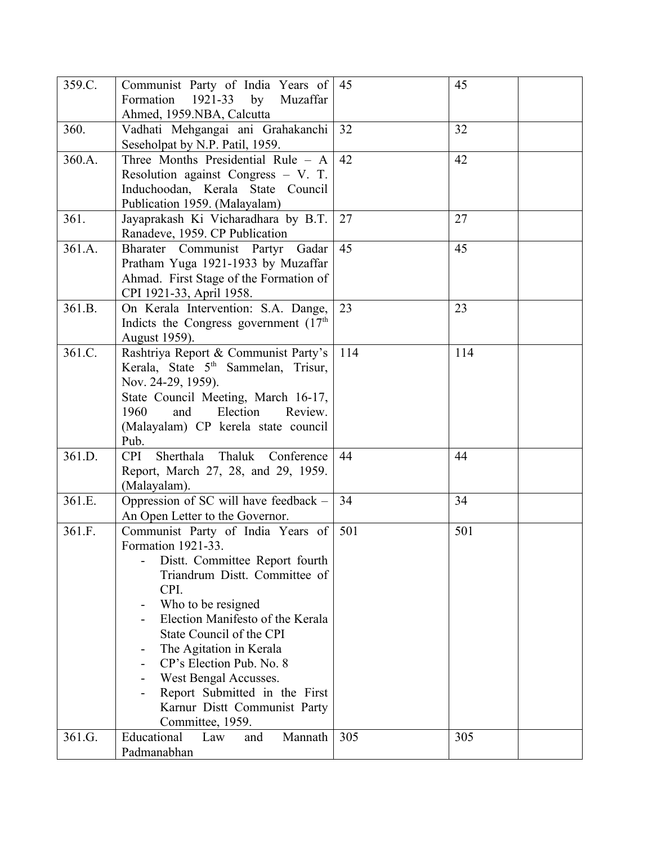| 359.C. | Communist Party of India Years of<br>Formation 1921-33 by<br>Muzaffar<br>Ahmed, 1959.NBA, Calcutta                                                                                                                                                                                                                                                                                            | $\vert 45 \vert$ | 45  |
|--------|-----------------------------------------------------------------------------------------------------------------------------------------------------------------------------------------------------------------------------------------------------------------------------------------------------------------------------------------------------------------------------------------------|------------------|-----|
| 360.   | Vadhati Mehgangai ani Grahakanchi<br>Seseholpat by N.P. Patil, 1959.                                                                                                                                                                                                                                                                                                                          | 32               | 32  |
| 360.A. | Three Months Presidential Rule - A<br>Resolution against Congress - V. T.<br>Induchoodan, Kerala State Council<br>Publication 1959. (Malayalam)                                                                                                                                                                                                                                               | 42               | 42  |
| 361.   | Jayaprakash Ki Vicharadhara by B.T.<br>Ranadeve, 1959. CP Publication                                                                                                                                                                                                                                                                                                                         | 27               | 27  |
| 361.A. | Bharater Communist Partyr<br>Gadar<br>Pratham Yuga 1921-1933 by Muzaffar<br>Ahmad. First Stage of the Formation of<br>CPI 1921-33, April 1958.                                                                                                                                                                                                                                                | 45               | 45  |
| 361.B. | On Kerala Intervention: S.A. Dange,<br>Indicts the Congress government $(17th)$<br>August 1959).                                                                                                                                                                                                                                                                                              | 23               | 23  |
| 361.C. | Rashtriya Report & Communist Party's<br>Kerala, State 5 <sup>th</sup> Sammelan, Trisur,<br>Nov. 24-29, 1959).<br>State Council Meeting, March 16-17,<br>Election<br>1960<br>and<br>Review.<br>(Malayalam) CP kerela state council<br>Pub.                                                                                                                                                     | 114              | 114 |
| 361.D. | <b>CPI</b><br>Sherthala<br>Thaluk Conference<br>Report, March 27, 28, and 29, 1959.<br>(Malayalam).                                                                                                                                                                                                                                                                                           | 44               | 44  |
| 361.E. | Oppression of SC will have feedback –<br>An Open Letter to the Governor.                                                                                                                                                                                                                                                                                                                      | 34               | 34  |
| 361.F. | Communist Party of India Years of<br>Formation 1921-33.<br>Distt. Committee Report fourth<br>Triandrum Distt. Committee of<br>CPI.<br>Who to be resigned<br>Election Manifesto of the Kerala<br>State Council of the CPI<br>The Agitation in Kerala<br>CP's Election Pub. No. 8<br>West Bengal Accusses.<br>Report Submitted in the First<br>Karnur Distt Communist Party<br>Committee, 1959. | 501              | 501 |
| 361.G. | Educational<br>Mannath<br>Law<br>and<br>Padmanabhan                                                                                                                                                                                                                                                                                                                                           | 305              | 305 |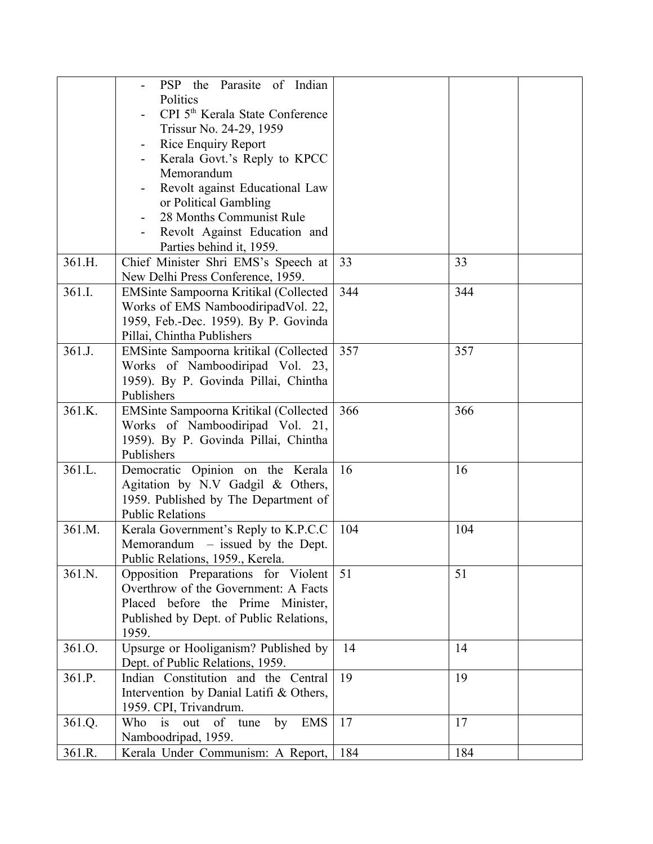|        | PSP the Parasite of Indian                      |     |     |
|--------|-------------------------------------------------|-----|-----|
|        | Politics                                        |     |     |
|        | CPI 5 <sup>th</sup> Kerala State Conference     |     |     |
|        | Trissur No. 24-29, 1959                         |     |     |
|        |                                                 |     |     |
|        | <b>Rice Enquiry Report</b>                      |     |     |
|        | Kerala Govt.'s Reply to KPCC                    |     |     |
|        | Memorandum                                      |     |     |
|        | Revolt against Educational Law                  |     |     |
|        | or Political Gambling                           |     |     |
|        | 28 Months Communist Rule                        |     |     |
|        | Revolt Against Education and                    |     |     |
|        | Parties behind it, 1959.                        |     |     |
| 361.H. | Chief Minister Shri EMS's Speech at             | 33  | 33  |
|        | New Delhi Press Conference, 1959.               |     |     |
| 361.I. | EMSinte Sampoorna Kritikal (Collected           | 344 | 344 |
|        | Works of EMS NamboodiripadVol. 22,              |     |     |
|        | 1959, Feb.-Dec. 1959). By P. Govinda            |     |     |
|        | Pillai, Chintha Publishers                      |     |     |
| 361.J. | EMSinte Sampoorna kritikal (Collected           | 357 | 357 |
|        | Works of Namboodiripad Vol. 23,                 |     |     |
|        | 1959). By P. Govinda Pillai, Chintha            |     |     |
|        | Publishers                                      |     |     |
| 361.K. | EMSinte Sampoorna Kritikal (Collected           | 366 | 366 |
|        | Works of Namboodiripad Vol. 21,                 |     |     |
|        | 1959). By P. Govinda Pillai, Chintha            |     |     |
|        | Publishers                                      |     |     |
| 361.L. | Democratic Opinion on the Kerala                | 16  | 16  |
|        | Agitation by N.V Gadgil & Others,               |     |     |
|        | 1959. Published by The Department of            |     |     |
|        | <b>Public Relations</b>                         |     |     |
| 361.M. | Kerala Government's Reply to K.P.C.C            | 104 | 104 |
|        | Memorandum $-$ issued by the Dept.              |     |     |
|        | Public Relations, 1959., Kerela.                |     |     |
| 361.N. | Opposition Preparations for Violent             | 51  | 51  |
|        | Overthrow of the Government: A Facts            |     |     |
|        | Placed before the Prime Minister,               |     |     |
|        | Published by Dept. of Public Relations,         |     |     |
|        | 1959.                                           |     |     |
| 361.O. | Upsurge or Hooliganism? Published by            | 14  | 14  |
|        | Dept. of Public Relations, 1959.                |     |     |
| 361.P. | Indian Constitution and the Central             | 19  | 19  |
|        |                                                 |     |     |
|        | Intervention by Danial Latifi & Others,         |     |     |
|        | 1959. CPI, Trivandrum.                          |     |     |
| 361.Q. | <b>EMS</b><br>Who<br>is<br>by<br>out<br>of tune | 17  | 17  |
|        | Namboodripad, 1959.                             |     |     |
| 361.R. | Kerala Under Communism: A Report,               | 184 | 184 |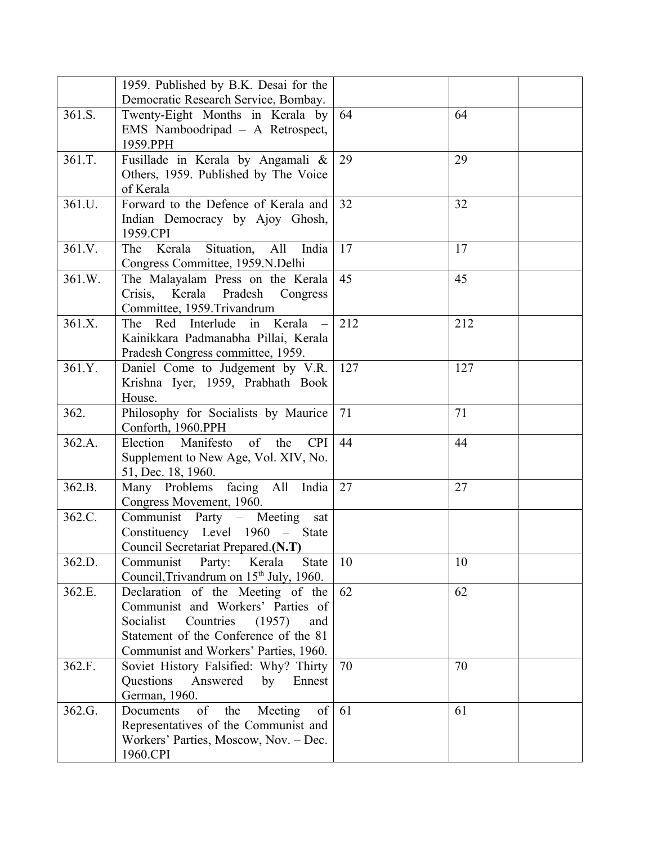|        | 1959. Published by B.K. Desai for the                   |     |     |
|--------|---------------------------------------------------------|-----|-----|
|        | Democratic Research Service, Bombay.                    |     |     |
| 361.S. | Twenty-Eight Months in Kerala by                        | 64  | 64  |
|        | EMS Namboodripad - A Retrospect,                        |     |     |
|        | 1959.PPH                                                |     |     |
| 361.T. | Fusillade in Kerala by Angamali &                       | 29  | 29  |
|        | Others, 1959. Published by The Voice                    |     |     |
|        | of Kerala                                               |     |     |
| 361.U. | Forward to the Defence of Kerala and                    | 32  | 32  |
|        | Indian Democracy by Ajoy Ghosh,                         |     |     |
|        | 1959.CPI                                                |     |     |
| 361.V. | Situation,<br>The Kerala<br>All<br>India                | 17  | 17  |
|        | Congress Committee, 1959.N.Delhi                        |     |     |
| 361.W. | The Malayalam Press on the Kerala                       | 45  | 45  |
|        | Kerala<br>Pradesh<br>Crisis,<br>Congress                |     |     |
|        | Committee, 1959.Trivandrum                              |     |     |
| 361.X. | The Red Interlude in Kerala                             | 212 | 212 |
|        | Kainikkara Padmanabha Pillai, Kerala                    |     |     |
|        | Pradesh Congress committee, 1959.                       |     |     |
| 361.Y. | Daniel Come to Judgement by V.R.                        | 127 | 127 |
|        | Krishna Iyer, 1959, Prabhath Book                       |     |     |
|        | House.                                                  |     |     |
| 362.   | Philosophy for Socialists by Maurice                    | 71  | 71  |
|        | Conforth, 1960.PPH                                      |     |     |
| 362.A. | Manifesto<br>Election<br>$\circ$ f<br>the<br><b>CPI</b> | 44  | 44  |
|        | Supplement to New Age, Vol. XIV, No.                    |     |     |
|        | 51, Dec. 18, 1960.                                      |     |     |
| 362.B. | Many Problems facing All India                          | 27  | 27  |
|        | Congress Movement, 1960.                                |     |     |
| 362.C. | Communist Party – Meeting<br>sat                        |     |     |
|        | Constituency Level 1960 – State                         |     |     |
|        | Council Secretariat Prepared.(N.T)                      |     |     |
| 362.D. | Party:<br>Communist<br>Kerala<br><b>State</b>           | 10  | 10  |
|        | Council, Trivandrum on 15 <sup>th</sup> July, 1960.     |     |     |
| 362.E. | Declaration of the Meeting of the                       | 62  | 62  |
|        | Communist and Workers' Parties of                       |     |     |
|        | Socialist<br>Countries<br>(1957)<br>and                 |     |     |
|        | Statement of the Conference of the 81                   |     |     |
|        | Communist and Workers' Parties, 1960.                   |     |     |
| 362.F. | Soviet History Falsified: Why? Thirty                   | 70  | 70  |
|        | Questions<br>Answered<br>by<br>Ennest                   |     |     |
|        | German, 1960.                                           |     |     |
| 362.G. | of<br>the<br>Documents<br>Meeting<br>of                 | 61  | 61  |
|        | Representatives of the Communist and                    |     |     |
|        | Workers' Parties, Moscow, Nov. - Dec.                   |     |     |
|        | 1960.CPI                                                |     |     |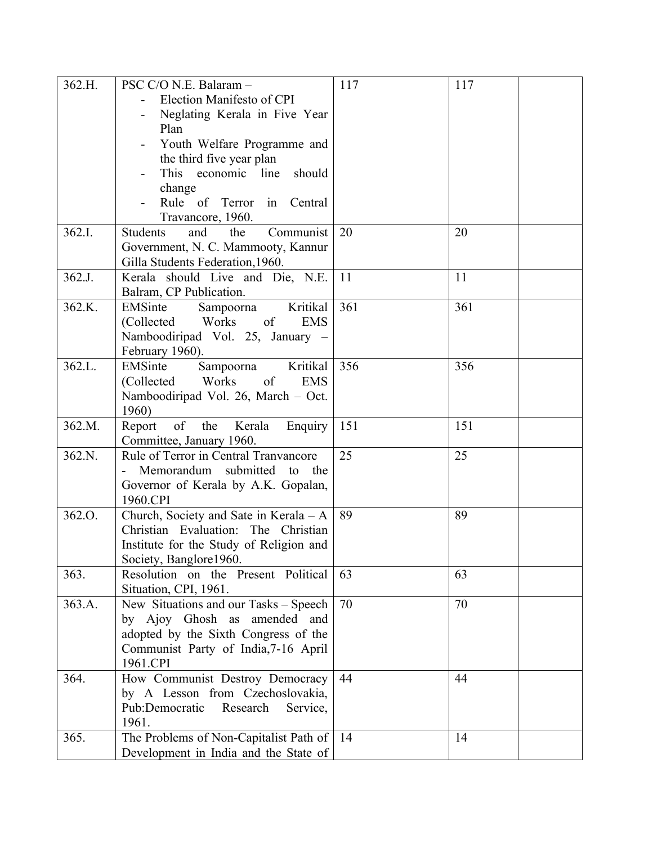| 362.H. | PSC C/O N.E. Balaram -                     | 117 | 117 |
|--------|--------------------------------------------|-----|-----|
|        | Election Manifesto of CPI                  |     |     |
|        | Neglating Kerala in Five Year              |     |     |
|        | Plan                                       |     |     |
|        | Youth Welfare Programme and                |     |     |
|        | the third five year plan                   |     |     |
|        | This economic line<br>should               |     |     |
|        | change                                     |     |     |
|        | Rule of Terror in Central                  |     |     |
|        | Travancore, 1960.                          |     |     |
| 362.I. | the<br>Communist<br><b>Students</b><br>and | 20  | 20  |
|        | Government, N. C. Mammooty, Kannur         |     |     |
|        | Gilla Students Federation, 1960.           |     |     |
| 362.J. | Kerala should Live and Die, N.E.           | 11  | 11  |
|        | Balram, CP Publication.                    |     |     |
| 362.K. | Kritikal<br>EMSinte<br>Sampoorna           | 361 | 361 |
|        | (Collected<br>Works<br>of<br><b>EMS</b>    |     |     |
|        | Namboodiripad Vol. 25, January -           |     |     |
|        | February 1960).                            |     |     |
| 362.L. | Kritikal<br>EMSinte<br>Sampoorna           | 356 | 356 |
|        | Works<br>of<br>(Collected<br><b>EMS</b>    |     |     |
|        | Namboodiripad Vol. 26, March - Oct.        |     |     |
|        | 1960)                                      |     |     |
| 362.M. | of the Kerala<br>Report<br>Enquiry         | 151 | 151 |
|        | Committee, January 1960.                   |     |     |
| 362.N. | Rule of Terror in Central Tranvancore      | 25  | 25  |
|        | Memorandum submitted to the                |     |     |
|        | Governor of Kerala by A.K. Gopalan,        |     |     |
|        | 1960.CPI                                   |     |     |
| 362.O. | Church, Society and Sate in Kerala - A     | 89  | 89  |
|        | Christian Evaluation: The Christian        |     |     |
|        | Institute for the Study of Religion and    |     |     |
|        | Society, Banglore1960.                     |     |     |
| 363.   | Resolution on the Present Political        | 63  | 63  |
|        | Situation, CPI, 1961.                      |     |     |
| 363.A. | New Situations and our Tasks - Speech      | 70  | 70  |
|        | by Ajoy Ghosh as amended and               |     |     |
|        | adopted by the Sixth Congress of the       |     |     |
|        | Communist Party of India, 7-16 April       |     |     |
|        | 1961.CPI                                   |     |     |
| 364.   | How Communist Destroy Democracy            | 44  | 44  |
|        | by A Lesson from Czechoslovakia,           |     |     |
|        | Pub:Democratic<br>Research<br>Service,     |     |     |
|        | 1961.                                      |     |     |
| 365.   | The Problems of Non-Capitalist Path of     | -14 | 14  |
|        | Development in India and the State of      |     |     |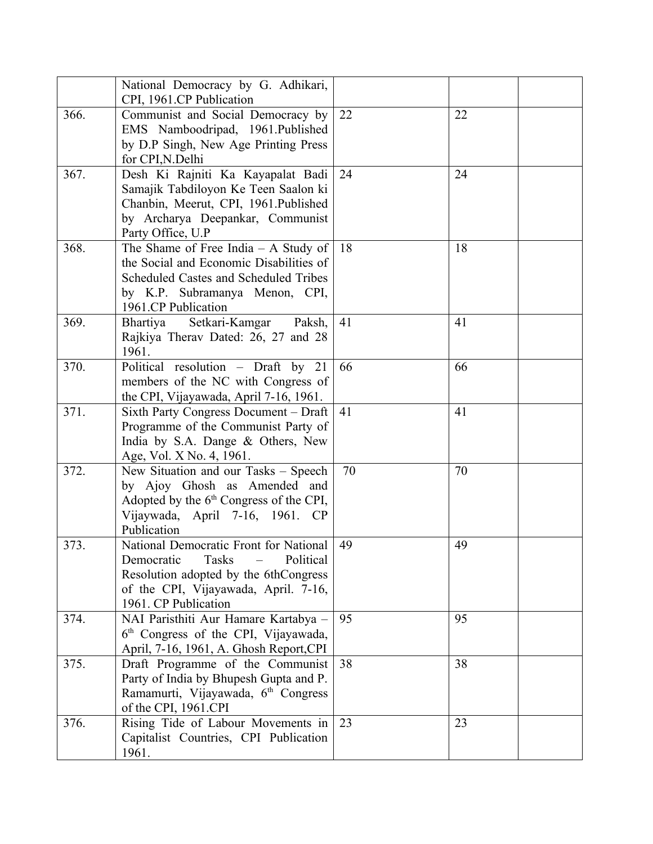|      | National Democracy by G. Adhikari,<br>CPI, 1961.CP Publication                                                                                                                             |    |    |
|------|--------------------------------------------------------------------------------------------------------------------------------------------------------------------------------------------|----|----|
| 366. | Communist and Social Democracy by<br>EMS Namboodripad, 1961.Published<br>by D.P Singh, New Age Printing Press<br>for CPI, N. Delhi                                                         | 22 | 22 |
| 367. | Desh Ki Rajniti Ka Kayapalat Badi<br>Samajik Tabdiloyon Ke Teen Saalon ki<br>Chanbin, Meerut, CPI, 1961.Published<br>by Archarya Deepankar, Communist<br>Party Office, U.P                 | 24 | 24 |
| 368. | The Shame of Free India $-$ A Study of<br>the Social and Economic Disabilities of<br>Scheduled Castes and Scheduled Tribes<br>by K.P. Subramanya Menon, CPI,<br>1961.CP Publication        | 18 | 18 |
| 369. | Setkari-Kamgar<br>Paksh,<br>Bhartiya<br>Rajkiya Therav Dated: 26, 27 and 28<br>1961.                                                                                                       | 41 | 41 |
| 370. | Political resolution - Draft by 21<br>members of the NC with Congress of<br>the CPI, Vijayawada, April 7-16, 1961.                                                                         | 66 | 66 |
| 371. | Sixth Party Congress Document - Draft<br>Programme of the Communist Party of<br>India by S.A. Dange & Others, New<br>Age, Vol. X No. 4, 1961.                                              | 41 | 41 |
| 372. | New Situation and our Tasks – Speech<br>by Ajoy Ghosh as Amended and<br>Adopted by the $6th$ Congress of the CPI,<br>Vijaywada, April 7-16, 1961. CP<br>Publication                        | 70 | 70 |
| 373. | National Democratic Front for National<br><b>Tasks</b><br>Democratic<br>Political<br>Resolution adopted by the 6thCongress<br>of the CPI, Vijayawada, April. 7-16,<br>1961. CP Publication | 49 | 49 |
| 374. | NAI Paristhiti Aur Hamare Kartabya -<br>6 <sup>th</sup> Congress of the CPI, Vijayawada,<br>April, 7-16, 1961, A. Ghosh Report, CPI                                                        | 95 | 95 |
| 375. | Draft Programme of the Communist<br>Party of India by Bhupesh Gupta and P.<br>Ramamurti, Vijayawada, 6 <sup>th</sup> Congress<br>of the CPI, 1961.CPI                                      | 38 | 38 |
| 376. | Rising Tide of Labour Movements in<br>Capitalist Countries, CPI Publication<br>1961.                                                                                                       | 23 | 23 |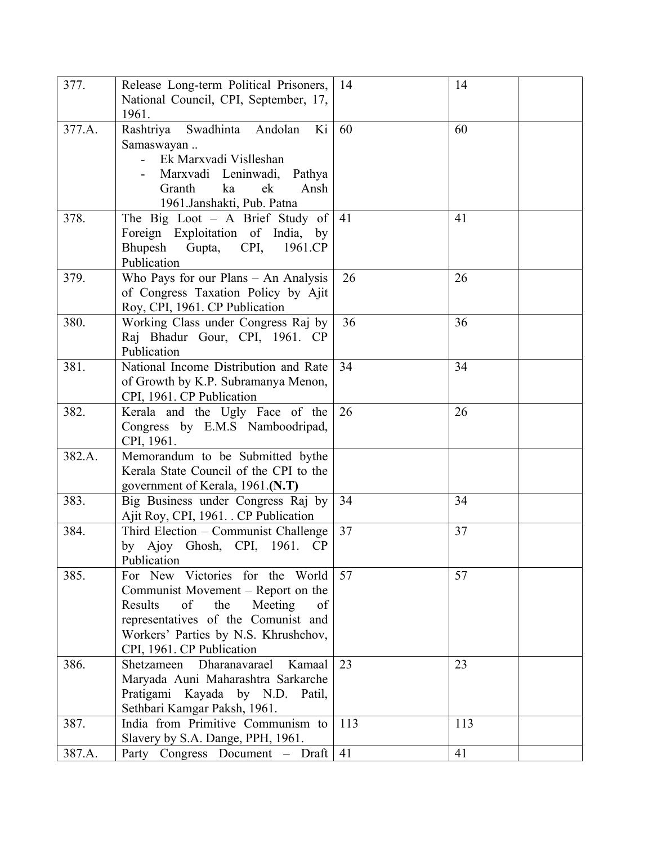| 377.   | Release Long-term Political Prisoners,<br>National Council, CPI, September, 17,<br>1961.                                                                                                                                   | 14  | 14  |
|--------|----------------------------------------------------------------------------------------------------------------------------------------------------------------------------------------------------------------------------|-----|-----|
| 377.A. | Swadhinta<br>Rashtriya<br>Ki<br>Andolan<br>Samaswayan<br>Ek Marxvadi Vislleshan<br>Marxvadi Leninwadi,<br>Pathya<br>ek<br>Ansh<br>Granth<br>ka<br>1961.Janshakti, Pub. Patna                                               | 60  | 60  |
| 378.   | The Big Loot $-$ A Brief Study of<br>Foreign Exploitation of India, by<br>Bhupesh<br>Gupta,<br>CPI,<br>1961.CP<br>Publication                                                                                              | 41  | 41  |
| 379.   | Who Pays for our Plans - An Analysis<br>of Congress Taxation Policy by Ajit<br>Roy, CPI, 1961. CP Publication                                                                                                              | 26  | 26  |
| 380.   | Working Class under Congress Raj by<br>Raj Bhadur Gour, CPI, 1961. CP<br>Publication                                                                                                                                       | 36  | 36  |
| 381.   | National Income Distribution and Rate<br>of Growth by K.P. Subramanya Menon,<br>CPI, 1961. CP Publication                                                                                                                  | 34  | 34  |
| 382.   | Kerala and the Ugly Face of the<br>Congress by E.M.S Namboodripad,<br>CPI, 1961.                                                                                                                                           | 26  | 26  |
| 382.A. | Memorandum to be Submitted bythe<br>Kerala State Council of the CPI to the<br>government of Kerala, 1961.(N.T)                                                                                                             |     |     |
| 383.   | Big Business under Congress Raj by<br>Ajit Roy, CPI, 1961. . CP Publication                                                                                                                                                | 34  | 34  |
| 384.   | Third Election - Communist Challenge<br>by Ajoy Ghosh, CPI, 1961.<br>CP<br>Publication                                                                                                                                     | 37  | 37  |
| 385.   | For New Victories for the World<br>Communist Movement – Report on the<br>of<br>the<br>Meeting<br>Results<br>of<br>representatives of the Comunist and<br>Workers' Parties by N.S. Khrushchov,<br>CPI, 1961. CP Publication | 57  | 57  |
| 386.   | Dharanavarael<br>Kamaal<br>Shetzameen<br>Maryada Auni Maharashtra Sarkarche<br>Pratigami Kayada by N.D. Patil,<br>Sethbari Kamgar Paksh, 1961.                                                                             | 23  | 23  |
| 387.   | India from Primitive Communism to<br>Slavery by S.A. Dange, PPH, 1961.                                                                                                                                                     | 113 | 113 |
| 387.A. | Party Congress Document - Draft                                                                                                                                                                                            | 41  | 41  |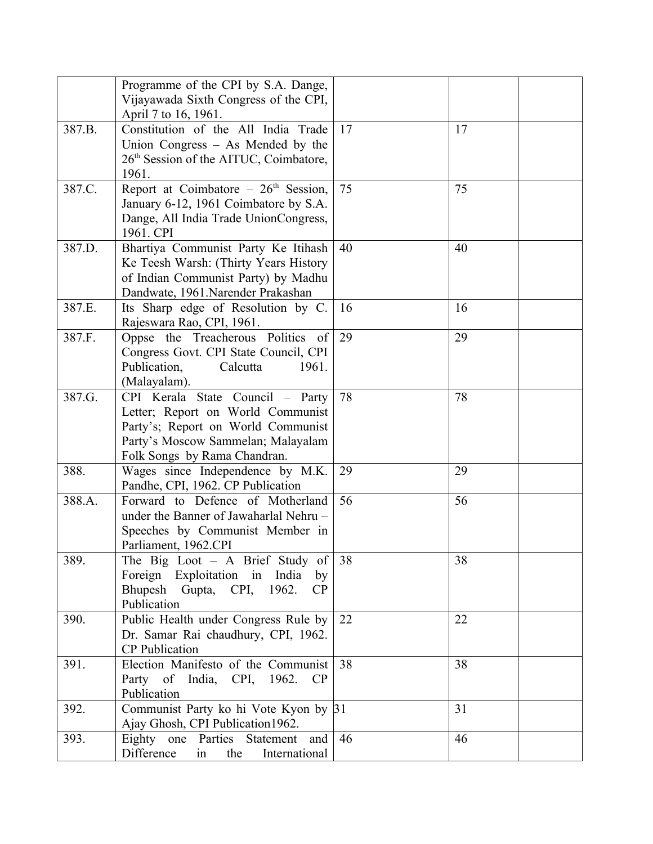|        | Programme of the CPI by S.A. Dange,                |    |    |
|--------|----------------------------------------------------|----|----|
|        | Vijayawada Sixth Congress of the CPI,              |    |    |
|        | April 7 to 16, 1961.                               |    |    |
| 387.B. | Constitution of the All India Trade                | 17 | 17 |
|        | Union Congress $-$ As Mended by the                |    |    |
|        | 26 <sup>th</sup> Session of the AITUC, Coimbatore, |    |    |
|        | 1961.                                              |    |    |
| 387.C. | Report at Coimbatore $-26$ <sup>th</sup> Session,  | 75 | 75 |
|        | January 6-12, 1961 Coimbatore by S.A.              |    |    |
|        | Dange, All India Trade UnionCongress,              |    |    |
|        | 1961. CPI                                          |    |    |
| 387.D. | Bhartiya Communist Party Ke Itihash                | 40 | 40 |
|        | Ke Teesh Warsh: (Thirty Years History              |    |    |
|        | of Indian Communist Party) by Madhu                |    |    |
|        | Dandwate, 1961.Narender Prakashan                  |    |    |
| 387.E. | Its Sharp edge of Resolution by C.                 | 16 | 16 |
|        | Rajeswara Rao, CPI, 1961.                          |    |    |
| 387.F. | Oppse the Treacherous Politics of                  | 29 | 29 |
|        | Congress Govt. CPI State Council, CPI              |    |    |
|        | Publication,<br>Calcutta<br>1961.                  |    |    |
|        | (Malayalam).                                       |    |    |
| 387.G. | CPI Kerala State Council - Party                   | 78 | 78 |
|        | Letter; Report on World Communist                  |    |    |
|        | Party's; Report on World Communist                 |    |    |
|        | Party's Moscow Sammelan; Malayalam                 |    |    |
|        | Folk Songs by Rama Chandran.                       |    |    |
| 388.   | Wages since Independence by M.K.                   | 29 | 29 |
|        | Pandhe, CPI, 1962. CP Publication                  |    |    |
| 388.A. | Forward to Defence of Motherland                   | 56 | 56 |
|        | under the Banner of Jawaharlal Nehru-              |    |    |
|        | Speeches by Communist Member in                    |    |    |
|        | Parliament, 1962.CPI                               |    |    |
| 389.   | The Big Loot $-$ A Brief Study of                  | 38 | 38 |
|        | Foreign Exploitation in India<br>by                |    |    |
|        | Bhupesh Gupta, CPI, 1962.<br>CP                    |    |    |
|        | Publication                                        |    |    |
| 390.   | Public Health under Congress Rule by               | 22 | 22 |
|        | Dr. Samar Rai chaudhury, CPI, 1962.                |    |    |
|        | <b>CP</b> Publication                              |    |    |
| 391.   | Election Manifesto of the Communist                | 38 | 38 |
|        | Party of India, CPI, 1962.<br>CP                   |    |    |
|        | Publication                                        |    |    |
| 392.   |                                                    |    | 31 |
|        | Communist Party ko hi Vote Kyon by 31              |    |    |
|        | Ajay Ghosh, CPI Publication1962.                   |    |    |
| 393.   | Eighty one Parties Statement and                   | 46 | 46 |
|        | Difference<br>in<br>the<br>International           |    |    |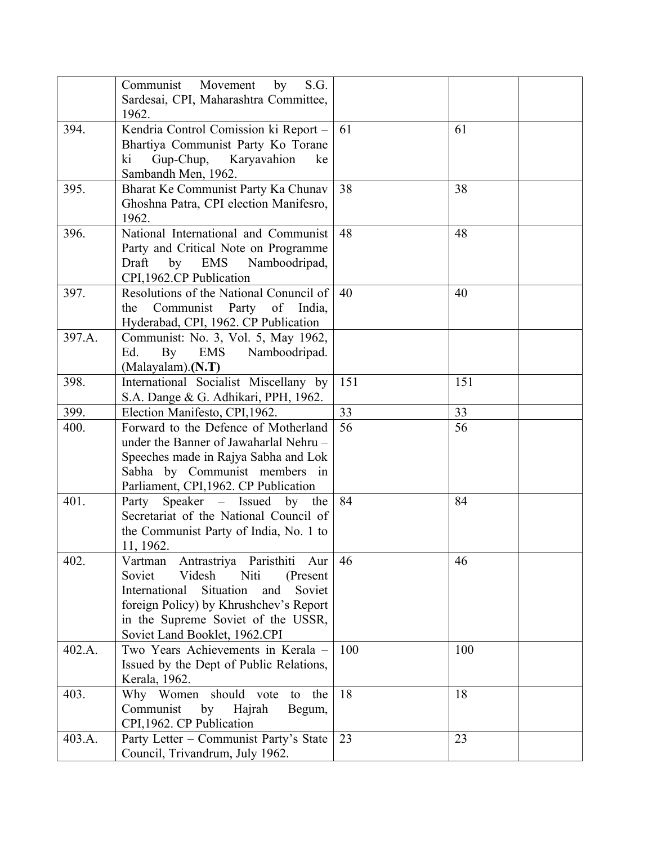|        | Communist Movement<br>by<br>S.G.                                             |     |     |
|--------|------------------------------------------------------------------------------|-----|-----|
|        | Sardesai, CPI, Maharashtra Committee,<br>1962.                               |     |     |
| 394.   | Kendria Control Comission ki Report -                                        | 61  | 61  |
|        | Bhartiya Communist Party Ko Torane                                           |     |     |
|        | Gup-Chup, Karyavahion<br>ki<br>ke                                            |     |     |
| 395.   | Sambandh Men, 1962.<br>Bharat Ke Communist Party Ka Chunav                   | 38  | 38  |
|        | Ghoshna Patra, CPI election Manifesro,                                       |     |     |
|        | 1962.                                                                        |     |     |
| 396.   | National International and Communist                                         | 48  | 48  |
|        | Party and Critical Note on Programme                                         |     |     |
|        | by<br>Draft<br>EMS<br>Namboodripad,                                          |     |     |
|        | CPI,1962.CP Publication                                                      |     |     |
| 397.   | Resolutions of the National Conuncil of                                      | 40  | 40  |
|        | Communist<br>Party<br>of<br>the<br>India,                                    |     |     |
|        | Hyderabad, CPI, 1962. CP Publication                                         |     |     |
| 397.A. | Communist: No. 3, Vol. 5, May 1962,                                          |     |     |
|        | By<br>EMS<br>Namboodripad.<br>Ed.                                            |     |     |
| 398.   | (Malayalam).(N.T)<br>International Socialist Miscellany by                   | 151 | 151 |
|        | S.A. Dange & G. Adhikari, PPH, 1962.                                         |     |     |
| 399.   | Election Manifesto, CPI, 1962.                                               | 33  | 33  |
| 400.   | Forward to the Defence of Motherland                                         | 56  | 56  |
|        | under the Banner of Jawaharlal Nehru-                                        |     |     |
|        | Speeches made in Rajya Sabha and Lok                                         |     |     |
|        | Sabha by Communist members in                                                |     |     |
|        | Parliament, CPI, 1962. CP Publication                                        |     |     |
| 401.   | Speaker – Issued by the<br>Party                                             | 84  | 84  |
|        | Secretariat of the National Council of                                       |     |     |
|        | the Communist Party of India, No. 1 to                                       |     |     |
|        | 11, 1962.                                                                    |     |     |
| 402.   | Antrastriya Paristhiti Aur<br>Vartman                                        | 46  | 46  |
|        | Videsh<br>Niti<br>Soviet<br>(Present)                                        |     |     |
|        | Situation<br>International<br>and<br>Soviet                                  |     |     |
|        | foreign Policy) by Khrushchev's Report<br>in the Supreme Soviet of the USSR, |     |     |
|        | Soviet Land Booklet, 1962.CPI                                                |     |     |
| 402.A. | Two Years Achievements in Kerala -                                           | 100 | 100 |
|        | Issued by the Dept of Public Relations,                                      |     |     |
|        | Kerala, 1962.                                                                |     |     |
| 403.   | Why Women should vote<br>the<br>to                                           | 18  | 18  |
|        | by<br>Communist<br>Hajrah<br>Begum,                                          |     |     |
|        | CPI, 1962. CP Publication                                                    |     |     |
| 403.A. | Party Letter - Communist Party's State                                       | 23  | 23  |
|        | Council, Trivandrum, July 1962.                                              |     |     |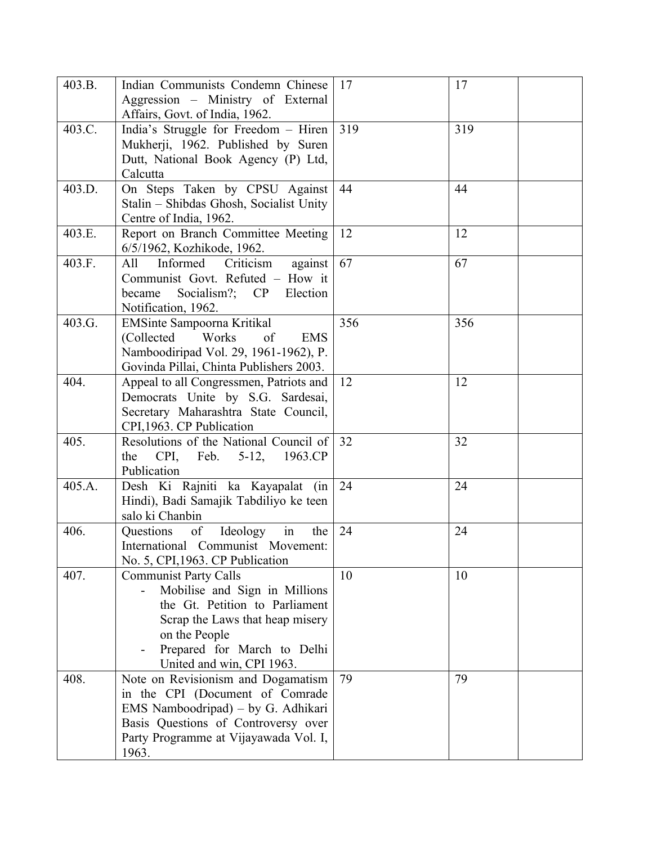| 403.B. | Indian Communists Condemn Chinese<br>Aggression - Ministry of External<br>Affairs, Govt. of India, 1962.                                                                                                        | 17  | 17  |
|--------|-----------------------------------------------------------------------------------------------------------------------------------------------------------------------------------------------------------------|-----|-----|
| 403.C. | India's Struggle for Freedom - Hiren<br>Mukherji, 1962. Published by Suren<br>Dutt, National Book Agency (P) Ltd,<br>Calcutta                                                                                   | 319 | 319 |
| 403.D. | On Steps Taken by CPSU Against<br>Stalin - Shibdas Ghosh, Socialist Unity<br>Centre of India, 1962.                                                                                                             | 44  | 44  |
| 403.E. | Report on Branch Committee Meeting<br>6/5/1962, Kozhikode, 1962.                                                                                                                                                | 12  | 12  |
| 403.F. | Informed<br>Criticism<br>All<br>against<br>Communist Govt. Refuted - How it<br>Socialism?; CP<br>Election<br>became<br>Notification, 1962.                                                                      | 67  | 67  |
| 403.G. | EMSinte Sampoorna Kritikal<br>(Collected Works)<br>of<br><b>EMS</b><br>Namboodiripad Vol. 29, 1961-1962), P.<br>Govinda Pillai, Chinta Publishers 2003.                                                         | 356 | 356 |
| 404.   | Appeal to all Congressmen, Patriots and<br>Democrats Unite by S.G. Sardesai,<br>Secretary Maharashtra State Council,<br>CPI, 1963. CP Publication                                                               | 12  | 12  |
| 405.   | Resolutions of the National Council of<br>the CPI, Feb. 5-12, 1963.CP<br>Publication                                                                                                                            | 32  | 32  |
| 405.A. | Desh Ki Rajniti ka Kayapalat (in<br>Hindi), Badi Samajik Tabdiliyo ke teen<br>salo ki Chanbin                                                                                                                   | 24  | 24  |
| 406.   | in<br>Ideology<br>Questions<br>of<br>the<br>International Communist Movement:<br>No. 5, CPI, 1963. CP Publication                                                                                               | 24  | 24  |
| 407.   | <b>Communist Party Calls</b><br>Mobilise and Sign in Millions<br>the Gt. Petition to Parliament<br>Scrap the Laws that heap misery<br>on the People<br>Prepared for March to Delhi<br>United and win, CPI 1963. | 10  | 10  |
| 408.   | Note on Revisionism and Dogamatism<br>in the CPI (Document of Comrade<br>EMS Namboodripad) – by G. Adhikari<br>Basis Questions of Controversy over<br>Party Programme at Vijayawada Vol. I,<br>1963.            | 79  | 79  |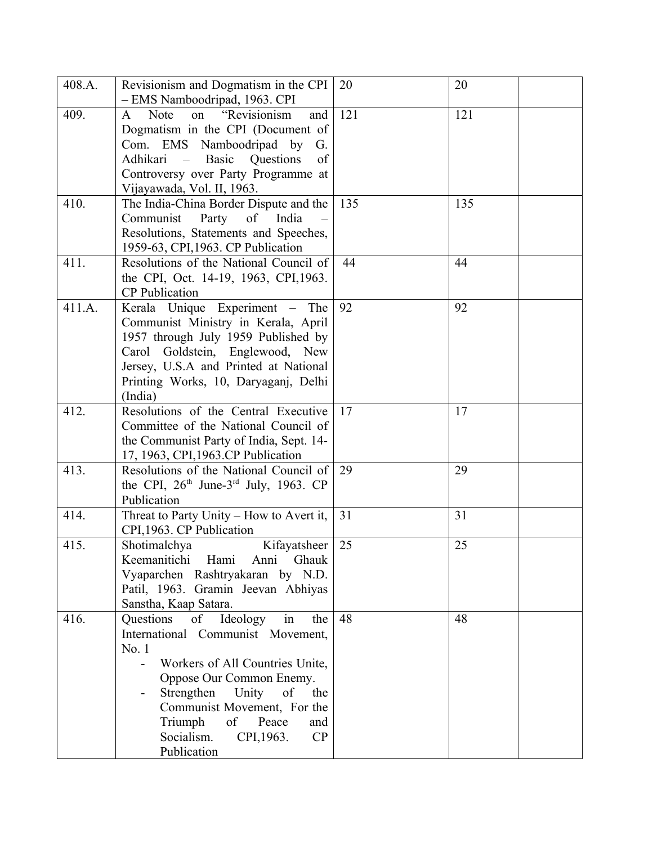| 408.A. | Revisionism and Dogmatism in the CPI<br>- EMS Namboodripad, 1963. CPI                                                                                                                                                                                                                                  | 20  | 20  |
|--------|--------------------------------------------------------------------------------------------------------------------------------------------------------------------------------------------------------------------------------------------------------------------------------------------------------|-----|-----|
| 409.   | "Revisionism<br>Note<br>$\mathbf{A}$<br>on<br>and<br>Dogmatism in the CPI (Document of<br>Com. EMS Namboodripad by<br>G.<br>Adhikari<br>of<br>- Basic<br>Questions<br>Controversy over Party Programme at<br>Vijayawada, Vol. II, 1963.                                                                | 121 | 121 |
| 410.   | The India-China Border Dispute and the<br>Communist<br>Party<br>of<br>India<br>Resolutions, Statements and Speeches,<br>1959-63, CPI, 1963. CP Publication                                                                                                                                             | 135 | 135 |
| 411.   | Resolutions of the National Council of<br>the CPI, Oct. 14-19, 1963, CPI, 1963.<br><b>CP</b> Publication                                                                                                                                                                                               | 44  | 44  |
| 411.A. | Kerala Unique Experiment – The<br>Communist Ministry in Kerala, April<br>1957 through July 1959 Published by<br>Carol Goldstein, Englewood, New<br>Jersey, U.S.A and Printed at National<br>Printing Works, 10, Daryaganj, Delhi<br>(India)                                                            | 92  | 92  |
| 412.   | Resolutions of the Central Executive<br>Committee of the National Council of<br>the Communist Party of India, Sept. 14-<br>17, 1963, CPI, 1963.CP Publication                                                                                                                                          | 17  | 17  |
| 413.   | Resolutions of the National Council of<br>the CPI, $26th$ June-3 <sup>rd</sup> July, 1963. CP<br>Publication                                                                                                                                                                                           | 29  | 29  |
| 414.   | Threat to Party Unity - How to Avert it,<br>CPI, 1963. CP Publication                                                                                                                                                                                                                                  | 31  | 31  |
| 415.   | Shotimalchya<br>Kifayatsheer<br>Hami<br>Keemanitichi<br>Anni<br>Ghauk<br>Vyaparchen Rashtryakaran by N.D.<br>Patil, 1963. Gramin Jeevan Abhiyas<br>Sanstha, Kaap Satara.                                                                                                                               | 25  | 25  |
| 416.   | Ideology<br>Questions<br>of<br>in<br>the<br>International Communist Movement,<br>No.1<br>Workers of All Countries Unite,<br>Oppose Our Common Enemy.<br>Strengthen Unity<br>of<br>the<br>Communist Movement, For the<br>Triumph<br>of<br>Peace<br>and<br>Socialism.<br>CP<br>CPI, 1963.<br>Publication | 48  | 48  |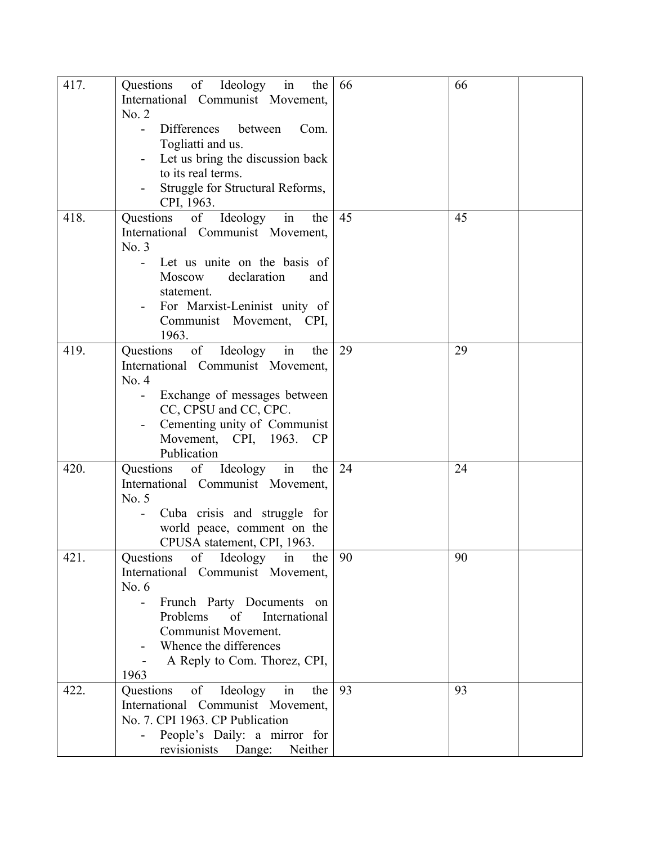| 417. | Questions of Ideology in<br>the<br>International Communist Movement,<br>No. 2<br><b>Differences</b><br>between<br>Com.<br>Togliatti and us.<br>Let us bring the discussion back<br>to its real terms.<br>Struggle for Structural Reforms,<br>CPI, 1963.                    | 66 | 66 |
|------|----------------------------------------------------------------------------------------------------------------------------------------------------------------------------------------------------------------------------------------------------------------------------|----|----|
| 418. | in<br>Questions<br>of<br>Ideology<br>the<br>International Communist Movement,<br>No. 3<br>Let us unite on the basis of<br>Moscow<br>declaration<br>and<br>statement.<br>For Marxist-Leninist unity of<br>Communist Movement, CPI,<br>1963.                                 | 45 | 45 |
| 419. | Questions<br>of Ideology<br>in<br>the<br>International Communist Movement,<br>No. 4<br>Exchange of messages between<br>CC, CPSU and CC, CPC.<br>Cementing unity of Communist<br>Movement, CPI, 1963. CP<br>Publication                                                     | 29 | 29 |
| 420. | Questions of Ideology in<br>the<br>International Communist Movement,<br>No. 5<br>Cuba crisis and struggle for<br>world peace, comment on the<br>CPUSA statement, CPI, 1963.                                                                                                | 24 | 24 |
| 421. | Questions<br>of<br>Ideology<br>in<br>the<br>International Communist Movement,<br>No. $6$<br>Frunch Party Documents on<br>$\overline{\phantom{0}}$<br>Problems of<br>International<br>Communist Movement.<br>Whence the differences<br>A Reply to Com. Thorez, CPI,<br>1963 | 90 | 90 |
| 422. | Questions<br>of Ideology<br>in<br>the<br>International Communist Movement,<br>No. 7. CPI 1963. CP Publication<br>People's Daily: a mirror for<br>Neither<br>revisionists Dange:                                                                                            | 93 | 93 |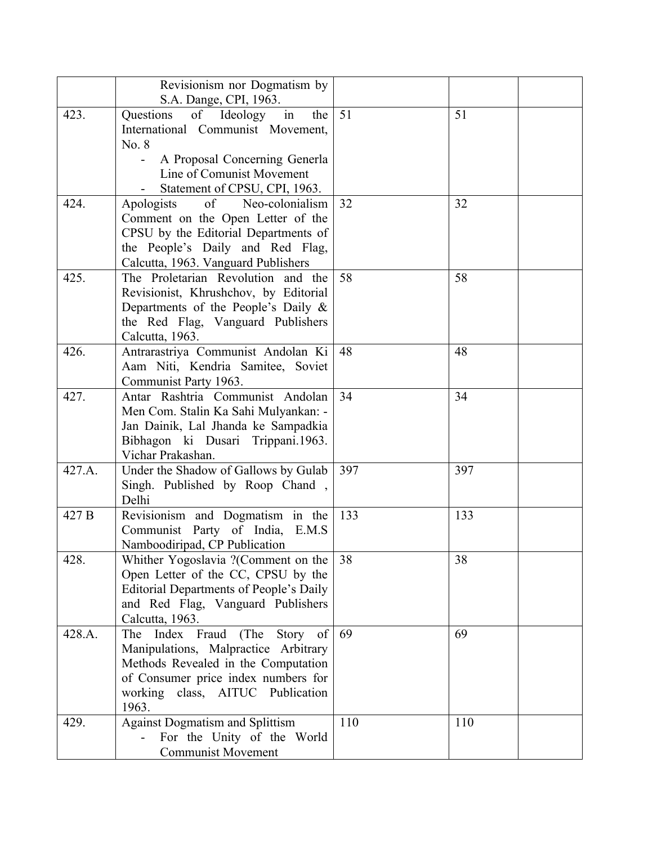|        | Revisionism nor Dogmatism by<br>S.A. Dange, CPI, 1963.                                                                                                                                                       |     |     |
|--------|--------------------------------------------------------------------------------------------------------------------------------------------------------------------------------------------------------------|-----|-----|
| 423.   | Questions<br>of<br>Ideology in<br>the<br>International Communist Movement,<br>No. 8<br>A Proposal Concerning Generla<br>Line of Comunist Movement<br>Statement of CPSU, CPI, 1963.                           | 51  | 51  |
| 424.   | of<br>Neo-colonialism<br>Apologists<br>Comment on the Open Letter of the<br>CPSU by the Editorial Departments of<br>the People's Daily and Red Flag,<br>Calcutta, 1963. Vanguard Publishers                  | 32  | 32  |
| 425.   | The Proletarian Revolution and the<br>Revisionist, Khrushchov, by Editorial<br>Departments of the People's Daily &<br>the Red Flag, Vanguard Publishers<br>Calcutta, 1963.                                   | 58  | 58  |
| 426.   | Antrarastriya Communist Andolan Ki<br>Aam Niti, Kendria Samitee, Soviet<br>Communist Party 1963.                                                                                                             | 48  | 48  |
| 427.   | Antar Rashtria Communist Andolan<br>Men Com. Stalin Ka Sahi Mulyankan: -<br>Jan Dainik, Lal Jhanda ke Sampadkia<br>Bibhagon ki Dusari Trippani.1963.<br>Vichar Prakashan.                                    | 34  | 34  |
| 427.A. | Under the Shadow of Gallows by Gulab<br>Singh. Published by Roop Chand,<br>Delhi                                                                                                                             | 397 | 397 |
| 427 B  | Revisionism and Dogmatism in the<br>Communist Party of India, E.M.S.<br>Namboodiripad, CP Publication                                                                                                        | 133 | 133 |
| 428.   | Whither Yogoslavia ? (Comment on the<br>Open Letter of the CC, CPSU by the<br><b>Editorial Departments of People's Daily</b><br>and Red Flag, Vanguard Publishers<br>Calcutta, 1963.                         | 38  | 38  |
| 428.A. | Index Fraud<br>(The<br>Story<br>The<br>of<br>Manipulations, Malpractice Arbitrary<br>Methods Revealed in the Computation<br>of Consumer price index numbers for<br>working class, AITUC Publication<br>1963. | 69  | 69  |
| 429.   | <b>Against Dogmatism and Splittism</b><br>For the Unity of the World<br><b>Communist Movement</b>                                                                                                            | 110 | 110 |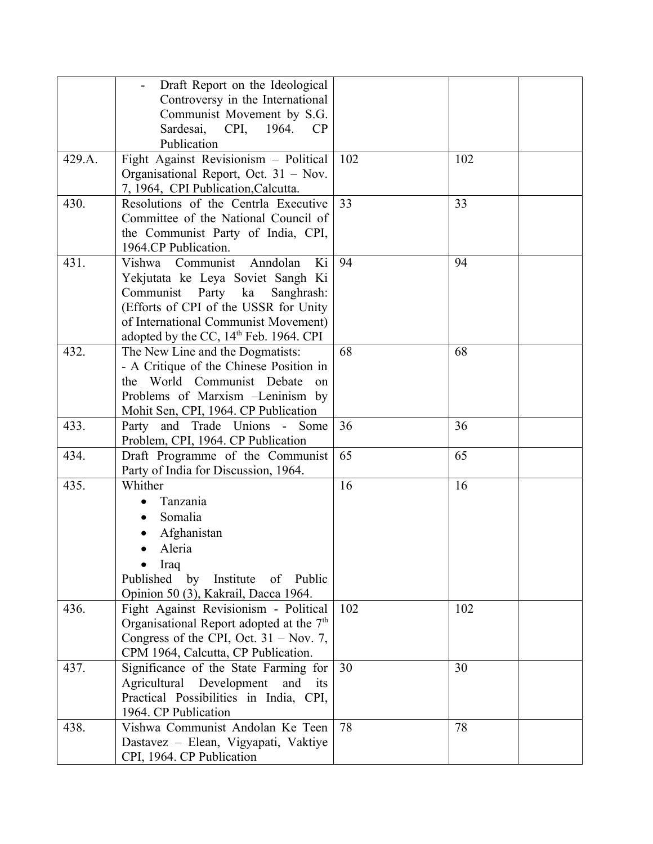|        | Draft Report on the Ideological                    |     |     |
|--------|----------------------------------------------------|-----|-----|
|        | Controversy in the International                   |     |     |
|        | Communist Movement by S.G.                         |     |     |
|        | CPI,<br>Sardesai,<br>1964.<br>CP                   |     |     |
|        | Publication                                        |     |     |
| 429.A. | Fight Against Revisionism - Political              | 102 | 102 |
|        | Organisational Report, Oct. 31 – Nov.              |     |     |
|        | 7, 1964, CPI Publication, Calcutta.                |     |     |
| 430.   | Resolutions of the Centrla Executive               | 33  | 33  |
|        | Committee of the National Council of               |     |     |
|        | the Communist Party of India, CPI,                 |     |     |
|        | 1964.CP Publication.                               |     |     |
| 431.   | Vishwa Communist<br>Anndolan<br>Ki                 | 94  | 94  |
|        | Yekjutata ke Leya Soviet Sangh Ki                  |     |     |
|        | Communist<br>Party ka<br>Sanghrash:                |     |     |
|        | (Efforts of CPI of the USSR for Unity              |     |     |
|        | of International Communist Movement)               |     |     |
|        | adopted by the CC, 14 <sup>th</sup> Feb. 1964. CPI |     |     |
| 432.   | The New Line and the Dogmatists:                   | 68  | 68  |
|        | - A Critique of the Chinese Position in            |     |     |
|        | the World Communist Debate<br><sub>on</sub>        |     |     |
|        | Problems of Marxism -Leninism by                   |     |     |
|        | Mohit Sen, CPI, 1964. CP Publication               |     |     |
| 433.   | Party and Trade Unions - Some                      | 36  | 36  |
|        | Problem, CPI, 1964. CP Publication                 |     |     |
| 434.   | Draft Programme of the Communist                   | 65  | 65  |
|        | Party of India for Discussion, 1964.               |     |     |
| 435.   | Whither                                            | 16  | 16  |
|        | Tanzania                                           |     |     |
|        | Somalia                                            |     |     |
|        | Afghanistan                                        |     |     |
|        | Aleria                                             |     |     |
|        | Iraq                                               |     |     |
|        | Published by Institute of Public                   |     |     |
|        | Opinion 50 (3), Kakrail, Dacca 1964.               |     |     |
| 436.   | Fight Against Revisionism - Political              | 102 | 102 |
|        | Organisational Report adopted at the $7th$         |     |     |
|        | Congress of the CPI, Oct. $31 - \text{Nov. } 7$ ,  |     |     |
|        | CPM 1964, Calcutta, CP Publication.                |     |     |
| 437.   | Significance of the State Farming for              | 30  | 30  |
|        | Agricultural Development<br>and<br>its             |     |     |
|        | Practical Possibilities in India, CPI,             |     |     |
|        | 1964. CP Publication                               |     |     |
| 438.   | Vishwa Communist Andolan Ke Teen                   | 78  | 78  |
|        | Dastavez - Elean, Vigyapati, Vaktiye               |     |     |
|        | CPI, 1964. CP Publication                          |     |     |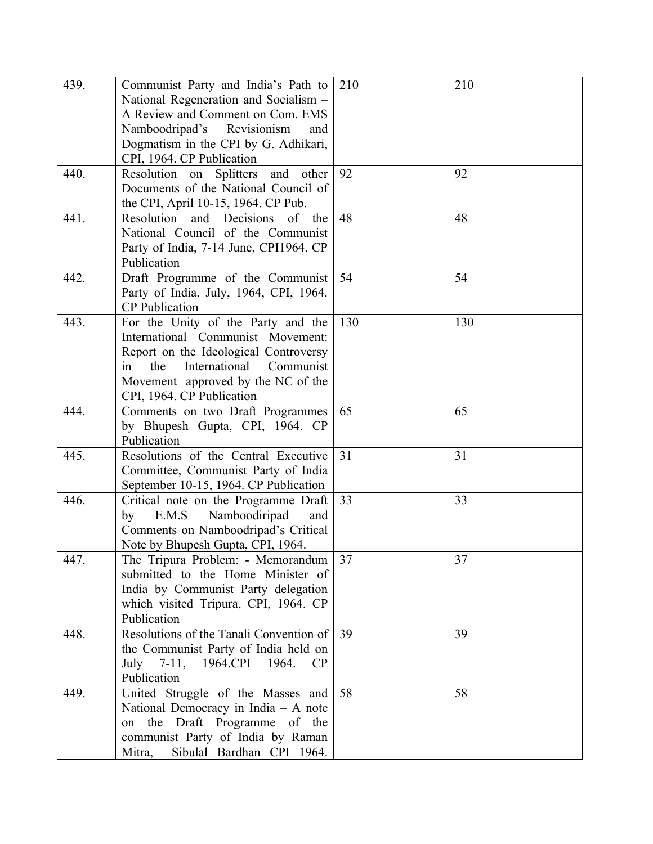| 439. | Communist Party and India's Path to<br>National Regeneration and Socialism -<br>A Review and Comment on Com. EMS<br>Namboodripad's<br>Revisionism<br>and<br>Dogmatism in the CPI by G. Adhikari,<br>CPI, 1964. CP Publication  | 210 | 210 |
|------|--------------------------------------------------------------------------------------------------------------------------------------------------------------------------------------------------------------------------------|-----|-----|
| 440. | Resolution on<br><b>Splitters</b><br>and<br>other<br>Documents of the National Council of<br>the CPI, April 10-15, 1964. CP Pub.                                                                                               | 92  | 92  |
| 441. | Resolution<br>Decisions<br>of<br>and<br>the<br>National Council of the Communist<br>Party of India, 7-14 June, CPI1964. CP<br>Publication                                                                                      | 48  | 48  |
| 442. | Draft Programme of the Communist<br>Party of India, July, 1964, CPI, 1964.<br><b>CP</b> Publication                                                                                                                            | 54  | 54  |
| 443. | For the Unity of the Party and the<br>International Communist Movement:<br>Report on the Ideological Controversy<br>International<br>Communist<br>the<br>in<br>Movement approved by the NC of the<br>CPI, 1964. CP Publication | 130 | 130 |
| 444. | Comments on two Draft Programmes<br>by Bhupesh Gupta, CPI, 1964. CP<br>Publication                                                                                                                                             | 65  | 65  |
| 445. | Resolutions of the Central Executive<br>Committee, Communist Party of India<br>September 10-15, 1964. CP Publication                                                                                                           | 31  | 31  |
| 446. | Critical note on the Programme Draft<br>E.M.S<br>Namboodiripad<br>by<br>and<br>Comments on Namboodripad's Critical<br>Note by Bhupesh Gupta, CPI, 1964.                                                                        | 33  | 33  |
| 447. | The Tripura Problem: - Memorandum<br>submitted to the Home Minister of<br>India by Communist Party delegation<br>which visited Tripura, CPI, 1964. CP<br>Publication                                                           | 37  | 37  |
| 448. | Resolutions of the Tanali Convention of<br>the Communist Party of India held on<br>July $7-11$ ,<br>1964.CPI 1964.<br><b>CP</b><br>Publication                                                                                 | 39  | 39  |
| 449. | United Struggle of the Masses and<br>National Democracy in India $-$ A note<br>the Draft Programme of the<br>on<br>communist Party of India by Raman<br>Sibulal Bardhan CPI 1964.<br>Mitra,                                    | 58  | 58  |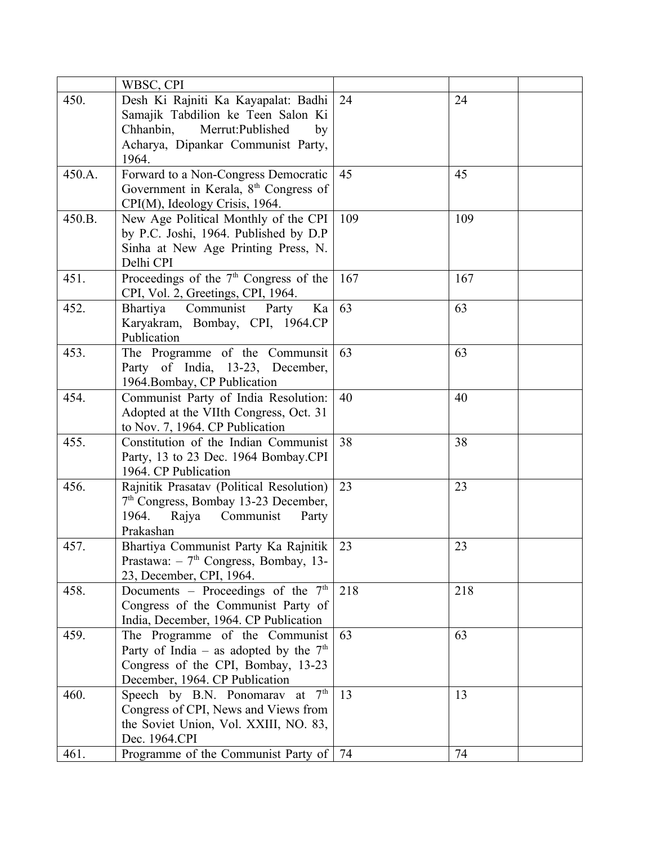|        | WBSC, CPI                                                                  |     |     |
|--------|----------------------------------------------------------------------------|-----|-----|
| 450.   | Desh Ki Rajniti Ka Kayapalat: Badhi                                        | 24  | 24  |
|        | Samajik Tabdilion ke Teen Salon Ki                                         |     |     |
|        | Chhanbin,<br>Merrut:Published<br>by                                        |     |     |
|        | Acharya, Dipankar Communist Party,                                         |     |     |
|        | 1964.                                                                      |     |     |
| 450.A. | Forward to a Non-Congress Democratic                                       | 45  | 45  |
|        | Government in Kerala, 8 <sup>th</sup> Congress of                          |     |     |
|        | CPI(M), Ideology Crisis, 1964.                                             |     |     |
| 450.B. | New Age Political Monthly of the CPI                                       | 109 | 109 |
|        | by P.C. Joshi, 1964. Published by D.P                                      |     |     |
|        | Sinha at New Age Printing Press, N.                                        |     |     |
|        | Delhi CPI                                                                  |     |     |
| 451.   | Proceedings of the $7th$ Congress of the                                   | 167 | 167 |
|        | CPI, Vol. 2, Greetings, CPI, 1964.                                         |     |     |
| 452.   | Communist<br>Bhartiya<br>Party<br>Ka                                       | 63  | 63  |
|        | Karyakram, Bombay, CPI, 1964.CP                                            |     |     |
|        | Publication                                                                |     |     |
| 453.   | The Programme of the Communsit                                             | 63  | 63  |
|        | Party of India, 13-23, December,                                           |     |     |
|        | 1964. Bombay, CP Publication                                               |     |     |
| 454.   | Communist Party of India Resolution:                                       | 40  | 40  |
|        | Adopted at the VIIth Congress, Oct. 31                                     |     |     |
|        | to Nov. 7, 1964. CP Publication                                            |     |     |
| 455.   | Constitution of the Indian Communist                                       | 38  | 38  |
|        | Party, 13 to 23 Dec. 1964 Bombay.CPI                                       |     |     |
|        | 1964. CP Publication                                                       |     |     |
| 456.   | Rajnitik Prasatav (Political Resolution)                                   | 23  | 23  |
|        | 7 <sup>th</sup> Congress, Bombay 13-23 December,                           |     |     |
|        | 1964.<br>Rajya Communist<br>Party                                          |     |     |
|        | Prakashan                                                                  |     |     |
| 457.   | Bhartiya Communist Party Ka Rajnitik                                       | 23  | 23  |
|        | Prastawa: $-7th$ Congress, Bombay, 13-                                     |     |     |
| 458.   | 23, December, CPI, 1964.                                                   | 218 | 218 |
|        | Documents - Proceedings of the 7 <sup>th</sup>                             |     |     |
|        | Congress of the Communist Party of                                         |     |     |
| 459.   | India, December, 1964. CP Publication                                      | 63  | 63  |
|        | The Programme of the Communist<br>Party of India – as adopted by the $7th$ |     |     |
|        | Congress of the CPI, Bombay, 13-23                                         |     |     |
|        | December, 1964. CP Publication                                             |     |     |
| 460.   | Speech by B.N. Ponomarav at 7 <sup>th</sup>                                | 13  | 13  |
|        | Congress of CPI, News and Views from                                       |     |     |
|        | the Soviet Union, Vol. XXIII, NO. 83,                                      |     |     |
|        | Dec. 1964.CPI                                                              |     |     |
| 461.   | Programme of the Communist Party of   74                                   |     | 74  |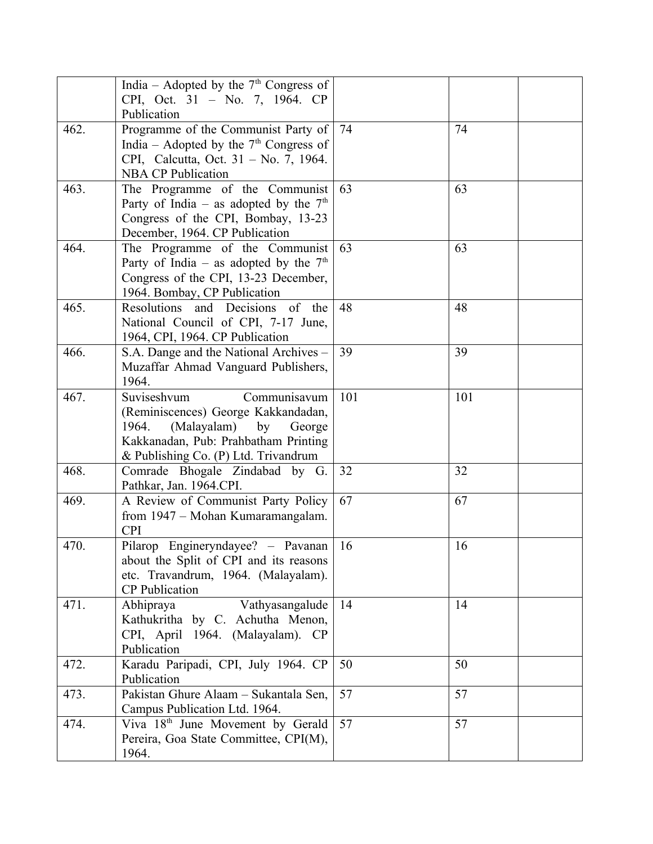|      | India – Adopted by the $7th$ Congress of                             |     |     |
|------|----------------------------------------------------------------------|-----|-----|
|      | CPI, Oct. 31 - No. 7, 1964. CP                                       |     |     |
|      | Publication                                                          |     |     |
| 462. | Programme of the Communist Party of                                  | 74  | 74  |
|      | India – Adopted by the $7th$ Congress of                             |     |     |
|      | CPI, Calcutta, Oct. 31 – No. 7, 1964.                                |     |     |
|      | <b>NBA CP Publication</b>                                            |     |     |
| 463. | The Programme of the Communist                                       | 63  | 63  |
|      | Party of India – as adopted by the $7th$                             |     |     |
|      | Congress of the CPI, Bombay, 13-23<br>December, 1964. CP Publication |     |     |
| 464. | The Programme of the Communist                                       | 63  | 63  |
|      | Party of India – as adopted by the $7th$                             |     |     |
|      | Congress of the CPI, 13-23 December,                                 |     |     |
|      | 1964. Bombay, CP Publication                                         |     |     |
| 465. | Resolutions and Decisions of the                                     | 48  | 48  |
|      | National Council of CPI, 7-17 June,                                  |     |     |
|      | 1964, CPI, 1964. CP Publication                                      |     |     |
| 466. | S.A. Dange and the National Archives –                               | 39  | 39  |
|      | Muzaffar Ahmad Vanguard Publishers,                                  |     |     |
|      | 1964.                                                                |     |     |
| 467. | Suviseshvum<br>Communisavum                                          | 101 | 101 |
|      | (Reminiscences) George Kakkandadan,                                  |     |     |
|      | (Malayalam) by<br>1964.<br>George                                    |     |     |
|      | Kakkanadan, Pub: Prahbatham Printing                                 |     |     |
|      | & Publishing Co. (P) Ltd. Trivandrum                                 |     |     |
| 468. | Comrade Bhogale Zindabad by G.                                       | 32  | 32  |
|      | Pathkar, Jan. 1964.CPI.                                              |     |     |
| 469. | A Review of Communist Party Policy                                   | 67  | 67  |
|      | from 1947 – Mohan Kumaramangalam.<br><b>CPI</b>                      |     |     |
| 470. | Pilarop Engineryndayee? - Pavanan                                    | 16  | 16  |
|      | about the Split of CPI and its reasons                               |     |     |
|      | etc. Travandrum, 1964. (Malayalam).                                  |     |     |
|      | <b>CP</b> Publication                                                |     |     |
| 471. | Vathyasangalude<br>Abhipraya                                         | 14  | 14  |
|      | Kathukritha by C. Achutha Menon,                                     |     |     |
|      | CPI, April 1964. (Malayalam). CP                                     |     |     |
|      | Publication                                                          |     |     |
| 472. | Karadu Paripadi, CPI, July 1964. CP                                  | 50  | 50  |
|      | Publication                                                          |     |     |
| 473. | Pakistan Ghure Alaam - Sukantala Sen,                                | 57  | 57  |
|      | Campus Publication Ltd. 1964.                                        |     |     |
| 474. | Viva 18 <sup>th</sup> June Movement by Gerald                        | 57  | 57  |
|      | Pereira, Goa State Committee, CPI(M),                                |     |     |
|      | 1964.                                                                |     |     |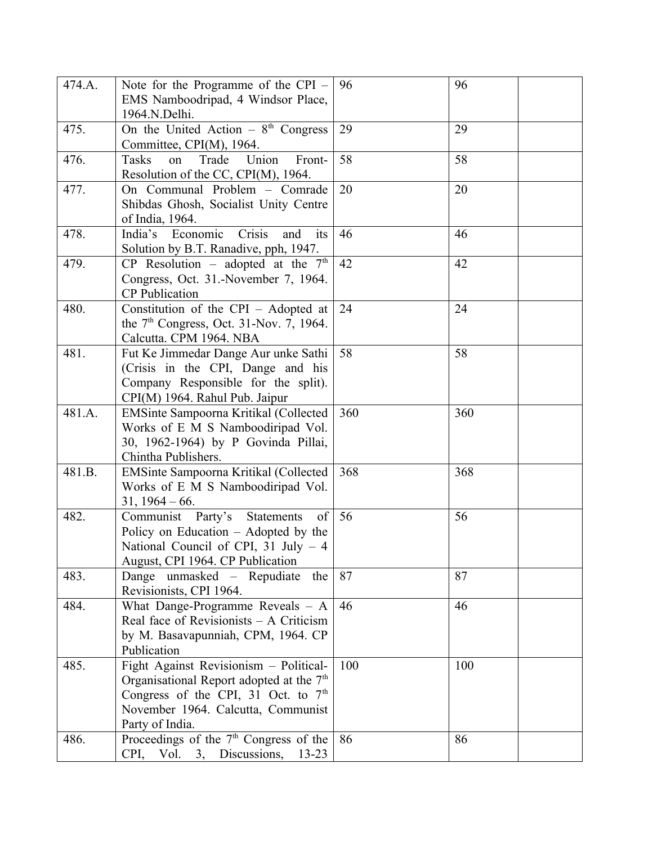| 474.A. | Note for the Programme of the CPI -<br>EMS Namboodripad, 4 Windsor Place,<br>1964.N.Delhi.                                                                                             | 96  | 96  |
|--------|----------------------------------------------------------------------------------------------------------------------------------------------------------------------------------------|-----|-----|
| 475.   | On the United Action $-8^{th}$ Congress<br>Committee, CPI(M), 1964.                                                                                                                    | 29  | 29  |
| 476.   | Union<br>Tasks<br>Trade<br>on<br>Front-<br>Resolution of the CC, CPI(M), 1964.                                                                                                         | 58  | 58  |
| 477.   | On Communal Problem - Comrade<br>Shibdas Ghosh, Socialist Unity Centre<br>of India, 1964.                                                                                              | 20  | 20  |
| 478.   | India's Economic<br>Crisis<br>its<br>and<br>Solution by B.T. Ranadive, pph, 1947.                                                                                                      | 46  | 46  |
| 479.   | CP Resolution – adopted at the $7th$<br>Congress, Oct. 31.-November 7, 1964.<br><b>CP</b> Publication                                                                                  | 42  | 42  |
| 480.   | Constitution of the CPI – Adopted at<br>the $7th$ Congress, Oct. 31-Nov. 7, 1964.<br>Calcutta. CPM 1964. NBA                                                                           | 24  | 24  |
| 481.   | Fut Ke Jimmedar Dange Aur unke Sathi<br>(Crisis in the CPI, Dange and his<br>Company Responsible for the split).<br>CPI(M) 1964. Rahul Pub. Jaipur                                     | 58  | 58  |
| 481.A. | EMSinte Sampoorna Kritikal (Collected<br>Works of E M S Namboodiripad Vol.<br>30, 1962-1964) by P Govinda Pillai,<br>Chintha Publishers.                                               | 360 | 360 |
| 481.B. | EMSinte Sampoorna Kritikal (Collected<br>Works of E M S Namboodiripad Vol.<br>$31, 1964 - 66.$                                                                                         | 368 | 368 |
| 482.   | Communist Party's Statements<br>of<br>Policy on Education - Adopted by the<br>National Council of CPI, 31 July $-4$<br>August, CPI 1964. CP Publication                                | 56  | 56  |
| 483.   | Dange unmasked – Repudiate<br>the<br>Revisionists, CPI 1964.                                                                                                                           | 87  | 87  |
| 484.   | What Dange-Programme Reveals - A<br>Real face of Revisionists $- A$ Criticism<br>by M. Basavapunniah, CPM, 1964. CP<br>Publication                                                     | 46  | 46  |
| 485.   | Fight Against Revisionism - Political-<br>Organisational Report adopted at the $7th$<br>Congress of the CPI, 31 Oct. to $7th$<br>November 1964. Calcutta, Communist<br>Party of India. | 100 | 100 |
| 486.   | Proceedings of the $7th$ Congress of the<br>CPI, Vol. 3, Discussions, 13-23                                                                                                            | 86  | 86  |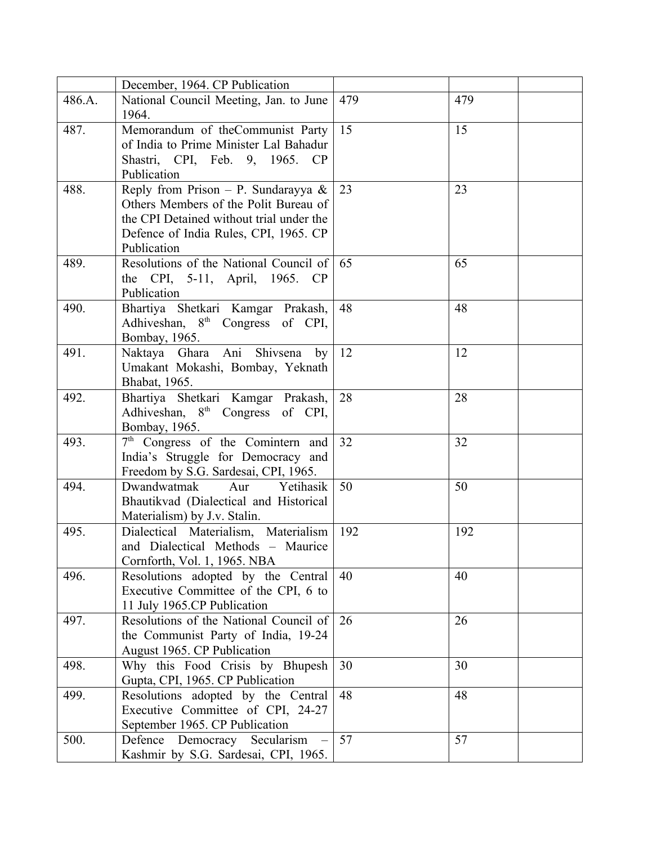|        | December, 1964. CP Publication                                        |     |     |
|--------|-----------------------------------------------------------------------|-----|-----|
| 486.A. | National Council Meeting, Jan. to June                                | 479 | 479 |
|        | 1964.                                                                 |     |     |
| 487.   | Memorandum of theCommunist Party                                      | 15  | 15  |
|        | of India to Prime Minister Lal Bahadur                                |     |     |
|        | Shastri, CPI, Feb. 9, 1965. CP                                        |     |     |
|        | Publication                                                           |     |     |
| 488.   | Reply from Prison – P. Sundarayya &                                   | 23  | 23  |
|        | Others Members of the Polit Bureau of                                 |     |     |
|        | the CPI Detained without trial under the                              |     |     |
|        | Defence of India Rules, CPI, 1965. CP                                 |     |     |
|        | Publication                                                           |     |     |
| 489.   | Resolutions of the National Council of                                | 65  | 65  |
|        | the CPI, 5-11, April, 1965. CP                                        |     |     |
|        | Publication                                                           |     |     |
| 490.   | Bhartiya Shetkari Kamgar Prakash,                                     | 48  | 48  |
|        | Adhiveshan, 8 <sup>th</sup> Congress of CPI,                          |     |     |
|        | Bombay, 1965.                                                         |     |     |
| 491.   | Naktaya Ghara Ani Shivsena<br>by                                      | 12  | 12  |
|        | Umakant Mokashi, Bombay, Yeknath                                      |     |     |
|        | Bhabat, 1965.                                                         |     |     |
| 492.   | Bhartiya Shetkari Kamgar Prakash,                                     | 28  | 28  |
|        | Adhiveshan, 8 <sup>th</sup> Congress of CPI,                          |     |     |
|        | Bombay, 1965.                                                         |     |     |
| 493.   | 7 <sup>th</sup> Congress of the Comintern and                         | 32  | 32  |
|        | India's Struggle for Democracy and                                    |     |     |
|        | Freedom by S.G. Sardesai, CPI, 1965.                                  |     |     |
| 494.   | Dwandwatmak<br>Yetihasik<br>Aur                                       | 50  | 50  |
|        | Bhautikvad (Dialectical and Historical                                |     |     |
|        | Materialism) by J.v. Stalin.                                          |     |     |
| 495.   | Dialectical Materialism, Materialism                                  | 192 | 192 |
|        | and Dialectical Methods - Maurice                                     |     |     |
|        | Cornforth, Vol. 1, 1965. NBA                                          |     |     |
| 496.   | Resolutions adopted by the Central                                    | 40  | 40  |
|        | Executive Committee of the CPI, 6 to                                  |     |     |
| 497.   | 11 July 1965.CP Publication<br>Resolutions of the National Council of | 26  | 26  |
|        | the Communist Party of India, 19-24                                   |     |     |
|        | August 1965. CP Publication                                           |     |     |
| 498.   | Why this Food Crisis by Bhupesh                                       | 30  | 30  |
|        | Gupta, CPI, 1965. CP Publication                                      |     |     |
| 499.   | Resolutions adopted by the Central                                    | 48  | 48  |
|        | Executive Committee of CPI, 24-27                                     |     |     |
|        | September 1965. CP Publication                                        |     |     |
| 500.   | Defence Democracy Secularism                                          | 57  | 57  |
|        | Kashmir by S.G. Sardesai, CPI, 1965.                                  |     |     |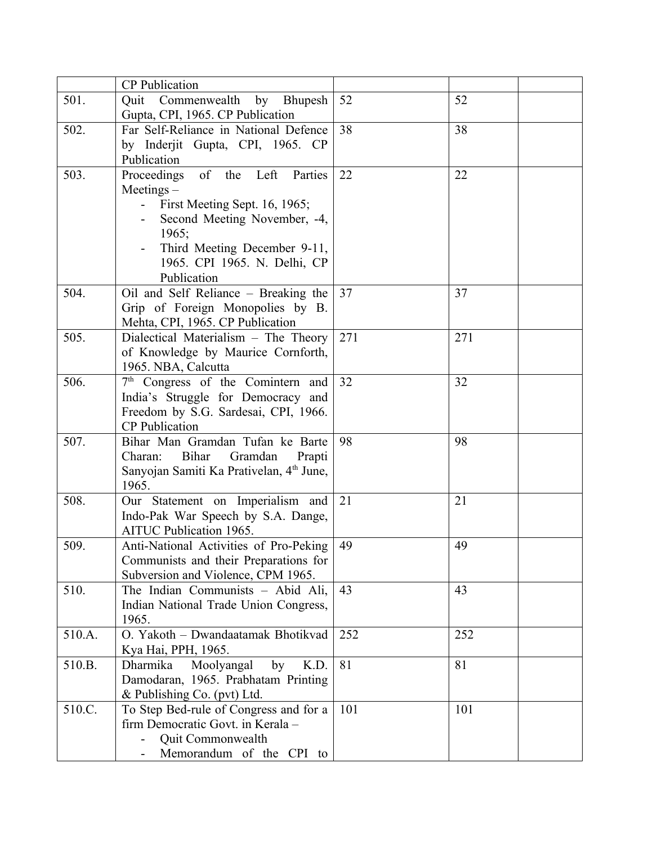|        | <b>CP</b> Publication                                |     |     |
|--------|------------------------------------------------------|-----|-----|
| 501.   | Quit Commenwealth by Bhupesh                         | 52  | 52  |
|        | Gupta, CPI, 1965. CP Publication                     |     |     |
| 502.   | Far Self-Reliance in National Defence                | 38  | 38  |
|        | by Inderjit Gupta, CPI, 1965. CP                     |     |     |
|        | Publication                                          |     |     |
| 503.   | of the Left<br>Proceedings<br>Parties                | 22  | 22  |
|        | $Meetings -$                                         |     |     |
|        | First Meeting Sept. 16, 1965;                        |     |     |
|        | Second Meeting November, -4,                         |     |     |
|        | 1965;                                                |     |     |
|        | Third Meeting December 9-11,                         |     |     |
|        | 1965. CPI 1965. N. Delhi, CP                         |     |     |
|        | Publication                                          |     |     |
| 504.   | Oil and Self Reliance - Breaking the                 | 37  | 37  |
|        | Grip of Foreign Monopolies by B.                     |     |     |
|        | Mehta, CPI, 1965. CP Publication                     |     |     |
| 505.   | Dialectical Materialism - The Theory                 | 271 | 271 |
|        | of Knowledge by Maurice Cornforth,                   |     |     |
|        | 1965. NBA, Calcutta                                  |     |     |
| 506.   | 7 <sup>th</sup> Congress of the Comintern and        | 32  | 32  |
|        | India's Struggle for Democracy and                   |     |     |
|        | Freedom by S.G. Sardesai, CPI, 1966.                 |     |     |
|        | <b>CP</b> Publication                                |     |     |
| 507.   | Bihar Man Gramdan Tufan ke Barte                     | 98  | 98  |
|        | <b>Bihar</b><br>Gramdan<br>Charan:<br>Prapti         |     |     |
|        | Sanyojan Samiti Ka Prativelan, 4 <sup>th</sup> June, |     |     |
|        | 1965.                                                |     |     |
| 508.   | Our Statement on Imperialism and                     | 21  | 21  |
|        | Indo-Pak War Speech by S.A. Dange,                   |     |     |
|        | <b>AITUC Publication 1965.</b>                       |     |     |
| 509.   | Anti-National Activities of Pro-Peking               | 49  | 49  |
|        | Communists and their Preparations for                |     |     |
|        | Subversion and Violence, CPM 1965.                   |     |     |
| 510.   | The Indian Communists - Abid Ali,                    | 43  | 43  |
|        | Indian National Trade Union Congress,                |     |     |
|        | 1965.                                                |     |     |
| 510.A. | O. Yakoth - Dwandaatamak Bhotikvad                   | 252 | 252 |
|        | Kya Hai, PPH, 1965.                                  |     |     |
| 510.B. | Dharmika<br>Moolyangal<br>K.D.<br>by                 | 81  | 81  |
|        | Damodaran, 1965. Prabhatam Printing                  |     |     |
|        | & Publishing Co. (pvt) Ltd.                          |     |     |
| 510.C. | To Step Bed-rule of Congress and for a               | 101 | 101 |
|        | firm Democratic Govt. in Kerala -                    |     |     |
|        | Quit Commonwealth                                    |     |     |
|        | Memorandum of the CPI to                             |     |     |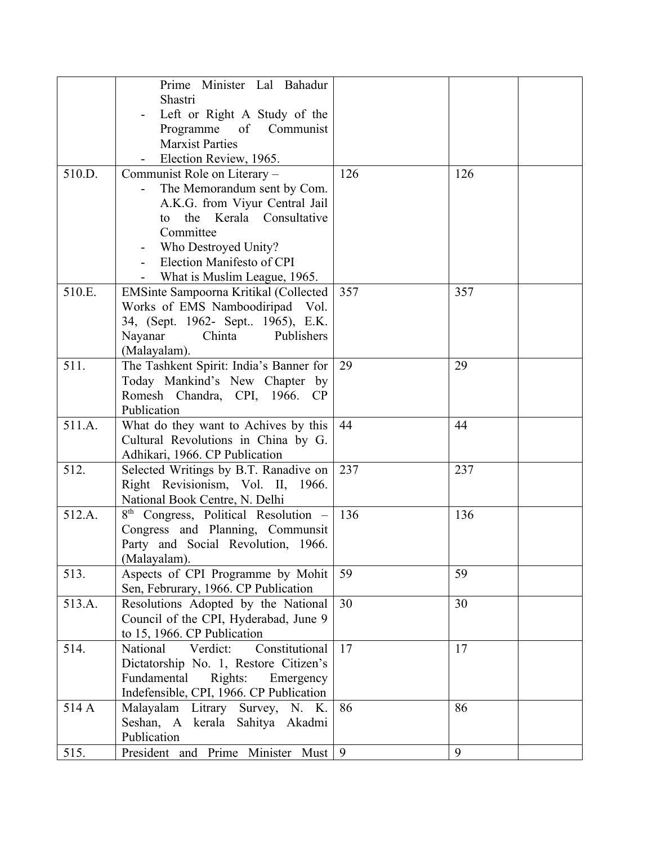|        | Prime Minister Lal Bahadur                                |     |     |  |
|--------|-----------------------------------------------------------|-----|-----|--|
|        | Shastri                                                   |     |     |  |
|        | Left or Right A Study of the                              |     |     |  |
|        | Programme of Communist                                    |     |     |  |
|        | <b>Marxist Parties</b>                                    |     |     |  |
|        | Election Review, 1965.                                    |     |     |  |
| 510.D. | Communist Role on Literary -                              | 126 | 126 |  |
|        | The Memorandum sent by Com.                               |     |     |  |
|        | A.K.G. from Viyur Central Jail                            |     |     |  |
|        | the Kerala Consultative<br>to                             |     |     |  |
|        | Committee                                                 |     |     |  |
|        | Who Destroyed Unity?                                      |     |     |  |
|        | Election Manifesto of CPI                                 |     |     |  |
|        | What is Muslim League, 1965.                              |     |     |  |
| 510.E. | EMSinte Sampoorna Kritikal (Collected                     | 357 | 357 |  |
|        | Works of EMS Namboodiripad Vol.                           |     |     |  |
|        | 34, (Sept. 1962- Sept 1965), E.K.<br>Chinta<br>Publishers |     |     |  |
|        | Nayanar<br>(Malayalam).                                   |     |     |  |
| 511.   | The Tashkent Spirit: India's Banner for                   | 29  | 29  |  |
|        | Today Mankind's New Chapter by                            |     |     |  |
|        | Romesh Chandra, CPI, 1966. CP                             |     |     |  |
|        | Publication                                               |     |     |  |
| 511.A. | What do they want to Achives by this                      | 44  | 44  |  |
|        | Cultural Revolutions in China by G.                       |     |     |  |
|        | Adhikari, 1966. CP Publication                            |     |     |  |
| 512.   | Selected Writings by B.T. Ranadive on                     | 237 | 237 |  |
|        | Right Revisionism, Vol. II, 1966.                         |     |     |  |
|        | National Book Centre, N. Delhi                            |     |     |  |
| 512.A. | 8 <sup>th</sup> Congress, Political Resolution -          | 136 | 136 |  |
|        | Congress and Planning, Communsit                          |     |     |  |
|        | Party and Social Revolution, 1966.                        |     |     |  |
|        | (Malayalam).                                              |     |     |  |
| 513.   | Aspects of CPI Programme by Mohit                         | 59  | 59  |  |
|        | Sen, Februrary, 1966. CP Publication                      |     |     |  |
| 513.A. | Resolutions Adopted by the National                       | 30  | 30  |  |
|        | Council of the CPI, Hyderabad, June 9                     |     |     |  |
|        | to 15, 1966. CP Publication                               |     |     |  |
| 514.   | Constitutional<br>National<br>Verdict:                    | 17  | 17  |  |
|        | Dictatorship No. 1, Restore Citizen's                     |     |     |  |
|        | Fundamental<br>Rights:<br>Emergency                       |     |     |  |
|        | Indefensible, CPI, 1966. CP Publication                   |     |     |  |
| 514 A  | Malayalam Litrary Survey, N. K.                           | 86  | 86  |  |
|        | Seshan, A kerala<br>Sahitya Akadmi                        |     |     |  |
|        | Publication                                               |     |     |  |
| 515.   | President and Prime Minister Must 9                       |     | 9   |  |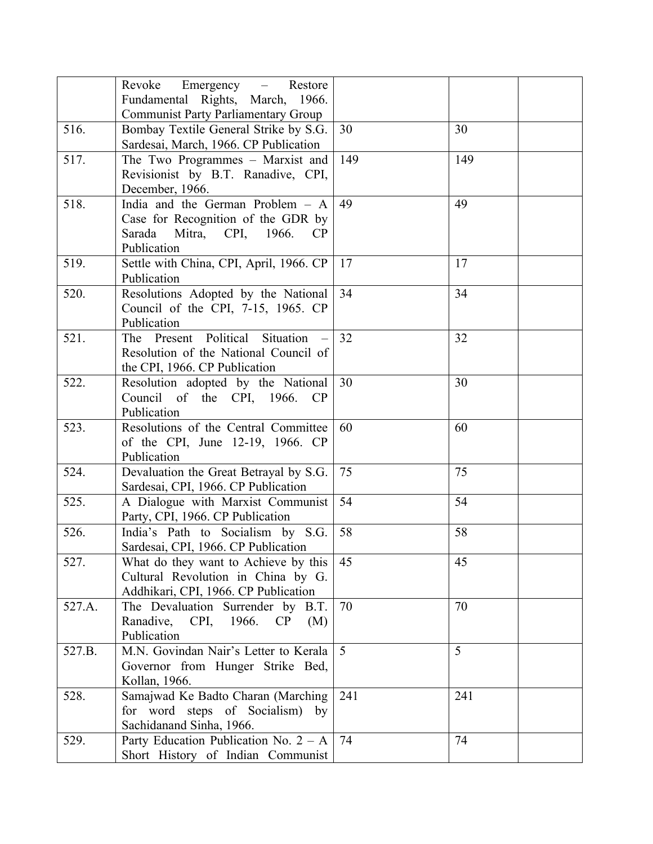|        | Revoke Emergency – Restore                                                                                              |                |     |
|--------|-------------------------------------------------------------------------------------------------------------------------|----------------|-----|
|        | Fundamental Rights, March, 1966.                                                                                        |                |     |
|        | <b>Communist Party Parliamentary Group</b>                                                                              |                |     |
| 516.   | Bombay Textile General Strike by S.G.<br>Sardesai, March, 1966. CP Publication                                          | 30             | 30  |
| 517.   | The Two Programmes - Marxist and<br>Revisionist by B.T. Ranadive, CPI,<br>December, 1966.                               | 149            | 149 |
| 518.   | India and the German Problem - A<br>Case for Recognition of the GDR by<br>Sarada Mitra, CPI, 1966.<br>CP<br>Publication | 49             | 49  |
| 519.   | Settle with China, CPI, April, 1966. CP<br>Publication                                                                  | 17             | 17  |
| 520.   | Resolutions Adopted by the National<br>Council of the CPI, 7-15, 1965. CP<br>Publication                                | 34             | 34  |
| 521.   | The Present Political Situation<br>Resolution of the National Council of<br>the CPI, 1966. CP Publication               | 32             | 32  |
| 522.   | Resolution adopted by the National<br>Council of the CPI, 1966.<br><b>CP</b><br>Publication                             | 30             | 30  |
| 523.   | Resolutions of the Central Committee<br>of the CPI, June 12-19, 1966. CP<br>Publication                                 | 60             | 60  |
| 524.   | Devaluation the Great Betrayal by S.G.<br>Sardesai, CPI, 1966. CP Publication                                           | 75             | 75  |
| 525.   | A Dialogue with Marxist Communist<br>Party, CPI, 1966. CP Publication                                                   | 54             | 54  |
| 526.   | India's Path to Socialism by S.G.<br>Sardesai, CPI, 1966. CP Publication                                                | 58             | 58  |
| 527.   | What do they want to Achieve by this<br>Cultural Revolution in China by G.<br>Addhikari, CPI, 1966. CP Publication      | 45             | 45  |
| 527.A. | The Devaluation Surrender by B.T.<br>CPI,<br>Ranadive,<br>1966.<br>CP<br>(M)<br>Publication                             | 70             | 70  |
| 527.B. | M.N. Govindan Nair's Letter to Kerala<br>Governor from Hunger Strike Bed,<br>Kollan, 1966.                              | $\overline{5}$ | 5   |
| 528.   | Samajwad Ke Badto Charan (Marching<br>for word steps of Socialism) by<br>Sachidanand Sinha, 1966.                       | 241            | 241 |
| 529.   | Party Education Publication No. $2 - A$<br>Short History of Indian Communist                                            | 74             | 74  |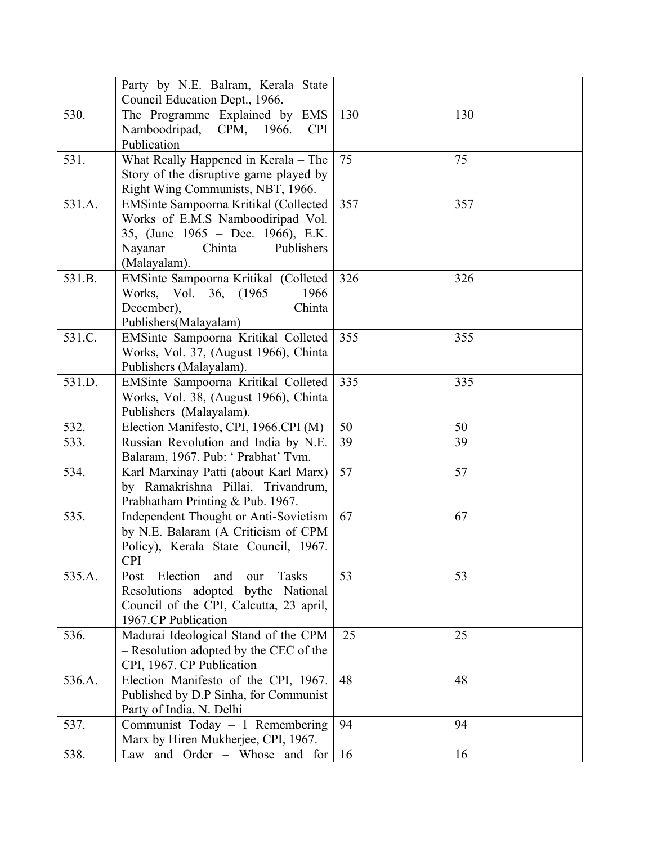|        | Party by N.E. Balram, Kerala State                 |     |     |
|--------|----------------------------------------------------|-----|-----|
|        | Council Education Dept., 1966.                     |     |     |
| 530.   | The Programme Explained by EMS                     | 130 | 130 |
|        | Namboodripad,<br>CPM, 1966.<br><b>CPI</b>          |     |     |
|        | Publication                                        |     |     |
| 531.   | What Really Happened in Kerala – The               | 75  | 75  |
|        | Story of the disruptive game played by             |     |     |
|        | Right Wing Communists, NBT, 1966.                  |     |     |
| 531.A. | EMSinte Sampoorna Kritikal (Collected              | 357 | 357 |
|        | Works of E.M.S Namboodiripad Vol.                  |     |     |
|        | 35, (June 1965 – Dec. 1966), E.K.                  |     |     |
|        | Publishers<br>Nayanar<br>Chinta                    |     |     |
|        | (Malayalam).                                       |     |     |
| 531.B. | EMSinte Sampoorna Kritikal (Colleted               | 326 | 326 |
|        | Works, Vol. 36, (1965)<br>1966<br>$\equiv$         |     |     |
|        | December),<br>Chinta                               |     |     |
|        | Publishers(Malayalam)                              |     |     |
| 531.C. | EMSinte Sampoorna Kritikal Colleted                | 355 | 355 |
|        | Works, Vol. 37, (August 1966), Chinta              |     |     |
|        | Publishers (Malayalam).                            |     |     |
| 531.D. | EMSinte Sampoorna Kritikal Colleted                | 335 | 335 |
|        | Works, Vol. 38, (August 1966), Chinta              |     |     |
|        | Publishers (Malayalam).                            |     |     |
| 532.   | Election Manifesto, CPI, 1966.CPI (M)              | 50  | 50  |
| 533.   | Russian Revolution and India by N.E.               | 39  | 39  |
|        | Balaram, 1967. Pub: ' Prabhat' Tvm.                |     |     |
| 534.   | Karl Marxinay Patti (about Karl Marx)              | 57  | 57  |
|        | by Ramakrishna Pillai, Trivandrum,                 |     |     |
|        | Prabhatham Printing & Pub. 1967.                   |     |     |
| 535.   | Independent Thought or Anti-Sovietism              | 67  | 67  |
|        | by N.E. Balaram (A Criticism of CPM                |     |     |
|        | Policy), Kerala State Council, 1967.<br><b>CPI</b> |     |     |
| 535.A. | Election<br>Tasks<br>Post<br>and                   | 53  | 53  |
|        | our<br>Resolutions adopted bythe National          |     |     |
|        | Council of the CPI, Calcutta, 23 april,            |     |     |
|        | 1967.CP Publication                                |     |     |
| 536.   | Madurai Ideological Stand of the CPM               | 25  | 25  |
|        | - Resolution adopted by the CEC of the             |     |     |
|        | CPI, 1967. CP Publication                          |     |     |
| 536.A. | Election Manifesto of the CPI, 1967.               | 48  | 48  |
|        | Published by D.P Sinha, for Communist              |     |     |
|        | Party of India, N. Delhi                           |     |     |
| 537.   | Communist Today - 1 Remembering                    | 94  | 94  |
|        | Marx by Hiren Mukherjee, CPI, 1967.                |     |     |
| 538.   | Law and Order - Whose and for                      | 16  | 16  |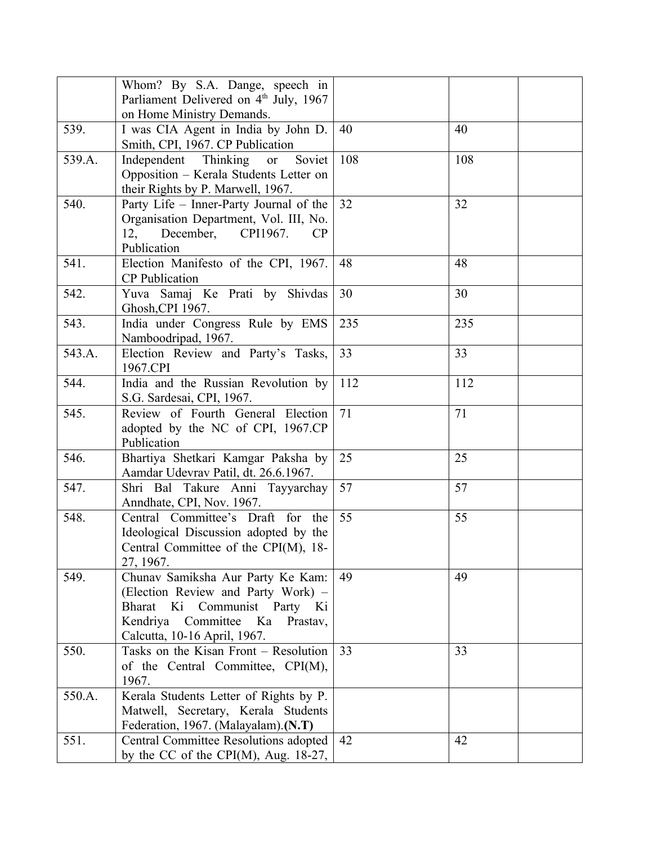|        | Whom? By S.A. Dange, speech in                                                                                                                                                     |     |     |
|--------|------------------------------------------------------------------------------------------------------------------------------------------------------------------------------------|-----|-----|
|        | Parliament Delivered on 4 <sup>th</sup> July, 1967                                                                                                                                 |     |     |
|        | on Home Ministry Demands.                                                                                                                                                          |     |     |
| 539.   | I was CIA Agent in India by John D.<br>Smith, CPI, 1967. CP Publication                                                                                                            | 40  | 40  |
| 539.A. | Soviet<br>Independent Thinking<br><b>or</b><br>Opposition - Kerala Students Letter on<br>their Rights by P. Marwell, 1967.                                                         | 108 | 108 |
| 540.   | Party Life - Inner-Party Journal of the<br>Organisation Department, Vol. III, No.<br>12,<br>December, CPI1967.<br>CP.<br>Publication                                               | 32  | 32  |
| 541.   | Election Manifesto of the CPI, 1967.<br><b>CP</b> Publication                                                                                                                      | 48  | 48  |
| 542.   | Yuva Samaj Ke Prati by Shivdas<br>Ghosh, CPI 1967.                                                                                                                                 | 30  | 30  |
| 543.   | India under Congress Rule by EMS<br>Namboodripad, 1967.                                                                                                                            | 235 | 235 |
| 543.A. | Election Review and Party's Tasks,<br>1967.CPI                                                                                                                                     | 33  | 33  |
| 544.   | India and the Russian Revolution by<br>S.G. Sardesai, CPI, 1967.                                                                                                                   | 112 | 112 |
| 545.   | Review of Fourth General Election<br>adopted by the NC of CPI, 1967.CP<br>Publication                                                                                              | 71  | 71  |
| 546.   | Bhartiya Shetkari Kamgar Paksha by<br>Aamdar Udevrav Patil, dt. 26.6.1967.                                                                                                         | 25  | 25  |
| 547.   | Shri Bal Takure Anni Tayyarchay<br>Anndhate, CPI, Nov. 1967.                                                                                                                       | 57  | 57  |
| 548.   | Central Committee's Draft<br>for<br>the<br>Ideological Discussion adopted by the<br>Central Committee of the CPI(M), 18-<br>27, 1967.                                              | 55  | 55  |
| 549.   | Chunav Samiksha Aur Party Ke Kam:<br>(Election Review and Party Work) -<br>Bharat Ki Communist Party<br>Ki<br>Kendriya<br>Committee<br>Ka Prastav,<br>Calcutta, 10-16 April, 1967. | 49  | 49  |
| 550.   | Tasks on the Kisan Front - Resolution<br>of the Central Committee, CPI(M),<br>1967.                                                                                                | 33  | 33  |
| 550.A. | Kerala Students Letter of Rights by P.<br>Matwell, Secretary, Kerala Students<br>Federation, 1967. (Malayalam). (N.T)                                                              |     |     |
| 551.   | Central Committee Resolutions adopted<br>by the CC of the CPI(M), Aug. $18-27$ ,                                                                                                   | 42  | 42  |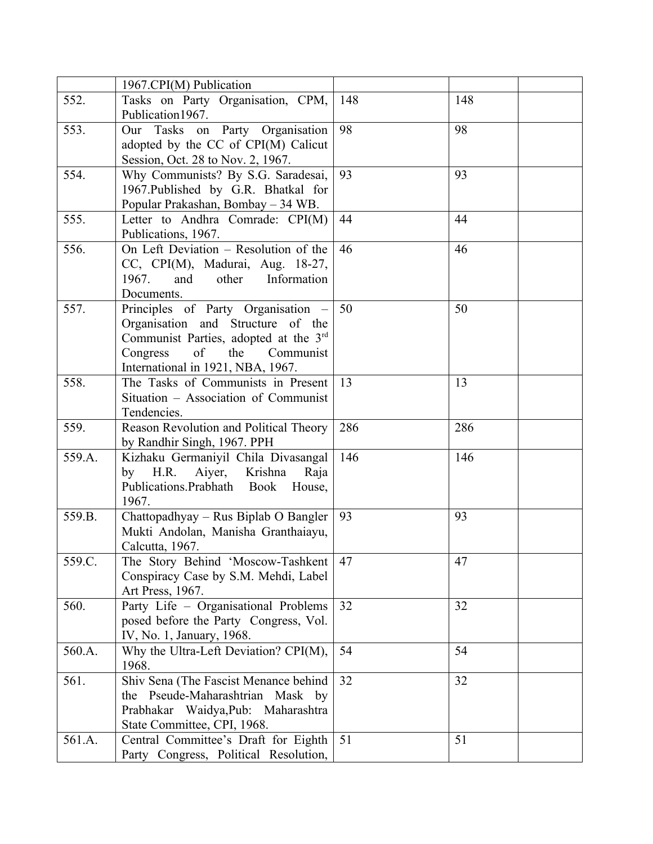|        | 1967.CPI(M) Publication                |     |     |
|--------|----------------------------------------|-----|-----|
| 552.   | Tasks on Party Organisation, CPM,      | 148 | 148 |
|        | Publication 1967.                      |     |     |
| 553.   | Our Tasks on Party Organisation        | 98  | 98  |
|        | adopted by the CC of CPI(M) Calicut    |     |     |
|        | Session, Oct. 28 to Nov. 2, 1967.      |     |     |
| 554.   | Why Communists? By S.G. Saradesai,     | 93  | 93  |
|        | 1967. Published by G.R. Bhatkal for    |     |     |
|        | Popular Prakashan, Bombay - 34 WB.     |     |     |
| 555.   | Letter to Andhra Comrade: CPI(M)       | 44  | 44  |
|        | Publications, 1967.                    |     |     |
| 556.   | On Left Deviation - Resolution of the  | 46  | 46  |
|        |                                        |     |     |
|        | CC, CPI(M), Madurai, Aug. 18-27,       |     |     |
|        | 1967.<br>and<br>other Information      |     |     |
|        | Documents.                             |     |     |
| 557.   | Principles of Party Organisation -     | 50  | 50  |
|        | Organisation and Structure of the      |     |     |
|        | Communist Parties, adopted at the 3rd  |     |     |
|        | Congress<br>of<br>the<br>Communist     |     |     |
|        | International in 1921, NBA, 1967.      |     |     |
| 558.   | The Tasks of Communists in Present     | 13  | 13  |
|        | Situation - Association of Communist   |     |     |
|        | Tendencies.                            |     |     |
| 559.   | Reason Revolution and Political Theory | 286 | 286 |
|        | by Randhir Singh, 1967. PPH            |     |     |
| 559.A. | Kizhaku Germaniyil Chila Divasangal    | 146 | 146 |
|        | by H.R. Aiyer,<br>Krishna<br>Raja      |     |     |
|        | Publications.Prabhath Book<br>House,   |     |     |
|        | 1967.                                  |     |     |
| 559.B. | Chattopadhyay - Rus Biplab O Bangler   | 93  | 93  |
|        | Mukti Andolan, Manisha Granthaiayu,    |     |     |
|        | Calcutta, 1967.                        |     |     |
| 559.C. | The Story Behind 'Moscow-Tashkent      | 47  | 47  |
|        | Conspiracy Case by S.M. Mehdi, Label   |     |     |
|        | Art Press, 1967.                       |     |     |
| 560.   | Party Life - Organisational Problems   | 32  | 32  |
|        | posed before the Party Congress, Vol.  |     |     |
|        | IV, No. 1, January, 1968.              |     |     |
| 560.A. | Why the Ultra-Left Deviation? CPI(M),  | 54  | 54  |
|        | 1968.                                  |     |     |
| 561.   | Shiv Sena (The Fascist Menance behind  | 32  | 32  |
|        | the Pseude-Maharashtrian Mask by       |     |     |
|        | Prabhakar Waidya, Pub: Maharashtra     |     |     |
|        | State Committee, CPI, 1968.            |     |     |
| 561.A. | Central Committee's Draft for Eighth   | 51  | 51  |
|        |                                        |     |     |
|        | Party Congress, Political Resolution,  |     |     |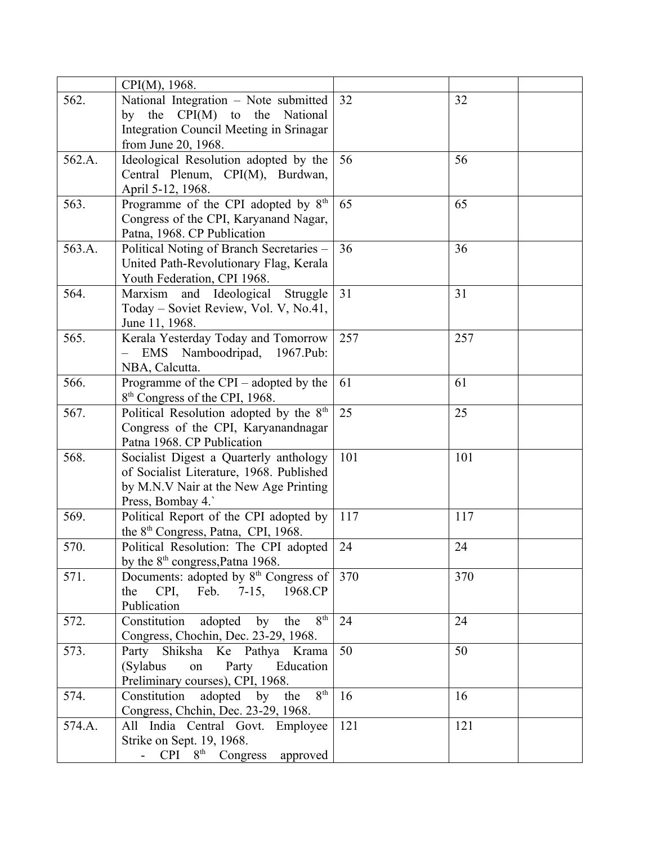|                                               | 32                                                                                                                                                                                                                                                                                                                                                                                                                                                                                                                                                                                                                                                                                                                                                                                                                                                                                                                                                                                                                                                                                                                                                                                                                                                                                                                                                                                                                                                                                                                                                                                                                        | 32                                                                                                               |
|-----------------------------------------------|---------------------------------------------------------------------------------------------------------------------------------------------------------------------------------------------------------------------------------------------------------------------------------------------------------------------------------------------------------------------------------------------------------------------------------------------------------------------------------------------------------------------------------------------------------------------------------------------------------------------------------------------------------------------------------------------------------------------------------------------------------------------------------------------------------------------------------------------------------------------------------------------------------------------------------------------------------------------------------------------------------------------------------------------------------------------------------------------------------------------------------------------------------------------------------------------------------------------------------------------------------------------------------------------------------------------------------------------------------------------------------------------------------------------------------------------------------------------------------------------------------------------------------------------------------------------------------------------------------------------------|------------------------------------------------------------------------------------------------------------------|
|                                               |                                                                                                                                                                                                                                                                                                                                                                                                                                                                                                                                                                                                                                                                                                                                                                                                                                                                                                                                                                                                                                                                                                                                                                                                                                                                                                                                                                                                                                                                                                                                                                                                                           |                                                                                                                  |
|                                               |                                                                                                                                                                                                                                                                                                                                                                                                                                                                                                                                                                                                                                                                                                                                                                                                                                                                                                                                                                                                                                                                                                                                                                                                                                                                                                                                                                                                                                                                                                                                                                                                                           |                                                                                                                  |
|                                               |                                                                                                                                                                                                                                                                                                                                                                                                                                                                                                                                                                                                                                                                                                                                                                                                                                                                                                                                                                                                                                                                                                                                                                                                                                                                                                                                                                                                                                                                                                                                                                                                                           |                                                                                                                  |
|                                               |                                                                                                                                                                                                                                                                                                                                                                                                                                                                                                                                                                                                                                                                                                                                                                                                                                                                                                                                                                                                                                                                                                                                                                                                                                                                                                                                                                                                                                                                                                                                                                                                                           | 56                                                                                                               |
|                                               |                                                                                                                                                                                                                                                                                                                                                                                                                                                                                                                                                                                                                                                                                                                                                                                                                                                                                                                                                                                                                                                                                                                                                                                                                                                                                                                                                                                                                                                                                                                                                                                                                           |                                                                                                                  |
|                                               |                                                                                                                                                                                                                                                                                                                                                                                                                                                                                                                                                                                                                                                                                                                                                                                                                                                                                                                                                                                                                                                                                                                                                                                                                                                                                                                                                                                                                                                                                                                                                                                                                           |                                                                                                                  |
|                                               |                                                                                                                                                                                                                                                                                                                                                                                                                                                                                                                                                                                                                                                                                                                                                                                                                                                                                                                                                                                                                                                                                                                                                                                                                                                                                                                                                                                                                                                                                                                                                                                                                           | 65                                                                                                               |
|                                               |                                                                                                                                                                                                                                                                                                                                                                                                                                                                                                                                                                                                                                                                                                                                                                                                                                                                                                                                                                                                                                                                                                                                                                                                                                                                                                                                                                                                                                                                                                                                                                                                                           |                                                                                                                  |
|                                               |                                                                                                                                                                                                                                                                                                                                                                                                                                                                                                                                                                                                                                                                                                                                                                                                                                                                                                                                                                                                                                                                                                                                                                                                                                                                                                                                                                                                                                                                                                                                                                                                                           |                                                                                                                  |
|                                               |                                                                                                                                                                                                                                                                                                                                                                                                                                                                                                                                                                                                                                                                                                                                                                                                                                                                                                                                                                                                                                                                                                                                                                                                                                                                                                                                                                                                                                                                                                                                                                                                                           | 36                                                                                                               |
|                                               |                                                                                                                                                                                                                                                                                                                                                                                                                                                                                                                                                                                                                                                                                                                                                                                                                                                                                                                                                                                                                                                                                                                                                                                                                                                                                                                                                                                                                                                                                                                                                                                                                           |                                                                                                                  |
|                                               |                                                                                                                                                                                                                                                                                                                                                                                                                                                                                                                                                                                                                                                                                                                                                                                                                                                                                                                                                                                                                                                                                                                                                                                                                                                                                                                                                                                                                                                                                                                                                                                                                           |                                                                                                                  |
|                                               |                                                                                                                                                                                                                                                                                                                                                                                                                                                                                                                                                                                                                                                                                                                                                                                                                                                                                                                                                                                                                                                                                                                                                                                                                                                                                                                                                                                                                                                                                                                                                                                                                           | 31                                                                                                               |
|                                               |                                                                                                                                                                                                                                                                                                                                                                                                                                                                                                                                                                                                                                                                                                                                                                                                                                                                                                                                                                                                                                                                                                                                                                                                                                                                                                                                                                                                                                                                                                                                                                                                                           |                                                                                                                  |
|                                               |                                                                                                                                                                                                                                                                                                                                                                                                                                                                                                                                                                                                                                                                                                                                                                                                                                                                                                                                                                                                                                                                                                                                                                                                                                                                                                                                                                                                                                                                                                                                                                                                                           |                                                                                                                  |
|                                               |                                                                                                                                                                                                                                                                                                                                                                                                                                                                                                                                                                                                                                                                                                                                                                                                                                                                                                                                                                                                                                                                                                                                                                                                                                                                                                                                                                                                                                                                                                                                                                                                                           | 257                                                                                                              |
|                                               |                                                                                                                                                                                                                                                                                                                                                                                                                                                                                                                                                                                                                                                                                                                                                                                                                                                                                                                                                                                                                                                                                                                                                                                                                                                                                                                                                                                                                                                                                                                                                                                                                           |                                                                                                                  |
|                                               |                                                                                                                                                                                                                                                                                                                                                                                                                                                                                                                                                                                                                                                                                                                                                                                                                                                                                                                                                                                                                                                                                                                                                                                                                                                                                                                                                                                                                                                                                                                                                                                                                           |                                                                                                                  |
|                                               |                                                                                                                                                                                                                                                                                                                                                                                                                                                                                                                                                                                                                                                                                                                                                                                                                                                                                                                                                                                                                                                                                                                                                                                                                                                                                                                                                                                                                                                                                                                                                                                                                           | 61                                                                                                               |
|                                               |                                                                                                                                                                                                                                                                                                                                                                                                                                                                                                                                                                                                                                                                                                                                                                                                                                                                                                                                                                                                                                                                                                                                                                                                                                                                                                                                                                                                                                                                                                                                                                                                                           |                                                                                                                  |
|                                               |                                                                                                                                                                                                                                                                                                                                                                                                                                                                                                                                                                                                                                                                                                                                                                                                                                                                                                                                                                                                                                                                                                                                                                                                                                                                                                                                                                                                                                                                                                                                                                                                                           | 25                                                                                                               |
|                                               |                                                                                                                                                                                                                                                                                                                                                                                                                                                                                                                                                                                                                                                                                                                                                                                                                                                                                                                                                                                                                                                                                                                                                                                                                                                                                                                                                                                                                                                                                                                                                                                                                           |                                                                                                                  |
|                                               |                                                                                                                                                                                                                                                                                                                                                                                                                                                                                                                                                                                                                                                                                                                                                                                                                                                                                                                                                                                                                                                                                                                                                                                                                                                                                                                                                                                                                                                                                                                                                                                                                           |                                                                                                                  |
|                                               |                                                                                                                                                                                                                                                                                                                                                                                                                                                                                                                                                                                                                                                                                                                                                                                                                                                                                                                                                                                                                                                                                                                                                                                                                                                                                                                                                                                                                                                                                                                                                                                                                           | 101                                                                                                              |
|                                               |                                                                                                                                                                                                                                                                                                                                                                                                                                                                                                                                                                                                                                                                                                                                                                                                                                                                                                                                                                                                                                                                                                                                                                                                                                                                                                                                                                                                                                                                                                                                                                                                                           |                                                                                                                  |
|                                               |                                                                                                                                                                                                                                                                                                                                                                                                                                                                                                                                                                                                                                                                                                                                                                                                                                                                                                                                                                                                                                                                                                                                                                                                                                                                                                                                                                                                                                                                                                                                                                                                                           |                                                                                                                  |
|                                               |                                                                                                                                                                                                                                                                                                                                                                                                                                                                                                                                                                                                                                                                                                                                                                                                                                                                                                                                                                                                                                                                                                                                                                                                                                                                                                                                                                                                                                                                                                                                                                                                                           |                                                                                                                  |
|                                               |                                                                                                                                                                                                                                                                                                                                                                                                                                                                                                                                                                                                                                                                                                                                                                                                                                                                                                                                                                                                                                                                                                                                                                                                                                                                                                                                                                                                                                                                                                                                                                                                                           | 117                                                                                                              |
|                                               |                                                                                                                                                                                                                                                                                                                                                                                                                                                                                                                                                                                                                                                                                                                                                                                                                                                                                                                                                                                                                                                                                                                                                                                                                                                                                                                                                                                                                                                                                                                                                                                                                           |                                                                                                                  |
|                                               |                                                                                                                                                                                                                                                                                                                                                                                                                                                                                                                                                                                                                                                                                                                                                                                                                                                                                                                                                                                                                                                                                                                                                                                                                                                                                                                                                                                                                                                                                                                                                                                                                           | 24                                                                                                               |
|                                               |                                                                                                                                                                                                                                                                                                                                                                                                                                                                                                                                                                                                                                                                                                                                                                                                                                                                                                                                                                                                                                                                                                                                                                                                                                                                                                                                                                                                                                                                                                                                                                                                                           |                                                                                                                  |
|                                               | 370                                                                                                                                                                                                                                                                                                                                                                                                                                                                                                                                                                                                                                                                                                                                                                                                                                                                                                                                                                                                                                                                                                                                                                                                                                                                                                                                                                                                                                                                                                                                                                                                                       | 370                                                                                                              |
|                                               |                                                                                                                                                                                                                                                                                                                                                                                                                                                                                                                                                                                                                                                                                                                                                                                                                                                                                                                                                                                                                                                                                                                                                                                                                                                                                                                                                                                                                                                                                                                                                                                                                           |                                                                                                                  |
| Publication                                   |                                                                                                                                                                                                                                                                                                                                                                                                                                                                                                                                                                                                                                                                                                                                                                                                                                                                                                                                                                                                                                                                                                                                                                                                                                                                                                                                                                                                                                                                                                                                                                                                                           |                                                                                                                  |
| 8 <sup>th</sup>                               | 24                                                                                                                                                                                                                                                                                                                                                                                                                                                                                                                                                                                                                                                                                                                                                                                                                                                                                                                                                                                                                                                                                                                                                                                                                                                                                                                                                                                                                                                                                                                                                                                                                        | 24                                                                                                               |
|                                               |                                                                                                                                                                                                                                                                                                                                                                                                                                                                                                                                                                                                                                                                                                                                                                                                                                                                                                                                                                                                                                                                                                                                                                                                                                                                                                                                                                                                                                                                                                                                                                                                                           |                                                                                                                  |
|                                               | 50                                                                                                                                                                                                                                                                                                                                                                                                                                                                                                                                                                                                                                                                                                                                                                                                                                                                                                                                                                                                                                                                                                                                                                                                                                                                                                                                                                                                                                                                                                                                                                                                                        | 50                                                                                                               |
| on                                            |                                                                                                                                                                                                                                                                                                                                                                                                                                                                                                                                                                                                                                                                                                                                                                                                                                                                                                                                                                                                                                                                                                                                                                                                                                                                                                                                                                                                                                                                                                                                                                                                                           |                                                                                                                  |
|                                               |                                                                                                                                                                                                                                                                                                                                                                                                                                                                                                                                                                                                                                                                                                                                                                                                                                                                                                                                                                                                                                                                                                                                                                                                                                                                                                                                                                                                                                                                                                                                                                                                                           |                                                                                                                  |
| 8 <sup>th</sup>                               | 16                                                                                                                                                                                                                                                                                                                                                                                                                                                                                                                                                                                                                                                                                                                                                                                                                                                                                                                                                                                                                                                                                                                                                                                                                                                                                                                                                                                                                                                                                                                                                                                                                        | 16                                                                                                               |
|                                               |                                                                                                                                                                                                                                                                                                                                                                                                                                                                                                                                                                                                                                                                                                                                                                                                                                                                                                                                                                                                                                                                                                                                                                                                                                                                                                                                                                                                                                                                                                                                                                                                                           |                                                                                                                  |
|                                               | 121                                                                                                                                                                                                                                                                                                                                                                                                                                                                                                                                                                                                                                                                                                                                                                                                                                                                                                                                                                                                                                                                                                                                                                                                                                                                                                                                                                                                                                                                                                                                                                                                                       | 121                                                                                                              |
| Strike on Sept. 19, 1968.                     |                                                                                                                                                                                                                                                                                                                                                                                                                                                                                                                                                                                                                                                                                                                                                                                                                                                                                                                                                                                                                                                                                                                                                                                                                                                                                                                                                                                                                                                                                                                                                                                                                           |                                                                                                                  |
| $CPI \quad 8^{th} \quad Congress$<br>approved |                                                                                                                                                                                                                                                                                                                                                                                                                                                                                                                                                                                                                                                                                                                                                                                                                                                                                                                                                                                                                                                                                                                                                                                                                                                                                                                                                                                                                                                                                                                                                                                                                           |                                                                                                                  |
|                                               | CPI(M), 1968.<br>National Integration - Note submitted<br>by the $\text{CPI}(M)$<br>to the<br>National<br>Integration Council Meeting in Srinagar<br>from June 20, 1968.<br>Ideological Resolution adopted by the<br>Central Plenum, CPI(M), Burdwan,<br>April 5-12, 1968.<br>Programme of the CPI adopted by 8 <sup>th</sup><br>Congress of the CPI, Karyanand Nagar,<br>Patna, 1968. CP Publication<br>Political Noting of Branch Secretaries -<br>United Path-Revolutionary Flag, Kerala<br>Youth Federation, CPI 1968.<br>Marxism<br>Ideological<br>and<br>Struggle<br>Today – Soviet Review, Vol. V, No.41,<br>June 11, 1968.<br>Kerala Yesterday Today and Tomorrow<br>EMS Namboodripad, 1967.Pub:<br>NBA, Calcutta.<br>Programme of the $CPI$ – adopted by the<br>8 <sup>th</sup> Congress of the CPI, 1968.<br>Political Resolution adopted by the 8 <sup>th</sup><br>Congress of the CPI, Karyanandnagar<br>Patna 1968. CP Publication<br>Socialist Digest a Quarterly anthology<br>of Socialist Literature, 1968. Published<br>by M.N.V Nair at the New Age Printing<br>Press, Bombay 4.<br>Political Report of the CPI adopted by<br>the 8 <sup>th</sup> Congress, Patna, CPI, 1968.<br>Political Resolution: The CPI adopted<br>by the 8 <sup>th</sup> congress, Patna 1968.<br>the CPI, Feb. 7-15, 1968.CP<br>adopted<br>by<br>Constitution<br>the<br>Congress, Chochin, Dec. 23-29, 1968.<br>Party Shiksha Ke Pathya Krama<br>(Sylabus)<br>Party<br>Education<br>Preliminary courses), CPI, 1968.<br>Constitution adopted by the<br>Congress, Chchin, Dec. 23-29, 1968.<br>All India Central Govt. Employee | 56<br>65<br>36<br>31<br>257<br>61<br>25<br>101<br>117<br>24<br>Documents: adopted by 8 <sup>th</sup> Congress of |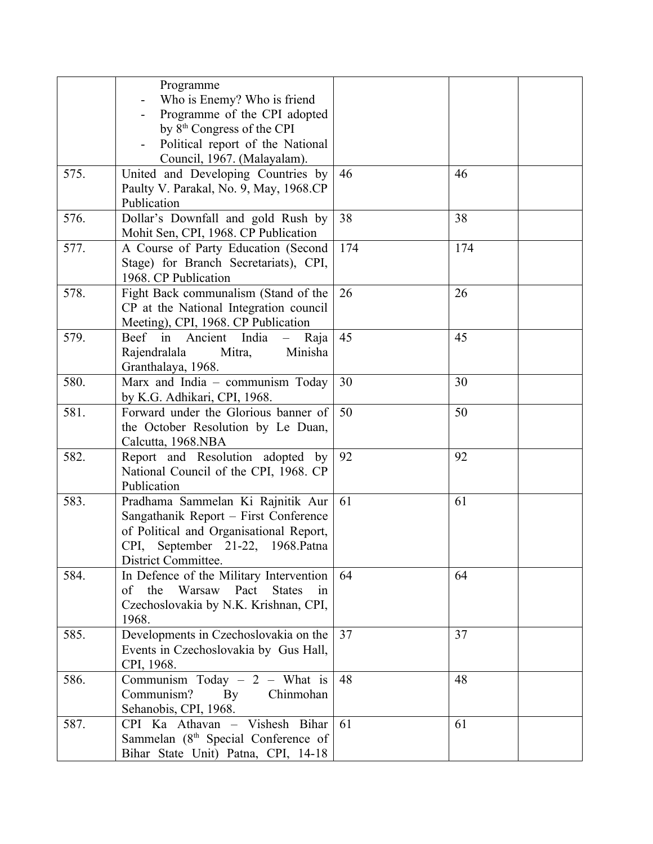|      | Programme<br>Who is Enemy? Who is friend<br>Programme of the CPI adopted<br>by 8 <sup>th</sup> Congress of the CPI<br>Political report of the National<br>Council, 1967. (Malayalam). |     |     |
|------|---------------------------------------------------------------------------------------------------------------------------------------------------------------------------------------|-----|-----|
| 575. | United and Developing Countries by<br>Paulty V. Parakal, No. 9, May, 1968.CP<br>Publication                                                                                           | 46  | 46  |
| 576. | Dollar's Downfall and gold Rush by<br>Mohit Sen, CPI, 1968. CP Publication                                                                                                            | 38  | 38  |
| 577. | A Course of Party Education (Second<br>Stage) for Branch Secretariats), CPI,<br>1968. CP Publication                                                                                  | 174 | 174 |
| 578. | Fight Back communalism (Stand of the<br>CP at the National Integration council<br>Meeting), CPI, 1968. CP Publication                                                                 | 26  | 26  |
| 579. | Beef in Ancient India<br>Raja<br>$\equiv$<br>Rajendralala<br>Mitra,<br>Minisha<br>Granthalaya, 1968.                                                                                  | 45  | 45  |
| 580. | Marx and India - communism Today<br>by K.G. Adhikari, CPI, 1968.                                                                                                                      | 30  | 30  |
| 581. | Forward under the Glorious banner of<br>the October Resolution by Le Duan,<br>Calcutta, 1968.NBA                                                                                      | 50  | 50  |
| 582. | Report and Resolution adopted by<br>National Council of the CPI, 1968. CP<br>Publication                                                                                              | 92  | 92  |
| 583. | Pradhama Sammelan Ki Rajnitik Aur<br>Sangathanik Report - First Conference<br>of Political and Organisational Report,<br>CPI, September 21-22, 1968. Patna<br>District Committee.     | 61  | 61  |
| 584. | In Defence of the Military Intervention<br>the<br>Warsaw Pact<br><b>States</b><br>of<br>in<br>Czechoslovakia by N.K. Krishnan, CPI,<br>1968.                                          | 64  | 64  |
| 585. | Developments in Czechoslovakia on the<br>Events in Czechoslovakia by Gus Hall,<br>CPI, 1968.                                                                                          | 37  | 37  |
| 586. | Communism Today $-2$ – What is<br>Communism?<br>Chinmohan<br>By<br>Sehanobis, CPI, 1968.                                                                                              | 48  | 48  |
| 587. | CPI Ka Athavan - Vishesh Bihar<br>Sammelan (8 <sup>th</sup> Special Conference of<br>Bihar State Unit) Patna, CPI, 14-18                                                              | 61  | 61  |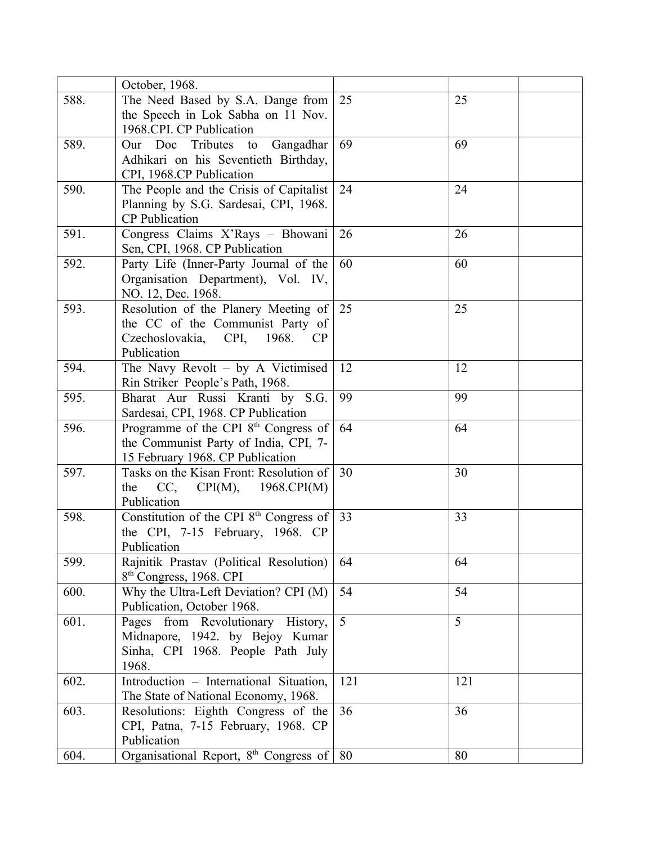|      | October, 1968.                                      |     |     |
|------|-----------------------------------------------------|-----|-----|
| 588. | The Need Based by S.A. Dange from                   | 25  | 25  |
|      | the Speech in Lok Sabha on 11 Nov.                  |     |     |
|      | 1968.CPI. CP Publication                            |     |     |
| 589. | Our Doc Tributes to<br>Gangadhar                    | 69  | 69  |
|      | Adhikari on his Seventieth Birthday,                |     |     |
|      | CPI, 1968.CP Publication                            |     |     |
| 590. | The People and the Crisis of Capitalist             | 24  | 24  |
|      | Planning by S.G. Sardesai, CPI, 1968.               |     |     |
|      | <b>CP</b> Publication                               |     |     |
| 591. | Congress Claims X'Rays - Bhowani                    | 26  | 26  |
|      | Sen, CPI, 1968. CP Publication                      |     |     |
| 592. | Party Life (Inner-Party Journal of the              | 60  | 60  |
|      | Organisation Department), Vol. IV,                  |     |     |
|      | NO. 12, Dec. 1968.                                  |     |     |
| 593. | Resolution of the Planery Meeting of                | 25  | 25  |
|      | the CC of the Communist Party of                    |     |     |
|      | 1968.<br>Czechoslovakia,<br>CPI,<br><b>CP</b>       |     |     |
|      | Publication                                         |     |     |
| 594. | The Navy Revolt - by A Victimised                   | 12  | 12  |
|      | Rin Striker People's Path, 1968.                    |     |     |
| 595. | Bharat Aur Russi Kranti by S.G.                     | 99  | 99  |
|      | Sardesai, CPI, 1968. CP Publication                 |     |     |
| 596. | Programme of the CPI $8th$ Congress of              | 64  | 64  |
|      | the Communist Party of India, CPI, 7-               |     |     |
|      | 15 February 1968. CP Publication                    |     |     |
| 597. | Tasks on the Kisan Front: Resolution of             | 30  | 30  |
|      | the<br>CC,<br>CPI(M),<br>1968.CPI(M)                |     |     |
|      | Publication                                         |     |     |
| 598. | Constitution of the CPI 8 <sup>th</sup> Congress of | 33  | 33  |
|      | the CPI, 7-15 February, 1968. CP                    |     |     |
|      | Publication                                         |     |     |
| 599. | Rajnitik Prastav (Political Resolution)             | 64  | 64  |
|      | 8 <sup>th</sup> Congress, 1968. CPI                 |     |     |
| 600. | Why the Ultra-Left Deviation? CPI (M)               | 54  | 54  |
|      | Publication, October 1968.                          |     |     |
| 601. | Pages from Revolutionary History,                   | 5   | 5   |
|      | Midnapore, 1942. by Bejoy Kumar                     |     |     |
|      | Sinha, CPI 1968. People Path July                   |     |     |
|      | 1968.                                               |     |     |
| 602. | Introduction - International Situation,             | 121 | 121 |
|      | The State of National Economy, 1968.                |     |     |
| 603. | Resolutions: Eighth Congress of the                 | 36  | 36  |
|      | CPI, Patna, 7-15 February, 1968. CP                 |     |     |
|      | Publication                                         |     |     |
| 604. | Organisational Report, 8 <sup>th</sup> Congress of  | 80  | 80  |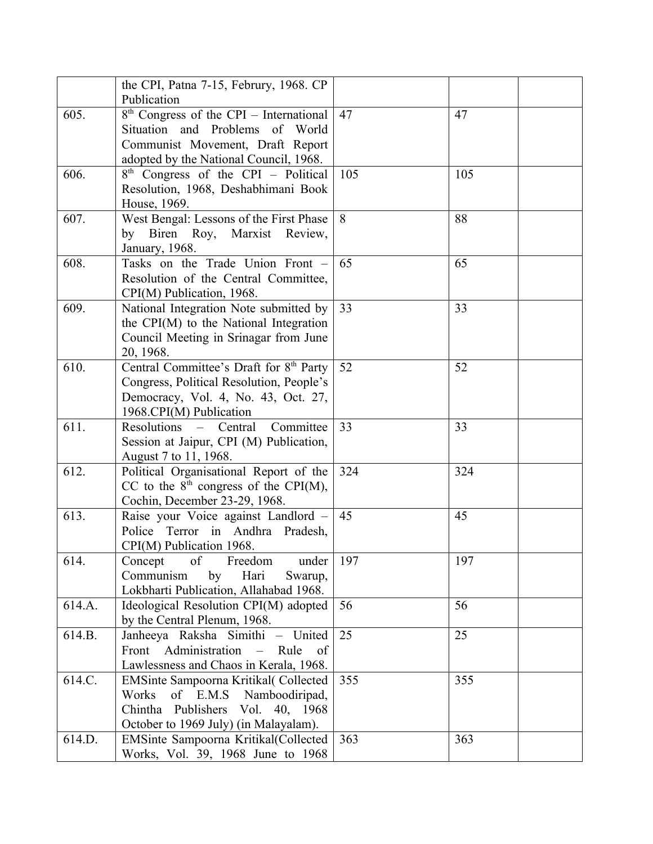|        | the CPI, Patna 7-15, Februry, 1968. CP                                            |     |     |
|--------|-----------------------------------------------------------------------------------|-----|-----|
| 605.   | Publication<br>$8th$ Congress of the CPI – International                          | 47  | 47  |
|        | Situation and Problems of World                                                   |     |     |
|        | Communist Movement, Draft Report                                                  |     |     |
|        | adopted by the National Council, 1968.                                            |     |     |
| 606.   | $8th$ Congress of the CPI – Political                                             | 105 | 105 |
|        | Resolution, 1968, Deshabhimani Book                                               |     |     |
|        | House, 1969.                                                                      |     |     |
| 607.   | West Bengal: Lessons of the First Phase                                           | 8   | 88  |
|        | by Biren Roy, Marxist Review,                                                     |     |     |
|        | January, 1968.                                                                    |     |     |
| 608.   | Tasks on the Trade Union Front -                                                  | 65  | 65  |
|        | Resolution of the Central Committee,                                              |     |     |
|        | CPI(M) Publication, 1968.                                                         |     |     |
| 609.   | National Integration Note submitted by                                            | 33  | 33  |
|        | the CPI(M) to the National Integration                                            |     |     |
|        | Council Meeting in Srinagar from June                                             |     |     |
|        | 20, 1968.                                                                         |     |     |
| 610.   | Central Committee's Draft for 8 <sup>th</sup> Party                               | 52  | 52  |
|        | Congress, Political Resolution, People's                                          |     |     |
|        | Democracy, Vol. 4, No. 43, Oct. 27,                                               |     |     |
|        | 1968.CPI(M) Publication                                                           |     |     |
| 611.   | Resolutions<br>Central<br>Committee<br>$\frac{1}{2}$ and $\frac{1}{2}$            | 33  | 33  |
|        | Session at Jaipur, CPI (M) Publication,                                           |     |     |
| 612.   | August 7 to 11, 1968.                                                             | 324 | 324 |
|        | Political Organisational Report of the<br>CC to the $8th$ congress of the CPI(M), |     |     |
|        | Cochin, December 23-29, 1968.                                                     |     |     |
| 613.   | Raise your Voice against Landlord -                                               | 45  | 45  |
|        | Police Terror in Andhra Pradesh,                                                  |     |     |
|        | CPI(M) Publication 1968.                                                          |     |     |
| 614.   | of<br>Freedom<br>Concept<br>under                                                 | 197 | 197 |
|        | Communism<br>Hari<br>Swarup,<br>by                                                |     |     |
|        | Lokbharti Publication, Allahabad 1968.                                            |     |     |
| 614.A. | Ideological Resolution CPI(M) adopted                                             | 56  | 56  |
|        | by the Central Plenum, 1968.                                                      |     |     |
| 614.B. | Janheeya Raksha Simithi - United                                                  | 25  | 25  |
|        | Front Administration<br>Rule<br>of<br>$\equiv$                                    |     |     |
|        | Lawlessness and Chaos in Kerala, 1968.                                            |     |     |
| 614.C. | EMSinte Sampoorna Kritikal(Collected                                              | 355 | 355 |
|        | of E.M.S<br>Namboodiripad,<br>Works                                               |     |     |
|        | Chintha<br>Publishers Vol. 40, 1968                                               |     |     |
|        | October to 1969 July) (in Malayalam).                                             |     |     |
| 614.D. | EMSinte Sampoorna Kritikal(Collected                                              | 363 | 363 |
|        | Works, Vol. 39, 1968 June to 1968                                                 |     |     |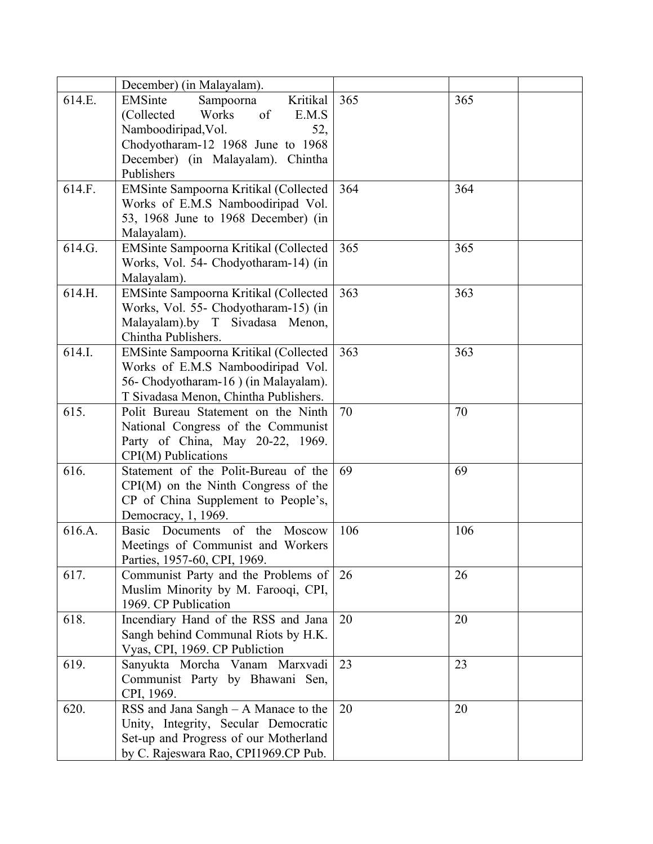|                  | December) (in Malayalam).                                                                                                                                                                                                             |            |            |
|------------------|---------------------------------------------------------------------------------------------------------------------------------------------------------------------------------------------------------------------------------------|------------|------------|
| 614.E.<br>614.F. | EMSinte<br>Sampoorna<br>Kritikal<br>of<br>Works<br>(Collected<br>E.M.S<br>Namboodiripad, Vol.<br>52,<br>Chodyotharam-12 1968 June to 1968<br>December) (in Malayalam). Chintha<br>Publishers<br>EMSinte Sampoorna Kritikal (Collected | 365<br>364 | 365<br>364 |
|                  | Works of E.M.S Namboodiripad Vol.<br>53, 1968 June to 1968 December) (in<br>Malayalam).                                                                                                                                               |            |            |
| 614.G.           | EMSinte Sampoorna Kritikal (Collected<br>Works, Vol. 54- Chodyotharam-14) (in<br>Malayalam).                                                                                                                                          | 365        | 365        |
| 614.H.           | EMSinte Sampoorna Kritikal (Collected<br>Works, Vol. 55- Chodyotharam-15) (in<br>Malayalam).by T Sivadasa Menon,<br>Chintha Publishers.                                                                                               | 363        | 363        |
| 614.I.           | EMSinte Sampoorna Kritikal (Collected<br>Works of E.M.S Namboodiripad Vol.<br>56- Chodyotharam-16 ) (in Malayalam).<br>T Sivadasa Menon, Chintha Publishers.                                                                          | 363        | 363        |
| 615.             | Polit Bureau Statement on the Ninth<br>National Congress of the Communist<br>Party of China, May 20-22, 1969.<br>CPI(M) Publications                                                                                                  | 70         | 70         |
| 616.             | Statement of the Polit-Bureau of the<br>$CPI(M)$ on the Ninth Congress of the<br>CP of China Supplement to People's,<br>Democracy, 1, 1969.                                                                                           | 69         | 69         |
| 616.A.           | Basic Documents of the<br>Moscow<br>Meetings of Communist and Workers<br>Parties, 1957-60, CPI, 1969.                                                                                                                                 | 106        | 106        |
| 617.             | Communist Party and the Problems of<br>Muslim Minority by M. Farooqi, CPI,<br>1969. CP Publication                                                                                                                                    | 26         | 26         |
| 618.             | Incendiary Hand of the RSS and Jana<br>Sangh behind Communal Riots by H.K.<br>Vyas, CPI, 1969. CP Publiction                                                                                                                          | 20         | 20         |
| 619.             | Sanyukta Morcha Vanam Marxvadi<br>Communist Party by Bhawani Sen,<br>CPI, 1969.                                                                                                                                                       | 23         | 23         |
| 620.             | RSS and Jana Sangh $- A$ Manace to the<br>Unity, Integrity, Secular Democratic<br>Set-up and Progress of our Motherland<br>by C. Rajeswara Rao, CPI1969.CP Pub.                                                                       | 20         | 20         |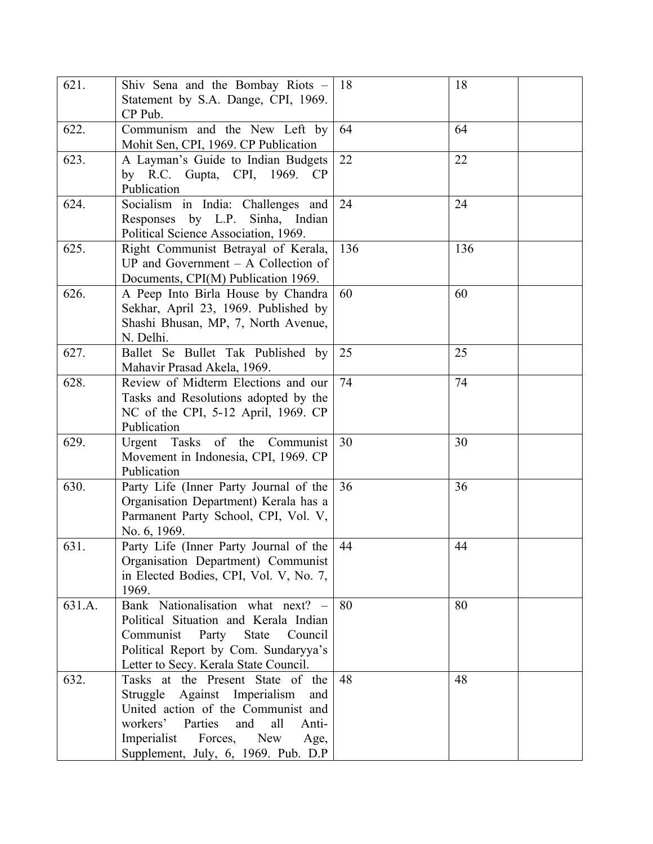| 621.   | Shiv Sena and the Bombay Riots -<br>Statement by S.A. Dange, CPI, 1969.<br>CP Pub.                                                                                                                                                     | -18 | 18  |
|--------|----------------------------------------------------------------------------------------------------------------------------------------------------------------------------------------------------------------------------------------|-----|-----|
| 622.   | Communism and the New Left by<br>Mohit Sen, CPI, 1969. CP Publication                                                                                                                                                                  | 64  | 64  |
| 623.   | A Layman's Guide to Indian Budgets<br>by R.C. Gupta, CPI, 1969. CP<br>Publication                                                                                                                                                      | 22  | 22  |
| 624.   | Socialism in India: Challenges and<br>Responses by L.P. Sinha, Indian<br>Political Science Association, 1969.                                                                                                                          | 24  | 24  |
| 625.   | Right Communist Betrayal of Kerala,<br>UP and Government $- A$ Collection of<br>Documents, CPI(M) Publication 1969.                                                                                                                    | 136 | 136 |
| 626.   | A Peep Into Birla House by Chandra<br>Sekhar, April 23, 1969. Published by<br>Shashi Bhusan, MP, 7, North Avenue,<br>N. Delhi.                                                                                                         | 60  | 60  |
| 627.   | Ballet Se Bullet Tak Published by<br>Mahavir Prasad Akela, 1969.                                                                                                                                                                       | 25  | 25  |
| 628.   | Review of Midterm Elections and our<br>Tasks and Resolutions adopted by the<br>NC of the CPI, 5-12 April, 1969. CP<br>Publication                                                                                                      | 74  | 74  |
| 629.   | Tasks of the Communist<br>Urgent<br>Movement in Indonesia, CPI, 1969. CP<br>Publication                                                                                                                                                | 30  | 30  |
| 630.   | Party Life (Inner Party Journal of the<br>Organisation Department) Kerala has a<br>Parmanent Party School, CPI, Vol. V,<br>No. 6, 1969.                                                                                                | 36  | 36  |
| 631.   | Party Life (Inner Party Journal of the<br>Organisation Department) Communist<br>in Elected Bodies, CPI, Vol. V, No. 7,<br>1969.                                                                                                        | 44  | 44  |
| 631.A. | Bank Nationalisation what next? -<br>Political Situation and Kerala Indian<br>Communist<br>Party<br><b>State</b><br>Council<br>Political Report by Com. Sundaryya's<br>Letter to Secy. Kerala State Council.                           | 80  | 80  |
| 632.   | Tasks at the Present State of the<br>Struggle Against Imperialism<br>and<br>United action of the Communist and<br>workers'<br>Parties<br>and<br>all<br>Anti-<br>Imperialist Forces, New<br>Age,<br>Supplement, July, 6, 1969. Pub. D.P | 48  | 48  |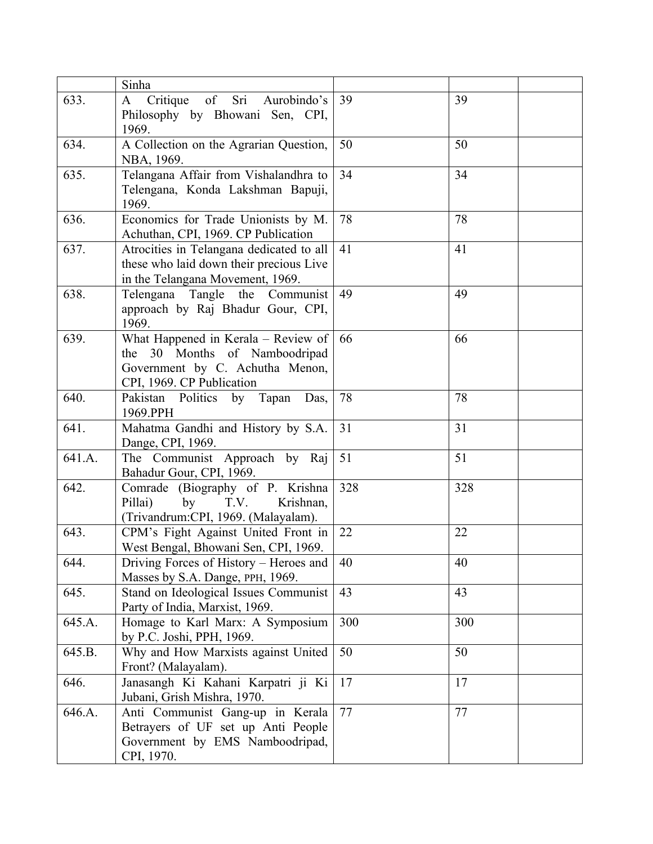|        | Sinha                                    |     |     |
|--------|------------------------------------------|-----|-----|
| 633.   | A Critique<br>of<br>Sri<br>Aurobindo's   | 39  | 39  |
|        | Philosophy by Bhowani Sen, CPI,          |     |     |
|        | 1969.                                    |     |     |
| 634.   | A Collection on the Agrarian Question,   | 50  | 50  |
|        | NBA, 1969.                               |     |     |
| 635.   | Telangana Affair from Vishalandhra to    | 34  | 34  |
|        | Telengana, Konda Lakshman Bapuji,        |     |     |
|        | 1969.                                    |     |     |
| 636.   | Economics for Trade Unionists by M.      | 78  | 78  |
|        | Achuthan, CPI, 1969. CP Publication      |     |     |
| 637.   | Atrocities in Telangana dedicated to all | 41  | 41  |
|        | these who laid down their precious Live  |     |     |
|        | in the Telangana Movement, 1969.         |     |     |
| 638.   | Telengana<br>Tangle the<br>Communist     | 49  | 49  |
|        | approach by Raj Bhadur Gour, CPI,        |     |     |
|        | 1969.                                    |     |     |
| 639.   | What Happened in Kerala - Review of      | 66  | 66  |
|        | the 30 Months of Namboodripad            |     |     |
|        | Government by C. Achutha Menon,          |     |     |
|        | CPI, 1969. CP Publication                |     |     |
| 640.   | Pakistan Politics by Tapan<br>Das,       | 78  | 78  |
|        | 1969.PPH                                 |     |     |
| 641.   | Mahatma Gandhi and History by S.A.       | 31  | 31  |
|        | Dange, CPI, 1969.                        |     |     |
| 641.A. | The Communist Approach by Raj            | 51  | 51  |
|        | Bahadur Gour, CPI, 1969.                 |     |     |
| 642.   | Comrade (Biography of P. Krishna         | 328 | 328 |
|        | Pillai)<br>T.V.<br>Krishnan,<br>by       |     |     |
|        | (Trivandrum:CPI, 1969. (Malayalam).      |     |     |
| 643.   | CPM's Fight Against United Front in      | 22  | 22  |
|        | West Bengal, Bhowani Sen, CPI, 1969.     |     |     |
| 644.   | Driving Forces of History – Heroes and   | 40  | 40  |
|        | Masses by S.A. Dange, PPH, 1969.         |     |     |
| 645.   | Stand on Ideological Issues Communist    | 43  | 43  |
|        | Party of India, Marxist, 1969.           |     |     |
| 645.A. | Homage to Karl Marx: A Symposium         | 300 | 300 |
|        | by P.C. Joshi, PPH, 1969.                |     |     |
| 645.B. | Why and How Marxists against United      | 50  | 50  |
|        | Front? (Malayalam).                      |     |     |
| 646.   | Janasangh Ki Kahani Karpatri ji Ki       | 17  | 17  |
|        | Jubani, Grish Mishra, 1970.              |     |     |
| 646.A. | Anti Communist Gang-up in Kerala         | 77  | 77  |
|        | Betrayers of UF set up Anti People       |     |     |
|        | Government by EMS Namboodripad,          |     |     |
|        | CPI, 1970.                               |     |     |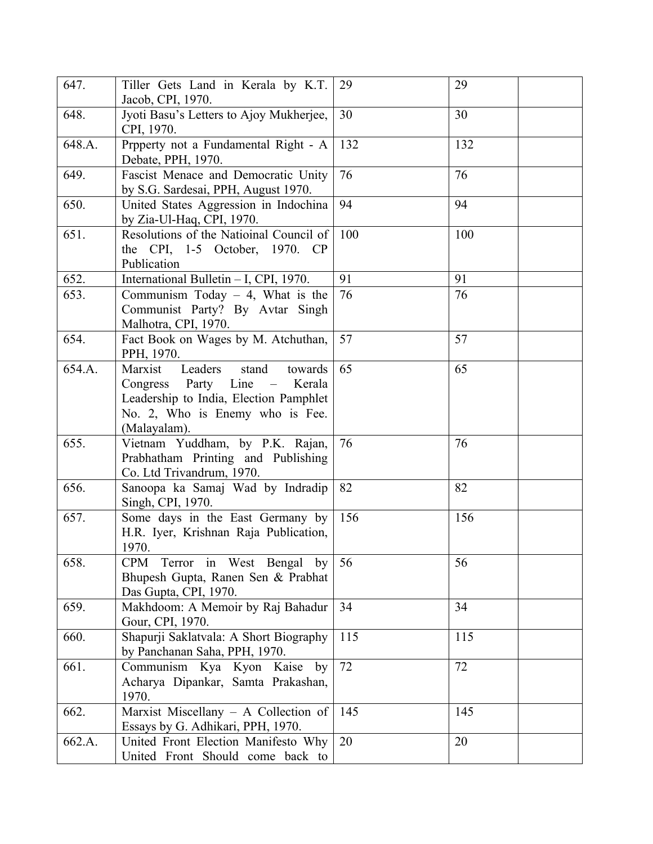| 647.   | Tiller Gets Land in Kerala by K.T.<br>Jacob, CPI, 1970.                                                                                                                | 29  | 29  |
|--------|------------------------------------------------------------------------------------------------------------------------------------------------------------------------|-----|-----|
| 648.   | Jyoti Basu's Letters to Ajoy Mukherjee,<br>CPI, 1970.                                                                                                                  | 30  | 30  |
| 648.A. | Prpperty not a Fundamental Right - A<br>Debate, PPH, 1970.                                                                                                             | 132 | 132 |
| 649.   | Fascist Menace and Democratic Unity<br>by S.G. Sardesai, PPH, August 1970.                                                                                             | 76  | 76  |
| 650.   | United States Aggression in Indochina<br>by Zia-Ul-Haq, CPI, 1970.                                                                                                     | 94  | 94  |
| 651.   | Resolutions of the Natioinal Council of<br>the CPI, 1-5 October, 1970. CP<br>Publication                                                                               | 100 | 100 |
| 652.   | International Bulletin - I, CPI, 1970.                                                                                                                                 | 91  | 91  |
| 653.   | Communism Today $-4$ , What is the<br>Communist Party? By Avtar Singh<br>Malhotra, CPI, 1970.                                                                          | 76  | 76  |
| 654.   | Fact Book on Wages by M. Atchuthan,<br>PPH, 1970.                                                                                                                      | 57  | 57  |
| 654.A. | Marxist Leaders<br>stand<br>towards<br>Party Line –<br>Congress<br>Kerala<br>Leadership to India, Election Pamphlet<br>No. 2, Who is Enemy who is Fee.<br>(Malayalam). | 65  | 65  |
| 655.   | Vietnam Yuddham, by P.K. Rajan,<br>Prabhatham Printing and Publishing<br>Co. Ltd Trivandrum, 1970.                                                                     | 76  | 76  |
| 656.   | Sanoopa ka Samaj Wad by Indradip<br>Singh, CPI, 1970.                                                                                                                  | 82  | 82  |
| 657.   | Some days in the East Germany by<br>H.R. Iyer, Krishnan Raja Publication,<br>1970.                                                                                     | 156 | 156 |
| 658.   | CPM Terror in West Bengal by<br>Bhupesh Gupta, Ranen Sen & Prabhat<br>Das Gupta, CPI, 1970.                                                                            | 56  | 56  |
| 659.   | Makhdoom: A Memoir by Raj Bahadur<br>Gour, CPI, 1970.                                                                                                                  | 34  | 34  |
| 660.   | Shapurji Saklatvala: A Short Biography<br>by Panchanan Saha, PPH, 1970.                                                                                                | 115 | 115 |
| 661.   | Communism Kya Kyon Kaise by<br>Acharya Dipankar, Samta Prakashan,<br>1970.                                                                                             | 72  | 72  |
| 662.   | Marxist Miscellany - A Collection of<br>Essays by G. Adhikari, PPH, 1970.                                                                                              | 145 | 145 |
| 662.A. | United Front Election Manifesto Why<br>United Front Should come back to                                                                                                | 20  | 20  |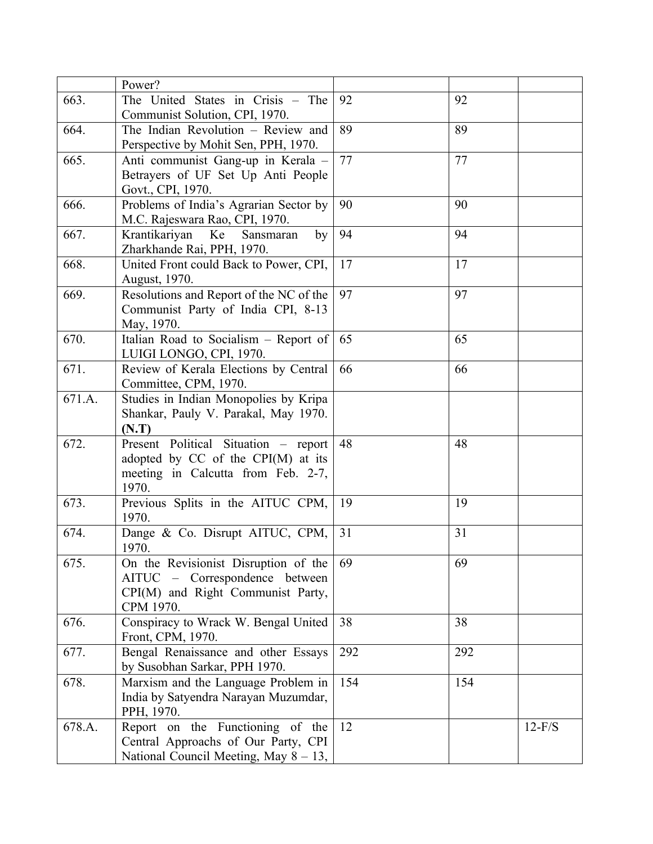|        | Power?                                                               |     |     |          |
|--------|----------------------------------------------------------------------|-----|-----|----------|
| 663.   | The United States in Crisis – The                                    | 92  | 92  |          |
|        | Communist Solution, CPI, 1970.                                       |     |     |          |
| 664.   | The Indian Revolution - Review and                                   | 89  | 89  |          |
|        | Perspective by Mohit Sen, PPH, 1970.                                 |     |     |          |
| 665.   | Anti communist Gang-up in Kerala -                                   | 77  | 77  |          |
|        | Betrayers of UF Set Up Anti People                                   |     |     |          |
|        | Govt., CPI, 1970.                                                    |     |     |          |
| 666.   | Problems of India's Agrarian Sector by                               | 90  | 90  |          |
|        | M.C. Rajeswara Rao, CPI, 1970.                                       |     |     |          |
| 667.   | Krantikariyan<br>Ke<br>Sansmaran<br>by                               | 94  | 94  |          |
| 668.   | Zharkhande Rai, PPH, 1970.<br>United Front could Back to Power, CPI, | 17  | 17  |          |
|        | August, 1970.                                                        |     |     |          |
| 669.   | Resolutions and Report of the NC of the                              | 97  | 97  |          |
|        | Communist Party of India CPI, 8-13                                   |     |     |          |
|        | May, 1970.                                                           |     |     |          |
| 670.   | Italian Road to Socialism – Report of                                | 65  | 65  |          |
|        | LUIGI LONGO, CPI, 1970.                                              |     |     |          |
| 671.   | Review of Kerala Elections by Central                                | 66  | 66  |          |
|        | Committee, CPM, 1970.                                                |     |     |          |
| 671.A. | Studies in Indian Monopolies by Kripa                                |     |     |          |
|        | Shankar, Pauly V. Parakal, May 1970.                                 |     |     |          |
|        | (N.T)                                                                |     |     |          |
| 672.   | Present Political Situation – report                                 | 48  | 48  |          |
|        | adopted by $CC$ of the $CPI(M)$ at its                               |     |     |          |
|        | meeting in Calcutta from Feb. 2-7,                                   |     |     |          |
|        | 1970.                                                                |     |     |          |
| 673.   | Previous Splits in the AITUC CPM,<br>1970.                           | 19  | 19  |          |
| 674.   | Dange & Co. Disrupt AITUC, CPM,                                      | 31  | 31  |          |
|        | 1970.                                                                |     |     |          |
| 675.   | On the Revisionist Disruption of the                                 | 69  | 69  |          |
|        | AITUC – Correspondence between                                       |     |     |          |
|        | CPI(M) and Right Communist Party,                                    |     |     |          |
|        | CPM 1970.                                                            |     |     |          |
| 676.   | Conspiracy to Wrack W. Bengal United                                 | 38  | 38  |          |
|        | Front, CPM, 1970.                                                    |     |     |          |
| 677.   | Bengal Renaissance and other Essays                                  | 292 | 292 |          |
|        | by Susobhan Sarkar, PPH 1970.                                        |     |     |          |
| 678.   | Marxism and the Language Problem in                                  | 154 | 154 |          |
|        | India by Satyendra Narayan Muzumdar,                                 |     |     |          |
|        | PPH, 1970.                                                           |     |     |          |
| 678.A. | Report on the Functioning of the                                     | 12  |     | $12-F/S$ |
|        | Central Approachs of Our Party, CPI                                  |     |     |          |
|        | National Council Meeting, May $8 - 13$ ,                             |     |     |          |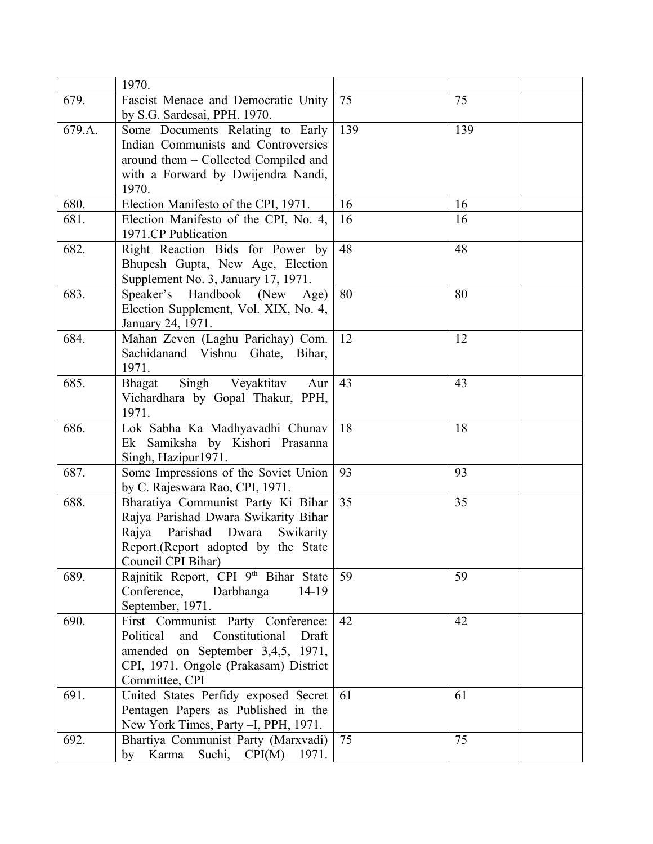|        | 1970.                                                                        |     |     |
|--------|------------------------------------------------------------------------------|-----|-----|
| 679.   | Fascist Menace and Democratic Unity                                          | 75  | 75  |
|        | by S.G. Sardesai, PPH. 1970.                                                 |     |     |
| 679.A. | Some Documents Relating to Early                                             | 139 | 139 |
|        | Indian Communists and Controversies                                          |     |     |
|        | around them – Collected Compiled and                                         |     |     |
|        | with a Forward by Dwijendra Nandi,                                           |     |     |
|        | 1970.                                                                        |     |     |
| 680.   | Election Manifesto of the CPI, 1971.                                         | 16  | 16  |
| 681.   | Election Manifesto of the CPI, No. 4,                                        | 16  | 16  |
|        | 1971.CP Publication                                                          |     |     |
| 682.   | Right Reaction Bids for Power by                                             | 48  | 48  |
|        | Bhupesh Gupta, New Age, Election                                             |     |     |
|        | Supplement No. 3, January 17, 1971.                                          |     |     |
| 683.   | Speaker's Handbook (New<br>Age)                                              | 80  | 80  |
|        | Election Supplement, Vol. XIX, No. 4,                                        |     |     |
|        | January 24, 1971.                                                            |     |     |
| 684.   | Mahan Zeven (Laghu Parichay) Com.                                            | 12  | 12  |
|        | Sachidanand Vishnu Ghate, Bihar,                                             |     |     |
|        | 1971.                                                                        |     |     |
| 685.   | Singh<br>Veyaktitav<br>Aur<br>Bhagat                                         | 43  | 43  |
|        | Vichardhara by Gopal Thakur, PPH,                                            |     |     |
|        | 1971.                                                                        |     |     |
| 686.   | Lok Sabha Ka Madhyavadhi Chunav                                              | 18  | 18  |
|        | Ek Samiksha by Kishori Prasanna                                              |     |     |
|        | Singh, Hazipur1971.                                                          |     |     |
| 687.   | Some Impressions of the Soviet Union                                         | 93  | 93  |
|        | by C. Rajeswara Rao, CPI, 1971.                                              | 35  |     |
| 688.   | Bharatiya Communist Party Ki Bihar                                           |     | 35  |
|        | Rajya Parishad Dwara Swikarity Bihar<br>Parishad Dwara<br>Rajya<br>Swikarity |     |     |
|        |                                                                              |     |     |
|        | Report.(Report adopted by the State<br>Council CPI Bihar)                    |     |     |
| 689.   | Rajnitik Report, CPI 9th Bihar State                                         | 59  | 59  |
|        | Conference,<br>Darbhanga<br>$14-19$                                          |     |     |
|        | September, 1971.                                                             |     |     |
| 690.   | First Communist Party Conference:                                            | 42  | 42  |
|        | Constitutional<br>Political<br>and<br>Draft                                  |     |     |
|        | amended on September 3,4,5, 1971,                                            |     |     |
|        | CPI, 1971. Ongole (Prakasam) District                                        |     |     |
|        | Committee, CPI                                                               |     |     |
| 691.   | United States Perfidy exposed Secret                                         | 61  | 61  |
|        | Pentagen Papers as Published in the                                          |     |     |
|        | New York Times, Party -I, PPH, 1971.                                         |     |     |
| 692.   | Bhartiya Communist Party (Marxvadi)                                          | 75  | 75  |
|        | by Karma Suchi, CPI(M)<br>1971.                                              |     |     |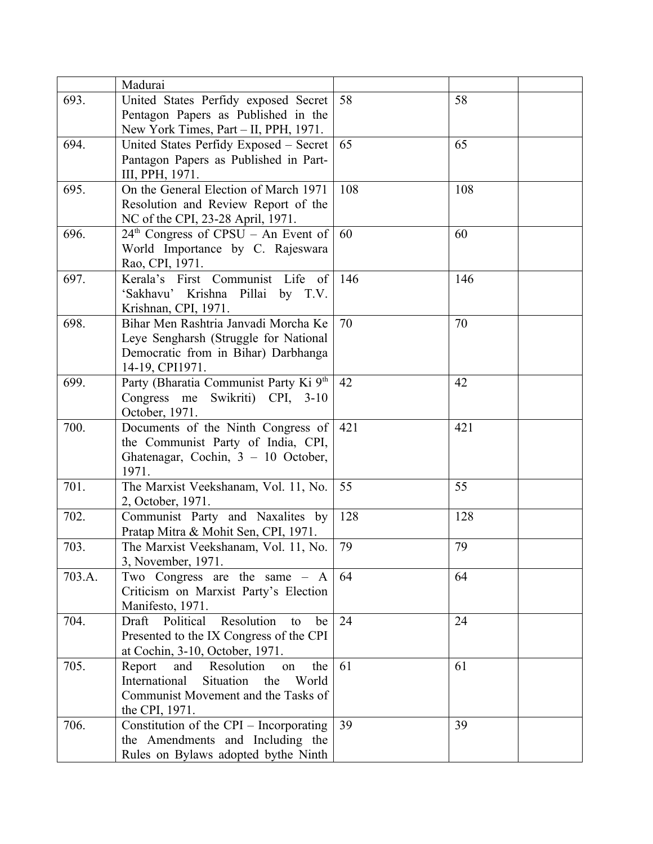|        | Madurai                                           |     |     |
|--------|---------------------------------------------------|-----|-----|
| 693.   | United States Perfidy exposed Secret              | 58  | 58  |
|        | Pentagon Papers as Published in the               |     |     |
|        | New York Times, Part - II, PPH, 1971.             |     |     |
| 694.   | United States Perfidy Exposed - Secret            | 65  | 65  |
|        | Pantagon Papers as Published in Part-             |     |     |
|        | III, PPH, 1971.                                   |     |     |
| 695.   | On the General Election of March 1971             | 108 | 108 |
|        | Resolution and Review Report of the               |     |     |
|        | NC of the CPI, 23-28 April, 1971.                 |     |     |
| 696.   | $24th$ Congress of CPSU – An Event of             | 60  | 60  |
|        | World Importance by C. Rajeswara                  |     |     |
|        | Rao, CPI, 1971.                                   |     |     |
| 697.   | Kerala's First Communist Life<br>of               | 146 | 146 |
|        | 'Sakhavu' Krishna Pillai by T.V.                  |     |     |
|        | Krishnan, CPI, 1971.                              |     |     |
| 698.   | Bihar Men Rashtria Janvadi Morcha Ke              | 70  | 70  |
|        | Leye Sengharsh (Struggle for National             |     |     |
|        | Democratic from in Bihar) Darbhanga               |     |     |
|        | 14-19, CPI1971.                                   |     |     |
| 699.   | Party (Bharatia Communist Party Ki <sup>9th</sup> | 42  | 42  |
|        | Congress me Swikriti) CPI, 3-10                   |     |     |
|        | October, 1971.                                    |     |     |
| 700.   | Documents of the Ninth Congress of                | 421 | 421 |
|        | the Communist Party of India, CPI,                |     |     |
|        | Ghatenagar, Cochin, $3 - 10$ October,             |     |     |
|        | 1971.                                             |     |     |
| 701.   | The Marxist Veekshanam, Vol. 11, No.              | 55  | 55  |
|        | 2, October, 1971.                                 |     |     |
| 702.   | Communist Party and Naxalites by                  | 128 | 128 |
|        | Pratap Mitra & Mohit Sen, CPI, 1971.              |     |     |
| 703.   | The Marxist Veekshanam, Vol. 11, No.              | 79  | 79  |
|        | 3, November, 1971.                                |     |     |
| 703.A. | Two Congress are the same $- A$                   | 64  | 64  |
|        | Criticism on Marxist Party's Election             |     |     |
|        | Manifesto, 1971.                                  |     |     |
| 704.   | Resolution<br>Draft<br>Political<br>to<br>be      | 24  | 24  |
|        | Presented to the IX Congress of the CPI           |     |     |
|        | at Cochin, 3-10, October, 1971.                   |     |     |
| 705.   | Resolution<br>Report<br>and<br>the<br>on          | 61  | 61  |
|        | International<br>Situation<br>the<br>World        |     |     |
|        | Communist Movement and the Tasks of               |     |     |
|        | the CPI, 1971.                                    |     |     |
| 706.   | Constitution of the CPI - Incorporating           | 39  | 39  |
|        | the Amendments and Including the                  |     |     |
|        | Rules on Bylaws adopted bythe Ninth               |     |     |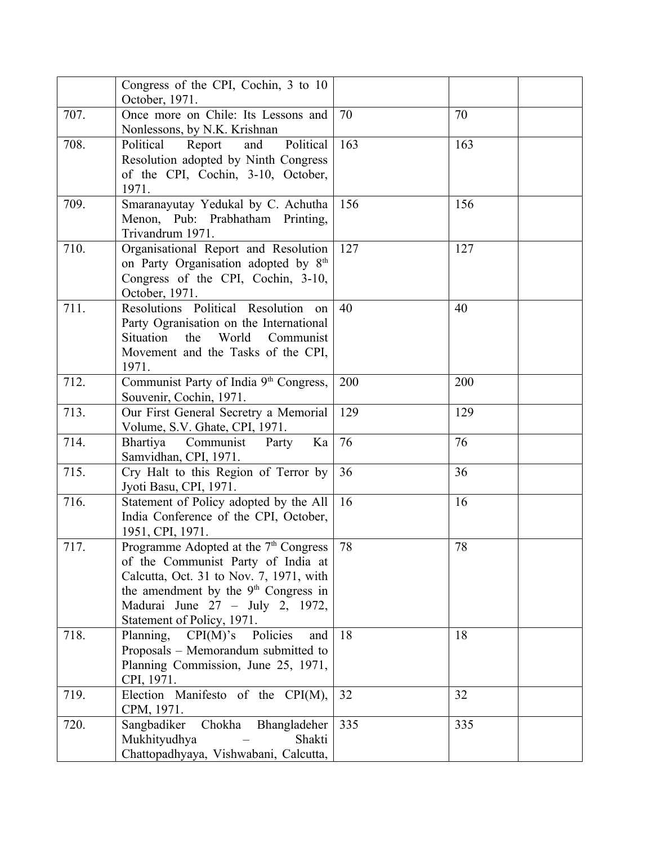|      | Congress of the CPI, Cochin, 3 to 10<br>October, 1971.                                                                                                                                                                                                  |     |     |
|------|---------------------------------------------------------------------------------------------------------------------------------------------------------------------------------------------------------------------------------------------------------|-----|-----|
| 707. | Once more on Chile: Its Lessons and<br>Nonlessons, by N.K. Krishnan                                                                                                                                                                                     | 70  | 70  |
| 708. | Political<br>Political<br>Report<br>and<br>Resolution adopted by Ninth Congress<br>of the CPI, Cochin, 3-10, October,<br>1971.                                                                                                                          | 163 | 163 |
| 709. | Smaranayutay Yedukal by C. Achutha<br>Menon, Pub: Prabhatham Printing,<br>Trivandrum 1971.                                                                                                                                                              | 156 | 156 |
| 710. | Organisational Report and Resolution<br>on Party Organisation adopted by 8 <sup>th</sup><br>Congress of the CPI, Cochin, 3-10,<br>October, 1971.                                                                                                        | 127 | 127 |
| 711. | Resolutions Political Resolution on<br>Party Ogranisation on the International<br>Situation<br>World<br>the<br>Communist<br>Movement and the Tasks of the CPI,<br>1971.                                                                                 | 40  | 40  |
| 712. | Communist Party of India 9 <sup>th</sup> Congress,<br>Souvenir, Cochin, 1971.                                                                                                                                                                           | 200 | 200 |
| 713. | Our First General Secretry a Memorial<br>Volume, S.V. Ghate, CPI, 1971.                                                                                                                                                                                 | 129 | 129 |
| 714. | Communist Party<br>Ka<br>Bhartiya<br>Samvidhan, CPI, 1971.                                                                                                                                                                                              | 76  | 76  |
| 715. | Cry Halt to this Region of Terror by<br>Jyoti Basu, CPI, 1971.                                                                                                                                                                                          | 36  | 36  |
| 716. | Statement of Policy adopted by the All<br>India Conference of the CPI, October,<br>1951, CPI, 1971.                                                                                                                                                     | 16  | 16  |
| 717. | Programme Adopted at the 7 <sup>th</sup> Congress<br>of the Communist Party of India at<br>Calcutta, Oct. 31 to Nov. 7, 1971, with<br>the amendment by the 9 <sup>th</sup> Congress in<br>Madurai June 27 - July 2, 1972,<br>Statement of Policy, 1971. | 78  | 78  |
| 718. | CPI(M)'s Policies<br>Planning,<br>and<br>Proposals – Memorandum submitted to<br>Planning Commission, June 25, 1971,<br>CPI, 1971.                                                                                                                       | 18  | 18  |
| 719. | Election Manifesto of the CPI(M),<br>CPM, 1971.                                                                                                                                                                                                         | 32  | 32  |
| 720. | Sangbadiker<br>Chokha<br>Bhangladeher<br>Mukhityudhya<br>Shakti<br>Chattopadhyaya, Vishwabani, Calcutta,                                                                                                                                                | 335 | 335 |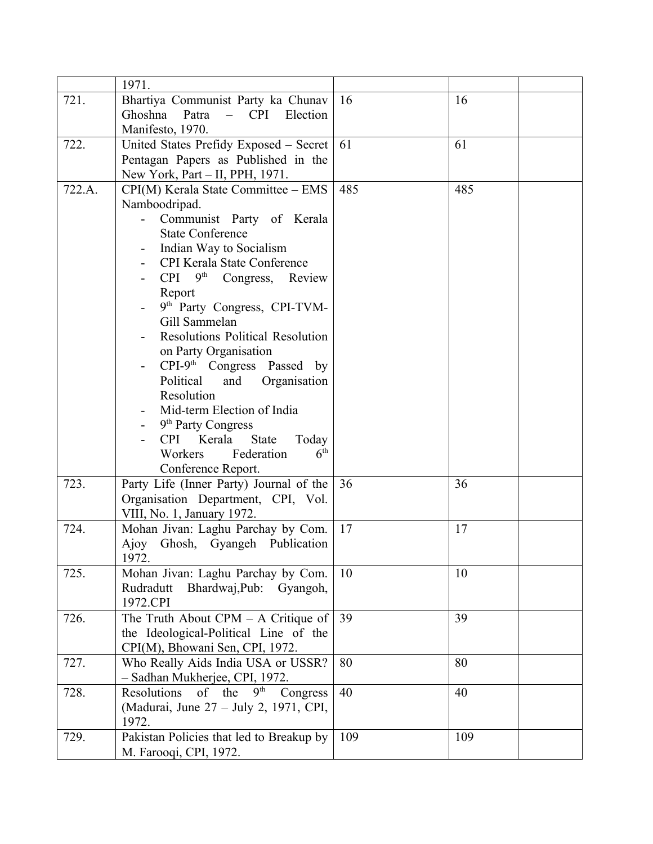|        | 1971.                                                      |     |     |
|--------|------------------------------------------------------------|-----|-----|
| 721.   | Bhartiya Communist Party ka Chunav                         | 16  | 16  |
|        | Ghoshna<br>Patra<br>Election<br><b>CPI</b><br>$\equiv$ $-$ |     |     |
|        | Manifesto, 1970.                                           |     |     |
| 722.   | United States Prefidy Exposed - Secret                     | 61  | 61  |
|        | Pentagan Papers as Published in the                        |     |     |
|        | New York, Part - II, PPH, 1971.                            |     |     |
| 722.A. | CPI(M) Kerala State Committee - EMS                        | 485 | 485 |
|        | Namboodripad.                                              |     |     |
|        | Communist Party of Kerala                                  |     |     |
|        | <b>State Conference</b>                                    |     |     |
|        | Indian Way to Socialism                                    |     |     |
|        | CPI Kerala State Conference                                |     |     |
|        | 9 <sup>th</sup> Congress, Review<br><b>CPI</b>             |     |     |
|        | Report                                                     |     |     |
|        | 9th Party Congress, CPI-TVM-                               |     |     |
|        | Gill Sammelan                                              |     |     |
|        | <b>Resolutions Political Resolution</b>                    |     |     |
|        | on Party Organisation                                      |     |     |
|        | $CPI-9th$ Congress Passed by<br>Political                  |     |     |
|        | Organisation<br>and<br>Resolution                          |     |     |
|        | Mid-term Election of India                                 |     |     |
|        | 9 <sup>th</sup> Party Congress                             |     |     |
|        | CPI Kerala<br><b>State</b><br>Today                        |     |     |
|        | 6 <sup>th</sup><br>Federation<br>Workers                   |     |     |
|        | Conference Report.                                         |     |     |
| 723.   | Party Life (Inner Party) Journal of the                    | 36  | 36  |
|        | Organisation Department, CPI, Vol.                         |     |     |
|        | VIII, No. 1, January 1972.                                 |     |     |
| 724.   | Mohan Jivan: Laghu Parchay by Com.                         | 17  | 17  |
|        | Ajoy Ghosh, Gyangeh Publication                            |     |     |
|        | 1972.                                                      |     |     |
| 725.   | Mohan Jivan: Laghu Parchay by Com.                         | 10  | 10  |
|        | Rudradutt<br>Bhardwaj, Pub:<br>Gyangoh,                    |     |     |
|        | 1972.CPI                                                   |     |     |
| 726.   | The Truth About $CPM - A$ Critique of                      | 39  | 39  |
|        | the Ideological-Political Line of the                      |     |     |
|        | CPI(M), Bhowani Sen, CPI, 1972.                            |     |     |
| 727.   | Who Really Aids India USA or USSR?                         | 80  | 80  |
|        | - Sadhan Mukherjee, CPI, 1972.                             |     |     |
| 728.   | Resolutions of the<br>9 <sup>th</sup><br>Congress          | 40  | 40  |
|        | (Madurai, June 27 – July 2, 1971, CPI,                     |     |     |
|        | 1972.                                                      |     |     |
| 729.   | Pakistan Policies that led to Breakup by                   | 109 | 109 |
|        | M. Farooqi, CPI, 1972.                                     |     |     |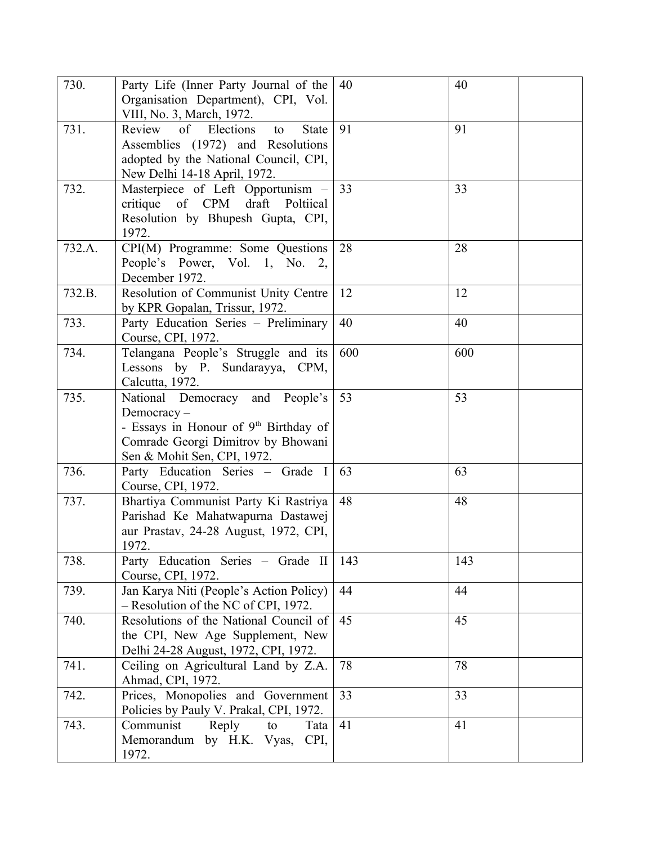| 730.   | Party Life (Inner Party Journal of the                                     | 40  | 40  |
|--------|----------------------------------------------------------------------------|-----|-----|
|        | Organisation Department), CPI, Vol.                                        |     |     |
|        | VIII, No. 3, March, 1972.                                                  |     |     |
| 731.   | Review<br>$\circ$ f<br>Elections<br><b>State</b><br>to                     | 91  | 91  |
|        | Assemblies (1972) and Resolutions                                          |     |     |
|        | adopted by the National Council, CPI,                                      |     |     |
| 732.   | New Delhi 14-18 April, 1972.                                               | 33  | 33  |
|        | Masterpiece of Left Opportunism -<br>of CPM draft<br>critique<br>Poltiical |     |     |
|        | Resolution by Bhupesh Gupta, CPI,                                          |     |     |
|        | 1972.                                                                      |     |     |
| 732.A. | CPI(M) Programme: Some Questions                                           | 28  | 28  |
|        | People's Power, Vol. 1, No. 2,                                             |     |     |
|        | December 1972.                                                             |     |     |
| 732.B. | Resolution of Communist Unity Centre                                       | 12  | 12  |
|        | by KPR Gopalan, Trissur, 1972.                                             |     |     |
| 733.   | Party Education Series - Preliminary                                       | 40  | 40  |
|        | Course, CPI, 1972.                                                         |     |     |
| 734.   | Telangana People's Struggle and its                                        | 600 | 600 |
|        | Lessons by P. Sundarayya, CPM,                                             |     |     |
|        | Calcutta, 1972.                                                            |     |     |
| 735.   | National Democracy and People's                                            | 53  | 53  |
|        | Democracy-                                                                 |     |     |
|        | - Essays in Honour of 9th Birthday of                                      |     |     |
|        | Comrade Georgi Dimitrov by Bhowani                                         |     |     |
|        | Sen & Mohit Sen, CPI, 1972.                                                |     |     |
| 736.   | Party Education Series - Grade I                                           | 63  | 63  |
|        | Course, CPI, 1972.                                                         |     |     |
| 737.   | Bhartiya Communist Party Ki Rastriya                                       | 48  | 48  |
|        | Parishad Ke Mahatwapurna Dastawej                                          |     |     |
|        | aur Prastav, 24-28 August, 1972, CPI,                                      |     |     |
|        | 1972.                                                                      |     |     |
| 738.   | Party Education Series - Grade II                                          | 143 | 143 |
| 739.   | Course, CPI, 1972.<br>Jan Karya Niti (People's Action Policy)              | 44  | 44  |
|        | - Resolution of the NC of CPI, 1972.                                       |     |     |
| 740.   | Resolutions of the National Council of                                     | 45  | 45  |
|        | the CPI, New Age Supplement, New                                           |     |     |
|        | Delhi 24-28 August, 1972, CPI, 1972.                                       |     |     |
| 741.   | Ceiling on Agricultural Land by Z.A.                                       | 78  | 78  |
|        | Ahmad, CPI, 1972.                                                          |     |     |
| 742.   | Prices, Monopolies and Government                                          | 33  | 33  |
|        | Policies by Pauly V. Prakal, CPI, 1972.                                    |     |     |
| 743.   | Communist<br>Reply<br>Tata<br>to                                           | 41  | 41  |
|        | Memorandum by H.K. Vyas,<br>CPI,                                           |     |     |
|        | 1972.                                                                      |     |     |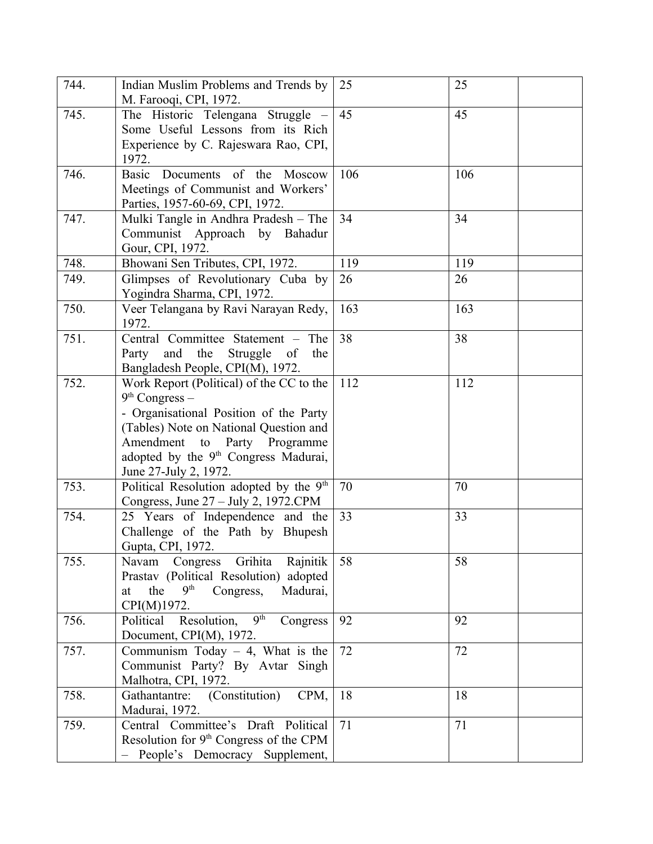| 744. | Indian Muslim Problems and Trends by<br>M. Farooqi, CPI, 1972.                                                                                                                                                                                                   | 25  | 25  |
|------|------------------------------------------------------------------------------------------------------------------------------------------------------------------------------------------------------------------------------------------------------------------|-----|-----|
| 745. | The Historic Telengana Struggle -<br>Some Useful Lessons from its Rich<br>Experience by C. Rajeswara Rao, CPI,<br>1972.                                                                                                                                          | 45  | 45  |
| 746. | Basic Documents of the Moscow<br>Meetings of Communist and Workers'<br>Parties, 1957-60-69, CPI, 1972.                                                                                                                                                           | 106 | 106 |
| 747. | Mulki Tangle in Andhra Pradesh – The<br>Communist Approach by Bahadur<br>Gour, CPI, 1972.                                                                                                                                                                        | 34  | 34  |
| 748. | Bhowani Sen Tributes, CPI, 1972.                                                                                                                                                                                                                                 | 119 | 119 |
| 749. | Glimpses of Revolutionary Cuba by<br>Yogindra Sharma, CPI, 1972.                                                                                                                                                                                                 | 26  | 26  |
| 750. | Veer Telangana by Ravi Narayan Redy,<br>1972.                                                                                                                                                                                                                    | 163 | 163 |
| 751. | Central Committee Statement - The<br>Party and the<br>Struggle of<br>the<br>Bangladesh People, CPI(M), 1972.                                                                                                                                                     | 38  | 38  |
| 752. | Work Report (Political) of the CC to the<br>$9th Congress -$<br>- Organisational Position of the Party<br>(Tables) Note on National Question and<br>Amendment to<br>Party Programme<br>adopted by the 9 <sup>th</sup> Congress Madurai,<br>June 27-July 2, 1972. | 112 | 112 |
| 753. | Political Resolution adopted by the 9 <sup>th</sup><br>Congress, June 27 – July 2, 1972.CPM                                                                                                                                                                      | 70  | 70  |
| 754. | 25 Years of Independence and the<br>Challenge of the Path by Bhupesh<br>Gupta, CPI, 1972.                                                                                                                                                                        | 33  | 33  |
| 755. | Navam<br>Congress Grihita<br>Rajnitik<br>Prastav (Political Resolution) adopted<br>9 <sup>th</sup><br>the<br>Congress,<br>Madurai,<br>at<br>CPI(M)1972.                                                                                                          | 58  | 58  |
| 756. | 9 <sup>th</sup><br>Resolution,<br>Political<br>Congress<br>Document, CPI(M), 1972.                                                                                                                                                                               | 92  | 92  |
| 757. | Communism Today $-4$ , What is the<br>Communist Party? By Avtar Singh<br>Malhotra, CPI, 1972.                                                                                                                                                                    | 72  | 72  |
| 758. | Gathantantre: (Constitution)<br>CPM,<br>Madurai, 1972.                                                                                                                                                                                                           | 18  | 18  |
| 759. | Central Committee's Draft Political<br>Resolution for $9th$ Congress of the CPM<br>- People's Democracy Supplement,                                                                                                                                              | 71  | 71  |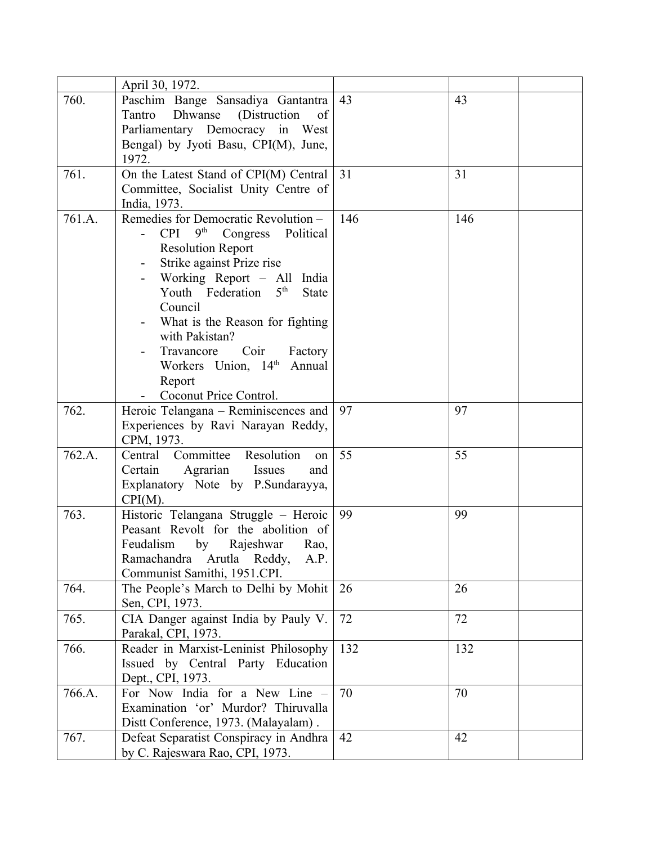|        | April 30, 1972.                                         |     |     |
|--------|---------------------------------------------------------|-----|-----|
| 760.   | Paschim Bange Sansadiya Gantantra                       | 43  | 43  |
|        | Dhwanse<br>Tantro<br>(Distruction)<br>of                |     |     |
|        | Parliamentary Democracy in West                         |     |     |
|        | Bengal) by Jyoti Basu, CPI(M), June,                    |     |     |
|        | 1972.                                                   |     |     |
| 761.   | On the Latest Stand of CPI(M) Central                   | 31  | 31  |
|        | Committee, Socialist Unity Centre of                    |     |     |
|        | India, 1973.                                            |     |     |
| 761.A. | Remedies for Democratic Revolution -                    | 146 | 146 |
|        | <b>CPI</b><br>$9th$ Congress<br>Political               |     |     |
|        | <b>Resolution Report</b>                                |     |     |
|        | Strike against Prize rise                               |     |     |
|        | Working Report - All India                              |     |     |
|        | Youth Federation 5 <sup>th</sup><br><b>State</b>        |     |     |
|        | Council                                                 |     |     |
|        | What is the Reason for fighting                         |     |     |
|        | with Pakistan?                                          |     |     |
|        | Coir<br>Travancore<br>Factory                           |     |     |
|        | Workers Union, 14th Annual                              |     |     |
|        | Report                                                  |     |     |
|        | Coconut Price Control.                                  |     |     |
| 762.   | Heroic Telangana – Reminiscences and                    | 97  | 97  |
|        | Experiences by Ravi Narayan Reddy,                      |     |     |
|        | CPM, 1973.                                              |     |     |
| 762.A. | Resolution<br>Committee<br>Central<br>on                | 55  | 55  |
|        | Agrarian<br>Certain<br>Issues<br>and                    |     |     |
|        | Explanatory Note by P.Sundarayya,                       |     |     |
|        | $CPI(M)$ .                                              |     |     |
| 763.   | Historic Telangana Struggle - Heroic                    | 99  | 99  |
|        | Peasant Revolt for the abolition of                     |     |     |
|        | Feudalism<br>by Rajeshwar<br>Rao,                       |     |     |
|        | Ramachandra<br>Arutla Reddy,<br>A.P.                    |     |     |
|        | Communist Samithi, 1951.CPI.                            |     |     |
| 764.   | The People's March to Delhi by Mohit<br>Sen, CPI, 1973. | 26  | 26  |
| 765.   |                                                         | 72  | 72  |
|        | CIA Danger against India by Pauly V.                    |     |     |
| 766.   | Parakal, CPI, 1973.                                     | 132 | 132 |
|        | Reader in Marxist-Leninist Philosophy                   |     |     |
|        | Issued by Central Party Education<br>Dept., CPI, 1973.  |     |     |
| 766.A. | For Now India for a New Line -                          | 70  | 70  |
|        | Examination 'or' Murdor? Thiruvalla                     |     |     |
|        | Distt Conference, 1973. (Malayalam).                    |     |     |
| 767.   | Defeat Separatist Conspiracy in Andhra                  | 42  | 42  |
|        | by C. Rajeswara Rao, CPI, 1973.                         |     |     |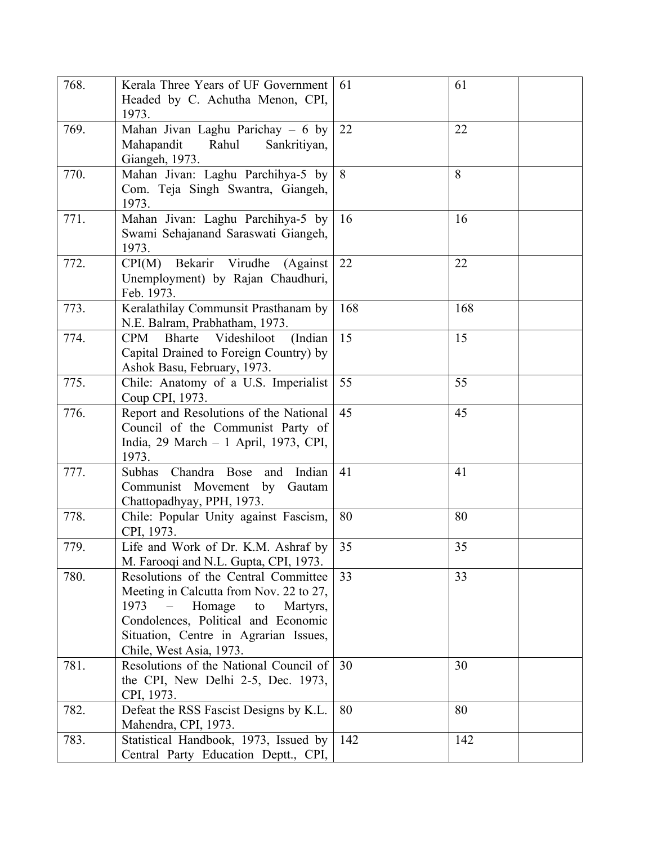| 768. | Kerala Three Years of UF Government<br>Headed by C. Achutha Menon, CPI,<br>1973.                                                                                                                                               | 61  | 61  |  |
|------|--------------------------------------------------------------------------------------------------------------------------------------------------------------------------------------------------------------------------------|-----|-----|--|
| 769. | Mahan Jivan Laghu Parichay - 6 by<br>Mahapandit<br>Rahul<br>Sankritiyan,<br>Giangeh, 1973.                                                                                                                                     | 22  | 22  |  |
| 770. | Mahan Jivan: Laghu Parchihya-5 by<br>Com. Teja Singh Swantra, Giangeh,<br>1973.                                                                                                                                                | 8   | 8   |  |
| 771. | Mahan Jivan: Laghu Parchihya-5 by<br>Swami Sehajanand Saraswati Giangeh,<br>1973.                                                                                                                                              | 16  | 16  |  |
| 772. | Bekarir Virudhe<br>CPI(M)<br>(Against)<br>Unemployment) by Rajan Chaudhuri,<br>Feb. 1973.                                                                                                                                      | 22  | 22  |  |
| 773. | Keralathilay Communsit Prasthanam by<br>N.E. Balram, Prabhatham, 1973.                                                                                                                                                         | 168 | 168 |  |
| 774. | Videshiloot<br>(Indian<br><b>CPM</b><br>Bharte<br>Capital Drained to Foreign Country) by<br>Ashok Basu, February, 1973.                                                                                                        | 15  | 15  |  |
| 775. | Chile: Anatomy of a U.S. Imperialist<br>Coup CPI, 1973.                                                                                                                                                                        | 55  | 55  |  |
| 776. | Report and Resolutions of the National<br>Council of the Communist Party of<br>India, 29 March - 1 April, 1973, CPI,<br>1973.                                                                                                  | 45  | 45  |  |
| 777. | Chandra Bose<br>Indian<br>Subhas<br>and<br>Communist Movement<br>by<br>Gautam<br>Chattopadhyay, PPH, 1973.                                                                                                                     | 41  | 41  |  |
| 778. | Chile: Popular Unity against Fascism,<br>CPI, 1973.                                                                                                                                                                            | 80  | 80  |  |
| 779. | Life and Work of Dr. K.M. Ashraf by<br>M. Farooqi and N.L. Gupta, CPI, 1973.                                                                                                                                                   | 35  | 35  |  |
| 780. | Resolutions of the Central Committee<br>Meeting in Calcutta from Nov. 22 to 27,<br>Homage<br>1973<br>to<br>Martyrs,<br>Condolences, Political and Economic<br>Situation, Centre in Agrarian Issues,<br>Chile, West Asia, 1973. | 33  | 33  |  |
| 781. | Resolutions of the National Council of<br>the CPI, New Delhi 2-5, Dec. 1973,<br>CPI, 1973.                                                                                                                                     | 30  | 30  |  |
| 782. | Defeat the RSS Fascist Designs by K.L.<br>Mahendra, CPI, 1973.                                                                                                                                                                 | 80  | 80  |  |
| 783. | Statistical Handbook, 1973, Issued by<br>Central Party Education Deptt., CPI,                                                                                                                                                  | 142 | 142 |  |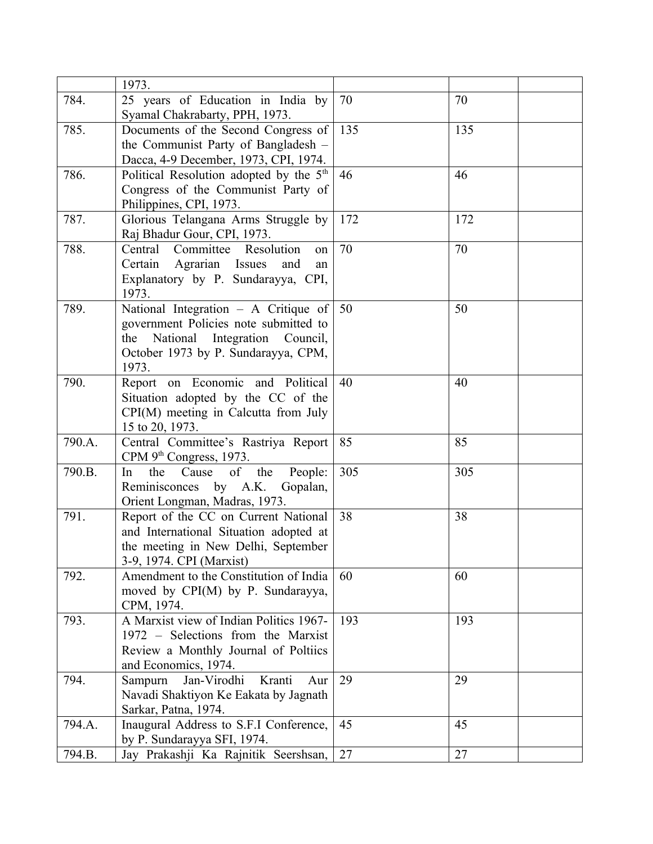|        | 1973.                                                                                                                                                              |     |     |
|--------|--------------------------------------------------------------------------------------------------------------------------------------------------------------------|-----|-----|
| 784.   | 25 years of Education in India by<br>Syamal Chakrabarty, PPH, 1973.                                                                                                | 70  | 70  |
| 785.   | Documents of the Second Congress of<br>the Communist Party of Bangladesh -<br>Dacca, 4-9 December, 1973, CPI, 1974.                                                | 135 | 135 |
| 786.   | Political Resolution adopted by the 5 <sup>th</sup><br>Congress of the Communist Party of<br>Philippines, CPI, 1973.                                               | 46  | 46  |
| 787.   | Glorious Telangana Arms Struggle by<br>Raj Bhadur Gour, CPI, 1973.                                                                                                 | 172 | 172 |
| 788.   | Committee Resolution<br>Central<br>on<br>Certain Agrarian Issues<br>and<br>an<br>Explanatory by P. Sundarayya, CPI,<br>1973.                                       | 70  | 70  |
| 789.   | National Integration - A Critique of<br>government Policies note submitted to<br>the National Integration Council,<br>October 1973 by P. Sundarayya, CPM,<br>1973. | 50  | 50  |
| 790.   | Report on Economic and Political<br>Situation adopted by the CC of the<br>$CPI(M)$ meeting in Calcutta from July<br>15 to 20, 1973.                                | 40  | 40  |
| 790.A. | Central Committee's Rastriya Report<br>CPM 9 <sup>th</sup> Congress, 1973.                                                                                         | 85  | 85  |
| 790.B. | People:<br>the<br>Cause<br>of<br>the<br>In<br>Reminisconces by A.K.<br>Gopalan,<br>Orient Longman, Madras, 1973.                                                   | 305 | 305 |
| 791.   | Report of the CC on Current National<br>and International Situation adopted at<br>the meeting in New Delhi, September<br>3-9, 1974. CPI (Marxist)                  | 38  | 38  |
| 792.   | Amendment to the Constitution of India<br>moved by CPI(M) by P. Sundarayya,<br>CPM, 1974.                                                                          | 60  | 60  |
| 793.   | A Marxist view of Indian Politics 1967-<br>1972 - Selections from the Marxist<br>Review a Monthly Journal of Poltiics<br>and Economics, 1974.                      | 193 | 193 |
| 794.   | Jan-Virodhi<br>Kranti<br>Sampurn<br>Aur<br>Navadi Shaktiyon Ke Eakata by Jagnath<br>Sarkar, Patna, 1974.                                                           | 29  | 29  |
| 794.A. | Inaugural Address to S.F.I Conference,<br>by P. Sundarayya SFI, 1974.                                                                                              | 45  | 45  |
| 794.B. | Jay Prakashji Ka Rajnitik Seershsan,                                                                                                                               | 27  | 27  |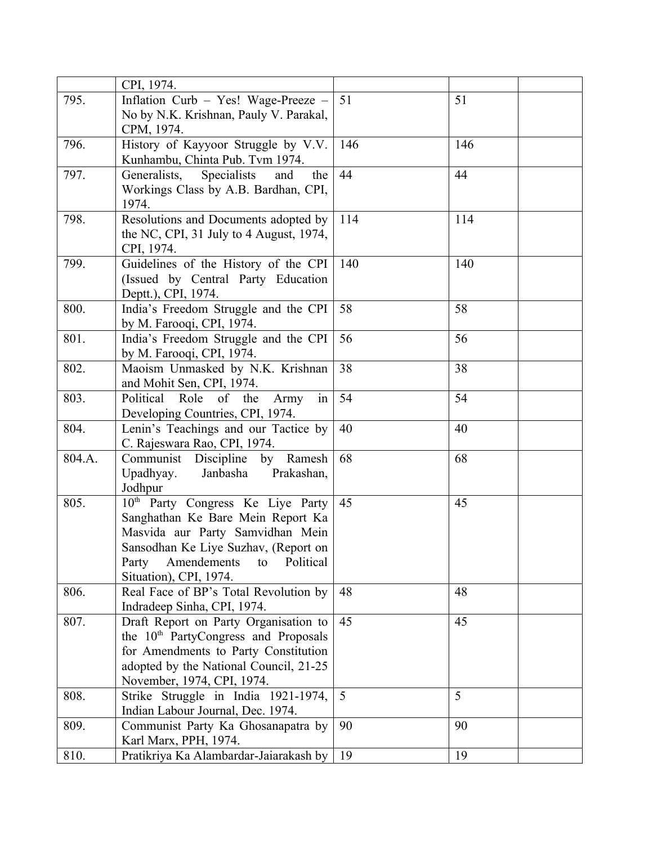|        | CPI, 1974.                                                                |     |     |
|--------|---------------------------------------------------------------------------|-----|-----|
| 795.   | Inflation Curb - Yes! Wage-Preeze -                                       | 51  | 51  |
|        | No by N.K. Krishnan, Pauly V. Parakal,                                    |     |     |
|        | CPM, 1974.                                                                |     |     |
| 796.   | History of Kayyoor Struggle by V.V.                                       | 146 | 146 |
|        | Kunhambu, Chinta Pub. Tvm 1974.                                           |     |     |
| 797.   | Specialists<br>Generalists,<br>and<br>the                                 | 44  | 44  |
|        | Workings Class by A.B. Bardhan, CPI,                                      |     |     |
|        | 1974.                                                                     |     |     |
| 798.   | Resolutions and Documents adopted by                                      | 114 | 114 |
|        | the NC, CPI, 31 July to 4 August, 1974,                                   |     |     |
|        | CPI, 1974.                                                                |     |     |
| 799.   | Guidelines of the History of the CPI                                      | 140 | 140 |
|        | (Issued by Central Party Education                                        |     |     |
|        | Deptt.), CPI, 1974.                                                       |     |     |
| 800.   | India's Freedom Struggle and the CPI                                      | 58  | 58  |
|        | by M. Farooqi, CPI, 1974.                                                 |     |     |
| 801.   | India's Freedom Struggle and the CPI                                      | 56  | 56  |
|        | by M. Farooqi, CPI, 1974.                                                 |     |     |
| 802.   | Maoism Unmasked by N.K. Krishnan                                          | 38  | 38  |
|        | and Mohit Sen, CPI, 1974.                                                 |     |     |
| 803.   | Political<br>of the<br>Role<br>Army<br>in                                 | 54  | 54  |
|        | Developing Countries, CPI, 1974.                                          |     |     |
| 804.   | Lenin's Teachings and our Tactice by                                      | 40  | 40  |
|        | C. Rajeswara Rao, CPI, 1974.                                              |     |     |
| 804.A. | Ramesh<br>Communist Discipline by                                         | 68  | 68  |
|        | Upadhyay.<br>Janbasha<br>Prakashan,                                       |     |     |
|        | Jodhpur                                                                   |     |     |
| 805.   | 10 <sup>th</sup> Party Congress Ke Liye Party                             | 45  | 45  |
|        | Sanghathan Ke Bare Mein Report Ka                                         |     |     |
|        | Masvida aur Party Samvidhan Mein                                          |     |     |
|        | Sansodhan Ke Liye Suzhav, (Report on<br>Political<br>Amendements<br>Party |     |     |
|        | to<br>Situation), CPI, 1974.                                              |     |     |
| 806.   | Real Face of BP's Total Revolution by                                     | 48  | 48  |
|        | Indradeep Sinha, CPI, 1974.                                               |     |     |
| 807.   | Draft Report on Party Organisation to                                     | 45  | 45  |
|        | the 10 <sup>th</sup> PartyCongress and Proposals                          |     |     |
|        | for Amendments to Party Constitution                                      |     |     |
|        | adopted by the National Council, 21-25                                    |     |     |
|        | November, 1974, CPI, 1974.                                                |     |     |
| 808.   | Strike Struggle in India 1921-1974,                                       | 5   | 5   |
|        | Indian Labour Journal, Dec. 1974.                                         |     |     |
| 809.   | Communist Party Ka Ghosanapatra by                                        | 90  | 90  |
|        | Karl Marx, PPH, 1974.                                                     |     |     |
| 810.   | Pratikriya Ka Alambardar-Jaiarakash by                                    | 19  | 19  |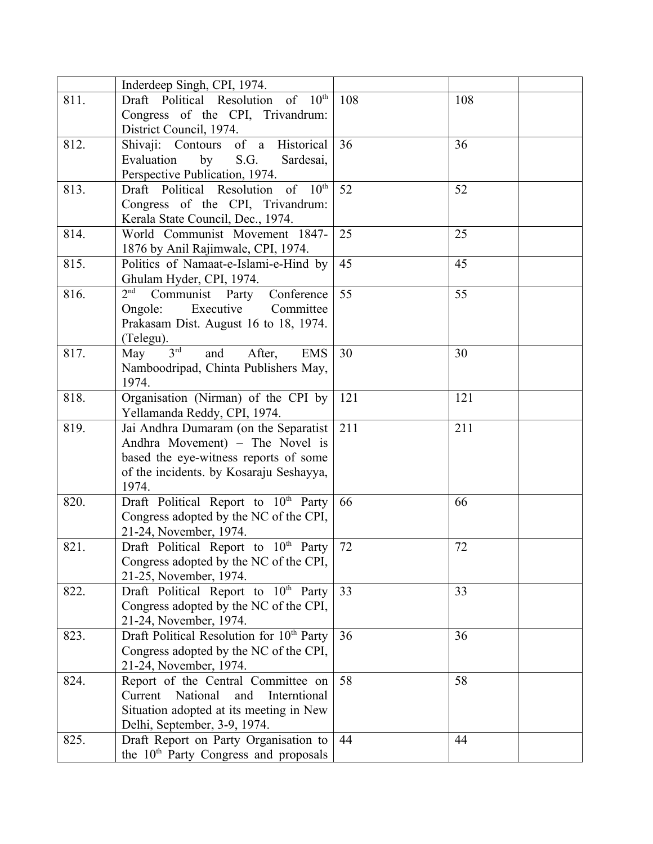|      | Inderdeep Singh, CPI, 1974.                                                |     |     |
|------|----------------------------------------------------------------------------|-----|-----|
| 811. | Draft Political Resolution of 10th                                         | 108 | 108 |
|      | Congress of the CPI, Trivandrum:                                           |     |     |
|      | District Council, 1974.                                                    |     |     |
| 812. | Shivaji: Contours of a Historical                                          | 36  | 36  |
|      | by<br>Evaluation<br>S.G.<br>Sardesai,                                      |     |     |
|      | Perspective Publication, 1974.                                             |     |     |
| 813. | Draft Political Resolution of 10th                                         | 52  | 52  |
|      | Congress of the CPI, Trivandrum:                                           |     |     |
|      | Kerala State Council, Dec., 1974.                                          |     |     |
| 814. | World Communist Movement 1847-                                             | 25  | 25  |
|      | 1876 by Anil Rajimwale, CPI, 1974.                                         |     |     |
| 815. | Politics of Namaat-e-Islami-e-Hind by                                      | 45  | 45  |
|      | Ghulam Hyder, CPI, 1974.                                                   |     |     |
| 816. | 2 <sup>nd</sup><br>Communist Party<br>Conference                           | 55  | 55  |
|      | Executive<br>Committee<br>Ongole:                                          |     |     |
|      | Prakasam Dist. August 16 to 18, 1974.                                      |     |     |
|      | (Telegu).                                                                  |     |     |
| 817. | $3^{\text{rd}}$<br>May<br><b>EMS</b><br>and<br>After,                      | 30  | 30  |
|      | Namboodripad, Chinta Publishers May,                                       |     |     |
|      | 1974.                                                                      |     |     |
| 818. | Organisation (Nirman) of the CPI by                                        | 121 | 121 |
|      | Yellamanda Reddy, CPI, 1974.                                               |     |     |
| 819. | Jai Andhra Dumaram (on the Separatist                                      | 211 | 211 |
|      | Andhra Movement) – The Novel is                                            |     |     |
|      | based the eye-witness reports of some                                      |     |     |
|      | of the incidents. by Kosaraju Seshayya,                                    |     |     |
|      | 1974.                                                                      |     |     |
| 820. | Draft Political Report to 10 <sup>th</sup> Party                           | 66  | 66  |
|      | Congress adopted by the NC of the CPI,                                     |     |     |
| 821. | 21-24, November, 1974.<br>Draft Political Report to 10 <sup>th</sup> Party | 72  | 72  |
|      | Congress adopted by the NC of the CPI,                                     |     |     |
|      | 21-25, November, 1974.                                                     |     |     |
| 822. | Draft Political Report to 10 <sup>th</sup> Party                           | 33  | 33  |
|      | Congress adopted by the NC of the CPI,                                     |     |     |
|      | 21-24, November, 1974.                                                     |     |     |
| 823. | Draft Political Resolution for 10 <sup>th</sup> Party                      | 36  | 36  |
|      | Congress adopted by the NC of the CPI,                                     |     |     |
|      | 21-24, November, 1974.                                                     |     |     |
| 824. | Report of the Central Committee on                                         | 58  | 58  |
|      | National<br>Current<br>and<br>Interntional                                 |     |     |
|      | Situation adopted at its meeting in New                                    |     |     |
|      | Delhi, September, 3-9, 1974.                                               |     |     |
| 825. | Draft Report on Party Organisation to                                      | 44  | 44  |
|      | the 10 <sup>th</sup> Party Congress and proposals                          |     |     |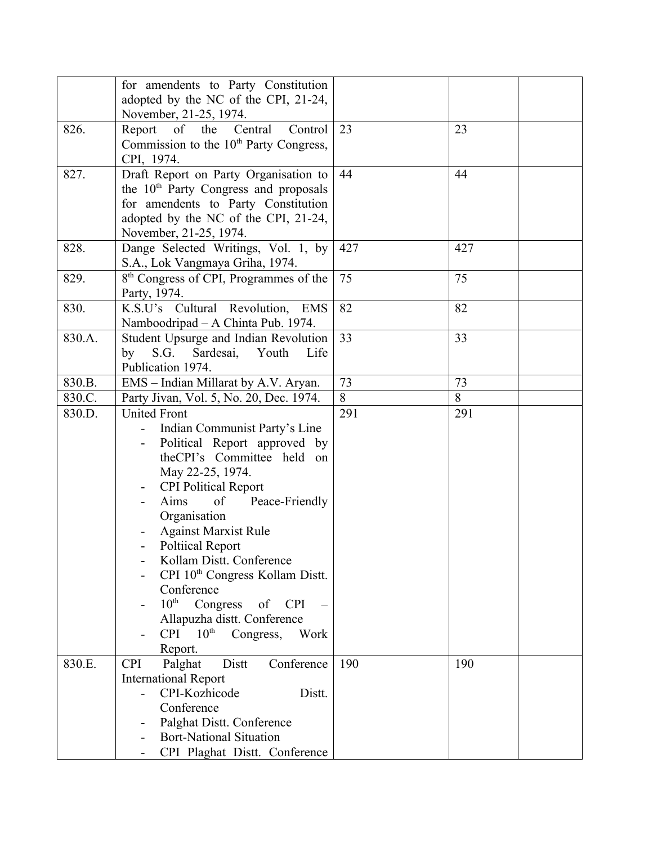|        | for amendents to Party Constitution                 |     |     |
|--------|-----------------------------------------------------|-----|-----|
|        | adopted by the NC of the CPI, 21-24,                |     |     |
|        | November, 21-25, 1974.                              |     |     |
| 826.   | Report of the<br>Central<br>Control                 | 23  | 23  |
|        | Commission to the 10 <sup>th</sup> Party Congress,  |     |     |
|        | CPI, 1974.                                          |     |     |
| 827.   | Draft Report on Party Organisation to               | 44  | 44  |
|        | the 10 <sup>th</sup> Party Congress and proposals   |     |     |
|        | for amendents to Party Constitution                 |     |     |
|        | adopted by the NC of the CPI, 21-24,                |     |     |
|        | November, 21-25, 1974.                              |     |     |
| 828.   | Dange Selected Writings, Vol. 1, by                 | 427 | 427 |
|        | S.A., Lok Vangmaya Griha, 1974.                     |     |     |
| 829.   | 8 <sup>th</sup> Congress of CPI, Programmes of the  | 75  | 75  |
|        | Party, 1974.                                        |     |     |
| 830.   | K.S.U's Cultural Revolution,<br>EMS                 | 82  | 82  |
|        | Namboodripad - A Chinta Pub. 1974.                  |     |     |
| 830.A. | Student Upsurge and Indian Revolution               | 33  | 33  |
|        | S.G.<br>Sardesai,<br>Youth<br>by<br>Life            |     |     |
|        | Publication 1974.                                   |     |     |
| 830.B. | EMS - Indian Millarat by A.V. Aryan.                | 73  | 73  |
| 830.C. | Party Jivan, Vol. 5, No. 20, Dec. 1974.             | 8   | 8   |
| 830.D. | <b>United Front</b>                                 | 291 | 291 |
|        | Indian Communist Party's Line                       |     |     |
|        | Political Report approved by                        |     |     |
|        | theCPI's Committee held on                          |     |     |
|        | May 22-25, 1974.                                    |     |     |
|        | <b>CPI Political Report</b>                         |     |     |
|        | Aims<br>of<br>Peace-Friendly                        |     |     |
|        | Organisation                                        |     |     |
|        | <b>Against Marxist Rule</b>                         |     |     |
|        | <b>Poltiical Report</b><br>Kollam Distt. Conference |     |     |
|        | CPI 10 <sup>th</sup> Congress Kollam Distt.         |     |     |
|        | Conference                                          |     |     |
|        | $10^{\rm th}$<br>Congress of CPI                    |     |     |
|        | Allapuzha distt. Conference                         |     |     |
|        | $10^{\text{th}}$<br><b>CPI</b><br>Congress,<br>Work |     |     |
|        | Report.                                             |     |     |
| 830.E. | Conference<br>Distt<br><b>CPI</b><br>Palghat        | 190 | 190 |
|        | <b>International Report</b>                         |     |     |
|        | CPI-Kozhicode<br>Distt.                             |     |     |
|        | Conference                                          |     |     |
|        | Palghat Distt. Conference<br>-                      |     |     |
|        | <b>Bort-National Situation</b>                      |     |     |
|        | CPI Plaghat Distt. Conference                       |     |     |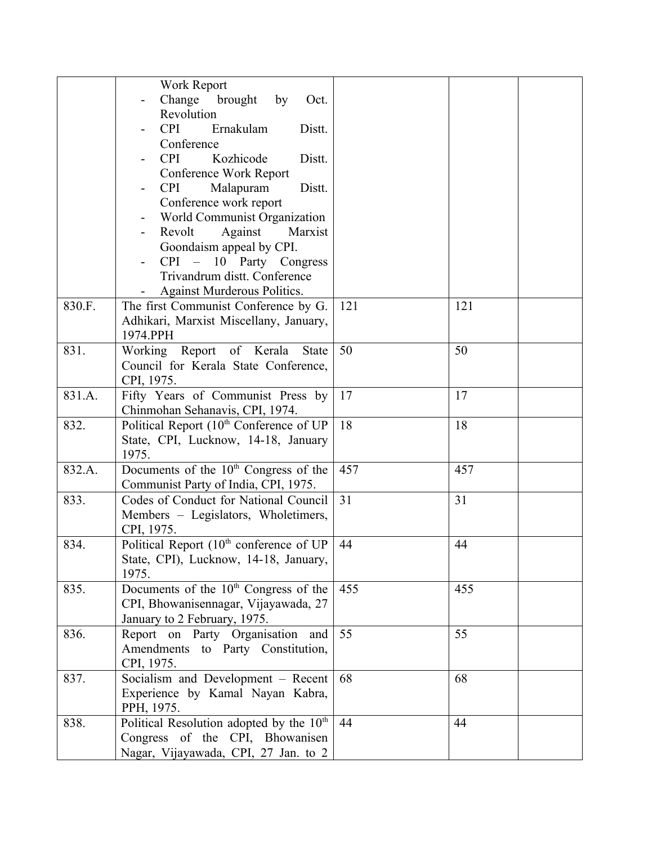|        | Work Report                                                            |     |     |
|--------|------------------------------------------------------------------------|-----|-----|
|        | Change brought<br>by<br>Oct.                                           |     |     |
|        | Revolution                                                             |     |     |
|        | Ernakulam<br><b>CPI</b><br>Distt.<br>-                                 |     |     |
|        | Conference                                                             |     |     |
|        | <b>CPI</b><br>Kozhicode<br>Distt.                                      |     |     |
|        | Conference Work Report                                                 |     |     |
|        | Malapuram<br><b>CPI</b><br>Distt.                                      |     |     |
|        | Conference work report                                                 |     |     |
|        | World Communist Organization                                           |     |     |
|        | Revolt<br>Against<br>Marxist<br>-                                      |     |     |
|        | Goondaism appeal by CPI.                                               |     |     |
|        | CPI – 10 Party Congress                                                |     |     |
|        | Trivandrum distt. Conference                                           |     |     |
|        | Against Murderous Politics.                                            |     |     |
| 830.F. | The first Communist Conference by G.                                   | 121 | 121 |
|        | Adhikari, Marxist Miscellany, January,                                 |     |     |
|        | 1974.PPH                                                               |     |     |
| 831.   | Working Report of Kerala<br><b>State</b>                               | 50  | 50  |
|        | Council for Kerala State Conference,                                   |     |     |
|        | CPI, 1975.                                                             |     |     |
| 831.A. | Fifty Years of Communist Press by                                      | 17  | 17  |
|        | Chinmohan Sehanavis, CPI, 1974.                                        |     |     |
| 832.   | Political Report (10 <sup>th</sup> Conference of UP                    | 18  | 18  |
|        | State, CPI, Lucknow, 14-18, January                                    |     |     |
|        | 1975.                                                                  |     |     |
| 832.A. | Documents of the 10 <sup>th</sup> Congress of the                      | 457 | 457 |
|        | Communist Party of India, CPI, 1975.                                   |     |     |
| 833.   | Codes of Conduct for National Council                                  | 31  | 31  |
|        | Members - Legislators, Wholetimers,                                    |     |     |
|        | CPI, 1975.                                                             |     |     |
| 834.   | Political Report (10 <sup>th</sup> conference of UP                    | 44  | 44  |
|        | State, CPI), Lucknow, 14-18, January,                                  |     |     |
|        | 1975.                                                                  |     |     |
| 835.   | Documents of the $10th$ Congress of the                                | 455 | 455 |
|        | CPI, Bhowanisennagar, Vijayawada, 27                                   |     |     |
|        | January to 2 February, 1975.                                           |     |     |
| 836.   | Report on Party Organisation and                                       | 55  | 55  |
|        | Amendments to Party Constitution,                                      |     |     |
|        | CPI, 1975.                                                             | 68  | 68  |
| 837.   | Socialism and Development – Recent<br>Experience by Kamal Nayan Kabra, |     |     |
|        | PPH, 1975.                                                             |     |     |
| 838.   | Political Resolution adopted by the 10 <sup>th</sup>                   | 44  | 44  |
|        | Congress of the CPI, Bhowanisen                                        |     |     |
|        | Nagar, Vijayawada, CPI, 27 Jan. to 2                                   |     |     |
|        |                                                                        |     |     |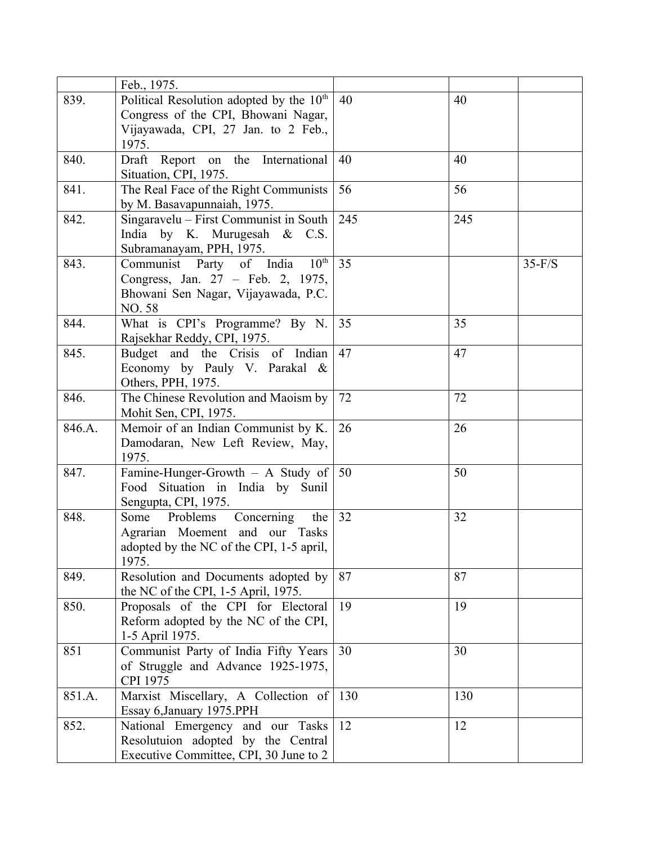|        | Feb., 1975.                                          |     |     |          |
|--------|------------------------------------------------------|-----|-----|----------|
| 839.   | Political Resolution adopted by the 10 <sup>th</sup> | 40  | 40  |          |
|        | Congress of the CPI, Bhowani Nagar,                  |     |     |          |
|        | Vijayawada, CPI, 27 Jan. to 2 Feb.,                  |     |     |          |
|        | 1975.                                                |     |     |          |
| 840.   | Draft Report on the International                    | 40  | 40  |          |
|        | Situation, CPI, 1975.                                |     |     |          |
| 841.   | The Real Face of the Right Communists                | 56  | 56  |          |
|        | by M. Basavapunnaiah, 1975.                          |     |     |          |
| 842.   | Singaravelu - First Communist in South               | 245 | 245 |          |
|        | India by K. Murugesah & C.S.                         |     |     |          |
|        | Subramanayam, PPH, 1975.                             |     |     |          |
| 843.   | Communist Party of India<br>$10^{\text{th}}$         | 35  |     | $35-F/S$ |
|        | Congress, Jan. 27 - Feb. 2, 1975,                    |     |     |          |
|        | Bhowani Sen Nagar, Vijayawada, P.C.                  |     |     |          |
|        | NO.58                                                |     |     |          |
| 844.   | What is CPI's Programme? By N.                       | 35  | 35  |          |
|        | Rajsekhar Reddy, CPI, 1975.                          |     |     |          |
| 845.   | Budget and the Crisis of Indian                      | 47  | 47  |          |
|        | Economy by Pauly V. Parakal &                        |     |     |          |
|        | Others, PPH, 1975.                                   |     |     |          |
| 846.   | The Chinese Revolution and Maoism by                 | 72  | 72  |          |
|        | Mohit Sen, CPI, 1975.                                |     |     |          |
| 846.A. | Memoir of an Indian Communist by K.                  | 26  | 26  |          |
|        | Damodaran, New Left Review, May,                     |     |     |          |
|        | 1975.                                                |     |     |          |
| 847.   | Famine-Hunger-Growth - A Study of                    | 50  | 50  |          |
|        | Situation in India by Sunil<br>Food                  |     |     |          |
|        | Sengupta, CPI, 1975.                                 |     |     |          |
| 848.   | Concerning<br>Some<br>Problems<br>the                | 32  | 32  |          |
|        | Agrarian Moement and our Tasks                       |     |     |          |
|        | adopted by the NC of the CPI, 1-5 april,             |     |     |          |
|        | 1975.                                                |     |     |          |
| 849.   | Resolution and Documents adopted by                  | 87  | 87  |          |
|        | the NC of the CPI, 1-5 April, 1975.                  |     |     |          |
| 850.   | Proposals of the CPI for Electoral                   | 19  | 19  |          |
|        | Reform adopted by the NC of the CPI,                 |     |     |          |
|        | 1-5 April 1975.                                      |     |     |          |
| 851    | Communist Party of India Fifty Years                 | 30  | 30  |          |
|        | of Struggle and Advance 1925-1975,                   |     |     |          |
|        | CPI 1975                                             |     |     |          |
| 851.A. | Marxist Miscellary, A Collection of                  | 130 | 130 |          |
|        | Essay 6, January 1975. PPH                           |     |     |          |
| 852.   | National Emergency and our Tasks                     | 12  | 12  |          |
|        | Resolutuion adopted by the Central                   |     |     |          |
|        | Executive Committee, CPI, 30 June to 2               |     |     |          |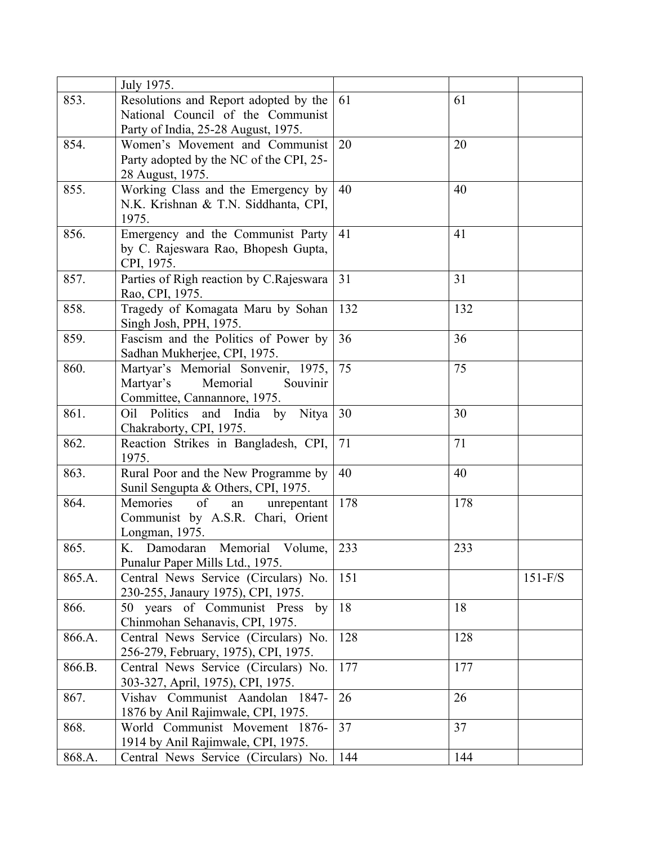|        | July 1975.                              |     |     |           |
|--------|-----------------------------------------|-----|-----|-----------|
| 853.   | Resolutions and Report adopted by the   | 61  | 61  |           |
|        | National Council of the Communist       |     |     |           |
|        | Party of India, 25-28 August, 1975.     |     |     |           |
| 854.   | Women's Movement and Communist          | 20  | 20  |           |
|        | Party adopted by the NC of the CPI, 25- |     |     |           |
|        | 28 August, 1975.                        |     |     |           |
| 855.   | Working Class and the Emergency by      | 40  | 40  |           |
|        | N.K. Krishnan & T.N. Siddhanta, CPI,    |     |     |           |
|        | 1975.                                   |     |     |           |
| 856.   | Emergency and the Communist Party       | 41  | 41  |           |
|        | by C. Rajeswara Rao, Bhopesh Gupta,     |     |     |           |
|        | CPI, 1975.                              |     |     |           |
| 857.   | Parties of Righ reaction by C.Rajeswara | 31  | 31  |           |
|        | Rao, CPI, 1975.                         |     |     |           |
| 858.   | Tragedy of Komagata Maru by Sohan       | 132 | 132 |           |
|        | Singh Josh, PPH, 1975.                  |     |     |           |
| 859.   | Fascism and the Politics of Power by    | 36  | 36  |           |
|        | Sadhan Mukherjee, CPI, 1975.            |     |     |           |
| 860.   | Martyar's Memorial Sonvenir, 1975,      | 75  | 75  |           |
|        | Memorial<br>Martyar's<br>Souvinir       |     |     |           |
|        | Committee, Cannannore, 1975.            |     |     |           |
| 861.   | Oil Politics and India by<br>Nitya      | 30  | 30  |           |
|        | Chakraborty, CPI, 1975.                 |     |     |           |
| 862.   | Reaction Strikes in Bangladesh, CPI,    | 71  | 71  |           |
|        | 1975.                                   |     |     |           |
| 863.   | Rural Poor and the New Programme by     | 40  | 40  |           |
|        | Sunil Sengupta & Others, CPI, 1975.     |     |     |           |
| 864.   | of<br>Memories<br>unrepentant<br>an     | 178 | 178 |           |
|        | Communist by A.S.R. Chari, Orient       |     |     |           |
|        | Longman, 1975.                          |     |     |           |
| 865.   | K.<br>Memorial<br>Volume,<br>Damodaran  | 233 | 233 |           |
|        | Punalur Paper Mills Ltd., 1975.         |     |     |           |
| 865.A. | Central News Service (Circulars) No.    | 151 |     | $151-F/S$ |
|        | 230-255, Janaury 1975), CPI, 1975.      |     |     |           |
| 866.   | 50 years of Communist Press by          | 18  | 18  |           |
|        | Chinmohan Sehanavis, CPI, 1975.         |     |     |           |
| 866.A. | Central News Service (Circulars) No.    | 128 | 128 |           |
|        | 256-279, February, 1975), CPI, 1975.    |     |     |           |
| 866.B. | Central News Service (Circulars) No.    | 177 | 177 |           |
|        | 303-327, April, 1975), CPI, 1975.       |     |     |           |
| 867.   | Vishav Communist Aandolan 1847-         | 26  | 26  |           |
|        | 1876 by Anil Rajimwale, CPI, 1975.      |     |     |           |
| 868.   | World Communist Movement 1876-          | 37  | 37  |           |
|        | 1914 by Anil Rajimwale, CPI, 1975.      |     |     |           |
| 868.A. | Central News Service (Circulars) No.    | 144 | 144 |           |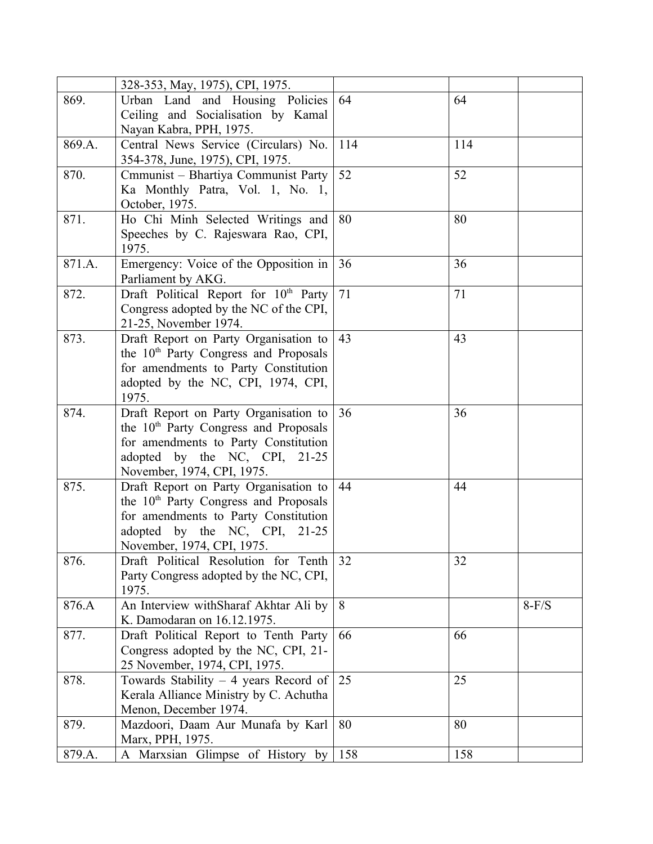|        | 328-353, May, 1975), CPI, 1975.                   |     |     |         |
|--------|---------------------------------------------------|-----|-----|---------|
| 869.   | Urban Land and Housing Policies                   | 64  | 64  |         |
|        | Ceiling and Socialisation by Kamal                |     |     |         |
|        | Nayan Kabra, PPH, 1975.                           |     |     |         |
| 869.A. | Central News Service (Circulars) No.              | 114 | 114 |         |
|        | 354-378, June, 1975), CPI, 1975.                  |     |     |         |
| 870.   | Cmmunist - Bhartiya Communist Party               | 52  | 52  |         |
|        | Ka Monthly Patra, Vol. 1, No. 1,                  |     |     |         |
|        | October, 1975.                                    |     |     |         |
| 871.   | Ho Chi Minh Selected Writings and                 | 80  | 80  |         |
|        | Speeches by C. Rajeswara Rao, CPI,                |     |     |         |
|        | 1975.                                             |     |     |         |
| 871.A. | Emergency: Voice of the Opposition in             | 36  | 36  |         |
|        | Parliament by AKG.                                |     |     |         |
| 872.   | Draft Political Report for 10th Party             | 71  | 71  |         |
|        | Congress adopted by the NC of the CPI,            |     |     |         |
|        | 21-25, November 1974.                             |     |     |         |
| 873.   | Draft Report on Party Organisation to             | 43  | 43  |         |
|        | the 10 <sup>th</sup> Party Congress and Proposals |     |     |         |
|        | for amendments to Party Constitution              |     |     |         |
|        | adopted by the NC, CPI, 1974, CPI,                |     |     |         |
|        | 1975.                                             |     |     |         |
| 874.   | Draft Report on Party Organisation to             | 36  | 36  |         |
|        | the 10 <sup>th</sup> Party Congress and Proposals |     |     |         |
|        | for amendments to Party Constitution              |     |     |         |
|        | adopted by the NC, CPI, 21-25                     |     |     |         |
|        | November, 1974, CPI, 1975.                        |     |     |         |
| 875.   | Draft Report on Party Organisation to             | 44  | 44  |         |
|        | the 10 <sup>th</sup> Party Congress and Proposals |     |     |         |
|        | for amendments to Party Constitution              |     |     |         |
|        | adopted by the NC, CPI, 21-25                     |     |     |         |
|        | November, 1974, CPI, 1975.                        |     |     |         |
| 876.   | Draft Political Resolution for Tenth              | 32  | 32  |         |
|        | Party Congress adopted by the NC, CPI,            |     |     |         |
|        | 1975.                                             |     |     |         |
| 876.A  | An Interview withSharaf Akhtar Ali by             | 8   |     | $8-F/S$ |
|        | K. Damodaran on 16.12.1975.                       |     |     |         |
| 877.   | Draft Political Report to Tenth Party             | 66  | 66  |         |
|        | Congress adopted by the NC, CPI, 21-              |     |     |         |
|        | 25 November, 1974, CPI, 1975.                     |     |     |         |
| 878.   | Towards Stability $-4$ years Record of            | 25  | 25  |         |
|        | Kerala Alliance Ministry by C. Achutha            |     |     |         |
|        | Menon, December 1974.                             |     |     |         |
| 879.   | Mazdoori, Daam Aur Munafa by Karl                 | 80  | 80  |         |
|        | Marx, PPH, 1975.                                  |     |     |         |
| 879.A. | A Marxsian Glimpse of History by                  | 158 | 158 |         |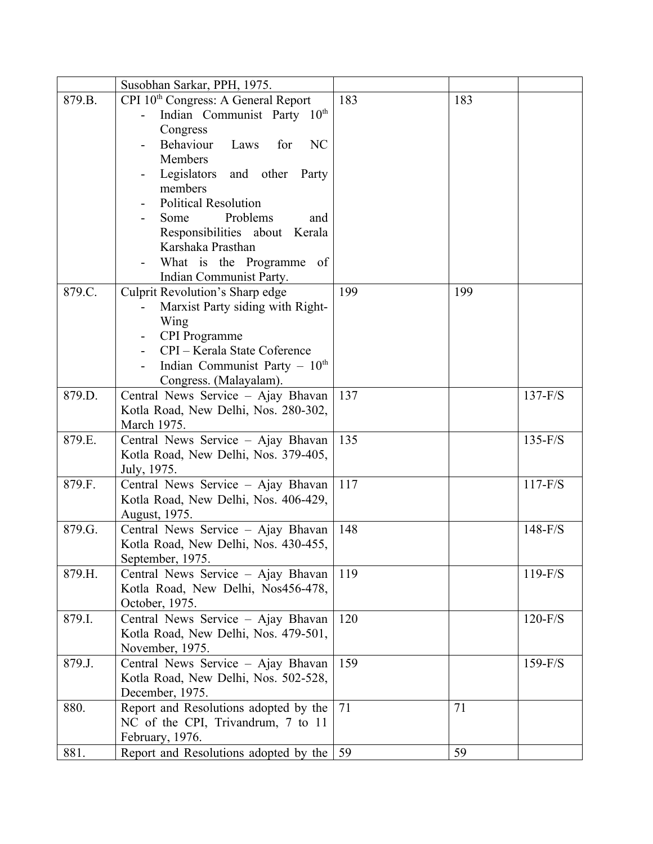|        | Susobhan Sarkar, PPH, 1975.                          |     |     |           |
|--------|------------------------------------------------------|-----|-----|-----------|
| 879.B. | CPI 10 <sup>th</sup> Congress: A General Report      | 183 | 183 |           |
|        | Indian Communist Party 10th                          |     |     |           |
|        | Congress                                             |     |     |           |
|        | Behaviour<br>Laws<br><b>NC</b><br>for                |     |     |           |
|        | <b>Members</b>                                       |     |     |           |
|        | Legislators<br>and other<br>Party                    |     |     |           |
|        | members                                              |     |     |           |
|        | <b>Political Resolution</b>                          |     |     |           |
|        | Problems<br>Some<br>and                              |     |     |           |
|        | Responsibilities about Kerala                        |     |     |           |
|        | Karshaka Prasthan                                    |     |     |           |
|        | What is the Programme of                             |     |     |           |
|        | Indian Communist Party.                              |     |     |           |
| 879.C. | <b>Culprit Revolution's Sharp edge</b>               | 199 | 199 |           |
|        | Marxist Party siding with Right-                     |     |     |           |
|        | Wing<br><b>CPI</b> Programme                         |     |     |           |
|        | CPI - Kerala State Coference                         |     |     |           |
|        | Indian Communist Party $-10th$                       |     |     |           |
|        | Congress. (Malayalam).                               |     |     |           |
| 879.D. | Central News Service - Ajay Bhavan                   | 137 |     | $137-F/S$ |
|        | Kotla Road, New Delhi, Nos. 280-302,                 |     |     |           |
|        | March 1975.                                          |     |     |           |
| 879.E. | Central News Service - Ajay Bhavan                   | 135 |     | $135-F/S$ |
|        | Kotla Road, New Delhi, Nos. 379-405,                 |     |     |           |
|        | July, 1975.                                          |     |     |           |
| 879.F. | Central News Service - Ajay Bhavan                   | 117 |     | $117-F/S$ |
|        | Kotla Road, New Delhi, Nos. 406-429,                 |     |     |           |
|        | August, 1975.                                        |     |     |           |
| 879.G. | Central News Service - Ajay Bhavan                   | 148 |     | $148-F/S$ |
|        | Kotla Road, New Delhi, Nos. 430-455,                 |     |     |           |
|        | September, 1975.                                     |     |     |           |
| 879.H. | Central News Service - Ajay Bhavan                   | 119 |     | $119-F/S$ |
|        | Kotla Road, New Delhi, Nos456-478,<br>October, 1975. |     |     |           |
| 879.I. | Central News Service - Ajay Bhavan                   | 120 |     | $120-F/S$ |
|        | Kotla Road, New Delhi, Nos. 479-501,                 |     |     |           |
|        | November, 1975.                                      |     |     |           |
| 879.J. | Central News Service - Ajay Bhavan                   | 159 |     | $159-F/S$ |
|        | Kotla Road, New Delhi, Nos. 502-528,                 |     |     |           |
|        | December, 1975.                                      |     |     |           |
| 880.   | Report and Resolutions adopted by the                | 71  | 71  |           |
|        | NC of the CPI, Trivandrum, 7 to 11                   |     |     |           |
|        | February, 1976.                                      |     |     |           |
| 881.   | Report and Resolutions adopted by the $\vert$ 59     |     | 59  |           |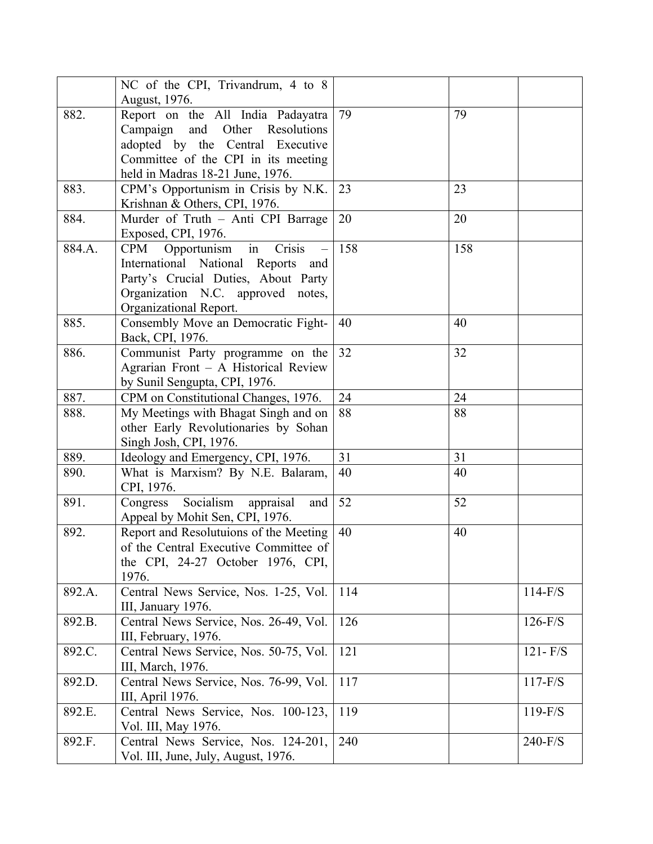|        | NC of the CPI, Trivandrum, 4 to 8         |     |     |             |
|--------|-------------------------------------------|-----|-----|-------------|
|        | August, 1976.                             |     |     |             |
| 882.   | Report on the All India Padayatra         | 79  | 79  |             |
|        | Campaign and Other<br>Resolutions         |     |     |             |
|        | adopted by the Central Executive          |     |     |             |
|        | Committee of the CPI in its meeting       |     |     |             |
|        | held in Madras 18-21 June, 1976.          |     |     |             |
| 883.   | CPM's Opportunism in Crisis by N.K.       | 23  | 23  |             |
|        | Krishnan & Others, CPI, 1976.             |     |     |             |
| 884.   | Murder of Truth - Anti CPI Barrage        | 20  | 20  |             |
|        | Exposed, CPI, 1976.                       |     |     |             |
| 884.A. | Opportunism<br>in<br>Crisis<br><b>CPM</b> | 158 | 158 |             |
|        | International National Reports and        |     |     |             |
|        | Party's Crucial Duties, About Party       |     |     |             |
|        | Organization N.C. approved notes,         |     |     |             |
|        | Organizational Report.                    |     |     |             |
| 885.   | Consembly Move an Democratic Fight-       | 40  | 40  |             |
|        | Back, CPI, 1976.                          |     |     |             |
| 886.   | Communist Party programme on the          | 32  | 32  |             |
|        | Agrarian Front - A Historical Review      |     |     |             |
|        | by Sunil Sengupta, CPI, 1976.             |     |     |             |
| 887.   | CPM on Constitutional Changes, 1976.      | 24  | 24  |             |
| 888.   | My Meetings with Bhagat Singh and on      | 88  | 88  |             |
|        | other Early Revolutionaries by Sohan      |     |     |             |
|        | Singh Josh, CPI, 1976.                    |     |     |             |
| 889.   | Ideology and Emergency, CPI, 1976.        | 31  | 31  |             |
| 890.   | What is Marxism? By N.E. Balaram,         | 40  | 40  |             |
|        | CPI, 1976.                                |     |     |             |
| 891.   | Socialism appraisal<br>Congress<br>and    | 52  | 52  |             |
|        | Appeal by Mohit Sen, CPI, 1976.           |     |     |             |
| 892.   | Report and Resolutuions of the Meeting    | 40  | 40  |             |
|        | of the Central Executive Committee of     |     |     |             |
|        | the CPI, 24-27 October 1976, CPI,         |     |     |             |
|        | 1976.                                     |     |     |             |
| 892.A. | Central News Service, Nos. 1-25, Vol.     | 114 |     | $114-F/S$   |
|        | III, January 1976.                        |     |     |             |
| 892.B. | Central News Service, Nos. 26-49, Vol.    | 126 |     | $126-F/S$   |
|        | III, February, 1976.                      |     |     |             |
| 892.C. | Central News Service, Nos. 50-75, Vol.    | 121 |     | $121 - F/S$ |
|        | III, March, 1976.                         |     |     |             |
| 892.D. | Central News Service, Nos. 76-99, Vol.    | 117 |     | $117-F/S$   |
|        | III, April 1976.                          |     |     |             |
| 892.E. | Central News Service, Nos. 100-123,       | 119 |     | $119-F/S$   |
|        | Vol. III, May 1976.                       |     |     |             |
| 892.F. | Central News Service, Nos. 124-201,       | 240 |     | $240-F/S$   |
|        | Vol. III, June, July, August, 1976.       |     |     |             |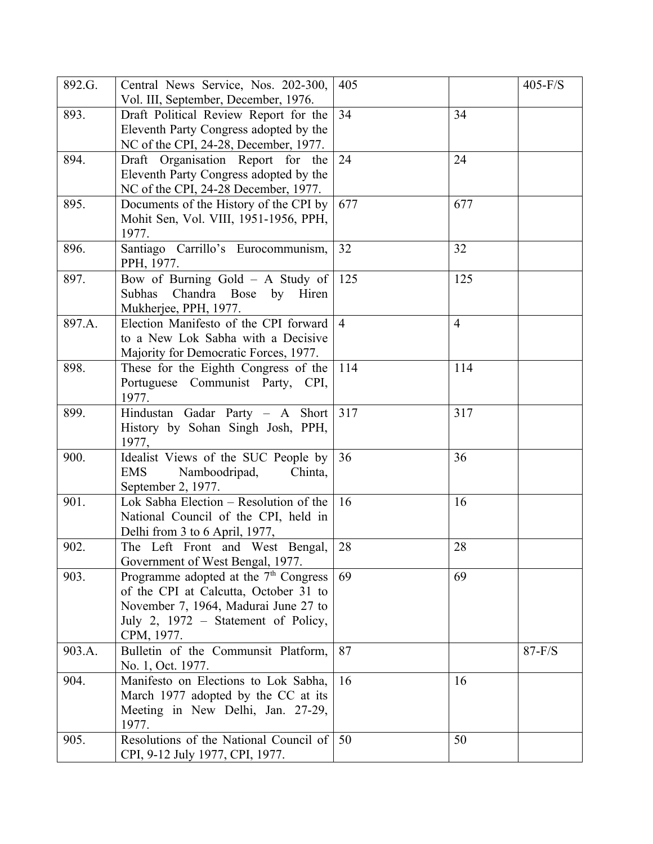| 892.G. | Central News Service, Nos. 202-300,<br>Vol. III, September, December, 1976.                                                                                                             | 405            |                | $405-F/S$ |
|--------|-----------------------------------------------------------------------------------------------------------------------------------------------------------------------------------------|----------------|----------------|-----------|
| 893.   | Draft Political Review Report for the<br>Eleventh Party Congress adopted by the<br>NC of the CPI, 24-28, December, 1977.                                                                | 34             | 34             |           |
| 894.   | Draft Organisation Report for the<br>Eleventh Party Congress adopted by the<br>NC of the CPI, 24-28 December, 1977.                                                                     | 24             | 24             |           |
| 895.   | Documents of the History of the CPI by<br>Mohit Sen, Vol. VIII, 1951-1956, PPH,<br>1977.                                                                                                | 677            | 677            |           |
| 896.   | Santiago Carrillo's Eurocommunism,<br>PPH, 1977.                                                                                                                                        | 32             | 32             |           |
| 897.   | Bow of Burning Gold - A Study of<br>Subhas<br>Chandra Bose<br>by<br>Hiren<br>Mukherjee, PPH, 1977.                                                                                      | 125            | 125            |           |
| 897.A. | Election Manifesto of the CPI forward<br>to a New Lok Sabha with a Decisive<br>Majority for Democratic Forces, 1977.                                                                    | $\overline{4}$ | $\overline{4}$ |           |
| 898.   | These for the Eighth Congress of the<br>Portuguese Communist Party, CPI,<br>1977.                                                                                                       | 114            | 114            |           |
| 899.   | Hindustan Gadar Party - A Short<br>History by Sohan Singh Josh, PPH,<br>1977,                                                                                                           | 317            | 317            |           |
| 900.   | Idealist Views of the SUC People by<br><b>EMS</b><br>Namboodripad,<br>Chinta,<br>September 2, 1977.                                                                                     | 36             | 36             |           |
| 901.   | Lok Sabha Election – Resolution of the<br>National Council of the CPI, held in<br>Delhi from 3 to 6 April, 1977,                                                                        | 16             | 16             |           |
| 902.   | The Left Front and West Bengal,<br>Government of West Bengal, 1977.                                                                                                                     | 28             | 28             |           |
| 903.   | Programme adopted at the 7 <sup>th</sup> Congress<br>of the CPI at Calcutta, October 31 to<br>November 7, 1964, Madurai June 27 to<br>July 2, 1972 – Statement of Policy,<br>CPM, 1977. | 69             | 69             |           |
| 903.A. | Bulletin of the Communsit Platform,<br>No. 1, Oct. 1977.                                                                                                                                | 87             |                | $87-F/S$  |
| 904.   | Manifesto on Elections to Lok Sabha,<br>March 1977 adopted by the CC at its<br>Meeting in New Delhi, Jan. 27-29,<br>1977.                                                               | 16             | 16             |           |
| 905.   | Resolutions of the National Council of<br>CPI, 9-12 July 1977, CPI, 1977.                                                                                                               | 50             | 50             |           |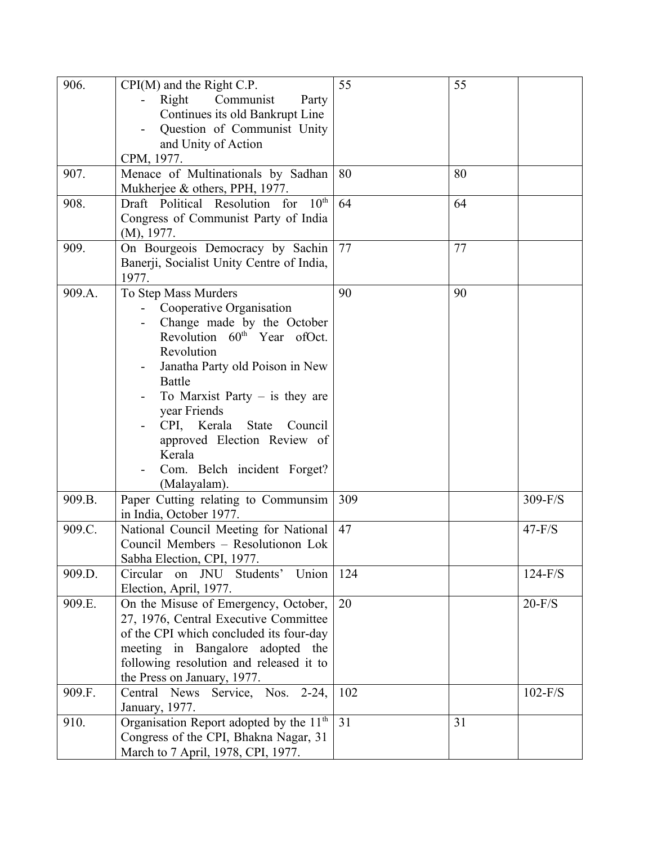| 906.                                                   | $CPI(M)$ and the Right C.P.                                                                                                                                                                                                                                                                                                                                                                                                                                                                                                                                                                                                                                                                                                                                                            | 55                                  | 55 |                                                             |
|--------------------------------------------------------|----------------------------------------------------------------------------------------------------------------------------------------------------------------------------------------------------------------------------------------------------------------------------------------------------------------------------------------------------------------------------------------------------------------------------------------------------------------------------------------------------------------------------------------------------------------------------------------------------------------------------------------------------------------------------------------------------------------------------------------------------------------------------------------|-------------------------------------|----|-------------------------------------------------------------|
|                                                        | Right<br>Communist<br>Party                                                                                                                                                                                                                                                                                                                                                                                                                                                                                                                                                                                                                                                                                                                                                            |                                     |    |                                                             |
|                                                        | Continues its old Bankrupt Line                                                                                                                                                                                                                                                                                                                                                                                                                                                                                                                                                                                                                                                                                                                                                        |                                     |    |                                                             |
|                                                        | Question of Communist Unity                                                                                                                                                                                                                                                                                                                                                                                                                                                                                                                                                                                                                                                                                                                                                            |                                     |    |                                                             |
|                                                        | and Unity of Action                                                                                                                                                                                                                                                                                                                                                                                                                                                                                                                                                                                                                                                                                                                                                                    |                                     |    |                                                             |
|                                                        | CPM, 1977.                                                                                                                                                                                                                                                                                                                                                                                                                                                                                                                                                                                                                                                                                                                                                                             |                                     |    |                                                             |
| 907.                                                   | Menace of Multinationals by Sadhan                                                                                                                                                                                                                                                                                                                                                                                                                                                                                                                                                                                                                                                                                                                                                     | 80                                  | 80 |                                                             |
|                                                        | Mukherjee & others, PPH, 1977.                                                                                                                                                                                                                                                                                                                                                                                                                                                                                                                                                                                                                                                                                                                                                         |                                     |    |                                                             |
| 908.                                                   | Draft Political Resolution for 10th                                                                                                                                                                                                                                                                                                                                                                                                                                                                                                                                                                                                                                                                                                                                                    | 64                                  | 64 |                                                             |
|                                                        | Congress of Communist Party of India                                                                                                                                                                                                                                                                                                                                                                                                                                                                                                                                                                                                                                                                                                                                                   |                                     |    |                                                             |
|                                                        | (M), 1977.                                                                                                                                                                                                                                                                                                                                                                                                                                                                                                                                                                                                                                                                                                                                                                             |                                     |    |                                                             |
| 909.                                                   | On Bourgeois Democracy by Sachin                                                                                                                                                                                                                                                                                                                                                                                                                                                                                                                                                                                                                                                                                                                                                       | 77                                  | 77 |                                                             |
|                                                        | Banerji, Socialist Unity Centre of India,                                                                                                                                                                                                                                                                                                                                                                                                                                                                                                                                                                                                                                                                                                                                              |                                     |    |                                                             |
|                                                        | 1977.                                                                                                                                                                                                                                                                                                                                                                                                                                                                                                                                                                                                                                                                                                                                                                                  |                                     |    |                                                             |
| 909.A.                                                 | To Step Mass Murders                                                                                                                                                                                                                                                                                                                                                                                                                                                                                                                                                                                                                                                                                                                                                                   | 90                                  | 90 |                                                             |
|                                                        | Cooperative Organisation                                                                                                                                                                                                                                                                                                                                                                                                                                                                                                                                                                                                                                                                                                                                                               |                                     |    |                                                             |
|                                                        | Change made by the October                                                                                                                                                                                                                                                                                                                                                                                                                                                                                                                                                                                                                                                                                                                                                             |                                     |    |                                                             |
|                                                        | Revolution 60 <sup>th</sup> Year ofOct.                                                                                                                                                                                                                                                                                                                                                                                                                                                                                                                                                                                                                                                                                                                                                |                                     |    |                                                             |
|                                                        | Revolution                                                                                                                                                                                                                                                                                                                                                                                                                                                                                                                                                                                                                                                                                                                                                                             |                                     |    |                                                             |
|                                                        | Janatha Party old Poison in New                                                                                                                                                                                                                                                                                                                                                                                                                                                                                                                                                                                                                                                                                                                                                        |                                     |    |                                                             |
|                                                        | Battle                                                                                                                                                                                                                                                                                                                                                                                                                                                                                                                                                                                                                                                                                                                                                                                 |                                     |    |                                                             |
|                                                        | To Marxist Party $-$ is they are                                                                                                                                                                                                                                                                                                                                                                                                                                                                                                                                                                                                                                                                                                                                                       |                                     |    |                                                             |
|                                                        |                                                                                                                                                                                                                                                                                                                                                                                                                                                                                                                                                                                                                                                                                                                                                                                        |                                     |    |                                                             |
|                                                        |                                                                                                                                                                                                                                                                                                                                                                                                                                                                                                                                                                                                                                                                                                                                                                                        |                                     |    |                                                             |
|                                                        |                                                                                                                                                                                                                                                                                                                                                                                                                                                                                                                                                                                                                                                                                                                                                                                        |                                     |    |                                                             |
|                                                        |                                                                                                                                                                                                                                                                                                                                                                                                                                                                                                                                                                                                                                                                                                                                                                                        |                                     |    |                                                             |
|                                                        |                                                                                                                                                                                                                                                                                                                                                                                                                                                                                                                                                                                                                                                                                                                                                                                        |                                     |    |                                                             |
|                                                        |                                                                                                                                                                                                                                                                                                                                                                                                                                                                                                                                                                                                                                                                                                                                                                                        |                                     |    |                                                             |
|                                                        |                                                                                                                                                                                                                                                                                                                                                                                                                                                                                                                                                                                                                                                                                                                                                                                        |                                     |    |                                                             |
|                                                        |                                                                                                                                                                                                                                                                                                                                                                                                                                                                                                                                                                                                                                                                                                                                                                                        |                                     |    |                                                             |
|                                                        |                                                                                                                                                                                                                                                                                                                                                                                                                                                                                                                                                                                                                                                                                                                                                                                        |                                     |    |                                                             |
|                                                        |                                                                                                                                                                                                                                                                                                                                                                                                                                                                                                                                                                                                                                                                                                                                                                                        |                                     |    |                                                             |
|                                                        |                                                                                                                                                                                                                                                                                                                                                                                                                                                                                                                                                                                                                                                                                                                                                                                        |                                     |    |                                                             |
|                                                        |                                                                                                                                                                                                                                                                                                                                                                                                                                                                                                                                                                                                                                                                                                                                                                                        |                                     |    |                                                             |
|                                                        |                                                                                                                                                                                                                                                                                                                                                                                                                                                                                                                                                                                                                                                                                                                                                                                        |                                     |    |                                                             |
|                                                        |                                                                                                                                                                                                                                                                                                                                                                                                                                                                                                                                                                                                                                                                                                                                                                                        |                                     |    |                                                             |
|                                                        |                                                                                                                                                                                                                                                                                                                                                                                                                                                                                                                                                                                                                                                                                                                                                                                        |                                     |    |                                                             |
|                                                        |                                                                                                                                                                                                                                                                                                                                                                                                                                                                                                                                                                                                                                                                                                                                                                                        |                                     |    |                                                             |
|                                                        |                                                                                                                                                                                                                                                                                                                                                                                                                                                                                                                                                                                                                                                                                                                                                                                        |                                     |    |                                                             |
|                                                        |                                                                                                                                                                                                                                                                                                                                                                                                                                                                                                                                                                                                                                                                                                                                                                                        |                                     |    |                                                             |
|                                                        |                                                                                                                                                                                                                                                                                                                                                                                                                                                                                                                                                                                                                                                                                                                                                                                        |                                     |    |                                                             |
|                                                        |                                                                                                                                                                                                                                                                                                                                                                                                                                                                                                                                                                                                                                                                                                                                                                                        |                                     |    |                                                             |
|                                                        |                                                                                                                                                                                                                                                                                                                                                                                                                                                                                                                                                                                                                                                                                                                                                                                        |                                     |    |                                                             |
|                                                        |                                                                                                                                                                                                                                                                                                                                                                                                                                                                                                                                                                                                                                                                                                                                                                                        |                                     |    |                                                             |
|                                                        |                                                                                                                                                                                                                                                                                                                                                                                                                                                                                                                                                                                                                                                                                                                                                                                        |                                     |    |                                                             |
|                                                        | March to 7 April, 1978, CPI, 1977.                                                                                                                                                                                                                                                                                                                                                                                                                                                                                                                                                                                                                                                                                                                                                     |                                     |    |                                                             |
| 909.B.<br>909.C.<br>909.D.<br>909.E.<br>909.F.<br>910. | year Friends<br>CPI, Kerala State<br>Council<br>approved Election Review of<br>Kerala<br>Com. Belch incident Forget?<br>(Malayalam).<br>Paper Cutting relating to Communsim<br>in India, October 1977.<br>National Council Meeting for National<br>Council Members - Resolutionon Lok<br>Sabha Election, CPI, 1977.<br>on JNU Students'<br>Union<br>Circular<br>Election, April, 1977.<br>On the Misuse of Emergency, October,<br>27, 1976, Central Executive Committee<br>of the CPI which concluded its four-day<br>meeting in Bangalore adopted the<br>following resolution and released it to<br>the Press on January, 1977.<br>Central News Service, Nos. 2-24,<br>January, 1977.<br>Organisation Report adopted by the 11 <sup>th</sup><br>Congress of the CPI, Bhakna Nagar, 31 | 309<br>47<br>124<br>20<br>102<br>31 | 31 | $309-F/S$<br>$47-F/S$<br>$124-F/S$<br>$20-F/S$<br>$102-F/S$ |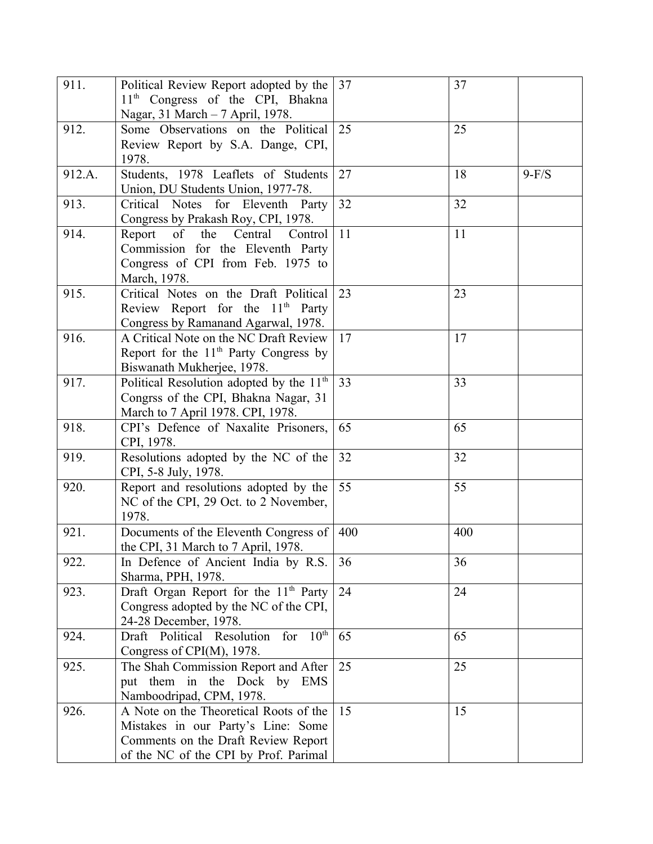| 911.   | Political Review Report adopted by the<br>11 <sup>th</sup> Congress of the CPI, Bhakna                                                                       | 37  | 37  |         |
|--------|--------------------------------------------------------------------------------------------------------------------------------------------------------------|-----|-----|---------|
|        | Nagar, 31 March - 7 April, 1978.                                                                                                                             |     |     |         |
| 912.   | Some Observations on the Political                                                                                                                           | 25  | 25  |         |
|        | Review Report by S.A. Dange, CPI,<br>1978.                                                                                                                   |     |     |         |
| 912.A. | Students, 1978 Leaflets of Students<br>Union, DU Students Union, 1977-78.                                                                                    | 27  | 18  | $9-F/S$ |
| 913.   | Critical Notes for Eleventh Party<br>Congress by Prakash Roy, CPI, 1978.                                                                                     | 32  | 32  |         |
| 914.   | Report<br>of<br>the Central<br>Control<br>Commission for the Eleventh Party<br>Congress of CPI from Feb. 1975 to<br>March, 1978.                             | 11  | 11  |         |
| 915.   | Critical Notes on the Draft Political<br>Review Report for the $11th$ Party<br>Congress by Ramanand Agarwal, 1978.                                           | 23  | 23  |         |
| 916.   | A Critical Note on the NC Draft Review<br>Report for the $11th$ Party Congress by<br>Biswanath Mukherjee, 1978.                                              | 17  | 17  |         |
| 917.   | Political Resolution adopted by the 11 <sup>th</sup><br>Congrss of the CPI, Bhakna Nagar, 31<br>March to 7 April 1978. CPI, 1978.                            | 33  | 33  |         |
| 918.   | CPI's Defence of Naxalite Prisoners,<br>CPI, 1978.                                                                                                           | 65  | 65  |         |
| 919.   | Resolutions adopted by the NC of the<br>CPI, 5-8 July, 1978.                                                                                                 | 32  | 32  |         |
| 920.   | Report and resolutions adopted by the<br>NC of the CPI, 29 Oct. to 2 November,<br>1978.                                                                      | 55  | 55  |         |
| 921.   | Documents of the Eleventh Congress of<br>the CPI, 31 March to 7 April, 1978.                                                                                 | 400 | 400 |         |
| 922.   | In Defence of Ancient India by R.S.<br>Sharma, PPH, 1978.                                                                                                    | 36  | 36  |         |
| 923.   | Draft Organ Report for the 11 <sup>th</sup> Party<br>Congress adopted by the NC of the CPI,<br>24-28 December, 1978.                                         | 24  | 24  |         |
| 924.   | Draft Political Resolution for 10th<br>Congress of CPI(M), 1978.                                                                                             | 65  | 65  |         |
| 925.   | The Shah Commission Report and After<br>put them in the Dock by EMS<br>Namboodripad, CPM, 1978.                                                              | 25  | 25  |         |
| 926.   | A Note on the Theoretical Roots of the<br>Mistakes in our Party's Line: Some<br>Comments on the Draft Review Report<br>of the NC of the CPI by Prof. Parimal | 15  | 15  |         |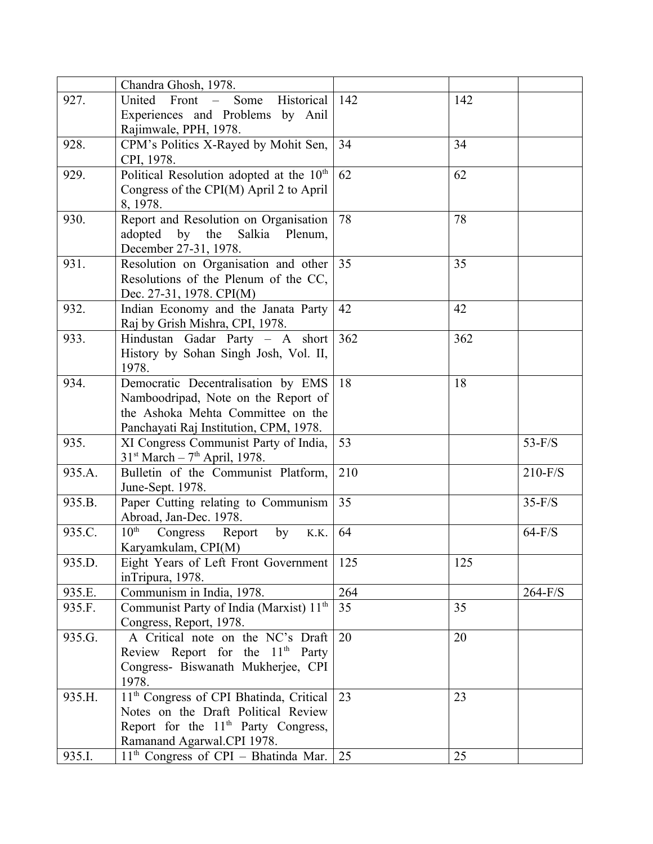|        | Chandra Ghosh, 1978.                                |     |     |           |
|--------|-----------------------------------------------------|-----|-----|-----------|
| 927.   | United Front –<br>Historical<br>Some                | 142 | 142 |           |
|        | Experiences and Problems by Anil                    |     |     |           |
|        | Rajimwale, PPH, 1978.                               |     |     |           |
| 928.   | CPM's Politics X-Rayed by Mohit Sen,                | 34  | 34  |           |
|        | CPI, 1978.                                          |     |     |           |
| 929.   | Political Resolution adopted at the $10th$          | 62  | 62  |           |
|        | Congress of the CPI(M) April 2 to April             |     |     |           |
|        | 8, 1978.                                            |     |     |           |
| 930.   | Report and Resolution on Organisation               | 78  | 78  |           |
|        | adopted by the Salkia Plenum,                       |     |     |           |
|        | December 27-31, 1978.                               |     |     |           |
| 931.   | Resolution on Organisation and other                | 35  | 35  |           |
|        | Resolutions of the Plenum of the CC,                |     |     |           |
|        | Dec. 27-31, 1978. CPI(M)                            |     |     |           |
| 932.   | Indian Economy and the Janata Party                 | 42  | 42  |           |
|        | Raj by Grish Mishra, CPI, 1978.                     |     |     |           |
| 933.   | Hindustan Gadar Party - A short                     | 362 | 362 |           |
|        | History by Sohan Singh Josh, Vol. II,               |     |     |           |
|        | 1978.                                               |     |     |           |
| 934.   | Democratic Decentralisation by EMS                  | 18  | 18  |           |
|        | Namboodripad, Note on the Report of                 |     |     |           |
|        | the Ashoka Mehta Committee on the                   |     |     |           |
|        | Panchayati Raj Institution, CPM, 1978.              |     |     |           |
| 935.   | XI Congress Communist Party of India,               | 53  |     | $53-F/S$  |
|        | $31st March - 7th April, 1978.$                     |     |     |           |
| 935.A. | Bulletin of the Communist Platform,                 | 210 |     | $210-F/S$ |
|        | June-Sept. 1978.                                    |     |     |           |
| 935.B. | Paper Cutting relating to Communism                 | 35  |     | $35-F/S$  |
|        | Abroad, Jan-Dec. 1978.                              |     |     |           |
| 935.C. | $10^{\text{th}}$<br>Congress Report<br>by<br>K.K.   | 64  |     | $64-F/S$  |
|        | Karyamkulam, CPI(M)                                 |     |     |           |
| 935.D. | Eight Years of Left Front Government                | 125 | 125 |           |
|        | inTripura, 1978.                                    |     |     |           |
| 935.E. | Communism in India, 1978.                           | 264 |     | $264-F/S$ |
| 935.F. | Communist Party of India (Marxist) 11 <sup>th</sup> | 35  | 35  |           |
|        | Congress, Report, 1978.                             |     |     |           |
| 935.G. | A Critical note on the NC's Draft                   | 20  | 20  |           |
|        | Review Report for the $11th$ Party                  |     |     |           |
|        | Congress- Biswanath Mukherjee, CPI                  |     |     |           |
|        | 1978.                                               |     |     |           |
| 935.H. | 11 <sup>th</sup> Congress of CPI Bhatinda, Critical | 23  | 23  |           |
|        | Notes on the Draft Political Review                 |     |     |           |
|        | Report for the 11 <sup>th</sup> Party Congress,     |     |     |           |
|        | Ramanand Agarwal.CPI 1978.                          |     |     |           |
| 935.I. | $11th$ Congress of CPI – Bhatinda Mar. 25           |     | 25  |           |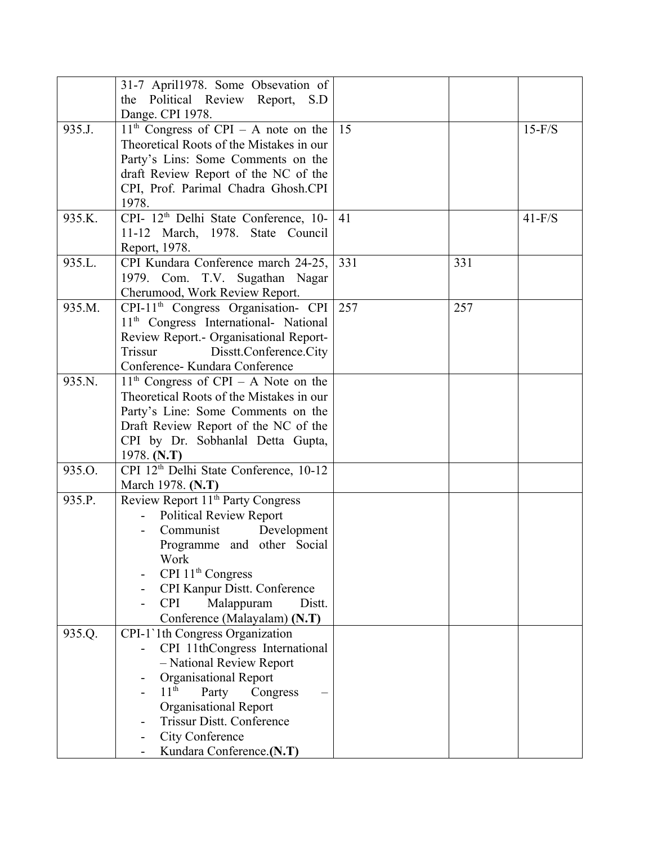|        | 31-7 April1978. Some Obsevation of                 |     |     |          |
|--------|----------------------------------------------------|-----|-----|----------|
|        | the Political Review Report, S.D                   |     |     |          |
|        | Dange. CPI 1978.                                   |     |     |          |
| 935.J. | $11th$ Congress of CPI – A note on the             | 15  |     | $15-F/S$ |
|        | Theoretical Roots of the Mistakes in our           |     |     |          |
|        |                                                    |     |     |          |
|        | Party's Lins: Some Comments on the                 |     |     |          |
|        | draft Review Report of the NC of the               |     |     |          |
|        | CPI, Prof. Parimal Chadra Ghosh.CPI                |     |     |          |
|        | 1978.                                              |     |     |          |
| 935.K. | CPI- 12 <sup>th</sup> Delhi State Conference, 10-  | 41  |     | $41-F/S$ |
|        | 11-12 March, 1978. State Council                   |     |     |          |
|        | Report, 1978.                                      |     |     |          |
| 935.L. | CPI Kundara Conference march 24-25,                | 331 | 331 |          |
|        | 1979. Com. T.V. Sugathan Nagar                     |     |     |          |
|        | Cherumood, Work Review Report.                     |     |     |          |
| 935.M. | CPI-11 <sup>th</sup> Congress Organisation- CPI    | 257 | 257 |          |
|        | 11 <sup>th</sup> Congress International- National  |     |     |          |
|        | Review Report.- Organisational Report-             |     |     |          |
|        | Disstt.Conference.City<br>Trissur                  |     |     |          |
|        | Conference- Kundara Conference                     |     |     |          |
| 935.N. | $11th$ Congress of CPI – A Note on the             |     |     |          |
|        | Theoretical Roots of the Mistakes in our           |     |     |          |
|        | Party's Line: Some Comments on the                 |     |     |          |
|        | Draft Review Report of the NC of the               |     |     |          |
|        | CPI by Dr. Sobhanlal Detta Gupta,                  |     |     |          |
|        | 1978. $(N.T)$                                      |     |     |          |
| 935.O. | CPI 12 <sup>th</sup> Delhi State Conference, 10-12 |     |     |          |
|        | March 1978. (N.T)                                  |     |     |          |
| 935.P. | Review Report 11 <sup>th</sup> Party Congress      |     |     |          |
|        | <b>Political Review Report</b>                     |     |     |          |
|        | Communist                                          |     |     |          |
|        | Development                                        |     |     |          |
|        | Programme and other Social                         |     |     |          |
|        | Work                                               |     |     |          |
|        | CPI $11th$ Congress                                |     |     |          |
|        | CPI Kanpur Distt. Conference                       |     |     |          |
|        | <b>CPI</b><br>Malappuram<br>Distt.                 |     |     |          |
|        | Conference (Malayalam) (N.T)                       |     |     |          |
| 935.Q. | CPI-1'1th Congress Organization                    |     |     |          |
|        | CPI 11thCongress International                     |     |     |          |
|        | - National Review Report                           |     |     |          |
|        | <b>Organisational Report</b>                       |     |     |          |
|        | $11^{\text{th}}$<br>Party<br>Congress              |     |     |          |
|        | <b>Organisational Report</b>                       |     |     |          |
|        | <b>Trissur Distt. Conference</b>                   |     |     |          |
|        | City Conference                                    |     |     |          |
|        | Kundara Conference.(N.T)                           |     |     |          |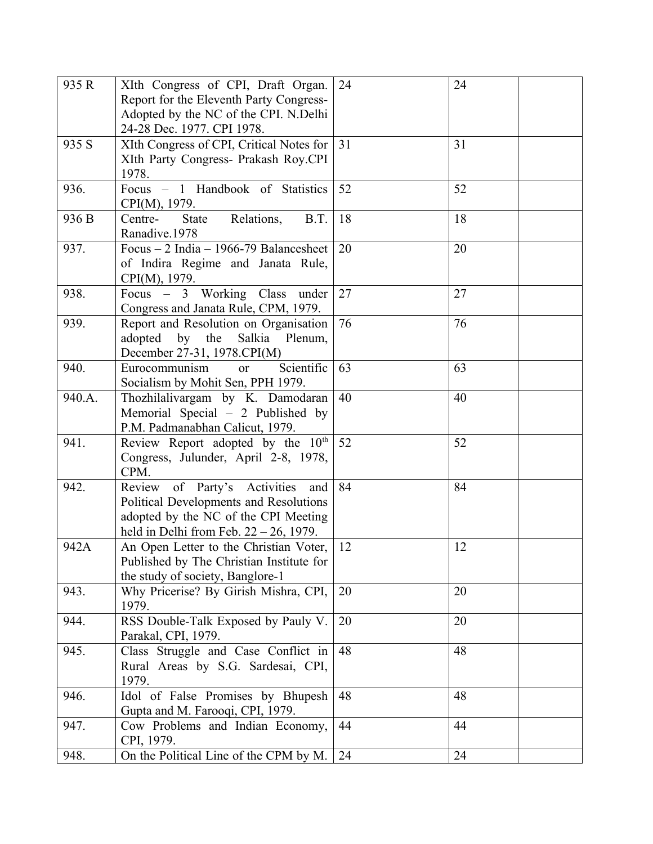| 935 R  | XIth Congress of CPI, Draft Organ.            | 24 | 24 |
|--------|-----------------------------------------------|----|----|
|        | Report for the Eleventh Party Congress-       |    |    |
|        | Adopted by the NC of the CPI. N.Delhi         |    |    |
|        | 24-28 Dec. 1977. CPI 1978.                    |    |    |
| 935 S  | XIth Congress of CPI, Critical Notes for      | 31 | 31 |
|        | XIth Party Congress- Prakash Roy.CPI          |    |    |
|        | 1978.                                         |    |    |
| 936.   | Focus - 1 Handbook of Statistics              | 52 | 52 |
|        | CPI(M), 1979.                                 |    |    |
| 936 B  | Relations,<br>B.T.<br>Centre-<br><b>State</b> | 18 | 18 |
|        | Ranadive.1978                                 |    |    |
| 937.   | Focus $-2$ India $-1966-79$ Balancesheet      | 20 | 20 |
|        | of Indira Regime and Janata Rule,             |    |    |
|        | CPI(M), 1979.                                 |    |    |
| 938.   | Focus – 3 Working Class under                 | 27 | 27 |
|        | Congress and Janata Rule, CPM, 1979.          |    |    |
| 939.   | Report and Resolution on Organisation         | 76 | 76 |
|        | adopted by the Salkia Plenum,                 |    |    |
|        | December 27-31, 1978.CPI(M)                   |    |    |
| 940.   | Scientific<br>Eurocommunism<br><sub>or</sub>  | 63 | 63 |
|        | Socialism by Mohit Sen, PPH 1979.             |    |    |
| 940.A. | Thozhilalivargam by K. Damodaran              | 40 | 40 |
|        | Memorial Special $-2$ Published by            |    |    |
|        | P.M. Padmanabhan Calicut, 1979.               |    |    |
| 941.   | Review Report adopted by the 10 <sup>th</sup> | 52 | 52 |
|        | Congress, Julunder, April 2-8, 1978,          |    |    |
|        | CPM.                                          |    |    |
| 942.   | Review of Party's Activities<br>and           | 84 | 84 |
|        | Political Developments and Resolutions        |    |    |
|        | adopted by the NC of the CPI Meeting          |    |    |
|        | held in Delhi from Feb. $22 - 26$ , 1979.     |    |    |
| 942A   | An Open Letter to the Christian Voter,        | 12 | 12 |
|        | Published by The Christian Institute for      |    |    |
|        | the study of society, Banglore-1              |    |    |
| 943.   | Why Pricerise? By Girish Mishra, CPI,         | 20 | 20 |
|        | 1979.                                         |    |    |
| 944.   | RSS Double-Talk Exposed by Pauly V.           | 20 | 20 |
|        | Parakal, CPI, 1979.                           |    |    |
| 945.   | Class Struggle and Case Conflict in           | 48 | 48 |
|        | Rural Areas by S.G. Sardesai, CPI,            |    |    |
|        | 1979.                                         |    |    |
| 946.   | Idol of False Promises by Bhupesh             | 48 | 48 |
|        | Gupta and M. Farooqi, CPI, 1979.              |    |    |
| 947.   | Cow Problems and Indian Economy,              | 44 | 44 |
|        | CPI, 1979.                                    |    |    |
| 948.   | On the Political Line of the CPM by M.        | 24 | 24 |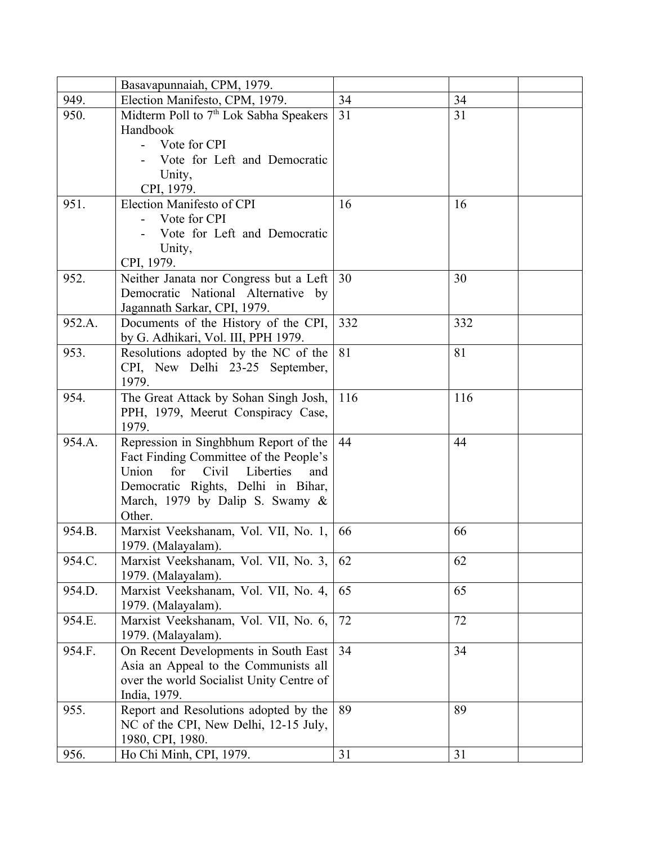|        | Basavapunnaiah, CPM, 1979.                         |     |     |
|--------|----------------------------------------------------|-----|-----|
| 949.   | Election Manifesto, CPM, 1979.                     | 34  | 34  |
| 950.   | Midterm Poll to 7 <sup>th</sup> Lok Sabha Speakers | 31  | 31  |
|        | Handbook                                           |     |     |
|        | Vote for CPI                                       |     |     |
|        | Vote for Left and Democratic                       |     |     |
|        | Unity,                                             |     |     |
|        | CPI, 1979.                                         |     |     |
| 951.   | Election Manifesto of CPI                          | 16  | 16  |
|        | Vote for CPI                                       |     |     |
|        | Vote for Left and Democratic                       |     |     |
|        | Unity,                                             |     |     |
|        | CPI, 1979.                                         |     |     |
| 952.   | Neither Janata nor Congress but a Left             | 30  | 30  |
|        | Democratic National Alternative by                 |     |     |
|        | Jagannath Sarkar, CPI, 1979.                       |     |     |
| 952.A. | Documents of the History of the CPI,               | 332 | 332 |
|        | by G. Adhikari, Vol. III, PPH 1979.                |     |     |
| 953.   | Resolutions adopted by the NC of the               | 81  | 81  |
|        | CPI, New Delhi 23-25 September,                    |     |     |
|        | 1979.                                              | 116 |     |
| 954.   | The Great Attack by Sohan Singh Josh,              |     | 116 |
|        | PPH, 1979, Meerut Conspiracy Case,<br>1979.        |     |     |
| 954.A. | Repression in Singhbhum Report of the              | 44  | 44  |
|        | Fact Finding Committee of the People's             |     |     |
|        | Civil<br>for<br>Liberties<br>Union<br>and          |     |     |
|        | Democratic Rights, Delhi in Bihar,                 |     |     |
|        | March, 1979 by Dalip S. Swamy &                    |     |     |
|        | Other.                                             |     |     |
| 954.B. | Marxist Veekshanam, Vol. VII, No. 1,               | 66  | 66  |
|        | 1979. (Malayalam).                                 |     |     |
| 954.C. | Marxist Veekshanam, Vol. VII, No. 3,               | 62  | 62  |
|        | 1979. (Malayalam).                                 |     |     |
| 954.D. | Marxist Veekshanam, Vol. VII, No. 4,               | 65  | 65  |
|        | 1979. (Malayalam).                                 |     |     |
| 954.E. | Marxist Veekshanam, Vol. VII, No. 6,               | 72  | 72  |
|        | 1979. (Malayalam).                                 |     |     |
| 954.F. | On Recent Developments in South East               | 34  | 34  |
|        | Asia an Appeal to the Communists all               |     |     |
|        | over the world Socialist Unity Centre of           |     |     |
|        | India, 1979.                                       |     |     |
| 955.   | Report and Resolutions adopted by the              | 89  | 89  |
|        | NC of the CPI, New Delhi, 12-15 July,              |     |     |
|        | 1980, CPI, 1980.                                   |     |     |
| 956.   | Ho Chi Minh, CPI, 1979.                            | 31  | 31  |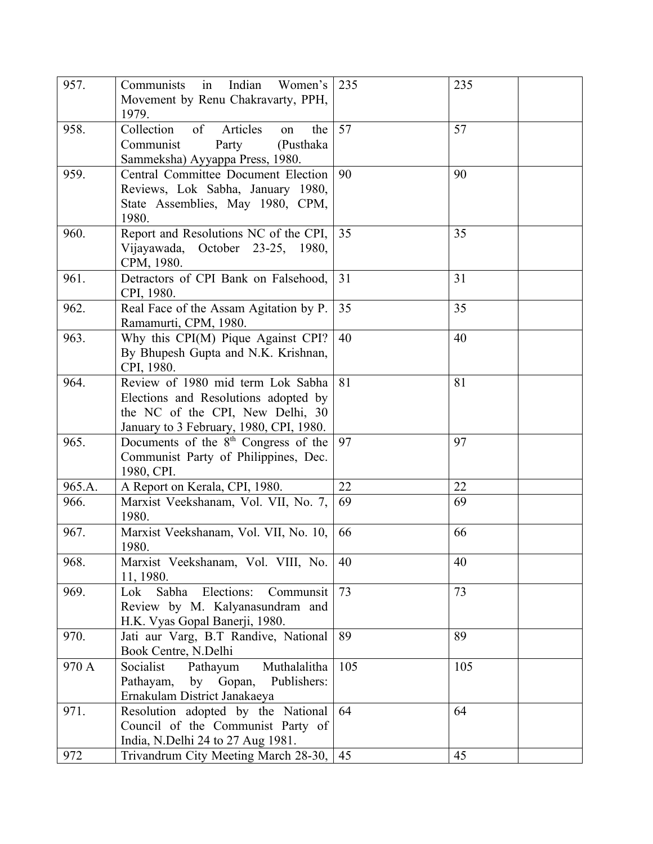| 957.   | in<br>Indian<br>Communists<br>Women's<br>Movement by Renu Chakravarty, PPH,<br>1979.                                                                     | 235 | 235 |
|--------|----------------------------------------------------------------------------------------------------------------------------------------------------------|-----|-----|
| 958.   | Collection<br>of<br>Articles<br>the<br>on<br>Communist<br>(Pusthaka)<br>Party<br>Sammeksha) Ayyappa Press, 1980.                                         | 57  | 57  |
| 959.   | Central Committee Document Election<br>Reviews, Lok Sabha, January 1980,<br>State Assemblies, May 1980, CPM,<br>1980.                                    | 90  | 90  |
| 960.   | Report and Resolutions NC of the CPI,<br>Vijayawada, October 23-25, 1980,<br>CPM, 1980.                                                                  | 35  | 35  |
| 961.   | Detractors of CPI Bank on Falsehood,<br>CPI, 1980.                                                                                                       | 31  | 31  |
| 962.   | Real Face of the Assam Agitation by P.<br>Ramamurti, CPM, 1980.                                                                                          | 35  | 35  |
| 963.   | Why this CPI(M) Pique Against CPI?<br>By Bhupesh Gupta and N.K. Krishnan,<br>CPI, 1980.                                                                  | 40  | 40  |
| 964.   | Review of 1980 mid term Lok Sabha<br>Elections and Resolutions adopted by<br>the NC of the CPI, New Delhi, 30<br>January to 3 February, 1980, CPI, 1980. | 81  | 81  |
| 965.   | Documents of the 8 <sup>th</sup> Congress of the<br>Communist Party of Philippines, Dec.<br>1980, CPI.                                                   | 97  | 97  |
| 965.A. | A Report on Kerala, CPI, 1980.                                                                                                                           | 22  | 22  |
| 966.   | Marxist Veekshanam, Vol. VII, No. 7,<br>1980.                                                                                                            | 69  | 69  |
| 967.   | Marxist Veekshanam, Vol. VII, No. 10,<br>1980.                                                                                                           | 66  | 66  |
| 968.   | Marxist Veekshanam, Vol. VIII, No.<br>11, 1980.                                                                                                          | 40  | 40  |
| 969.   | Elections:<br>Sabha<br>Lok<br>Communsit<br>Review by M. Kalyanasundram and<br>H.K. Vyas Gopal Banerji, 1980.                                             | 73  | 73  |
| 970.   | Jati aur Varg, B.T Randive, National<br>Book Centre, N.Delhi                                                                                             | 89  | 89  |
| 970 A  | Pathayum<br>Socialist<br>Muthalalitha<br>by Gopan,<br>Publishers:<br>Pathayam,<br>Ernakulam District Janakaeya                                           | 105 | 105 |
| 971.   | Resolution adopted by the National<br>Council of the Communist Party of<br>India, N.Delhi 24 to 27 Aug 1981.                                             | 64  | 64  |
| 972    | Trivandrum City Meeting March 28-30,                                                                                                                     | 45  | 45  |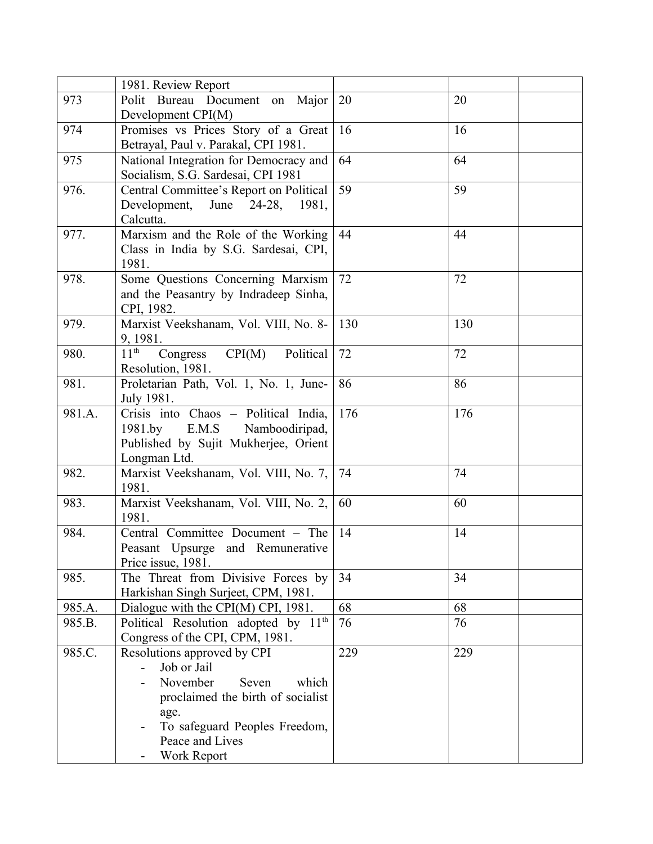|        | 1981. Review Report                                 |     |     |
|--------|-----------------------------------------------------|-----|-----|
| 973    | Polit Bureau Document on Major                      | 20  | 20  |
|        | Development CPI(M)                                  |     |     |
| 974    | Promises vs Prices Story of a Great                 | 16  | 16  |
|        | Betrayal, Paul v. Parakal, CPI 1981.                |     |     |
| 975    | National Integration for Democracy and              | 64  | 64  |
|        | Socialism, S.G. Sardesai, CPI 1981                  |     |     |
| 976.   | Central Committee's Report on Political             | 59  | 59  |
|        | Development, June 24-28,<br>1981,                   |     |     |
|        | Calcutta.                                           |     |     |
| 977.   | Marxism and the Role of the Working                 | 44  | 44  |
|        | Class in India by S.G. Sardesai, CPI,               |     |     |
|        | 1981.                                               |     |     |
| 978.   | Some Questions Concerning Marxism                   | 72  | 72  |
|        | and the Peasantry by Indradeep Sinha,               |     |     |
|        | CPI, 1982.                                          |     |     |
| 979.   | Marxist Veekshanam, Vol. VIII, No. 8-               | 130 | 130 |
|        | 9, 1981.                                            |     |     |
| 980.   | $11^{\text{th}}$<br>CPI(M)<br>Political<br>Congress | 72  | 72  |
|        | Resolution, 1981.                                   |     |     |
| 981.   | Proletarian Path, Vol. 1, No. 1, June-              | 86  | 86  |
|        | July 1981.                                          |     |     |
| 981.A. | Crisis into Chaos - Political India,                | 176 | 176 |
|        | E.M.S Namboodiripad,<br>1981.by                     |     |     |
|        | Published by Sujit Mukherjee, Orient                |     |     |
|        | Longman Ltd.                                        |     |     |
| 982.   | Marxist Veekshanam, Vol. VIII, No. 7,               | 74  | 74  |
|        | 1981.                                               |     |     |
| 983.   | Marxist Veekshanam, Vol. VIII, No. 2,               | 60  | 60  |
|        | 1981.                                               |     |     |
| 984.   | Central Committee Document - The                    | 14  | 14  |
|        | Peasant Upsurge and Remunerative                    |     |     |
|        | Price issue, 1981.                                  |     |     |
| 985.   | The Threat from Divisive Forces by                  | 34  | 34  |
|        | Harkishan Singh Surjeet, CPM, 1981.                 |     |     |
| 985.A. | Dialogue with the CPI(M) CPI, 1981.                 | 68  | 68  |
| 985.B. | Political Resolution adopted by 11 <sup>th</sup>    | 76  | 76  |
|        | Congress of the CPI, CPM, 1981.                     |     |     |
| 985.C. | Resolutions approved by CPI                         | 229 | 229 |
|        | Job or Jail                                         |     |     |
|        | November<br>which<br>Seven                          |     |     |
|        | proclaimed the birth of socialist                   |     |     |
|        | age.                                                |     |     |
|        | To safeguard Peoples Freedom,                       |     |     |
|        | Peace and Lives                                     |     |     |
|        | Work Report                                         |     |     |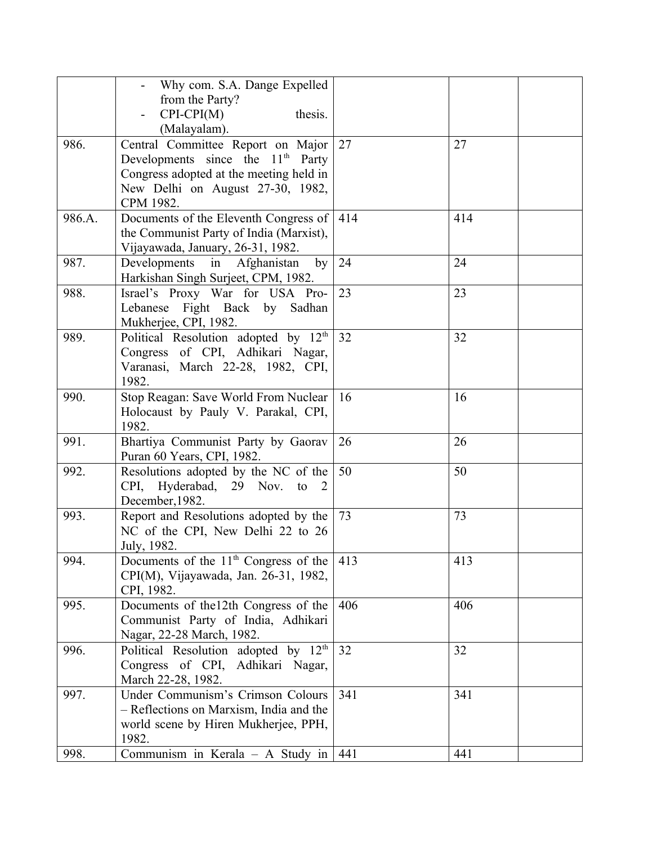|        | Why com. S.A. Dange Expelled                     |     |     |
|--------|--------------------------------------------------|-----|-----|
|        | from the Party?                                  |     |     |
|        | $CPI-CPI(M)$<br>thesis.                          |     |     |
|        | (Malayalam).                                     |     |     |
| 986.   | Central Committee Report on Major                | 27  | 27  |
|        | Developments since the 11 <sup>th</sup> Party    |     |     |
|        | Congress adopted at the meeting held in          |     |     |
|        | New Delhi on August 27-30, 1982,                 |     |     |
|        | CPM 1982.                                        |     |     |
| 986.A. | Documents of the Eleventh Congress of            | 414 | 414 |
|        | the Communist Party of India (Marxist),          |     |     |
|        | Vijayawada, January, 26-31, 1982.                |     |     |
| 987.   | Developments in Afghanistan<br>by                | 24  | 24  |
|        | Harkishan Singh Surjeet, CPM, 1982.              |     |     |
| 988.   | Israel's Proxy War for USA Pro-                  | 23  | 23  |
|        | Lebanese Fight Back by Sadhan                    |     |     |
|        | Mukherjee, CPI, 1982.                            |     |     |
| 989.   | Political Resolution adopted by 12 <sup>th</sup> | 32  | 32  |
|        | Congress of CPI, Adhikari Nagar,                 |     |     |
|        | Varanasi, March 22-28, 1982, CPI,                |     |     |
|        | 1982.                                            |     |     |
| 990.   | Stop Reagan: Save World From Nuclear             | 16  | 16  |
|        | Holocaust by Pauly V. Parakal, CPI,              |     |     |
|        | 1982.                                            |     |     |
| 991.   | Bhartiya Communist Party by Gaorav               | 26  | 26  |
|        | Puran 60 Years, CPI, 1982.                       |     |     |
| 992.   | Resolutions adopted by the NC of the             | 50  | 50  |
|        | Hyderabad, 29 Nov. to<br>CPI,<br>2               |     |     |
|        | December, 1982.                                  |     |     |
| 993.   | Report and Resolutions adopted by the            | 73  | 73  |
|        | NC of the CPI, New Delhi 22 to 26                |     |     |
|        | July, 1982.                                      |     |     |
| 994.   | Documents of the $11th$ Congress of the          | 413 | 413 |
|        | CPI(M), Vijayawada, Jan. 26-31, 1982,            |     |     |
|        | CPI, 1982.                                       |     |     |
| 995.   | Documents of the 12th Congress of the            | 406 | 406 |
|        | Communist Party of India, Adhikari               |     |     |
|        | Nagar, 22-28 March, 1982.                        |     |     |
| 996.   | Political Resolution adopted by $12th$           | 32  | 32  |
|        | Congress of CPI, Adhikari Nagar,                 |     |     |
|        | March 22-28, 1982.                               |     |     |
| 997.   | Under Communism's Crimson Colours                | 341 | 341 |
|        | - Reflections on Marxism, India and the          |     |     |
|        | world scene by Hiren Mukherjee, PPH,             |     |     |
|        | 1982.                                            |     |     |
| 998.   | Communism in Kerala $-$ A Study in               | 441 | 441 |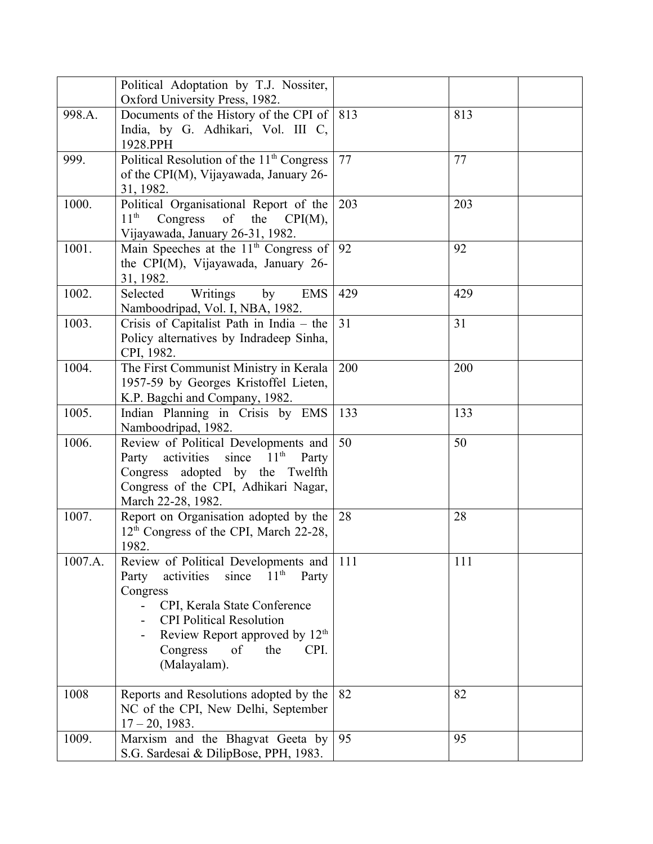|         | Political Adoptation by T.J. Nossiter,                                                 |     |     |  |
|---------|----------------------------------------------------------------------------------------|-----|-----|--|
| 998.A.  | Oxford University Press, 1982.<br>Documents of the History of the CPI of $ 813\rangle$ |     | 813 |  |
|         | India, by G. Adhikari, Vol. III C,                                                     |     |     |  |
|         | 1928.PPH                                                                               |     |     |  |
| 999.    | Political Resolution of the 11 <sup>th</sup> Congress                                  | 77  | 77  |  |
|         | of the CPI(M), Vijayawada, January 26-                                                 |     |     |  |
|         | 31, 1982.                                                                              |     |     |  |
| 1000.   | Political Organisational Report of the                                                 | 203 | 203 |  |
|         | $11^{\text{th}}$<br>Congress<br>of<br>the<br>CPI(M),                                   |     |     |  |
|         | Vijayawada, January 26-31, 1982.                                                       |     |     |  |
| 1001.   | Main Speeches at the $11th$ Congress of                                                | 92  | 92  |  |
|         | the CPI(M), Vijayawada, January 26-                                                    |     |     |  |
|         | 31, 1982.                                                                              |     |     |  |
| 1002.   | Writings<br>by<br><b>EMS</b><br>Selected                                               | 429 | 429 |  |
|         | Namboodripad, Vol. I, NBA, 1982.                                                       |     |     |  |
| 1003.   | Crisis of Capitalist Path in India - the                                               | 31  | 31  |  |
|         | Policy alternatives by Indradeep Sinha,                                                |     |     |  |
|         | CPI, 1982.                                                                             |     |     |  |
| 1004.   | The First Communist Ministry in Kerala                                                 | 200 | 200 |  |
|         | 1957-59 by Georges Kristoffel Lieten,                                                  |     |     |  |
|         | K.P. Bagchi and Company, 1982.                                                         |     |     |  |
| 1005.   | Indian Planning in Crisis by EMS                                                       | 133 | 133 |  |
| 1006.   | Namboodripad, 1982.<br>Review of Political Developments and                            | 50  | 50  |  |
|         | activities since $11th$<br>Party<br>Party                                              |     |     |  |
|         | Congress adopted by the Twelfth                                                        |     |     |  |
|         | Congress of the CPI, Adhikari Nagar,                                                   |     |     |  |
|         | March 22-28, 1982.                                                                     |     |     |  |
| 1007.   | Report on Organisation adopted by the                                                  | 28  | 28  |  |
|         | 12 <sup>th</sup> Congress of the CPI, March 22-28,                                     |     |     |  |
|         | 1982.                                                                                  |     |     |  |
| 1007.A. | Review of Political Developments and                                                   | 111 | 111 |  |
|         | since<br>activities<br>11 <sup>th</sup><br>Party<br>Party                              |     |     |  |
|         | Congress                                                                               |     |     |  |
|         | CPI, Kerala State Conference                                                           |     |     |  |
|         | <b>CPI Political Resolution</b>                                                        |     |     |  |
|         | Review Report approved by 12 <sup>th</sup>                                             |     |     |  |
|         | Congress<br>of<br>the<br>CPI.                                                          |     |     |  |
|         | (Malayalam).                                                                           |     |     |  |
| 1008    | Reports and Resolutions adopted by the                                                 | 82  | 82  |  |
|         | NC of the CPI, New Delhi, September                                                    |     |     |  |
|         | $17 - 20$ , 1983.                                                                      |     |     |  |
| 1009.   | Marxism and the Bhagvat Geeta by                                                       | 95  | 95  |  |
|         | S.G. Sardesai & DilipBose, PPH, 1983.                                                  |     |     |  |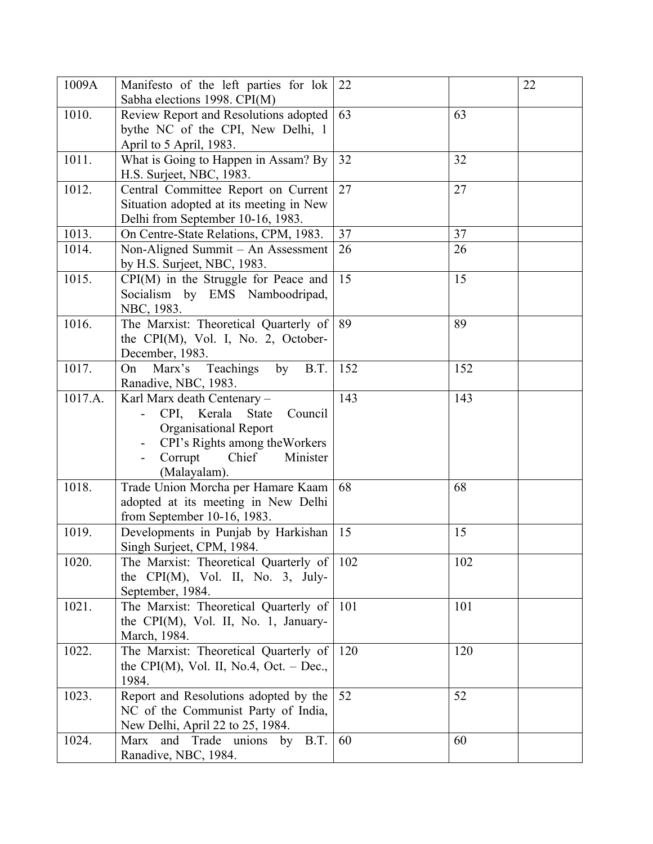| 1009A   | Manifesto of the left parties for lok<br>Sabha elections 1998. CPI(M) | 22  |     | 22 |
|---------|-----------------------------------------------------------------------|-----|-----|----|
| 1010.   | Review Report and Resolutions adopted                                 | 63  | 63  |    |
|         | bythe NC of the CPI, New Delhi, 1                                     |     |     |    |
|         | April to 5 April, 1983.                                               |     |     |    |
| 1011.   | What is Going to Happen in Assam? By                                  | 32  | 32  |    |
|         | H.S. Surjeet, NBC, 1983.                                              |     |     |    |
| 1012.   | Central Committee Report on Current                                   | 27  | 27  |    |
|         | Situation adopted at its meeting in New                               |     |     |    |
|         | Delhi from September 10-16, 1983.                                     |     |     |    |
| 1013.   | On Centre-State Relations, CPM, 1983.                                 | 37  | 37  |    |
| 1014.   | Non-Aligned Summit – An Assessment                                    | 26  | 26  |    |
|         | by H.S. Surjeet, NBC, 1983.                                           |     |     |    |
| 1015.   | CPI(M) in the Struggle for Peace and                                  | 15  | 15  |    |
|         | Socialism by EMS Namboodripad,                                        |     |     |    |
|         | NBC, 1983.                                                            |     |     |    |
| 1016.   | The Marxist: Theoretical Quarterly of                                 | 89  | 89  |    |
|         | the CPI(M), Vol. I, No. 2, October-                                   |     |     |    |
|         | December, 1983.                                                       |     |     |    |
| 1017.   | Marx's<br>Teachings<br>by<br>B.T.<br>On                               | 152 | 152 |    |
|         | Ranadive, NBC, 1983.                                                  |     |     |    |
| 1017.A. | Karl Marx death Centenary -                                           | 143 | 143 |    |
|         | CPI, Kerala<br>State<br>Council                                       |     |     |    |
|         | Organisational Report                                                 |     |     |    |
|         | CPI's Rights among the Workers                                        |     |     |    |
|         | Chief<br>Corrupt<br>Minister                                          |     |     |    |
|         | (Malayalam).                                                          |     |     |    |
| 1018.   | Trade Union Morcha per Hamare Kaam                                    | 68  | 68  |    |
|         | adopted at its meeting in New Delhi                                   |     |     |    |
|         | from September 10-16, 1983.                                           |     |     |    |
| 1019.   | Developments in Punjab by Harkishan                                   | 15  | 15  |    |
|         | Singh Surjeet, CPM, 1984.                                             |     |     |    |
| 1020.   | The Marxist: Theoretical Quarterly of                                 | 102 | 102 |    |
|         | the $\text{CPI}(M)$ , Vol. II, No. 3, July-                           |     |     |    |
|         | September, 1984.                                                      |     |     |    |
| 1021.   | The Marxist: Theoretical Quarterly of                                 | 101 | 101 |    |
|         | the CPI(M), Vol. II, No. 1, January-                                  |     |     |    |
|         | March, 1984.                                                          |     |     |    |
| 1022.   | The Marxist: Theoretical Quarterly of                                 | 120 | 120 |    |
|         | the CPI(M), Vol. II, No.4, Oct. – Dec.,                               |     |     |    |
|         | 1984.                                                                 |     |     |    |
| 1023.   | Report and Resolutions adopted by the                                 | 52  | 52  |    |
|         | NC of the Communist Party of India,                                   |     |     |    |
|         | New Delhi, April 22 to 25, 1984.                                      |     |     |    |
| 1024.   | Marx and Trade unions by B.T.                                         | 60  | 60  |    |
|         | Ranadive, NBC, 1984.                                                  |     |     |    |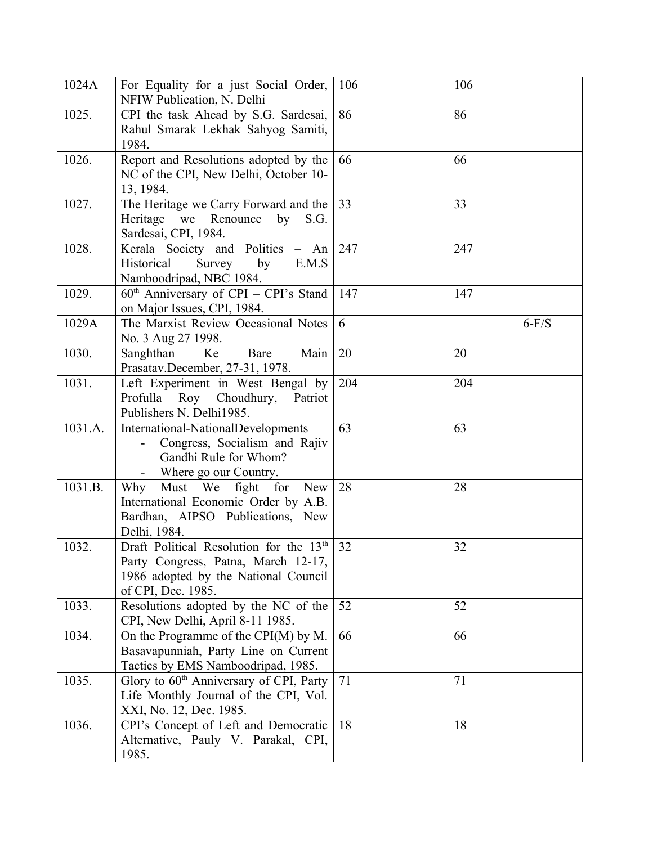| 1024A   | For Equality for a just Social Order,<br>NFIW Publication, N. Delhi                                                                                      | 106 | 106 |         |
|---------|----------------------------------------------------------------------------------------------------------------------------------------------------------|-----|-----|---------|
| 1025.   | CPI the task Ahead by S.G. Sardesai,<br>Rahul Smarak Lekhak Sahyog Samiti,<br>1984.                                                                      | 86  | 86  |         |
| 1026.   | Report and Resolutions adopted by the<br>NC of the CPI, New Delhi, October 10-<br>13, 1984.                                                              | 66  | 66  |         |
| 1027.   | The Heritage we Carry Forward and the<br>Heritage we Renounce<br>by<br>S.G.<br>Sardesai, CPI, 1984.                                                      | 33  | 33  |         |
| 1028.   | Kerala Society and Politics - An<br>by<br>Historical<br>Survey<br>E.M.S<br>Namboodripad, NBC 1984.                                                       | 247 | 247 |         |
| 1029.   | $60th$ Anniversary of CPI – CPI's Stand<br>on Major Issues, CPI, 1984.                                                                                   | 147 | 147 |         |
| 1029A   | The Marxist Review Occasional Notes<br>No. 3 Aug 27 1998.                                                                                                | 6   |     | $6-F/S$ |
| 1030.   | Ke<br>Sanghthan<br>Bare<br>Main<br>Prasatav.December, 27-31, 1978.                                                                                       | 20  | 20  |         |
| 1031.   | Left Experiment in West Bengal by<br>Profulla Roy Choudhury,<br>Patriot<br>Publishers N. Delhi1985.                                                      | 204 | 204 |         |
| 1031.A. | International-NationalDevelopments -<br>Congress, Socialism and Rajiv<br>Gandhi Rule for Whom?<br>- Where go our Country.                                | 63  | 63  |         |
| 1031.B. | Must We fight for<br>New<br>Why<br>International Economic Order by A.B.<br>Bardhan, AIPSO Publications, New<br>Delhi, 1984.                              | 28  | 28  |         |
| 1032.   | Draft Political Resolution for the 13 <sup>th</sup><br>Party Congress, Patna, March 12-17,<br>1986 adopted by the National Council<br>of CPI, Dec. 1985. | 32  | 32  |         |
| 1033.   | Resolutions adopted by the NC of the<br>CPI, New Delhi, April 8-11 1985.                                                                                 | 52  | 52  |         |
| 1034.   | On the Programme of the CPI(M) by M.<br>Basavapunniah, Party Line on Current<br>Tactics by EMS Namboodripad, 1985.                                       | 66  | 66  |         |
| 1035.   | Glory to 60 <sup>th</sup> Anniversary of CPI, Party<br>Life Monthly Journal of the CPI, Vol.<br>XXI, No. 12, Dec. 1985.                                  | 71  | 71  |         |
| 1036.   | CPI's Concept of Left and Democratic<br>Alternative, Pauly V. Parakal, CPI,<br>1985.                                                                     | 18  | 18  |         |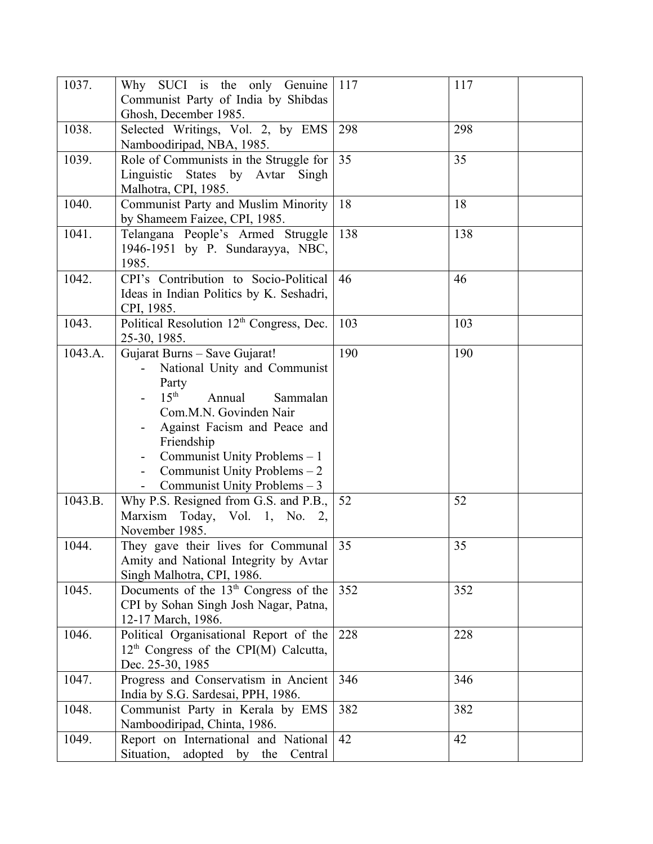| 1037.   | Why SUCI is the only Genuine<br>Communist Party of India by Shibdas                                                                                                                                                                                                                                                        | 117 | 117 |
|---------|----------------------------------------------------------------------------------------------------------------------------------------------------------------------------------------------------------------------------------------------------------------------------------------------------------------------------|-----|-----|
|         | Ghosh, December 1985.                                                                                                                                                                                                                                                                                                      |     |     |
| 1038.   | Selected Writings, Vol. 2, by EMS<br>Namboodiripad, NBA, 1985.                                                                                                                                                                                                                                                             | 298 | 298 |
| 1039.   | Role of Communists in the Struggle for                                                                                                                                                                                                                                                                                     | 35  | 35  |
|         | Linguistic States by Avtar Singh<br>Malhotra, CPI, 1985.                                                                                                                                                                                                                                                                   |     |     |
| 1040.   | Communist Party and Muslim Minority<br>by Shameem Faizee, CPI, 1985.                                                                                                                                                                                                                                                       | 18  | 18  |
| 1041.   | Telangana People's Armed Struggle<br>1946-1951 by P. Sundarayya, NBC,<br>1985.                                                                                                                                                                                                                                             | 138 | 138 |
| 1042.   | CPI's Contribution to Socio-Political<br>Ideas in Indian Politics by K. Seshadri,<br>CPI, 1985.                                                                                                                                                                                                                            | 46  | 46  |
| 1043.   | Political Resolution 12 <sup>th</sup> Congress, Dec.<br>25-30, 1985.                                                                                                                                                                                                                                                       | 103 | 103 |
| 1043.A. | Gujarat Burns - Save Gujarat!<br>National Unity and Communist<br>Party<br>$15^{\text{th}}$<br>Annual<br>Sammalan<br>Com.M.N. Govinden Nair<br>Against Facism and Peace and<br>Friendship<br>Communist Unity Problems - 1<br>Communist Unity Problems $-2$<br>$\qquad \qquad \blacksquare$<br>Communist Unity Problems $-3$ | 190 | 190 |
| 1043.B. | Why P.S. Resigned from G.S. and P.B.,<br>Marxism Today, Vol. 1, No. 2,<br>November 1985.                                                                                                                                                                                                                                   | 52  | 52  |
| 1044.   | They gave their lives for Communal<br>Amity and National Integrity by Avtar<br>Singh Malhotra, CPI, 1986.                                                                                                                                                                                                                  | 35  | 35  |
| 1045.   | Documents of the $13th$ Congress of the<br>CPI by Sohan Singh Josh Nagar, Patna,<br>12-17 March, 1986.                                                                                                                                                                                                                     | 352 | 352 |
| 1046.   | Political Organisational Report of the<br>12 <sup>th</sup> Congress of the CPI(M) Calcutta,<br>Dec. 25-30, 1985                                                                                                                                                                                                            | 228 | 228 |
| 1047.   | Progress and Conservatism in Ancient<br>India by S.G. Sardesai, PPH, 1986.                                                                                                                                                                                                                                                 | 346 | 346 |
| 1048.   | Communist Party in Kerala by EMS<br>Namboodiripad, Chinta, 1986.                                                                                                                                                                                                                                                           | 382 | 382 |
| 1049.   | Report on International and National<br>Situation, adopted by the Central                                                                                                                                                                                                                                                  | 42  | 42  |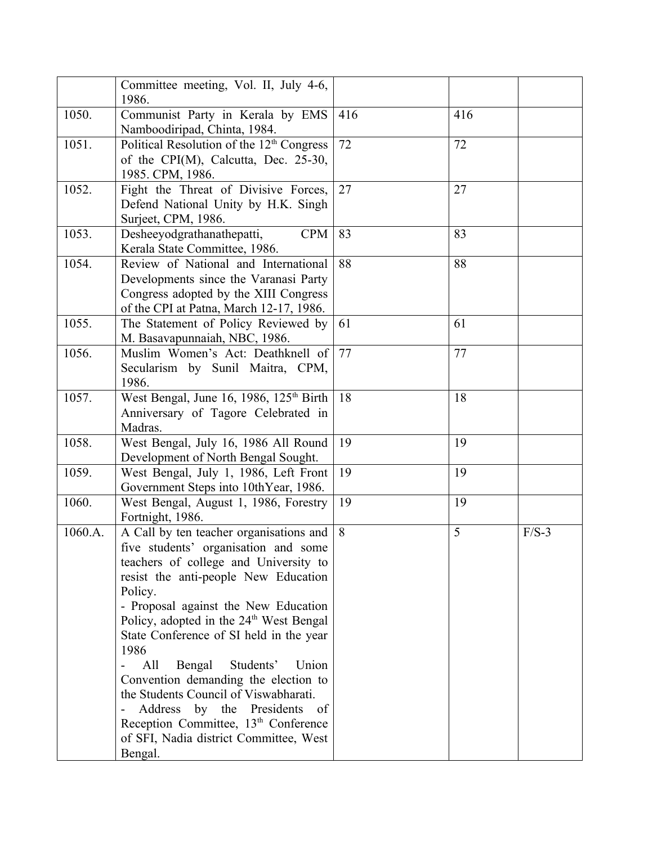|         | Committee meeting, Vol. II, July 4-6,<br>1986.                                                                                                                                                                                                                                                                                                                                                                                                                                                                                                                                                                                                                |     |     |         |
|---------|---------------------------------------------------------------------------------------------------------------------------------------------------------------------------------------------------------------------------------------------------------------------------------------------------------------------------------------------------------------------------------------------------------------------------------------------------------------------------------------------------------------------------------------------------------------------------------------------------------------------------------------------------------------|-----|-----|---------|
| 1050.   | Communist Party in Kerala by EMS<br>Namboodiripad, Chinta, 1984.                                                                                                                                                                                                                                                                                                                                                                                                                                                                                                                                                                                              | 416 | 416 |         |
| 1051.   | Political Resolution of the 12 <sup>th</sup> Congress<br>of the CPI(M), Calcutta, Dec. 25-30,<br>1985. CPM, 1986.                                                                                                                                                                                                                                                                                                                                                                                                                                                                                                                                             | 72  | 72  |         |
| 1052.   | Fight the Threat of Divisive Forces,<br>Defend National Unity by H.K. Singh<br>Surject, CPM, 1986.                                                                                                                                                                                                                                                                                                                                                                                                                                                                                                                                                            | 27  | 27  |         |
| 1053.   | Desheeyodgrathanathepatti,<br><b>CPM</b><br>Kerala State Committee, 1986.                                                                                                                                                                                                                                                                                                                                                                                                                                                                                                                                                                                     | 83  | 83  |         |
| 1054.   | Review of National and International<br>Developments since the Varanasi Party<br>Congress adopted by the XIII Congress<br>of the CPI at Patna, March 12-17, 1986.                                                                                                                                                                                                                                                                                                                                                                                                                                                                                             | 88  | 88  |         |
| 1055.   | The Statement of Policy Reviewed by<br>M. Basavapunnaiah, NBC, 1986.                                                                                                                                                                                                                                                                                                                                                                                                                                                                                                                                                                                          | 61  | 61  |         |
| 1056.   | Muslim Women's Act: Deathknell of<br>Secularism by Sunil Maitra, CPM,<br>1986.                                                                                                                                                                                                                                                                                                                                                                                                                                                                                                                                                                                | 77  | 77  |         |
| 1057.   | West Bengal, June 16, 1986, $125th$ Birth<br>Anniversary of Tagore Celebrated in<br>Madras.                                                                                                                                                                                                                                                                                                                                                                                                                                                                                                                                                                   | 18  | 18  |         |
| 1058.   | West Bengal, July 16, 1986 All Round<br>Development of North Bengal Sought.                                                                                                                                                                                                                                                                                                                                                                                                                                                                                                                                                                                   | 19  | 19  |         |
| 1059.   | West Bengal, July 1, 1986, Left Front<br>Government Steps into 10thYear, 1986.                                                                                                                                                                                                                                                                                                                                                                                                                                                                                                                                                                                | 19  | 19  |         |
| 1060.   | West Bengal, August 1, 1986, Forestry<br>Fortnight, 1986.                                                                                                                                                                                                                                                                                                                                                                                                                                                                                                                                                                                                     | 19  | 19  |         |
| 1060.A. | A Call by ten teacher organisations and<br>five students' organisation and some<br>teachers of college and University to<br>resist the anti-people New Education<br>Policy.<br>- Proposal against the New Education<br>Policy, adopted in the 24 <sup>th</sup> West Bengal<br>State Conference of SI held in the year<br>1986<br>All<br>Bengal<br>Students'<br>Union<br>$\overline{\phantom{0}}$<br>Convention demanding the election to<br>the Students Council of Viswabharati.<br>by the Presidents<br>Address<br><sub>of</sub><br>$\overline{a}$<br>Reception Committee, 13 <sup>th</sup> Conference<br>of SFI, Nadia district Committee, West<br>Bengal. | 8   | 5   | $F/S-3$ |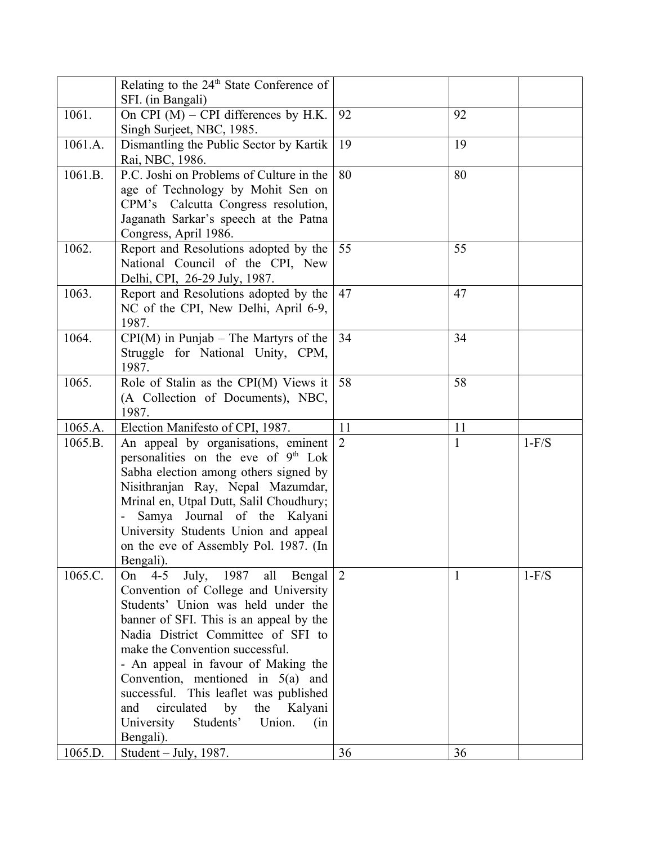|         | Relating to the $24th$ State Conference of      |                 |              |         |
|---------|-------------------------------------------------|-----------------|--------------|---------|
|         | SFI. (in Bangali)                               |                 |              |         |
| 1061.   | On CPI $(M)$ – CPI differences by H.K.          | 92              | 92           |         |
|         | Singh Surject, NBC, 1985.                       |                 |              |         |
| 1061.A. | Dismantling the Public Sector by Kartik         | 19              | 19           |         |
|         | Rai, NBC, 1986.                                 |                 |              |         |
| 1061.B. | P.C. Joshi on Problems of Culture in the        | 80              | 80           |         |
|         | age of Technology by Mohit Sen on               |                 |              |         |
|         | CPM's Calcutta Congress resolution,             |                 |              |         |
|         | Jaganath Sarkar's speech at the Patna           |                 |              |         |
|         | Congress, April 1986.                           |                 |              |         |
| 1062.   | Report and Resolutions adopted by the           | 55              | 55           |         |
|         | National Council of the CPI, New                |                 |              |         |
|         | Delhi, CPI, 26-29 July, 1987.                   |                 |              |         |
| 1063.   | Report and Resolutions adopted by the           | 47              | 47           |         |
|         | NC of the CPI, New Delhi, April 6-9,            |                 |              |         |
|         | 1987.                                           |                 |              |         |
| 1064.   | $CPI(M)$ in Punjab – The Martyrs of the         | 34              | 34           |         |
|         | Struggle for National Unity, CPM,               |                 |              |         |
|         | 1987.                                           |                 |              |         |
| 1065.   | Role of Stalin as the CPI(M) Views it           | 58              | 58           |         |
|         | (A Collection of Documents), NBC,               |                 |              |         |
|         | 1987.                                           |                 |              |         |
| 1065.A. | Election Manifesto of CPI, 1987.                | 11              | 11           |         |
| 1065.B. | An appeal by organisations, eminent             | 2               | $\mathbf{1}$ | $1-F/S$ |
|         | personalities on the eve of 9 <sup>th</sup> Lok |                 |              |         |
|         | Sabha election among others signed by           |                 |              |         |
|         |                                                 |                 |              |         |
|         | Nisithranjan Ray, Nepal Mazumdar,               |                 |              |         |
|         | Mrinal en, Utpal Dutt, Salil Choudhury;         |                 |              |         |
|         | Samya Journal of the Kalyani                    |                 |              |         |
|         | University Students Union and appeal            |                 |              |         |
|         | on the eve of Assembly Pol. 1987. (In           |                 |              |         |
|         | Bengali).                                       |                 |              |         |
| 1065.C. | $4 - 5$<br>July, 1987<br>all<br>Bengal<br>On    | $\vert 2 \vert$ | 1            | $1-F/S$ |
|         | Convention of College and University            |                 |              |         |
|         | Students' Union was held under the              |                 |              |         |
|         | banner of SFI. This is an appeal by the         |                 |              |         |
|         | Nadia District Committee of SFI to              |                 |              |         |
|         | make the Convention successful.                 |                 |              |         |
|         | - An appeal in favour of Making the             |                 |              |         |
|         | Convention, mentioned in $5(a)$ and             |                 |              |         |
|         | successful. This leaflet was published          |                 |              |         |
|         | by<br>circulated<br>the<br>Kalyani<br>and       |                 |              |         |
|         | University<br>Students'<br>Union.<br>(in        |                 |              |         |
| 1065.D. | Bengali).<br>Student – July, $1987$ .           | 36              | 36           |         |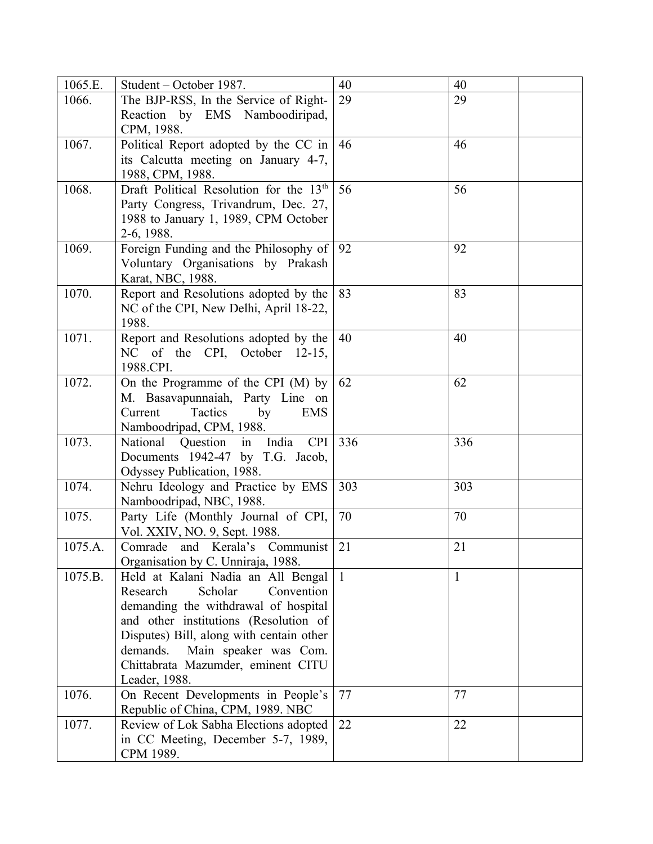| 1065.E. | Student – October 1987.                                                 | 40  | 40  |
|---------|-------------------------------------------------------------------------|-----|-----|
| 1066.   | The BJP-RSS, In the Service of Right-                                   | 29  | 29  |
|         | Reaction by EMS Namboodiripad,                                          |     |     |
|         | CPM, 1988.                                                              |     |     |
| 1067.   | Political Report adopted by the CC in                                   | 46  | 46  |
|         | its Calcutta meeting on January 4-7,                                    |     |     |
|         | 1988, CPM, 1988.                                                        |     |     |
| 1068.   | Draft Political Resolution for the 13 <sup>th</sup>                     | 56  | 56  |
|         | Party Congress, Trivandrum, Dec. 27,                                    |     |     |
|         | 1988 to January 1, 1989, CPM October                                    |     |     |
|         | 2-6, 1988.                                                              |     |     |
| 1069.   | Foreign Funding and the Philosophy of                                   | 92  | 92  |
|         | Voluntary Organisations by Prakash                                      |     |     |
|         | Karat, NBC, 1988.                                                       |     |     |
| 1070.   | Report and Resolutions adopted by the                                   | 83  | 83  |
|         | NC of the CPI, New Delhi, April 18-22,<br>1988.                         |     |     |
| 1071.   | Report and Resolutions adopted by the                                   | 40  | 40  |
|         | NC of the CPI, October 12-15,                                           |     |     |
|         | 1988.CPI.                                                               |     |     |
| 1072.   | On the Programme of the CPI (M) by                                      | 62  | 62  |
|         | M. Basavapunnaiah, Party Line on                                        |     |     |
|         | Tactics<br>Current<br>by<br><b>EMS</b>                                  |     |     |
|         | Namboodripad, CPM, 1988.                                                |     |     |
| 1073.   | National<br>Question<br>in<br>India<br><b>CPI</b>                       | 336 | 336 |
|         | Documents 1942-47 by T.G. Jacob,                                        |     |     |
|         | Odyssey Publication, 1988.                                              |     |     |
| 1074.   | Nehru Ideology and Practice by EMS                                      | 303 | 303 |
|         | Namboodripad, NBC, 1988.                                                |     |     |
| 1075.   | Party Life (Monthly Journal of CPI,                                     | 70  | 70  |
|         | Vol. XXIV, NO. 9, Sept. 1988.                                           |     |     |
| 1075.A. | Comrade and Kerala's Communist                                          | 21  | 21  |
|         | Organisation by C. Unniraja, 1988.                                      |     |     |
| 1075.B. | Held at Kalani Nadia an All Bengal                                      |     | 1   |
|         | Convention<br>Research<br>Scholar                                       |     |     |
|         | demanding the withdrawal of hospital                                    |     |     |
|         | and other institutions (Resolution of                                   |     |     |
|         | Disputes) Bill, along with centain other                                |     |     |
|         | Main speaker was Com.<br>demands.                                       |     |     |
|         | Chittabrata Mazumder, eminent CITU<br>Leader, 1988.                     |     |     |
| 1076.   |                                                                         | 77  | 77  |
|         | On Recent Developments in People's<br>Republic of China, CPM, 1989. NBC |     |     |
| 1077.   | Review of Lok Sabha Elections adopted                                   | 22  | 22  |
|         | in CC Meeting, December 5-7, 1989,                                      |     |     |
|         | CPM 1989.                                                               |     |     |
|         |                                                                         |     |     |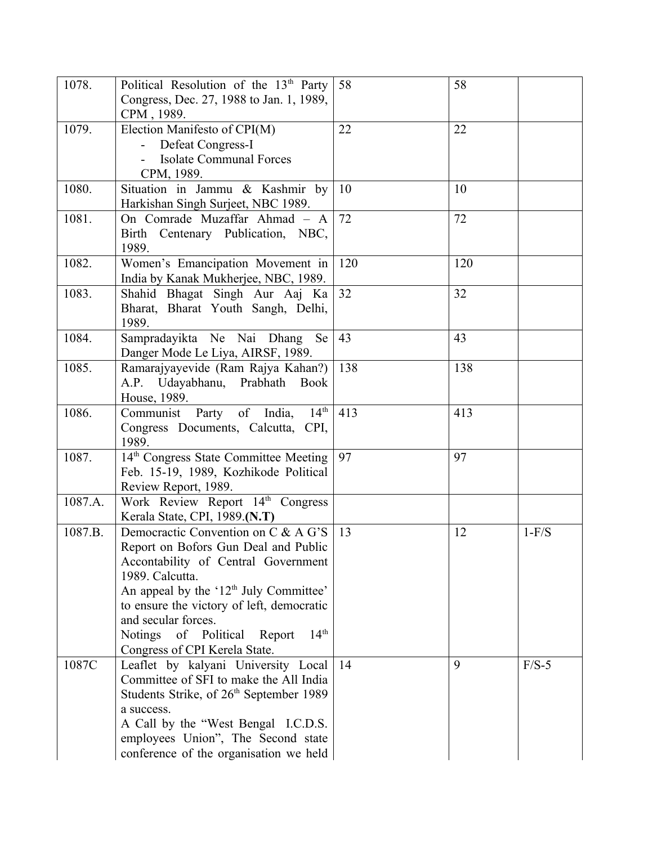| 1078.   | Political Resolution of the 13 <sup>th</sup> Party<br>Congress, Dec. 27, 1988 to Jan. 1, 1989,<br>CPM, 1989.                                                                                                                                                                                                                                        | 58  | 58  |         |
|---------|-----------------------------------------------------------------------------------------------------------------------------------------------------------------------------------------------------------------------------------------------------------------------------------------------------------------------------------------------------|-----|-----|---------|
| 1079.   | Election Manifesto of CPI(M)<br>Defeat Congress-I<br><b>Isolate Communal Forces</b><br>CPM, 1989.                                                                                                                                                                                                                                                   | 22  | 22  |         |
| 1080.   | Situation in Jammu & Kashmir by<br>Harkishan Singh Surjeet, NBC 1989.                                                                                                                                                                                                                                                                               | 10  | 10  |         |
| 1081.   | On Comrade Muzaffar Ahmad - A<br>Birth Centenary Publication, NBC,<br>1989.                                                                                                                                                                                                                                                                         | 72  | 72  |         |
| 1082.   | Women's Emancipation Movement in<br>India by Kanak Mukherjee, NBC, 1989.                                                                                                                                                                                                                                                                            | 120 | 120 |         |
| 1083.   | Shahid Bhagat Singh Aur Aaj Ka<br>Bharat, Bharat Youth Sangh, Delhi,<br>1989.                                                                                                                                                                                                                                                                       | 32  | 32  |         |
| 1084.   | Sampradayikta Ne Nai Dhang<br><b>Se</b><br>Danger Mode Le Liya, AIRSF, 1989.                                                                                                                                                                                                                                                                        | 43  | 43  |         |
| 1085.   | Ramarajyayevide (Ram Rajya Kahan?)<br>A.P. Udayabhanu, Prabhath<br><b>Book</b><br>House, 1989.                                                                                                                                                                                                                                                      | 138 | 138 |         |
| 1086.   | 14 <sup>th</sup><br>Communist Party of India,<br>Congress Documents, Calcutta, CPI,<br>1989.                                                                                                                                                                                                                                                        | 413 | 413 |         |
| 1087.   | 14 <sup>th</sup> Congress State Committee Meeting<br>Feb. 15-19, 1989, Kozhikode Political<br>Review Report, 1989.                                                                                                                                                                                                                                  | 97  | 97  |         |
| 1087.A. | Work Review Report 14 <sup>th</sup> Congress<br>Kerala State, CPI, 1989.(N.T)                                                                                                                                                                                                                                                                       |     |     |         |
| 1087.B. | Democractic Convention on C & A G'S<br>Report on Bofors Gun Deal and Public<br>Accontability of Central Government<br>1989. Calcutta.<br>An appeal by the '12 <sup>th</sup> July Committee'<br>to ensure the victory of left, democratic<br>and secular forces.<br>14 <sup>th</sup><br>Notings of Political Report<br>Congress of CPI Kerela State. | 13  | 12  | $1-F/S$ |
| 1087C   | Leaflet by kalyani University Local<br>Committee of SFI to make the All India<br>Students Strike, of 26 <sup>th</sup> September 1989<br>a success.<br>A Call by the "West Bengal I.C.D.S.<br>employees Union", The Second state<br>conference of the organisation we held                                                                           | 14  | 9   | $F/S-5$ |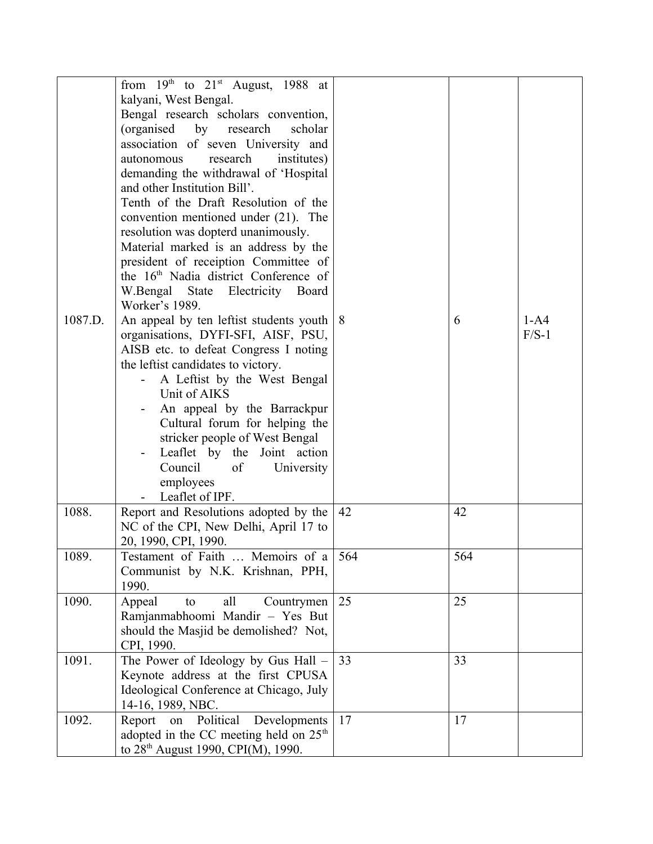|         | from $19th$ to $21st$ August, 1988 at              |     |     |         |
|---------|----------------------------------------------------|-----|-----|---------|
|         |                                                    |     |     |         |
|         | kalyani, West Bengal.                              |     |     |         |
|         | Bengal research scholars convention,               |     |     |         |
|         | (organised by research<br>scholar                  |     |     |         |
|         | association of seven University and                |     |     |         |
|         | research<br>autonomous<br>institutes)              |     |     |         |
|         | demanding the withdrawal of 'Hospital              |     |     |         |
|         | and other Institution Bill'.                       |     |     |         |
|         | Tenth of the Draft Resolution of the               |     |     |         |
|         | convention mentioned under (21). The               |     |     |         |
|         | resolution was dopterd unanimously.                |     |     |         |
|         | Material marked is an address by the               |     |     |         |
|         | president of receiption Committee of               |     |     |         |
|         | the 16 <sup>th</sup> Nadia district Conference of  |     |     |         |
|         | W.Bengal State Electricity Board                   |     |     |         |
|         | Worker's 1989.                                     |     |     |         |
| 1087.D. |                                                    |     |     |         |
|         | An appeal by ten leftist students youth            | 8   | 6   | $1-A4$  |
|         | organisations, DYFI-SFI, AISF, PSU,                |     |     | $F/S-1$ |
|         | AISB etc. to defeat Congress I noting              |     |     |         |
|         | the leftist candidates to victory.                 |     |     |         |
|         | A Leftist by the West Bengal                       |     |     |         |
|         | Unit of AIKS                                       |     |     |         |
|         | An appeal by the Barrackpur                        |     |     |         |
|         | Cultural forum for helping the                     |     |     |         |
|         | stricker people of West Bengal                     |     |     |         |
|         | Leaflet by the Joint action                        |     |     |         |
|         | Council<br>of<br>University                        |     |     |         |
|         | employees                                          |     |     |         |
|         | Leaflet of IPF.                                    |     |     |         |
| 1088.   | Report and Resolutions adopted by the              | 42  | 42  |         |
|         | NC of the CPI, New Delhi, April 17 to              |     |     |         |
|         | 20, 1990, CPI, 1990.                               |     |     |         |
| 1089.   | Testament of Faith  Memoirs of a                   | 564 | 564 |         |
|         | Communist by N.K. Krishnan, PPH,                   |     |     |         |
|         | 1990.                                              |     |     |         |
| 1090.   |                                                    | 25  | 25  |         |
|         | Appeal<br>Countrymen<br>all<br>to                  |     |     |         |
|         | Ramjanmabhoomi Mandir - Yes But                    |     |     |         |
|         | should the Masjid be demolished? Not,              |     |     |         |
|         | CPI, 1990.                                         |     |     |         |
| 1091.   | The Power of Ideology by Gus Hall -                | 33  | 33  |         |
|         | Keynote address at the first CPUSA                 |     |     |         |
|         | Ideological Conference at Chicago, July            |     |     |         |
|         | 14-16, 1989, NBC.                                  |     |     |         |
| 1092.   | on Political<br>Developments<br>Report             | 17  | 17  |         |
|         | adopted in the CC meeting held on 25 <sup>th</sup> |     |     |         |
|         | to $28th$ August 1990, CPI(M), 1990.               |     |     |         |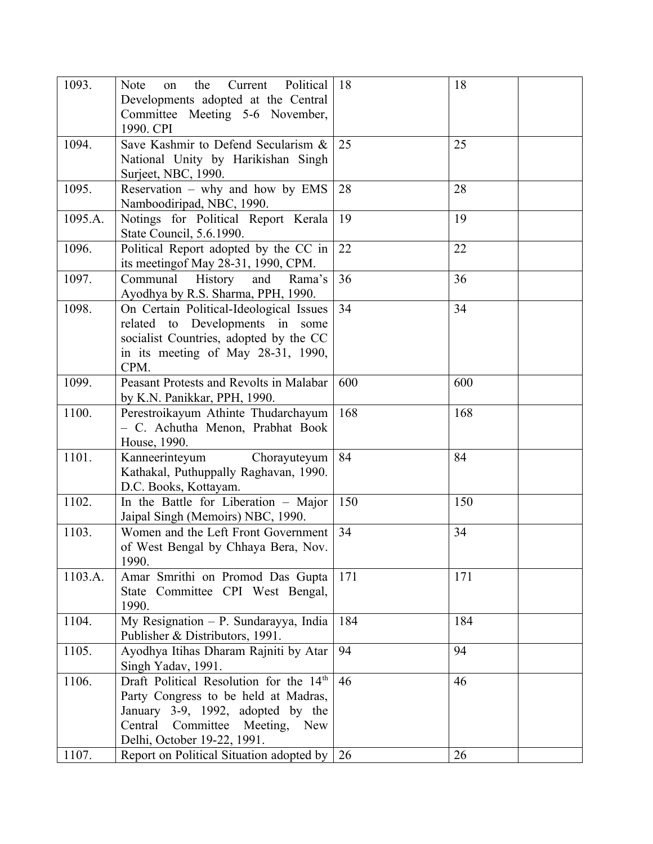| 1093.   | Political<br>Note<br>the<br>Current<br>on<br>Developments adopted at the Central<br>Committee Meeting 5-6 November,                                                                      | 18  | 18  |
|---------|------------------------------------------------------------------------------------------------------------------------------------------------------------------------------------------|-----|-----|
|         | 1990. CPI                                                                                                                                                                                |     |     |
| 1094.   | Save Kashmir to Defend Secularism &<br>National Unity by Harikishan Singh<br>Surject, NBC, 1990.                                                                                         | 25  | 25  |
| 1095.   | Reservation - why and how by EMS<br>Namboodiripad, NBC, 1990.                                                                                                                            | 28  | 28  |
| 1095.A. | Notings for Political Report Kerala<br>State Council, 5.6.1990.                                                                                                                          | 19  | 19  |
| 1096.   | Political Report adopted by the CC in<br>its meeting of May 28-31, 1990, CPM.                                                                                                            | 22  | 22  |
| 1097.   | Communal<br>History<br>and<br>Rama's<br>Ayodhya by R.S. Sharma, PPH, 1990.                                                                                                               | 36  | 36  |
| 1098.   | On Certain Political-Ideological Issues<br>related to Developments in some<br>socialist Countries, adopted by the CC<br>in its meeting of May 28-31, 1990,<br>CPM.                       | 34  | 34  |
| 1099.   | Peasant Protests and Revolts in Malabar<br>by K.N. Panikkar, PPH, 1990.                                                                                                                  | 600 | 600 |
| 1100.   | Perestroikayum Athinte Thudarchayum<br>- C. Achutha Menon, Prabhat Book<br>House, 1990.                                                                                                  | 168 | 168 |
| 1101.   | Kanneerinteyum<br>Chorayuteyum<br>Kathakal, Puthuppally Raghavan, 1990.<br>D.C. Books, Kottayam.                                                                                         | 84  | 84  |
| 1102.   | In the Battle for Liberation - Major<br>Jaipal Singh (Memoirs) NBC, 1990.                                                                                                                | 150 | 150 |
| 1103.   | Women and the Left Front Government<br>of West Bengal by Chhaya Bera, Nov.<br>1990.                                                                                                      | 34  | 34  |
| 1103.A. | Amar Smrithi on Promod Das Gupta<br>State Committee CPI West Bengal,<br>1990.                                                                                                            | 171 | 171 |
| 1104.   | My Resignation $- P$ . Sundarayya, India<br>Publisher & Distributors, 1991.                                                                                                              | 184 | 184 |
| 1105.   | Ayodhya Itihas Dharam Rajniti by Atar<br>Singh Yadav, 1991.                                                                                                                              | 94  | 94  |
| 1106.   | Draft Political Resolution for the 14th<br>Party Congress to be held at Madras,<br>January 3-9, 1992, adopted by the<br>Central Committee Meeting,<br>New<br>Delhi, October 19-22, 1991. | 46  | 46  |
| 1107.   | Report on Political Situation adopted by $\vert$ 26                                                                                                                                      |     | 26  |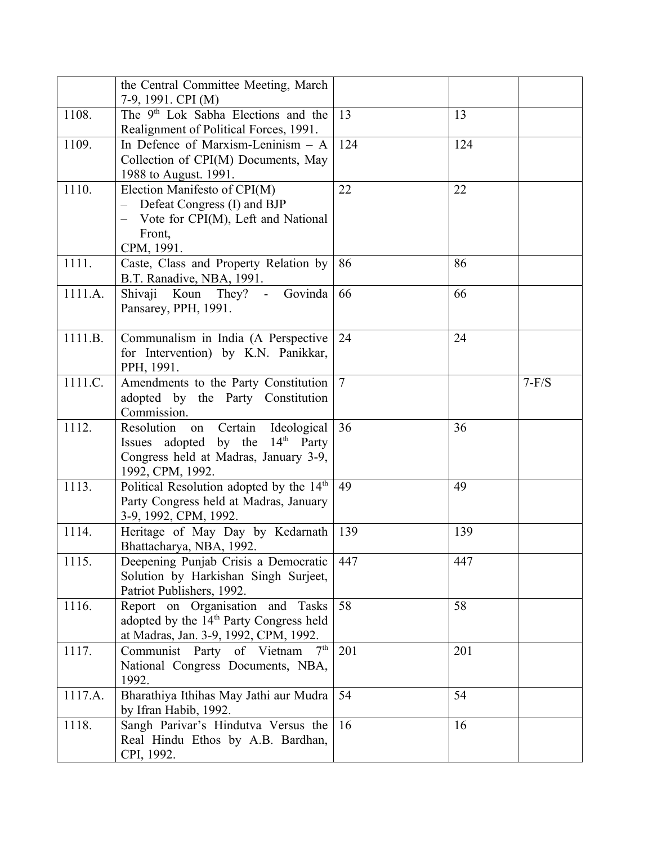|         | the Central Committee Meeting, March<br>7-9, 1991. CPI (M)                                                                                              |                |     |         |
|---------|---------------------------------------------------------------------------------------------------------------------------------------------------------|----------------|-----|---------|
| 1108.   | The 9 <sup>th</sup> Lok Sabha Elections and the<br>Realignment of Political Forces, 1991.                                                               | 13             | 13  |         |
| 1109.   | In Defence of Marxism-Leninism - A<br>Collection of CPI(M) Documents, May<br>1988 to August. 1991.                                                      | 124            | 124 |         |
| 1110.   | Election Manifesto of CPI(M)<br>Defeat Congress (I) and BJP<br>$\frac{1}{2}$<br>- Vote for CPI(M), Left and National<br>Front,<br>CPM, 1991.            | 22             | 22  |         |
| 1111.   | Caste, Class and Property Relation by<br>B.T. Ranadive, NBA, 1991.                                                                                      | 86             | 86  |         |
| 1111.A. | Koun They? - Govinda<br>Shivaji<br>Pansarey, PPH, 1991.                                                                                                 | 66             | 66  |         |
| 1111.B. | Communalism in India (A Perspective<br>for Intervention) by K.N. Panikkar,<br>PPH, 1991.                                                                | 24             | 24  |         |
| 1111.C. | Amendments to the Party Constitution<br>adopted by the Party Constitution<br>Commission.                                                                | $\overline{7}$ |     | $7-F/S$ |
| 1112.   | Certain<br>Ideological<br>Resolution<br>on<br>Issues adopted by the 14 <sup>th</sup> Party<br>Congress held at Madras, January 3-9,<br>1992, CPM, 1992. | 36             | 36  |         |
| 1113.   | Political Resolution adopted by the 14 <sup>th</sup><br>Party Congress held at Madras, January<br>3-9, 1992, CPM, 1992.                                 | 49             | 49  |         |
| 1114.   | Heritage of May Day by Kedarnath<br>Bhattacharya, NBA, 1992.                                                                                            | 139            | 139 |         |
| 1115.   | Deepening Punjab Crisis a Democratic<br>Solution by Harkishan Singh Surjeet,<br>Patriot Publishers, 1992.                                               | 447            | 447 |         |
| 1116.   | Report on Organisation and<br>Tasks<br>adopted by the 14 <sup>th</sup> Party Congress held<br>at Madras, Jan. 3-9, 1992, CPM, 1992.                     | 58             | 58  |         |
| 1117.   | 7 <sup>th</sup><br>Communist Party of Vietnam<br>National Congress Documents, NBA,<br>1992.                                                             | 201            | 201 |         |
| 1117.A. | Bharathiya Ithihas May Jathi aur Mudra<br>by Ifran Habib, 1992.                                                                                         | 54             | 54  |         |
| 1118.   | Sangh Parivar's Hindutva Versus the<br>Real Hindu Ethos by A.B. Bardhan,<br>CPI, 1992.                                                                  | 16             | 16  |         |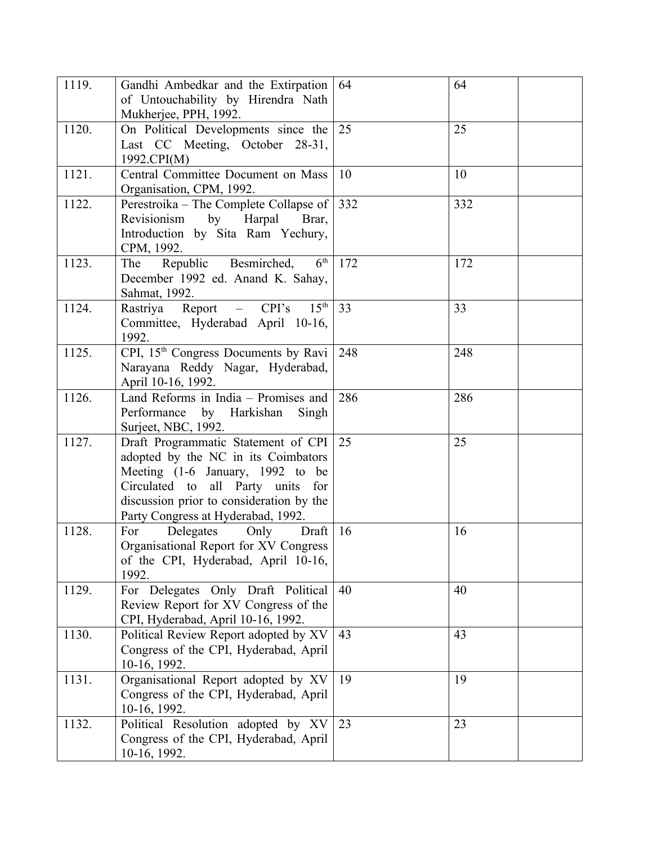| 1119. | Gandhi Ambedkar and the Extirpation<br>of Untouchability by Hirendra Nath<br>Mukherjee, PPH, 1992.                                                                                                                                    | 64  | 64  |
|-------|---------------------------------------------------------------------------------------------------------------------------------------------------------------------------------------------------------------------------------------|-----|-----|
| 1120. | On Political Developments since the<br>Last CC Meeting, October 28-31,<br>1992.CPI(M)                                                                                                                                                 | 25  | 25  |
| 1121. | Central Committee Document on Mass<br>Organisation, CPM, 1992.                                                                                                                                                                        | 10  | 10  |
| 1122. | Perestroika - The Complete Collapse of<br>by<br>Harpal Brar,<br>Revisionism<br>Introduction by Sita Ram Yechury,<br>CPM, 1992.                                                                                                        | 332 | 332 |
| 1123. | 6 <sup>th</sup><br>Republic Besmirched,<br>The<br>December 1992 ed. Anand K. Sahay,<br>Sahmat, 1992.                                                                                                                                  | 172 | 172 |
| 1124. | $15^{\text{th}}$<br>Rastriya Report - CPI's<br>Committee, Hyderabad April 10-16,<br>1992.                                                                                                                                             | 33  | 33  |
| 1125. | CPI, 15 <sup>th</sup> Congress Documents by Ravi<br>Narayana Reddy Nagar, Hyderabad,<br>April 10-16, 1992.                                                                                                                            | 248 | 248 |
| 1126. | Land Reforms in India - Promises and<br>Performance by Harkishan Singh<br>Surject, NBC, 1992.                                                                                                                                         | 286 | 286 |
| 1127. | Draft Programmatic Statement of CPI<br>adopted by the NC in its Coimbators<br>Meeting (1-6 January, 1992 to be<br>Circulated to all Party units for<br>discussion prior to consideration by the<br>Party Congress at Hyderabad, 1992. | 25  | 25  |
| 1128. | Delegates<br>Only<br>Draft<br>For<br>Organisational Report for XV Congress<br>of the CPI, Hyderabad, April 10-16,<br>1992.                                                                                                            | 16  | 16  |
| 1129. | For Delegates Only Draft Political<br>Review Report for XV Congress of the<br>CPI, Hyderabad, April 10-16, 1992.                                                                                                                      | 40  | 40  |
| 1130. | Political Review Report adopted by XV<br>Congress of the CPI, Hyderabad, April<br>10-16, 1992.                                                                                                                                        | 43  | 43  |
| 1131. | Organisational Report adopted by XV<br>Congress of the CPI, Hyderabad, April<br>10-16, 1992.                                                                                                                                          | 19  | 19  |
| 1132. | Political Resolution adopted by XV<br>Congress of the CPI, Hyderabad, April<br>10-16, 1992.                                                                                                                                           | 23  | 23  |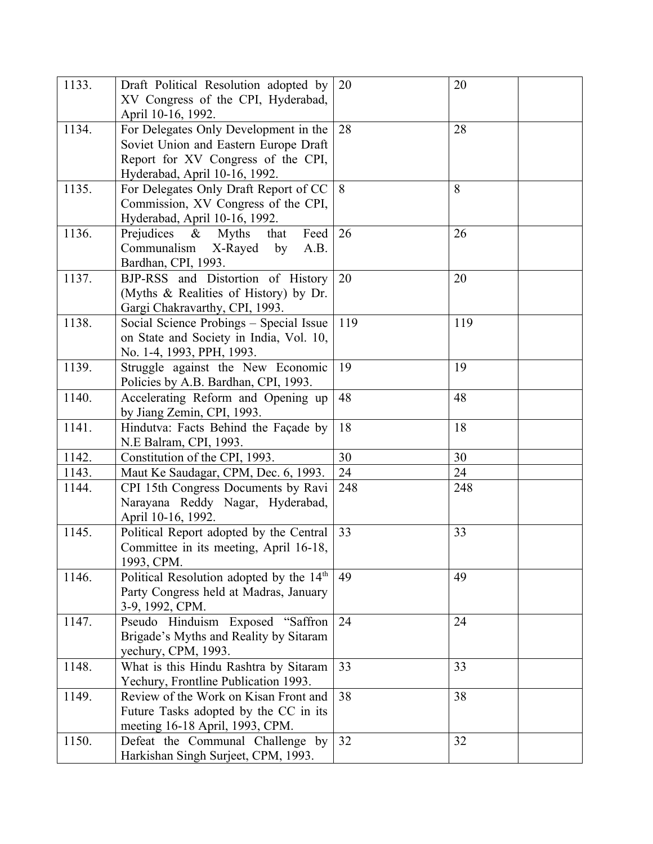| 1133. | Draft Political Resolution adopted by                | 20  | 20  |
|-------|------------------------------------------------------|-----|-----|
|       | XV Congress of the CPI, Hyderabad,                   |     |     |
|       | April 10-16, 1992.                                   |     |     |
| 1134. | For Delegates Only Development in the                | 28  | 28  |
|       | Soviet Union and Eastern Europe Draft                |     |     |
|       | Report for XV Congress of the CPI,                   |     |     |
|       | Hyderabad, April 10-16, 1992.                        |     |     |
| 1135. | For Delegates Only Draft Report of CC                | 8   | 8   |
|       | Commission, XV Congress of the CPI,                  |     |     |
|       | Hyderabad, April 10-16, 1992.                        |     |     |
| 1136. | Prejudices $\&$<br><b>Myths</b><br>Feed<br>that      | 26  | 26  |
|       | Communalism<br>X-Rayed<br>by<br>A.B.                 |     |     |
|       | Bardhan, CPI, 1993.                                  |     |     |
| 1137. | BJP-RSS and Distortion of History                    | 20  | 20  |
|       | (Myths & Realities of History) by Dr.                |     |     |
|       | Gargi Chakravarthy, CPI, 1993.                       |     |     |
| 1138. | Social Science Probings - Special Issue              | 119 | 119 |
|       | on State and Society in India, Vol. 10,              |     |     |
|       | No. 1-4, 1993, PPH, 1993.                            |     |     |
| 1139. | Struggle against the New Economic                    | 19  | 19  |
|       | Policies by A.B. Bardhan, CPI, 1993.                 |     |     |
| 1140. | Accelerating Reform and Opening up                   | 48  | 48  |
|       | by Jiang Zemin, CPI, 1993.                           |     |     |
| 1141. | Hindutva: Facts Behind the Façade by                 | 18  | 18  |
|       | N.E Balram, CPI, 1993.                               |     |     |
| 1142. | Constitution of the CPI, 1993.                       | 30  | 30  |
| 1143. | Maut Ke Saudagar, CPM, Dec. 6, 1993.                 | 24  | 24  |
| 1144. | CPI 15th Congress Documents by Ravi                  | 248 | 248 |
|       | Narayana Reddy Nagar, Hyderabad,                     |     |     |
|       | April 10-16, 1992.                                   |     |     |
| 1145. | Political Report adopted by the Central              | 33  | 33  |
|       | Committee in its meeting, April 16-18,               |     |     |
|       | 1993, CPM.                                           |     |     |
| 1146. | Political Resolution adopted by the 14 <sup>th</sup> | 49  | 49  |
|       | Party Congress held at Madras, January               |     |     |
|       | 3-9, 1992, CPM.                                      |     |     |
| 1147. | Pseudo Hinduism Exposed "Saffron                     | 24  | 24  |
|       | Brigade's Myths and Reality by Sitaram               |     |     |
|       | yechury, CPM, 1993.                                  |     |     |
| 1148. | What is this Hindu Rashtra by Sitaram                | 33  | 33  |
|       | Yechury, Frontline Publication 1993.                 |     |     |
| 1149. | Review of the Work on Kisan Front and                | 38  | 38  |
|       | Future Tasks adopted by the CC in its                |     |     |
|       | meeting 16-18 April, 1993, CPM.                      |     |     |
| 1150. | Defeat the Communal Challenge by                     | 32  | 32  |
|       | Harkishan Singh Surjeet, CPM, 1993.                  |     |     |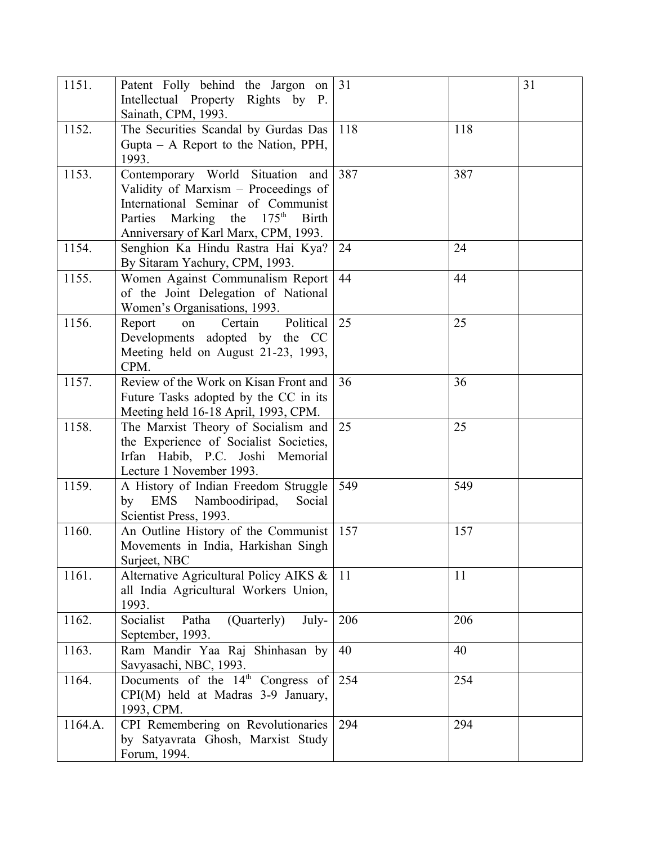| 1151.   | Patent Folly behind the Jargon on<br>Intellectual Property Rights by P.                                                                                                                                         | 31  |     | 31 |
|---------|-----------------------------------------------------------------------------------------------------------------------------------------------------------------------------------------------------------------|-----|-----|----|
| 1152.   | Sainath, CPM, 1993.<br>The Securities Scandal by Gurdas Das<br>Gupta – A Report to the Nation, PPH,                                                                                                             | 118 | 118 |    |
|         | 1993.                                                                                                                                                                                                           |     |     |    |
| 1153.   | Contemporary World Situation and<br>Validity of Marxism - Proceedings of<br>International Seminar of Communist<br>Parties Marking the 175 <sup>th</sup><br><b>Birth</b><br>Anniversary of Karl Marx, CPM, 1993. | 387 | 387 |    |
| 1154.   | Senghion Ka Hindu Rastra Hai Kya?<br>By Sitaram Yachury, CPM, 1993.                                                                                                                                             | 24  | 24  |    |
| 1155.   | Women Against Communalism Report<br>of the Joint Delegation of National<br>Women's Organisations, 1993.                                                                                                         | 44  | 44  |    |
| 1156.   | Political<br>Certain<br>Report<br>on<br>Developments adopted by the CC<br>Meeting held on August 21-23, 1993,<br>CPM.                                                                                           | 25  | 25  |    |
| 1157.   | Review of the Work on Kisan Front and<br>Future Tasks adopted by the CC in its<br>Meeting held 16-18 April, 1993, CPM.                                                                                          | 36  | 36  |    |
| 1158.   | The Marxist Theory of Socialism and<br>the Experience of Socialist Societies,<br>Irfan Habib, P.C. Joshi Memorial<br>Lecture 1 November 1993.                                                                   | 25  | 25  |    |
| 1159.   | A History of Indian Freedom Struggle<br>EMS Namboodiripad,<br>by<br>Social<br>Scientist Press, 1993.                                                                                                            | 549 | 549 |    |
| 1160.   | An Outline History of the Communist<br>Movements in India, Harkishan Singh<br>Surjeet, NBC                                                                                                                      | 157 | 157 |    |
| 1161.   | Alternative Agricultural Policy AIKS &<br>all India Agricultural Workers Union,<br>1993.                                                                                                                        | 11  | 11  |    |
| 1162.   | Socialist<br>(Quarterly)<br>Patha<br>July-<br>September, 1993.                                                                                                                                                  | 206 | 206 |    |
| 1163.   | Ram Mandir Yaa Raj Shinhasan by<br>Savyasachi, NBC, 1993.                                                                                                                                                       | 40  | 40  |    |
| 1164.   | Documents of the $14th$ Congress of<br>CPI(M) held at Madras 3-9 January,<br>1993, CPM.                                                                                                                         | 254 | 254 |    |
| 1164.A. | CPI Remembering on Revolutionaries<br>by Satyavrata Ghosh, Marxist Study<br>Forum, 1994.                                                                                                                        | 294 | 294 |    |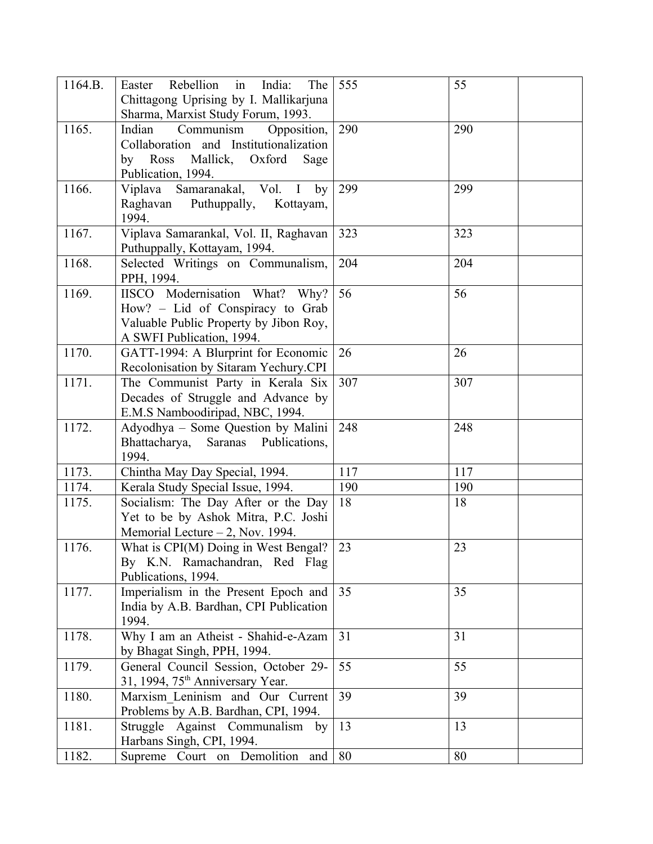| 1164.B. | Rebellion in<br>India:<br>The<br>Easter<br>Chittagong Uprising by I. Mallikarjuna<br>Sharma, Marxist Study Forum, 1993.                      | 555 | 55  |
|---------|----------------------------------------------------------------------------------------------------------------------------------------------|-----|-----|
| 1165.   | Indian<br>Communism<br>Opposition,<br>Collaboration and Institutionalization<br>by Ross<br>Mallick, Oxford<br>Sage<br>Publication, 1994.     | 290 | 290 |
| 1166.   | Viplava Samaranakal, Vol. I by<br>Raghavan<br>Puthuppally,<br>Kottayam,<br>1994.                                                             | 299 | 299 |
| 1167.   | Viplava Samarankal, Vol. II, Raghavan<br>Puthuppally, Kottayam, 1994.                                                                        | 323 | 323 |
| 1168.   | Selected Writings on Communalism,<br>PPH, 1994.                                                                                              | 204 | 204 |
| 1169.   | IISCO Modernisation What?<br>Why?<br>How? - Lid of Conspiracy to Grab<br>Valuable Public Property by Jibon Roy,<br>A SWFI Publication, 1994. | 56  | 56  |
| 1170.   | GATT-1994: A Blurprint for Economic<br>Recolonisation by Sitaram Yechury.CPI                                                                 | 26  | 26  |
| 1171.   | The Communist Party in Kerala Six<br>Decades of Struggle and Advance by<br>E.M.S Namboodiripad, NBC, 1994.                                   | 307 | 307 |
| 1172.   | Adyodhya - Some Question by Malini<br>Saranas Publications,<br>Bhattacharya,<br>1994.                                                        | 248 | 248 |
| 1173.   | Chintha May Day Special, 1994.                                                                                                               | 117 | 117 |
| 1174.   | Kerala Study Special Issue, 1994.                                                                                                            | 190 | 190 |
| 1175.   | Socialism: The Day After or the Day<br>Yet to be by Ashok Mitra, P.C. Joshi<br>Memorial Lecture $-2$ , Nov. 1994.                            | 18  | 18  |
| 1176.   | What is CPI(M) Doing in West Bengal?<br>By K.N. Ramachandran, Red Flag<br>Publications, 1994.                                                | 23  | 23  |
| 1177.   | Imperialism in the Present Epoch and<br>India by A.B. Bardhan, CPI Publication<br>1994.                                                      | 35  | 35  |
| 1178.   | Why I am an Atheist - Shahid-e-Azam<br>by Bhagat Singh, PPH, 1994.                                                                           | 31  | 31  |
| 1179.   | General Council Session, October 29-<br>31, 1994, 75 <sup>th</sup> Anniversary Year.                                                         | 55  | 55  |
| 1180.   | Marxism Leninism and Our Current<br>Problems by A.B. Bardhan, CPI, 1994.                                                                     | 39  | 39  |
| 1181.   | Struggle Against Communalism by<br>Harbans Singh, CPI, 1994.                                                                                 | 13  | 13  |
| 1182.   | Supreme Court on Demolition and                                                                                                              | 80  | 80  |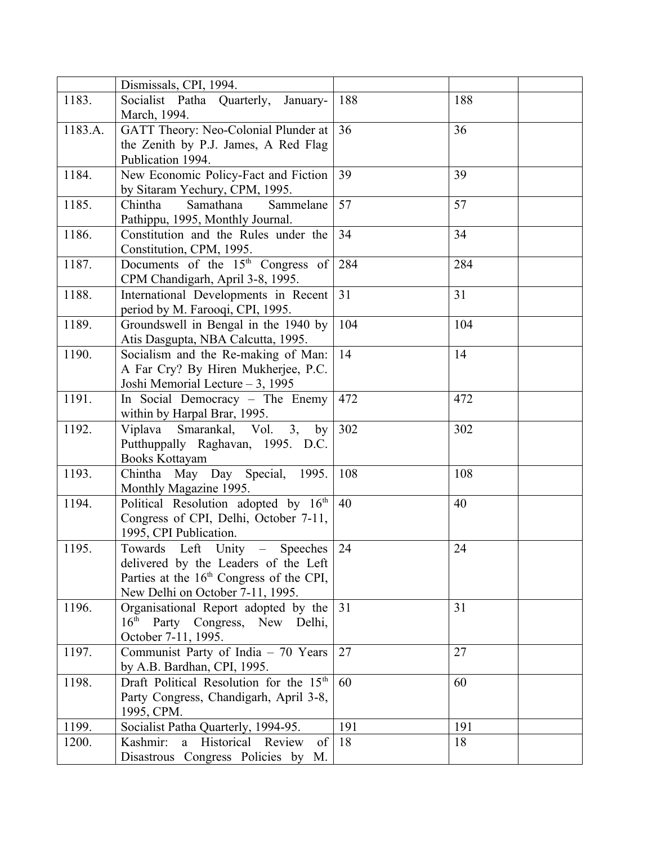|         | Dismissals, CPI, 1994.                               |     |     |
|---------|------------------------------------------------------|-----|-----|
| 1183.   | Socialist Patha Quarterly,<br>January-               | 188 | 188 |
|         | March, 1994.                                         |     |     |
| 1183.A. | GATT Theory: Neo-Colonial Plunder at                 | 36  | 36  |
|         | the Zenith by P.J. James, A Red Flag                 |     |     |
|         | Publication 1994.                                    |     |     |
| 1184.   | New Economic Policy-Fact and Fiction                 | 39  | 39  |
|         | by Sitaram Yechury, CPM, 1995.                       |     |     |
| 1185.   | Samathana<br>Sammelane<br>Chintha                    | 57  | 57  |
|         | Pathippu, 1995, Monthly Journal.                     |     |     |
| 1186.   | Constitution and the Rules under the                 | 34  | 34  |
|         | Constitution, CPM, 1995.                             |     |     |
| 1187.   | Documents of the 15 <sup>th</sup> Congress of        | 284 | 284 |
|         | CPM Chandigarh, April 3-8, 1995.                     |     |     |
| 1188.   | International Developments in Recent                 | 31  | 31  |
|         | period by M. Farooqi, CPI, 1995.                     |     |     |
| 1189.   | Groundswell in Bengal in the 1940 by                 | 104 | 104 |
|         | Atis Dasgupta, NBA Calcutta, 1995.                   |     |     |
| 1190.   | Socialism and the Re-making of Man:                  | 14  | 14  |
|         | A Far Cry? By Hiren Mukherjee, P.C.                  |     |     |
|         | Joshi Memorial Lecture - 3, 1995                     |     |     |
| 1191.   | In Social Democracy – The Enemy                      | 472 | 472 |
|         | within by Harpal Brar, 1995.                         |     |     |
| 1192.   | Smarankal, Vol. 3,<br>Viplava<br>by                  | 302 | 302 |
|         | Putthuppally Raghavan, 1995. D.C.                    |     |     |
|         | Books Kottayam                                       |     |     |
| 1193.   | Chintha May Day Special, 1995.                       | 108 | 108 |
|         | Monthly Magazine 1995.                               |     |     |
| 1194.   | Political Resolution adopted by 16th                 | 40  | 40  |
|         | Congress of CPI, Delhi, October 7-11,                |     |     |
|         | 1995, CPI Publication.                               |     |     |
| 1195.   | Towards Left Unity<br>Speeches<br>$\frac{1}{2}$      | 24  | 24  |
|         | delivered by the Leaders of the Left                 |     |     |
|         | Parties at the 16 <sup>th</sup> Congress of the CPI, |     |     |
|         | New Delhi on October 7-11, 1995.                     |     |     |
| 1196.   | Organisational Report adopted by the                 | 31  | 31  |
|         | $16^{\text{th}}$<br>Party Congress, New Delhi,       |     |     |
|         | October 7-11, 1995.                                  |     |     |
| 1197.   | Communist Party of India - 70 Years                  | 27  | 27  |
|         | by A.B. Bardhan, CPI, 1995.                          |     |     |
| 1198.   | Draft Political Resolution for the 15 <sup>th</sup>  | 60  | 60  |
|         | Party Congress, Chandigarh, April 3-8,               |     |     |
|         | 1995, CPM.                                           |     |     |
| 1199.   | Socialist Patha Quarterly, 1994-95.                  | 191 | 191 |
| 1200.   | Historical Review<br>Kashmir:<br>of<br>a a           | 18  | 18  |
|         | Disastrous Congress Policies by M.                   |     |     |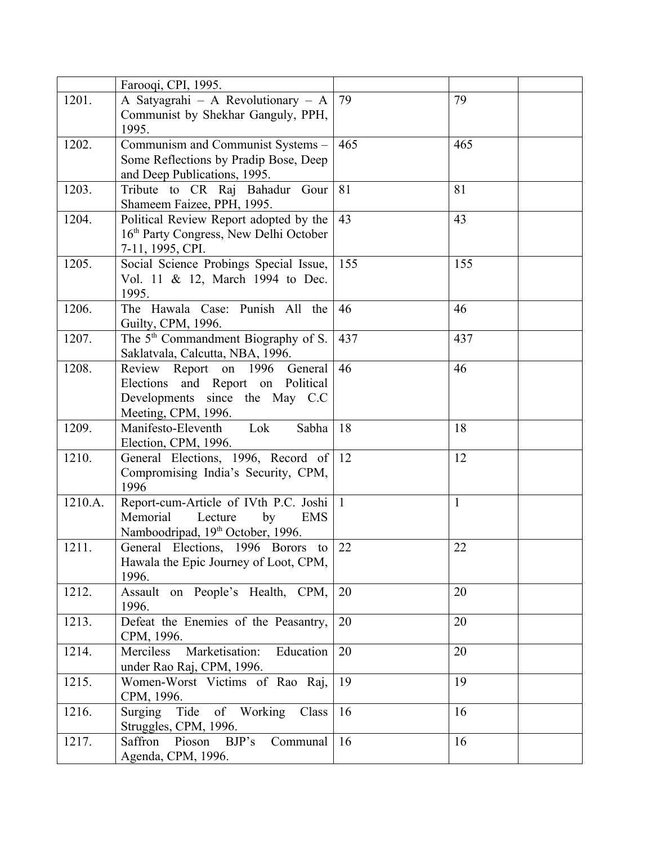|         | Farooqi, CPI, 1995.                                |              |              |
|---------|----------------------------------------------------|--------------|--------------|
| 1201.   | A Satyagrahi - A Revolutionary - A                 | 79           | 79           |
|         | Communist by Shekhar Ganguly, PPH,                 |              |              |
|         | 1995.                                              |              |              |
| 1202.   | Communism and Communist Systems -                  | 465          | 465          |
|         | Some Reflections by Pradip Bose, Deep              |              |              |
|         | and Deep Publications, 1995.                       |              |              |
| 1203.   | Tribute to CR Raj Bahadur Gour                     | 81           | 81           |
|         | Shameem Faizee, PPH, 1995.                         |              |              |
| 1204.   | Political Review Report adopted by the             | 43           | 43           |
|         | 16 <sup>th</sup> Party Congress, New Delhi October |              |              |
|         | 7-11, 1995, CPI.                                   |              |              |
| 1205.   | Social Science Probings Special Issue,             | 155          | 155          |
|         | Vol. 11 & 12, March 1994 to Dec.                   |              |              |
|         | 1995.                                              |              |              |
| 1206.   | The Hawala Case: Punish All the                    | 46           | 46           |
|         | Guilty, CPM, 1996.                                 |              |              |
| 1207.   | The 5 <sup>th</sup> Commandment Biography of S.    | 437          | 437          |
|         | Saklatvala, Calcutta, NBA, 1996.                   |              |              |
| 1208.   | Review Report on 1996 General                      | 46           | 46           |
|         | Elections and Report on Political                  |              |              |
|         | Developments since the May C.C                     |              |              |
|         | Meeting, CPM, 1996.                                |              |              |
| 1209.   | Manifesto-Eleventh<br>Lok<br>Sabha                 | 18           | 18           |
|         | Election, CPM, 1996.                               |              |              |
| 1210.   | General Elections, 1996, Record of                 | 12           | 12           |
|         | Compromising India's Security, CPM,                |              |              |
|         | 1996                                               |              |              |
| 1210.A. | Report-cum-Article of IVth P.C. Joshi              | $\mathbf{1}$ | $\mathbf{1}$ |
|         | Memorial<br>Lecture<br>by<br>EMS                   |              |              |
|         | Namboodripad, 19 <sup>th</sup> October, 1996.      |              |              |
| 1211.   | General Elections, 1996 Borors to                  | 22           | 22           |
|         | Hawala the Epic Journey of Loot, CPM,              |              |              |
|         | 1996.                                              |              |              |
| 1212.   | Assault on People's Health, CPM,                   | 20           | 20           |
|         | 1996.                                              |              |              |
| 1213.   | Defeat the Enemies of the Peasantry,               | 20           | 20           |
|         | CPM, 1996.                                         |              |              |
| 1214.   | Merciless<br>Marketisation:<br>Education           | 20           | 20           |
|         | under Rao Raj, CPM, 1996.                          |              |              |
| 1215.   | Women-Worst Victims of Rao Raj,                    | 19           | 19           |
|         | CPM, 1996.                                         |              |              |
| 1216.   | Tide of Working<br>Class<br>Surging                | 16           | 16           |
|         | Struggles, CPM, 1996.                              |              |              |
| 1217.   | BJP's<br>Communal<br>Saffron<br>Pioson             | 16           | 16           |
|         | Agenda, CPM, 1996.                                 |              |              |
|         |                                                    |              |              |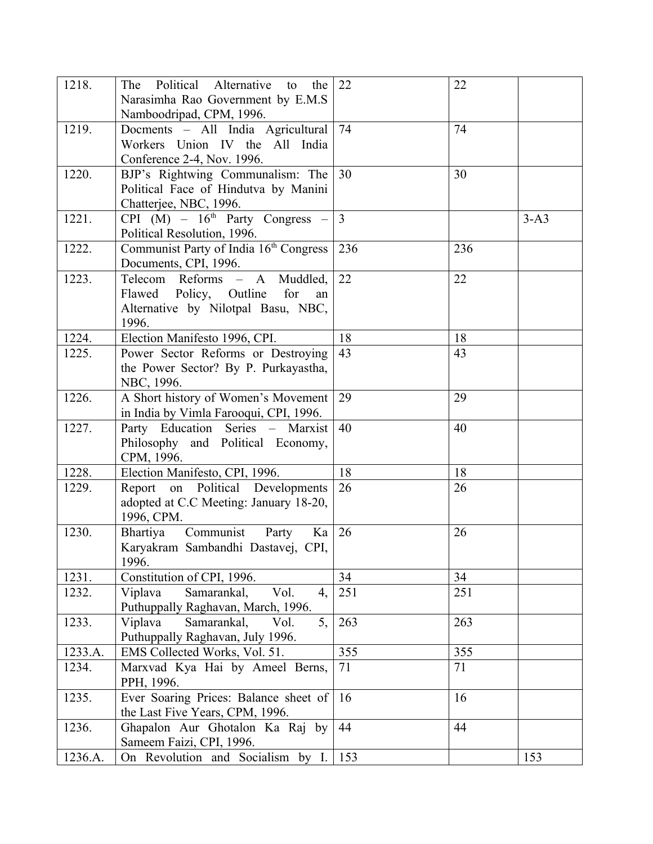| 1218.   | The Political Alternative<br>to<br>the        | 22             | 22  |        |
|---------|-----------------------------------------------|----------------|-----|--------|
|         | Narasimha Rao Government by E.M.S             |                |     |        |
|         | Namboodripad, CPM, 1996.                      |                |     |        |
| 1219.   | Docments - All India Agricultural             | 74             | 74  |        |
|         | Workers Union IV the All India                |                |     |        |
|         | Conference 2-4, Nov. 1996.                    |                |     |        |
| 1220.   | BJP's Rightwing Communalism: The              | 30             | 30  |        |
|         | Political Face of Hindutva by Manini          |                |     |        |
|         | Chatterjee, NBC, 1996.                        |                |     |        |
| 1221.   | CPI $(M)$ – 16 <sup>th</sup> Party Congress – | $\overline{3}$ |     | $3-A3$ |
|         | Political Resolution, 1996.                   |                |     |        |
| 1222.   | Communist Party of India 16th Congress        | 236            | 236 |        |
|         | Documents, CPI, 1996.                         |                |     |        |
| 1223.   | Telecom Reforms - A<br>Muddled,               | 22             | 22  |        |
|         | Flawed Policy, Outline<br>for<br>an           |                |     |        |
|         | Alternative by Nilotpal Basu, NBC,            |                |     |        |
|         | 1996.                                         |                |     |        |
| 1224.   | Election Manifesto 1996, CPI.                 | 18             | 18  |        |
| 1225.   | Power Sector Reforms or Destroying            | 43             | 43  |        |
|         | the Power Sector? By P. Purkayastha,          |                |     |        |
|         | NBC, 1996.                                    |                |     |        |
| 1226.   | A Short history of Women's Movement           | 29             | 29  |        |
|         | in India by Vimla Farooqui, CPI, 1996.        |                |     |        |
| 1227.   | Party Education Series - Marxist              | 40             | 40  |        |
|         | Philosophy and Political Economy,             |                |     |        |
|         | CPM, 1996.                                    |                |     |        |
| 1228.   | Election Manifesto, CPI, 1996.                | 18             | 18  |        |
| 1229.   | Report on Political Developments              | 26             | 26  |        |
|         | adopted at C.C Meeting: January 18-20,        |                |     |        |
|         | 1996, CPM.                                    |                |     |        |
| 1230.   | Communist Party<br>Bhartiya<br>Ka             | 26             | 26  |        |
|         | Karyakram Sambandhi Dastavej, CPI,            |                |     |        |
|         | 1996.                                         |                |     |        |
| 1231.   | Constitution of CPI, 1996.                    | 34             | 34  |        |
| 1232.   | Viplava<br>Samarankal,<br>Vol.<br>4,          | 251            | 251 |        |
|         | Puthuppally Raghavan, March, 1996.            |                |     |        |
| 1233.   | 5,<br>Viplava<br>Samarankal,<br>Vol.          | 263            | 263 |        |
|         | Puthuppally Raghavan, July 1996.              |                |     |        |
| 1233.A. | EMS Collected Works, Vol. 51.                 | 355            | 355 |        |
| 1234.   | Marxvad Kya Hai by Ameel Berns,               | 71             | 71  |        |
|         | PPH, 1996.                                    |                |     |        |
| 1235.   | Ever Soaring Prices: Balance sheet of         | 16             | 16  |        |
|         | the Last Five Years, CPM, 1996.               |                |     |        |
| 1236.   | Ghapalon Aur Ghotalon Ka Raj by               | 44             | 44  |        |
|         | Sameem Faizi, CPI, 1996.                      |                |     |        |
| 1236.A. | On Revolution and Socialism by I.             | 153            |     | 153    |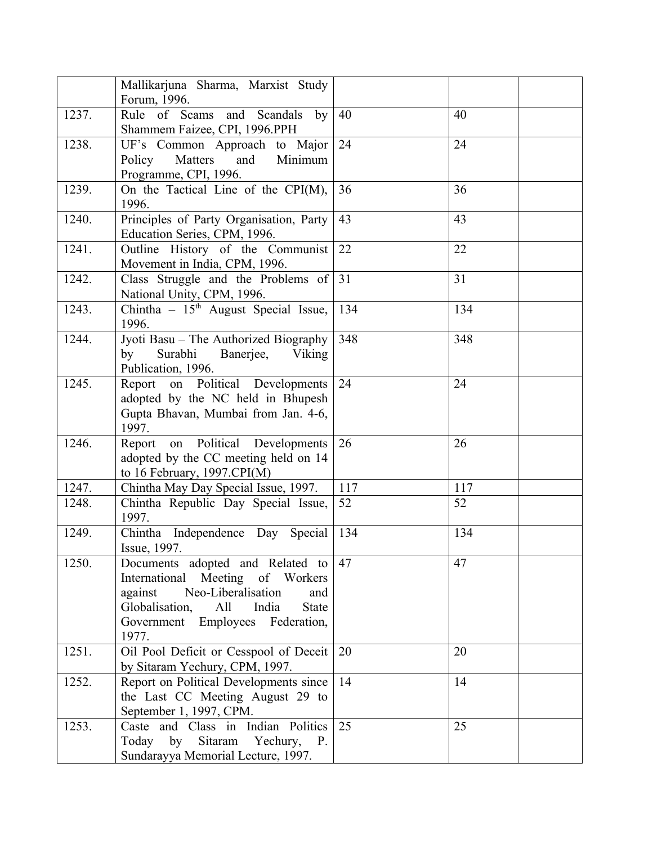|       | Mallikarjuna Sharma, Marxist Study<br>Forum, 1996.                                                                                                                                                          |     |     |
|-------|-------------------------------------------------------------------------------------------------------------------------------------------------------------------------------------------------------------|-----|-----|
| 1237. | Rule of Scams and<br>Scandals<br>by<br>Shammem Faizee, CPI, 1996.PPH                                                                                                                                        | 40  | 40  |
| 1238. | UF's Common Approach to Major<br>Matters<br>and<br>Minimum<br>Policy<br>Programme, CPI, 1996.                                                                                                               | 24  | 24  |
| 1239. | On the Tactical Line of the $CPI(M)$ ,<br>1996.                                                                                                                                                             | 36  | 36  |
| 1240. | Principles of Party Organisation, Party<br>Education Series, CPM, 1996.                                                                                                                                     | 43  | 43  |
| 1241. | Outline History of the Communist<br>Movement in India, CPM, 1996.                                                                                                                                           | 22  | 22  |
| 1242. | Class Struggle and the Problems of<br>National Unity, CPM, 1996.                                                                                                                                            | 31  | 31  |
| 1243. | Chintha - 15 <sup>th</sup> August Special Issue,<br>1996.                                                                                                                                                   | 134 | 134 |
| 1244. | Jyoti Basu – The Authorized Biography<br>Surabhi Banerjee,<br>by<br>Viking<br>Publication, 1996.                                                                                                            | 348 | 348 |
| 1245. | Report on Political Developments<br>adopted by the NC held in Bhupesh<br>Gupta Bhavan, Mumbai from Jan. 4-6,<br>1997.                                                                                       | 24  | 24  |
| 1246. | Report on Political Developments<br>adopted by the CC meeting held on 14<br>to 16 February, $1997.CPI(M)$                                                                                                   | 26  | 26  |
| 1247. | Chintha May Day Special Issue, 1997.                                                                                                                                                                        | 117 | 117 |
| 1248. | Chintha Republic Day Special Issue,<br>1997.                                                                                                                                                                | 52  | 52  |
| 1249. | Chintha Independence Day Special<br>Issue, 1997.                                                                                                                                                            | 134 | 134 |
| 1250. | Documents adopted and Related to<br>International Meeting of Workers<br>Neo-Liberalisation<br>against<br>and<br>Globalisation,<br>India<br><b>State</b><br>All<br>Government Employees Federation,<br>1977. | 47  | 47  |
| 1251. | Oil Pool Deficit or Cesspool of Deceit<br>by Sitaram Yechury, CPM, 1997.                                                                                                                                    | 20  | 20  |
| 1252. | Report on Political Developments since<br>the Last CC Meeting August 29 to<br>September 1, 1997, CPM.                                                                                                       | 14  | 14  |
| 1253. | Caste and Class in Indian Politics<br>by Sitaram Yechury,<br>Today<br><b>P.</b><br>Sundarayya Memorial Lecture, 1997.                                                                                       | 25  | 25  |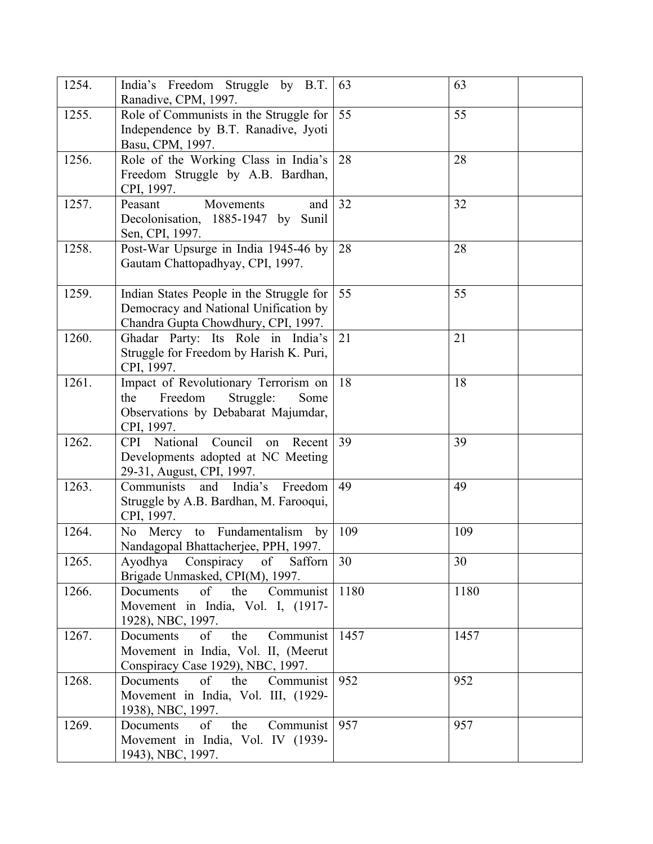| 1254. | India's Freedom Struggle by B.T.<br>Ranadive, CPM, 1997.                                                                         | 63   | 63   |
|-------|----------------------------------------------------------------------------------------------------------------------------------|------|------|
| 1255. | Role of Communists in the Struggle for<br>Independence by B.T. Ranadive, Jyoti<br>Basu, CPM, 1997.                               | 55   | 55   |
| 1256. | Role of the Working Class in India's<br>Freedom Struggle by A.B. Bardhan,<br>CPI, 1997.                                          | 28   | 28   |
| 1257. | Peasant<br>Movements<br>and<br>Decolonisation, 1885-1947 by Sunil<br>Sen, CPI, 1997.                                             | 32   | 32   |
| 1258. | Post-War Upsurge in India 1945-46 by<br>Gautam Chattopadhyay, CPI, 1997.                                                         | 28   | 28   |
| 1259. | Indian States People in the Struggle for<br>Democracy and National Unification by<br>Chandra Gupta Chowdhury, CPI, 1997.         | 55   | 55   |
| 1260. | Ghadar Party: Its Role in India's<br>Struggle for Freedom by Harish K. Puri,<br>CPI, 1997.                                       | 21   | 21   |
| 1261. | Impact of Revolutionary Terrorism on<br>Freedom<br>Struggle:<br>the<br>Some<br>Observations by Debabarat Majumdar,<br>CPI, 1997. | 18   | 18   |
| 1262. | CPI National<br>Council<br>Recent<br>on<br>Developments adopted at NC Meeting<br>29-31, August, CPI, 1997.                       | 39   | 39   |
| 1263. | India's<br>Communists<br>and<br>Freedom<br>Struggle by A.B. Bardhan, M. Farooqui,<br>CPI, 1997.                                  | 49   | 49   |
| 1264. | No Mercy to Fundamentalism by<br>Nandagopal Bhattacherjee, PPH, 1997.                                                            | 109  | 109  |
| 1265. | Ayodhya Conspiracy of Safforn<br>Brigade Unmasked, CPI(M), 1997.                                                                 | 30   | 30   |
| 1266. | of the<br>Communist<br>Documents<br>Movement in India, Vol. I, (1917-<br>1928), NBC, 1997.                                       | 1180 | 1180 |
| 1267. | the<br>Communist<br>Documents of<br>Movement in India, Vol. II, (Meerut<br>Conspiracy Case 1929), NBC, 1997.                     | 1457 | 1457 |
| 1268. | Documents<br>of the<br>Communist<br>Movement in India, Vol. III, (1929-<br>1938), NBC, 1997.                                     | 952  | 952  |
| 1269. | the<br>Documents of<br>Communist<br>Movement in India, Vol. IV (1939-<br>1943), NBC, 1997.                                       | 957  | 957  |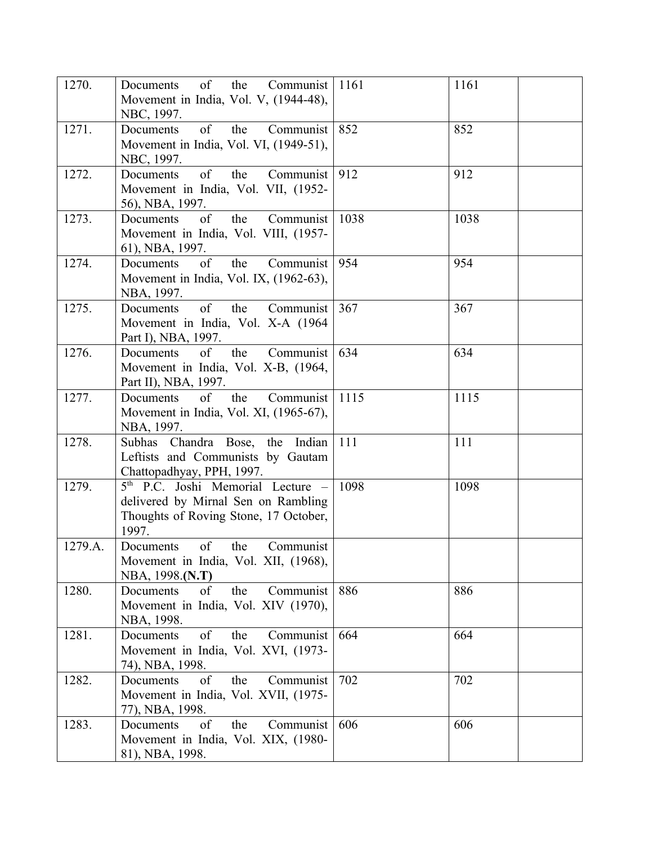| 1270.   | $\sigma$ f<br>the Communist<br>Documents<br>Movement in India, Vol. V, (1944-48),<br>NBC, 1997.                                        | 1161 | 1161 |
|---------|----------------------------------------------------------------------------------------------------------------------------------------|------|------|
| 1271.   | of<br>the<br>Documents<br>Communist<br>Movement in India, Vol. VI, (1949-51),<br>NBC, 1997.                                            | 852  | 852  |
| 1272.   | of<br>Documents<br>the<br>Communist<br>Movement in India, Vol. VII, (1952-<br>56), NBA, 1997.                                          | 912  | 912  |
| 1273.   | of<br>the<br>Communist<br>Documents<br>Movement in India, Vol. VIII, (1957-<br>61), NBA, 1997.                                         | 1038 | 1038 |
| 1274.   | of<br>the<br>Documents<br>Communist<br>Movement in India, Vol. IX, (1962-63),<br>NBA, 1997.                                            | 954  | 954  |
| 1275.   | of<br>the<br>Communist<br>Documents<br>Movement in India, Vol. X-A (1964)<br>Part I), NBA, 1997.                                       | 367  | 367  |
| 1276.   | of<br>the<br><b>Documents</b><br>Communist<br>Movement in India, Vol. X-B, (1964,<br>Part II), NBA, 1997.                              | 634  | 634  |
| 1277.   | of<br>the<br>Documents<br>Communist<br>Movement in India, Vol. XI, (1965-67),<br>NBA, 1997.                                            | 1115 | 1115 |
| 1278.   | Subhas Chandra Bose, the Indian<br>Leftists and Communists by Gautam<br>Chattopadhyay, PPH, 1997.                                      | 111  | 111  |
| 1279.   | 5 <sup>th</sup> P.C. Joshi Memorial Lecture -<br>delivered by Mirnal Sen on Rambling<br>Thoughts of Roving Stone, 17 October,<br>1997. | 1098 | 1098 |
| 1279.A. | of<br>the<br>Communist<br>Documents<br>Movement in India, Vol. XII, (1968),<br>NBA, 1998.(N.T)                                         |      |      |
| 1280.   | the<br>of<br>Communist<br>Documents<br>Movement in India, Vol. XIV (1970),<br>NBA, 1998.                                               | 886  | 886  |
| 1281.   | of<br>the<br>Communist<br>Documents<br>Movement in India, Vol. XVI, (1973-<br>74), NBA, 1998.                                          | 664  | 664  |
| 1282.   | of<br>the<br>Communist<br>Documents<br>Movement in India, Vol. XVII, (1975-<br>77), NBA, 1998.                                         | 702  | 702  |
| 1283.   | of<br>the<br>Communist<br>Documents<br>Movement in India, Vol. XIX, (1980-<br>81), NBA, 1998.                                          | 606  | 606  |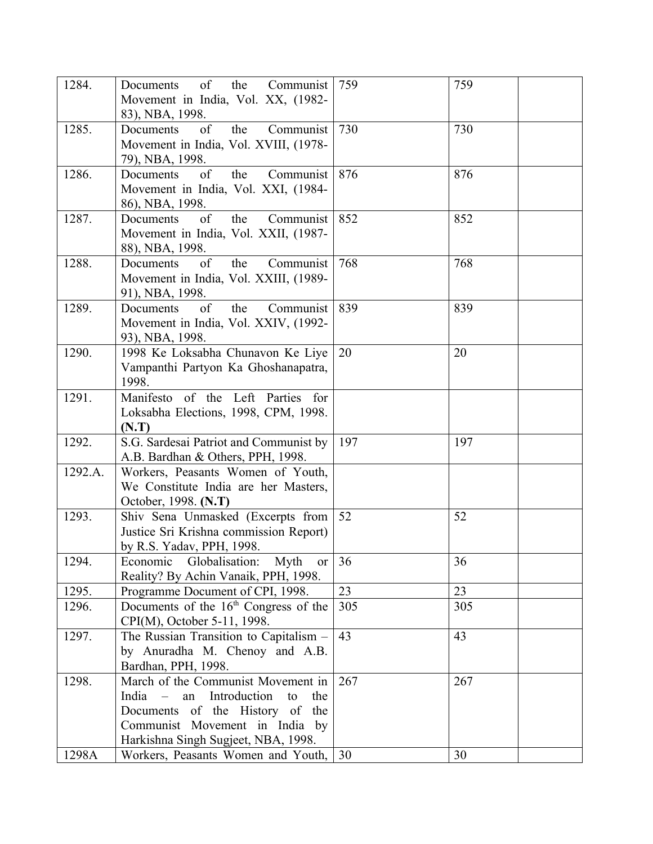| 1284.   | of<br>Documents<br>the<br>Communist                 | 759 | 759 |
|---------|-----------------------------------------------------|-----|-----|
|         | Movement in India, Vol. XX, (1982-                  |     |     |
|         | 83), NBA, 1998.                                     |     |     |
| 1285.   | of<br>Documents<br>the<br>Communist                 | 730 | 730 |
|         | Movement in India, Vol. XVIII, (1978-               |     |     |
|         | 79), NBA, 1998.                                     |     |     |
| 1286.   | of<br>Documents<br>the<br>Communist                 | 876 | 876 |
|         | Movement in India, Vol. XXI, (1984-                 |     |     |
|         | 86), NBA, 1998.                                     |     |     |
| 1287.   | of<br>the<br>Documents<br>Communist                 | 852 | 852 |
|         | Movement in India, Vol. XXII, (1987-                |     |     |
|         | 88), NBA, 1998.                                     |     |     |
| 1288.   | of<br>the<br>Documents<br>Communist                 | 768 | 768 |
|         | Movement in India, Vol. XXIII, (1989-               |     |     |
|         | 91), NBA, 1998.                                     |     |     |
| 1289.   | of<br>the<br>Documents<br>Communist                 | 839 | 839 |
|         | Movement in India, Vol. XXIV, (1992-                |     |     |
|         | 93), NBA, 1998.                                     |     |     |
| 1290.   | 1998 Ke Loksabha Chunavon Ke Liye                   | 20  | 20  |
|         | Vampanthi Partyon Ka Ghoshanapatra,                 |     |     |
|         | 1998.                                               |     |     |
| 1291.   | Manifesto of the Left Parties for                   |     |     |
|         | Loksabha Elections, 1998, CPM, 1998.                |     |     |
|         | (N.T)                                               |     |     |
| 1292.   | S.G. Sardesai Patriot and Communist by              | 197 | 197 |
|         | A.B. Bardhan & Others, PPH, 1998.                   |     |     |
| 1292.A. | Workers, Peasants Women of Youth,                   |     |     |
|         | We Constitute India are her Masters,                |     |     |
|         | October, 1998. (N.T)                                |     |     |
| 1293.   | Shiv Sena Unmasked (Excerpts from                   | 52  | 52  |
|         | Justice Sri Krishna commission Report)              |     |     |
|         | by R.S. Yadav, PPH, 1998.                           |     |     |
| 1294.   | Globalisation:<br>Economic<br>Myth<br><sub>or</sub> | 36  | 36  |
|         | Reality? By Achin Vanaik, PPH, 1998.                |     |     |
| 1295.   | Programme Document of CPI, 1998.                    | 23  | 23  |
| 1296.   | Documents of the $16th$ Congress of the             | 305 | 305 |
|         | CPI(M), October 5-11, 1998.                         |     |     |
| 1297.   | The Russian Transition to Capitalism -              | 43  | 43  |
|         | by Anuradha M. Chenoy and A.B.                      |     |     |
|         | Bardhan, PPH, 1998.                                 |     |     |
| 1298.   | March of the Communist Movement in                  | 267 | 267 |
|         | Introduction<br>India<br>an<br>the<br>to            |     |     |
|         | Documents of the History of the                     |     |     |
|         | Communist Movement in India by                      |     |     |
|         | Harkishna Singh Sugjeet, NBA, 1998.                 |     |     |
| 1298A   | Workers, Peasants Women and Youth,                  | 30  | 30  |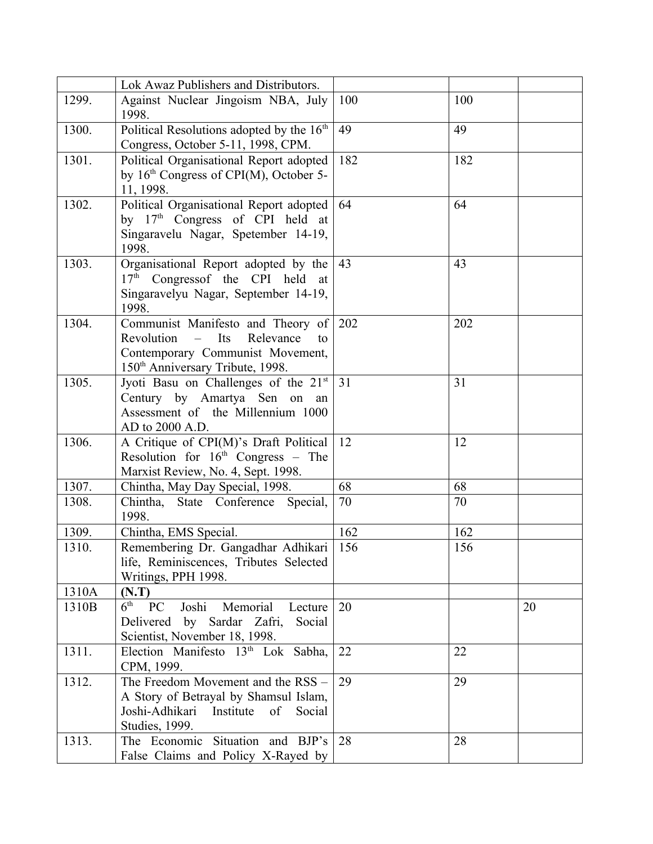|       | Lok Awaz Publishers and Distributors.                                                                                                                             |     |     |    |
|-------|-------------------------------------------------------------------------------------------------------------------------------------------------------------------|-----|-----|----|
| 1299. | Against Nuclear Jingoism NBA, July<br>1998.                                                                                                                       | 100 | 100 |    |
| 1300. | Political Resolutions adopted by the 16 <sup>th</sup><br>Congress, October 5-11, 1998, CPM.                                                                       | 49  | 49  |    |
| 1301. | Political Organisational Report adopted<br>by $16th$ Congress of CPI(M), October 5-<br>11, 1998.                                                                  | 182 | 182 |    |
| 1302. | Political Organisational Report adopted<br>by $17th$ Congress of CPI held at<br>Singaravelu Nagar, Spetember 14-19,<br>1998.                                      | 64  | 64  |    |
| 1303. | Organisational Report adopted by the<br>17 <sup>th</sup> Congressof the CPI held at<br>Singaravelyu Nagar, September 14-19,<br>1998.                              | 43  | 43  |    |
| 1304. | Communist Manifesto and Theory of<br>$Revolution$ –<br>Its<br>Relevance<br>to<br>Contemporary Communist Movement,<br>150 <sup>th</sup> Anniversary Tribute, 1998. | 202 | 202 |    |
| 1305. | Jyoti Basu on Challenges of the 21 <sup>st</sup><br>Century by Amartya Sen<br>on<br>an<br>Assessment of the Millennium 1000<br>AD to 2000 A.D.                    | 31  | 31  |    |
| 1306. | A Critique of CPI(M)'s Draft Political<br>Resolution for $16th$ Congress – The<br>Marxist Review, No. 4, Sept. 1998.                                              | 12  | 12  |    |
| 1307. | Chintha, May Day Special, 1998.                                                                                                                                   | 68  | 68  |    |
| 1308. | Chintha, State Conference Special,<br>1998.                                                                                                                       | 70  | 70  |    |
| 1309. | Chintha, EMS Special.                                                                                                                                             | 162 | 162 |    |
| 1310. | Remembering Dr. Gangadhar Adhikari<br>life, Reminiscences, Tributes Selected<br>Writings, PPH 1998.                                                               | 156 | 156 |    |
| 1310A | (N.T)                                                                                                                                                             |     |     |    |
| 1310B | $6th$ PC<br>Memorial<br>Joshi<br>Lecture<br>Delivered by Sardar Zafri, Social<br>Scientist, November 18, 1998.                                                    | 20  |     | 20 |
| 1311. | Election Manifesto $13th$ Lok Sabha,<br>CPM, 1999.                                                                                                                | 22  | 22  |    |
| 1312. | The Freedom Movement and the RSS -<br>A Story of Betrayal by Shamsul Islam,<br>Joshi-Adhikari<br>Institute<br>of<br>Social<br>Studies, 1999.                      | 29  | 29  |    |
| 1313. | The Economic Situation and BJP's<br>False Claims and Policy X-Rayed by                                                                                            | 28  | 28  |    |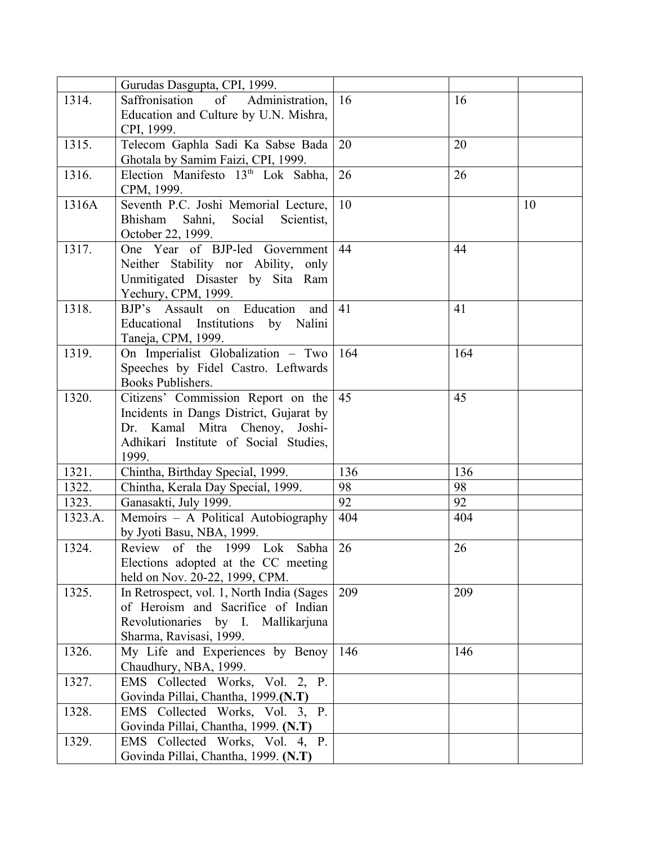|                                                                         | 16                                                                                                                                                                                                                                                                                                                                                                                                                                                                                                                                                                                                                                                                                                                                                                                                                                                                                                                                                                                                                                                                                                                                                                                                                                                                                                                    | 16                                                                                                                             |                                                                           |
|-------------------------------------------------------------------------|-----------------------------------------------------------------------------------------------------------------------------------------------------------------------------------------------------------------------------------------------------------------------------------------------------------------------------------------------------------------------------------------------------------------------------------------------------------------------------------------------------------------------------------------------------------------------------------------------------------------------------------------------------------------------------------------------------------------------------------------------------------------------------------------------------------------------------------------------------------------------------------------------------------------------------------------------------------------------------------------------------------------------------------------------------------------------------------------------------------------------------------------------------------------------------------------------------------------------------------------------------------------------------------------------------------------------|--------------------------------------------------------------------------------------------------------------------------------|---------------------------------------------------------------------------|
|                                                                         |                                                                                                                                                                                                                                                                                                                                                                                                                                                                                                                                                                                                                                                                                                                                                                                                                                                                                                                                                                                                                                                                                                                                                                                                                                                                                                                       |                                                                                                                                |                                                                           |
|                                                                         |                                                                                                                                                                                                                                                                                                                                                                                                                                                                                                                                                                                                                                                                                                                                                                                                                                                                                                                                                                                                                                                                                                                                                                                                                                                                                                                       |                                                                                                                                |                                                                           |
|                                                                         | 20                                                                                                                                                                                                                                                                                                                                                                                                                                                                                                                                                                                                                                                                                                                                                                                                                                                                                                                                                                                                                                                                                                                                                                                                                                                                                                                    | 20                                                                                                                             |                                                                           |
|                                                                         |                                                                                                                                                                                                                                                                                                                                                                                                                                                                                                                                                                                                                                                                                                                                                                                                                                                                                                                                                                                                                                                                                                                                                                                                                                                                                                                       |                                                                                                                                |                                                                           |
|                                                                         |                                                                                                                                                                                                                                                                                                                                                                                                                                                                                                                                                                                                                                                                                                                                                                                                                                                                                                                                                                                                                                                                                                                                                                                                                                                                                                                       |                                                                                                                                |                                                                           |
|                                                                         |                                                                                                                                                                                                                                                                                                                                                                                                                                                                                                                                                                                                                                                                                                                                                                                                                                                                                                                                                                                                                                                                                                                                                                                                                                                                                                                       |                                                                                                                                |                                                                           |
|                                                                         |                                                                                                                                                                                                                                                                                                                                                                                                                                                                                                                                                                                                                                                                                                                                                                                                                                                                                                                                                                                                                                                                                                                                                                                                                                                                                                                       |                                                                                                                                | 10                                                                        |
|                                                                         |                                                                                                                                                                                                                                                                                                                                                                                                                                                                                                                                                                                                                                                                                                                                                                                                                                                                                                                                                                                                                                                                                                                                                                                                                                                                                                                       |                                                                                                                                |                                                                           |
|                                                                         |                                                                                                                                                                                                                                                                                                                                                                                                                                                                                                                                                                                                                                                                                                                                                                                                                                                                                                                                                                                                                                                                                                                                                                                                                                                                                                                       |                                                                                                                                |                                                                           |
|                                                                         |                                                                                                                                                                                                                                                                                                                                                                                                                                                                                                                                                                                                                                                                                                                                                                                                                                                                                                                                                                                                                                                                                                                                                                                                                                                                                                                       |                                                                                                                                |                                                                           |
|                                                                         |                                                                                                                                                                                                                                                                                                                                                                                                                                                                                                                                                                                                                                                                                                                                                                                                                                                                                                                                                                                                                                                                                                                                                                                                                                                                                                                       |                                                                                                                                |                                                                           |
|                                                                         |                                                                                                                                                                                                                                                                                                                                                                                                                                                                                                                                                                                                                                                                                                                                                                                                                                                                                                                                                                                                                                                                                                                                                                                                                                                                                                                       |                                                                                                                                |                                                                           |
|                                                                         |                                                                                                                                                                                                                                                                                                                                                                                                                                                                                                                                                                                                                                                                                                                                                                                                                                                                                                                                                                                                                                                                                                                                                                                                                                                                                                                       |                                                                                                                                |                                                                           |
|                                                                         |                                                                                                                                                                                                                                                                                                                                                                                                                                                                                                                                                                                                                                                                                                                                                                                                                                                                                                                                                                                                                                                                                                                                                                                                                                                                                                                       |                                                                                                                                |                                                                           |
|                                                                         |                                                                                                                                                                                                                                                                                                                                                                                                                                                                                                                                                                                                                                                                                                                                                                                                                                                                                                                                                                                                                                                                                                                                                                                                                                                                                                                       |                                                                                                                                |                                                                           |
|                                                                         |                                                                                                                                                                                                                                                                                                                                                                                                                                                                                                                                                                                                                                                                                                                                                                                                                                                                                                                                                                                                                                                                                                                                                                                                                                                                                                                       |                                                                                                                                |                                                                           |
|                                                                         |                                                                                                                                                                                                                                                                                                                                                                                                                                                                                                                                                                                                                                                                                                                                                                                                                                                                                                                                                                                                                                                                                                                                                                                                                                                                                                                       |                                                                                                                                |                                                                           |
|                                                                         |                                                                                                                                                                                                                                                                                                                                                                                                                                                                                                                                                                                                                                                                                                                                                                                                                                                                                                                                                                                                                                                                                                                                                                                                                                                                                                                       |                                                                                                                                |                                                                           |
|                                                                         |                                                                                                                                                                                                                                                                                                                                                                                                                                                                                                                                                                                                                                                                                                                                                                                                                                                                                                                                                                                                                                                                                                                                                                                                                                                                                                                       |                                                                                                                                |                                                                           |
|                                                                         |                                                                                                                                                                                                                                                                                                                                                                                                                                                                                                                                                                                                                                                                                                                                                                                                                                                                                                                                                                                                                                                                                                                                                                                                                                                                                                                       |                                                                                                                                |                                                                           |
|                                                                         |                                                                                                                                                                                                                                                                                                                                                                                                                                                                                                                                                                                                                                                                                                                                                                                                                                                                                                                                                                                                                                                                                                                                                                                                                                                                                                                       |                                                                                                                                |                                                                           |
|                                                                         |                                                                                                                                                                                                                                                                                                                                                                                                                                                                                                                                                                                                                                                                                                                                                                                                                                                                                                                                                                                                                                                                                                                                                                                                                                                                                                                       |                                                                                                                                |                                                                           |
|                                                                         |                                                                                                                                                                                                                                                                                                                                                                                                                                                                                                                                                                                                                                                                                                                                                                                                                                                                                                                                                                                                                                                                                                                                                                                                                                                                                                                       |                                                                                                                                |                                                                           |
|                                                                         |                                                                                                                                                                                                                                                                                                                                                                                                                                                                                                                                                                                                                                                                                                                                                                                                                                                                                                                                                                                                                                                                                                                                                                                                                                                                                                                       |                                                                                                                                |                                                                           |
|                                                                         |                                                                                                                                                                                                                                                                                                                                                                                                                                                                                                                                                                                                                                                                                                                                                                                                                                                                                                                                                                                                                                                                                                                                                                                                                                                                                                                       |                                                                                                                                |                                                                           |
|                                                                         |                                                                                                                                                                                                                                                                                                                                                                                                                                                                                                                                                                                                                                                                                                                                                                                                                                                                                                                                                                                                                                                                                                                                                                                                                                                                                                                       |                                                                                                                                |                                                                           |
|                                                                         |                                                                                                                                                                                                                                                                                                                                                                                                                                                                                                                                                                                                                                                                                                                                                                                                                                                                                                                                                                                                                                                                                                                                                                                                                                                                                                                       |                                                                                                                                |                                                                           |
|                                                                         |                                                                                                                                                                                                                                                                                                                                                                                                                                                                                                                                                                                                                                                                                                                                                                                                                                                                                                                                                                                                                                                                                                                                                                                                                                                                                                                       |                                                                                                                                |                                                                           |
|                                                                         |                                                                                                                                                                                                                                                                                                                                                                                                                                                                                                                                                                                                                                                                                                                                                                                                                                                                                                                                                                                                                                                                                                                                                                                                                                                                                                                       |                                                                                                                                |                                                                           |
|                                                                         |                                                                                                                                                                                                                                                                                                                                                                                                                                                                                                                                                                                                                                                                                                                                                                                                                                                                                                                                                                                                                                                                                                                                                                                                                                                                                                                       |                                                                                                                                |                                                                           |
|                                                                         |                                                                                                                                                                                                                                                                                                                                                                                                                                                                                                                                                                                                                                                                                                                                                                                                                                                                                                                                                                                                                                                                                                                                                                                                                                                                                                                       |                                                                                                                                |                                                                           |
|                                                                         |                                                                                                                                                                                                                                                                                                                                                                                                                                                                                                                                                                                                                                                                                                                                                                                                                                                                                                                                                                                                                                                                                                                                                                                                                                                                                                                       |                                                                                                                                |                                                                           |
|                                                                         |                                                                                                                                                                                                                                                                                                                                                                                                                                                                                                                                                                                                                                                                                                                                                                                                                                                                                                                                                                                                                                                                                                                                                                                                                                                                                                                       |                                                                                                                                |                                                                           |
|                                                                         |                                                                                                                                                                                                                                                                                                                                                                                                                                                                                                                                                                                                                                                                                                                                                                                                                                                                                                                                                                                                                                                                                                                                                                                                                                                                                                                       |                                                                                                                                |                                                                           |
|                                                                         |                                                                                                                                                                                                                                                                                                                                                                                                                                                                                                                                                                                                                                                                                                                                                                                                                                                                                                                                                                                                                                                                                                                                                                                                                                                                                                                       |                                                                                                                                |                                                                           |
|                                                                         |                                                                                                                                                                                                                                                                                                                                                                                                                                                                                                                                                                                                                                                                                                                                                                                                                                                                                                                                                                                                                                                                                                                                                                                                                                                                                                                       |                                                                                                                                |                                                                           |
|                                                                         |                                                                                                                                                                                                                                                                                                                                                                                                                                                                                                                                                                                                                                                                                                                                                                                                                                                                                                                                                                                                                                                                                                                                                                                                                                                                                                                       |                                                                                                                                |                                                                           |
| Chaudhury, NBA, 1999.                                                   |                                                                                                                                                                                                                                                                                                                                                                                                                                                                                                                                                                                                                                                                                                                                                                                                                                                                                                                                                                                                                                                                                                                                                                                                                                                                                                                       |                                                                                                                                |                                                                           |
|                                                                         |                                                                                                                                                                                                                                                                                                                                                                                                                                                                                                                                                                                                                                                                                                                                                                                                                                                                                                                                                                                                                                                                                                                                                                                                                                                                                                                       |                                                                                                                                |                                                                           |
|                                                                         |                                                                                                                                                                                                                                                                                                                                                                                                                                                                                                                                                                                                                                                                                                                                                                                                                                                                                                                                                                                                                                                                                                                                                                                                                                                                                                                       |                                                                                                                                |                                                                           |
| EMS Collected Works, Vol. 2, P.                                         |                                                                                                                                                                                                                                                                                                                                                                                                                                                                                                                                                                                                                                                                                                                                                                                                                                                                                                                                                                                                                                                                                                                                                                                                                                                                                                                       |                                                                                                                                |                                                                           |
| Govinda Pillai, Chantha, 1999.(N.T)                                     |                                                                                                                                                                                                                                                                                                                                                                                                                                                                                                                                                                                                                                                                                                                                                                                                                                                                                                                                                                                                                                                                                                                                                                                                                                                                                                                       |                                                                                                                                |                                                                           |
| EMS Collected Works, Vol. 3, P.                                         |                                                                                                                                                                                                                                                                                                                                                                                                                                                                                                                                                                                                                                                                                                                                                                                                                                                                                                                                                                                                                                                                                                                                                                                                                                                                                                                       |                                                                                                                                |                                                                           |
| Govinda Pillai, Chantha, 1999. (N.T)<br>EMS Collected Works, Vol. 4, P. |                                                                                                                                                                                                                                                                                                                                                                                                                                                                                                                                                                                                                                                                                                                                                                                                                                                                                                                                                                                                                                                                                                                                                                                                                                                                                                                       |                                                                                                                                |                                                                           |
|                                                                         | Gurudas Dasgupta, CPI, 1999.<br>Saffronisation<br>of Administration,<br>Education and Culture by U.N. Mishra,<br>CPI, 1999.<br>Telecom Gaphla Sadi Ka Sabse Bada<br>Ghotala by Samim Faizi, CPI, 1999.<br>Election Manifesto 13 <sup>th</sup> Lok Sabha,<br>CPM, 1999.<br>Seventh P.C. Joshi Memorial Lecture,<br>Bhisham<br>Sahni, Social<br>Scientist,<br>October 22, 1999.<br>One Year of BJP-led Government<br>Neither Stability nor Ability, only<br>Unmitigated Disaster by Sita Ram<br>Yechury, CPM, 1999.<br>BJP's Assault on Education<br>and<br>Educational Institutions by Nalini<br>Taneja, CPM, 1999.<br>On Imperialist Globalization - Two<br>Speeches by Fidel Castro. Leftwards<br>Books Publishers.<br>Incidents in Dangs District, Gujarat by<br>Dr. Kamal Mitra Chenoy, Joshi-<br>Adhikari Institute of Social Studies,<br>1999.<br>Chintha, Birthday Special, 1999.<br>Chintha, Kerala Day Special, 1999.<br>Ganasakti, July 1999.<br>Memoirs - A Political Autobiography<br>by Jyoti Basu, NBA, 1999.<br>Review of the 1999 Lok<br>Elections adopted at the CC meeting<br>held on Nov. 20-22, 1999, CPM.<br>In Retrospect, vol. 1, North India (Sages<br>of Heroism and Sacrifice of Indian<br>Revolutionaries by I. Mallikarjuna<br>Sharma, Ravisasi, 1999.<br>My Life and Experiences by Benoy | 26<br>10<br>44<br>41<br>164<br>Citizens' Commission Report on the<br>45<br>136<br>98<br>92<br>404<br>26<br>Sabha<br>209<br>146 | 26<br>44<br>41<br>164<br>45<br>136<br>98<br>92<br>404<br>26<br>209<br>146 |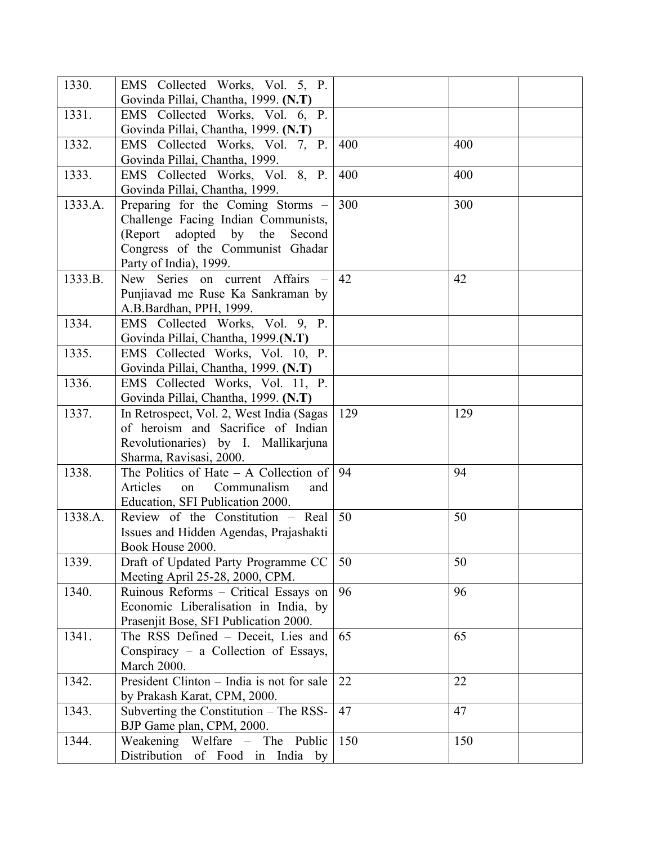| 1330.   | EMS Collected Works, Vol. 5, P.           |     |     |
|---------|-------------------------------------------|-----|-----|
|         | Govinda Pillai, Chantha, 1999. (N.T)      |     |     |
| 1331.   | EMS Collected Works, Vol. 6, P.           |     |     |
|         | Govinda Pillai, Chantha, 1999. (N.T)      |     |     |
| 1332.   | EMS Collected Works, Vol. 7, P.           | 400 | 400 |
|         | Govinda Pillai, Chantha, 1999.            |     |     |
| 1333.   | EMS Collected Works, Vol. 8, P.           | 400 | 400 |
|         | Govinda Pillai, Chantha, 1999.            |     |     |
| 1333.A. | Preparing for the Coming Storms –         | 300 | 300 |
|         | Challenge Facing Indian Communists,       |     |     |
|         | (Report adopted by the Second             |     |     |
|         | Congress of the Communist Ghadar          |     |     |
|         | Party of India), 1999.                    |     |     |
| 1333.B. | New Series on current Affairs<br>$\sim$   | 42  | 42  |
|         | Punjiavad me Ruse Ka Sankraman by         |     |     |
|         | A.B.Bardhan, PPH, 1999.                   |     |     |
| 1334.   | EMS Collected Works, Vol. 9, P.           |     |     |
|         | Govinda Pillai, Chantha, 1999.(N.T)       |     |     |
| 1335.   | EMS Collected Works, Vol. 10, P.          |     |     |
|         | Govinda Pillai, Chantha, 1999. (N.T)      |     |     |
| 1336.   | EMS Collected Works, Vol. 11, P.          |     |     |
|         | Govinda Pillai, Chantha, 1999. (N.T)      |     |     |
| 1337.   | In Retrospect, Vol. 2, West India (Sagas  | 129 | 129 |
|         | of heroism and Sacrifice of Indian        |     |     |
|         | Revolutionaries) by I. Mallikarjuna       |     |     |
|         | Sharma, Ravisasi, 2000.                   |     |     |
| 1338.   | The Politics of Hate $-$ A Collection of  | 94  | 94  |
|         | Articles<br>Communalism<br>on<br>and      |     |     |
|         | Education, SFI Publication 2000.          |     |     |
| 1338.A. | Review of the Constitution – Real         | 50  | 50  |
|         | Issues and Hidden Agendas, Prajashakti    |     |     |
|         | Book House 2000.                          |     |     |
| 1339.   | Draft of Updated Party Programme CC       | 50  | 50  |
|         | Meeting April 25-28, 2000, CPM.           |     |     |
| 1340.   | Ruinous Reforms - Critical Essays on      | 96  | 96  |
|         | Economic Liberalisation in India, by      |     |     |
|         | Prasenjit Bose, SFI Publication 2000.     |     |     |
| 1341.   | The RSS Defined - Deceit, Lies and        | 65  | 65  |
|         | Conspiracy – a Collection of Essays,      |     |     |
|         | March 2000.                               |     |     |
| 1342.   | President Clinton - India is not for sale | 22  | 22  |
|         | by Prakash Karat, CPM, 2000.              |     |     |
| 1343.   | Subverting the Constitution $-$ The RSS-  | 47  | 47  |
|         | BJP Game plan, CPM, 2000.                 |     |     |
| 1344.   | Weakening Welfare - The<br>Public         | 150 | 150 |
|         |                                           |     |     |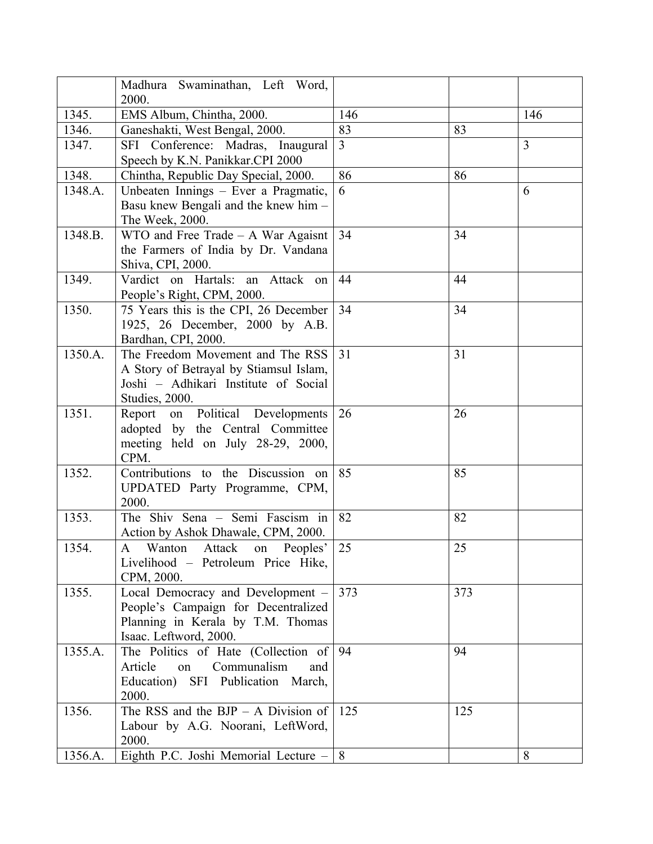|         | Madhura Swaminathan, Left Word,<br>2000.                                                                                                |                |     |                |
|---------|-----------------------------------------------------------------------------------------------------------------------------------------|----------------|-----|----------------|
| 1345.   | EMS Album, Chintha, 2000.                                                                                                               | 146            |     | 146            |
| 1346.   | Ganeshakti, West Bengal, 2000.                                                                                                          | 83             | 83  |                |
| 1347.   | SFI Conference: Madras, Inaugural<br>Speech by K.N. Panikkar.CPI 2000                                                                   | $\overline{3}$ |     | $\overline{3}$ |
| 1348.   | Chintha, Republic Day Special, 2000.                                                                                                    | 86             | 86  |                |
| 1348.A. | Unbeaten Innings - Ever a Pragmatic,<br>Basu knew Bengali and the knew him -<br>The Week, 2000.                                         | 6              |     | 6              |
| 1348.B. | $WTO$ and Free Trade – A War Agaisnt<br>the Farmers of India by Dr. Vandana<br>Shiva, CPI, 2000.                                        | 34             | 34  |                |
| 1349.   | Vardict on Hartals: an Attack on<br>People's Right, CPM, 2000.                                                                          | 44             | 44  |                |
| 1350.   | 75 Years this is the CPI, 26 December<br>1925, 26 December, 2000 by A.B.<br>Bardhan, CPI, 2000.                                         | 34             | 34  |                |
| 1350.A. | The Freedom Movement and The RSS<br>A Story of Betrayal by Stiamsul Islam,<br>Joshi - Adhikari Institute of Social<br>Studies, 2000.    | 31             | 31  |                |
| 1351.   | Report on Political Developments<br>adopted by the Central Committee<br>meeting held on July 28-29, 2000,<br>CPM.                       | 26             | 26  |                |
| 1352.   | Contributions to the Discussion on<br>UPDATED Party Programme, CPM,<br>2000.                                                            | 85             | 85  |                |
| 1353.   | The Shiv Sena - Semi Fascism in<br>Action by Ashok Dhawale, CPM, 2000.                                                                  | 82             | 82  |                |
| 1354.   | $\mathbf{A}$<br>Wanton<br>Attack<br>Peoples'<br>on<br>Livelihood - Petroleum Price Hike,<br>CPM, 2000.                                  | 25             | 25  |                |
| 1355.   | Local Democracy and Development -<br>People's Campaign for Decentralized<br>Planning in Kerala by T.M. Thomas<br>Isaac. Leftword, 2000. | 373            | 373 |                |
| 1355.A. | The Politics of Hate (Collection of<br>Communalism<br>Article<br>on<br>and<br>Education) SFI Publication March,<br>2000.                | 94             | 94  |                |
| 1356.   | The RSS and the BJP $-$ A Division of<br>Labour by A.G. Noorani, LeftWord,<br>2000.                                                     | 125            | 125 |                |
| 1356.A. | Eighth P.C. Joshi Memorial Lecture $-   8$                                                                                              |                |     | 8              |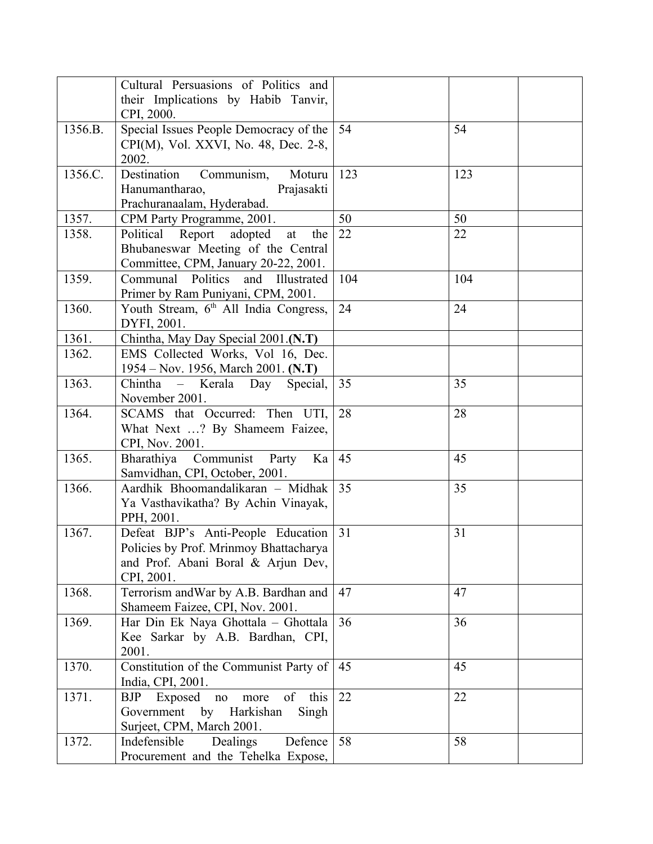|         | Cultural Persuasions of Politics and                |     |     |  |
|---------|-----------------------------------------------------|-----|-----|--|
|         | their Implications by Habib Tanvir,                 |     |     |  |
|         | CPI, 2000.                                          |     |     |  |
| 1356.B. | Special Issues People Democracy of the              | 54  | 54  |  |
|         | CPI(M), Vol. XXVI, No. 48, Dec. 2-8,                |     |     |  |
| 1356.C. | 2002.<br>Destination<br>Moturu                      | 123 | 123 |  |
|         | Communism,<br>Prajasakti<br>Hanumantharao,          |     |     |  |
|         | Prachuranaalam, Hyderabad.                          |     |     |  |
| 1357.   | CPM Party Programme, 2001.                          | 50  | 50  |  |
| 1358.   | Political Report adopted<br>the<br>at               | 22  | 22  |  |
|         | Bhubaneswar Meeting of the Central                  |     |     |  |
|         | Committee, CPM, January 20-22, 2001.                |     |     |  |
| 1359.   | Communal Politics<br>and Illustrated                | 104 | 104 |  |
|         | Primer by Ram Puniyani, CPM, 2001.                  |     |     |  |
| 1360.   | Youth Stream, 6th All India Congress,               | 24  | 24  |  |
|         | DYFI, 2001.                                         |     |     |  |
| 1361.   | Chintha, May Day Special 2001.(N.T)                 |     |     |  |
| 1362.   | EMS Collected Works, Vol 16, Dec.                   |     |     |  |
|         | 1954 – Nov. 1956, March 2001. (N.T)                 |     |     |  |
| 1363.   | Chintha<br>Kerala Day<br>Special,<br>$\frac{1}{2}$  | 35  | 35  |  |
|         | November 2001.                                      |     |     |  |
| 1364.   | SCAMS that Occurred: Then UTI,                      | 28  | 28  |  |
|         | What Next ? By Shameem Faizee,                      |     |     |  |
|         | CPI, Nov. 2001.                                     |     |     |  |
| 1365.   | Bharathiya Communist Party Ka                       | 45  | 45  |  |
|         | Samvidhan, CPI, October, 2001.                      |     |     |  |
| 1366.   | Aardhik Bhoomandalikaran - Midhak                   | 35  | 35  |  |
|         | Ya Vasthavikatha? By Achin Vinayak,                 |     |     |  |
|         | PPH, 2001.                                          |     |     |  |
| 1367.   | Defeat BJP's Anti-People Education                  | 31  | 31  |  |
|         | Policies by Prof. Mrinmoy Bhattacharya              |     |     |  |
|         | and Prof. Abani Boral & Arjun Dev,                  |     |     |  |
| 1368.   | CPI, 2001.<br>Terrorism and War by A.B. Bardhan and | 47  | 47  |  |
|         | Shameem Faizee, CPI, Nov. 2001.                     |     |     |  |
| 1369.   | Har Din Ek Naya Ghottala - Ghottala                 | 36  | 36  |  |
|         | Kee Sarkar by A.B. Bardhan, CPI,                    |     |     |  |
|         | 2001.                                               |     |     |  |
| 1370.   | Constitution of the Communist Party of              | 45  | 45  |  |
|         | India, CPI, 2001.                                   |     |     |  |
| 1371.   | this<br>of<br>Exposed<br><b>BJP</b><br>no<br>more   | 22  | 22  |  |
|         | Harkishan<br>Government<br>by<br>Singh              |     |     |  |
|         | Surjeet, CPM, March 2001.                           |     |     |  |
| 1372.   | Indefensible<br>Dealings<br>Defence                 | 58  | 58  |  |
|         | Procurement and the Tehelka Expose,                 |     |     |  |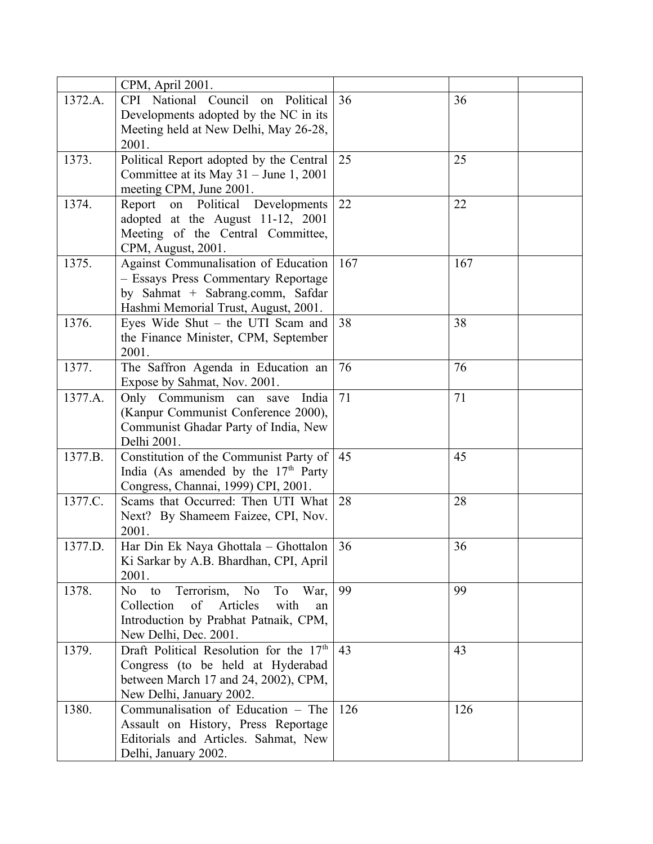|         | CPM, April 2001.                                    |     |     |
|---------|-----------------------------------------------------|-----|-----|
| 1372.A. | CPI National Council on<br>Political                | 36  | 36  |
|         | Developments adopted by the NC in its               |     |     |
|         | Meeting held at New Delhi, May 26-28,               |     |     |
|         | 2001.                                               |     |     |
| 1373.   | Political Report adopted by the Central             | 25  | 25  |
|         | Committee at its May $31 -$ June 1, 2001            |     |     |
|         | meeting CPM, June 2001.                             |     |     |
| 1374.   | Report<br>on Political Developments                 | 22  | 22  |
|         | adopted at the August 11-12, 2001                   |     |     |
|         | Meeting of the Central Committee,                   |     |     |
|         | CPM, August, 2001.                                  |     |     |
| 1375.   | Against Communalisation of Education                | 167 | 167 |
|         | - Essays Press Commentary Reportage                 |     |     |
|         | by Sahmat + Sabrang.comm, Safdar                    |     |     |
|         | Hashmi Memorial Trust, August, 2001.                |     |     |
| 1376.   | Eyes Wide Shut - the UTI Scam and                   | 38  | 38  |
|         | the Finance Minister, CPM, September                |     |     |
|         | 2001.                                               |     |     |
| 1377.   | The Saffron Agenda in Education an                  | 76  | 76  |
|         | Expose by Sahmat, Nov. 2001.                        |     |     |
| 1377.A. | Only Communism<br>India<br>can<br>save              | 71  | 71  |
|         | (Kanpur Communist Conference 2000),                 |     |     |
|         | Communist Ghadar Party of India, New                |     |     |
|         | Delhi 2001.                                         |     |     |
| 1377.B. | Constitution of the Communist Party of              | 45  | 45  |
|         | India (As amended by the 17 <sup>th</sup> Party     |     |     |
|         | Congress, Channai, 1999) CPI, 2001.                 |     |     |
| 1377.C. | Scams that Occurred: Then UTI What                  | 28  | 28  |
|         | Next? By Shameem Faizee, CPI, Nov.                  |     |     |
|         | 2001.                                               |     |     |
| 1377.D. | Har Din Ek Naya Ghottala – Ghottalon                | 36  | 36  |
|         | Ki Sarkar by A.B. Bhardhan, CPI, April              |     |     |
|         | 2001.                                               |     |     |
| 1378.   | Terrorism, No<br>To<br>No<br>to<br>War,             | 99  | 99  |
|         | Articles<br>Collection<br>of<br>with<br>an          |     |     |
|         | Introduction by Prabhat Patnaik, CPM,               |     |     |
|         | New Delhi, Dec. 2001.                               |     |     |
| 1379.   | Draft Political Resolution for the 17 <sup>th</sup> | 43  | 43  |
|         | Congress (to be held at Hyderabad                   |     |     |
|         | between March 17 and 24, 2002), CPM,                |     |     |
|         | New Delhi, January 2002.                            |     |     |
| 1380.   | Communalisation of Education - The                  | 126 | 126 |
|         | Assault on History, Press Reportage                 |     |     |
|         | Editorials and Articles. Sahmat, New                |     |     |
|         | Delhi, January 2002.                                |     |     |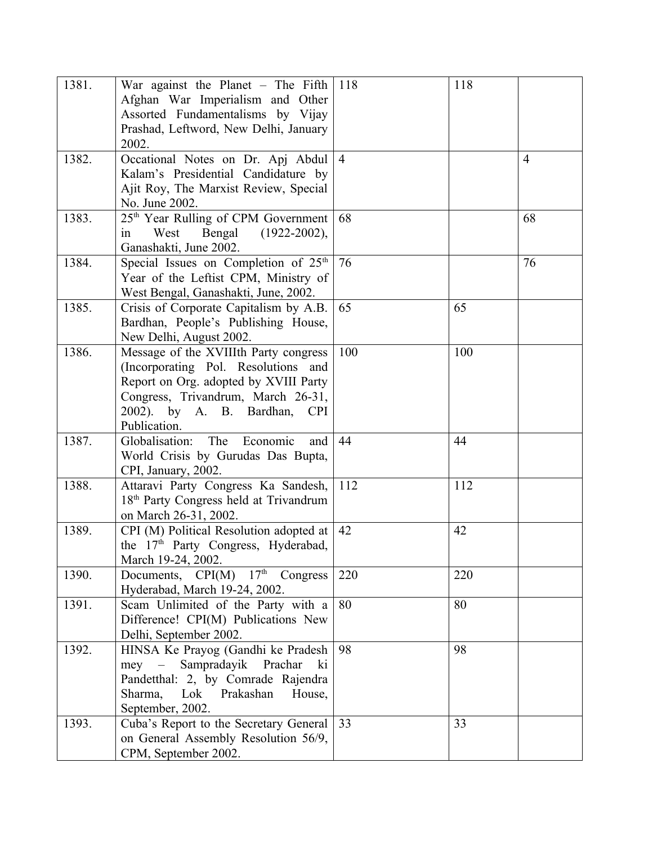| 1381. | War against the Planet $-$ The Fifth<br>Afghan War Imperialism and Other<br>Assorted Fundamentalisms by Vijay<br>Prashad, Leftword, New Delhi, January<br>2002.                                                       | 118            | 118 |                |
|-------|-----------------------------------------------------------------------------------------------------------------------------------------------------------------------------------------------------------------------|----------------|-----|----------------|
| 1382. | Occational Notes on Dr. Apj Abdul<br>Kalam's Presidential Candidature by<br>Ajit Roy, The Marxist Review, Special<br>No. June 2002.                                                                                   | $\overline{4}$ |     | $\overline{4}$ |
| 1383. | 25 <sup>th</sup> Year Rulling of CPM Government<br>West<br>Bengal<br>$(1922 - 2002),$<br>in<br>Ganashakti, June 2002.                                                                                                 | 68             |     | 68             |
| 1384. | Special Issues on Completion of $25th$<br>Year of the Leftist CPM, Ministry of<br>West Bengal, Ganashakti, June, 2002.                                                                                                | 76             |     | 76             |
| 1385. | Crisis of Corporate Capitalism by A.B.<br>Bardhan, People's Publishing House,<br>New Delhi, August 2002.                                                                                                              | 65             | 65  |                |
| 1386. | Message of the XVIIIth Party congress<br>(Incorporating Pol. Resolutions and<br>Report on Org. adopted by XVIII Party<br>Congress, Trivandrum, March 26-31,<br>2002). by A. B. Bardhan,<br><b>CPI</b><br>Publication. | 100            | 100 |                |
| 1387. | Globalisation:<br>The<br>Economic<br>and<br>World Crisis by Gurudas Das Bupta,<br>CPI, January, 2002.                                                                                                                 | 44             | 44  |                |
| 1388. | Attaravi Party Congress Ka Sandesh,<br>18 <sup>th</sup> Party Congress held at Trivandrum<br>on March 26-31, 2002.                                                                                                    | 112            | 112 |                |
| 1389. | CPI (M) Political Resolution adopted at<br>the 17 <sup>th</sup> Party Congress, Hyderabad,<br>March 19-24, 2002.                                                                                                      | 42             | 42  |                |
| 1390. | Documents, $CPI(M)$ 17 <sup>th</sup><br>Congress<br>Hyderabad, March 19-24, 2002.                                                                                                                                     | 220            | 220 |                |
| 1391. | Scam Unlimited of the Party with a<br>Difference! CPI(M) Publications New<br>Delhi, September 2002.                                                                                                                   | 80             | 80  |                |
| 1392. | HINSA Ke Prayog (Gandhi ke Pradesh<br>Sampradayik Prachar<br>$\frac{1}{2}$<br>ki<br>mey<br>Pandetthal: 2, by Comrade Rajendra<br>Lok Prakashan<br>Sharma,<br>House,<br>September, 2002.                               | 98             | 98  |                |
| 1393. | Cuba's Report to the Secretary General<br>on General Assembly Resolution 56/9,<br>CPM, September 2002.                                                                                                                | 33             | 33  |                |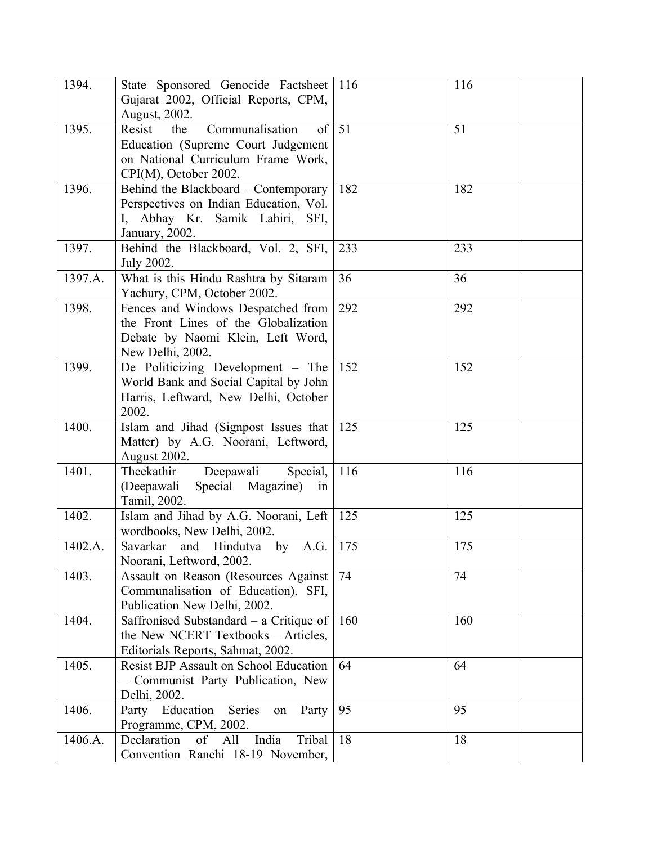| 1394.   | State Sponsored Genocide Factsheet                      | 116 | 116 |
|---------|---------------------------------------------------------|-----|-----|
|         | Gujarat 2002, Official Reports, CPM,                    |     |     |
| 1395.   | August, 2002.<br>the<br>of<br>Communalisation<br>Resist | 51  | 51  |
|         | Education (Supreme Court Judgement                      |     |     |
|         | on National Curriculum Frame Work,                      |     |     |
|         | CPI(M), October 2002.                                   |     |     |
| 1396.   | Behind the Blackboard - Contemporary                    | 182 | 182 |
|         | Perspectives on Indian Education, Vol.                  |     |     |
|         | I, Abhay Kr. Samik Lahiri, SFI,                         |     |     |
|         | January, 2002.                                          |     |     |
| 1397.   | Behind the Blackboard, Vol. 2, SFI,                     | 233 | 233 |
|         | July 2002.                                              |     |     |
| 1397.A. | What is this Hindu Rashtra by Sitaram                   | 36  | 36  |
|         | Yachury, CPM, October 2002.                             |     |     |
| 1398.   | Fences and Windows Despatched from                      | 292 | 292 |
|         | the Front Lines of the Globalization                    |     |     |
|         | Debate by Naomi Klein, Left Word,                       |     |     |
|         | New Delhi, 2002.                                        |     |     |
| 1399.   | De Politicizing Development - The                       | 152 | 152 |
|         | World Bank and Social Capital by John                   |     |     |
|         | Harris, Leftward, New Delhi, October                    |     |     |
|         | 2002.                                                   |     |     |
| 1400.   | Islam and Jihad (Signpost Issues that                   | 125 | 125 |
|         | Matter) by A.G. Noorani, Leftword,                      |     |     |
|         | August 2002.                                            |     |     |
| 1401.   | Theekathir<br>Deepawali<br>Special,                     | 116 | 116 |
|         | (Deepawali<br>Special Magazine)<br>in                   |     |     |
| 1402.   | Tamil, 2002.<br>Islam and Jihad by A.G. Noorani, Left   | 125 | 125 |
|         | wordbooks, New Delhi, 2002.                             |     |     |
| 1402.A. | and Hindutva by<br>Savarkar<br>A.G.                     | 175 | 175 |
|         | Noorani, Leftword, 2002.                                |     |     |
| 1403.   | Assault on Reason (Resources Against                    | 74  | 74  |
|         | Communalisation of Education), SFI,                     |     |     |
|         | Publication New Delhi, 2002.                            |     |     |
| 1404.   | Saffronised Substandard $-$ a Critique of               | 160 | 160 |
|         | the New NCERT Textbooks – Articles,                     |     |     |
|         | Editorials Reports, Sahmat, 2002.                       |     |     |
| 1405.   | <b>Resist BJP Assault on School Education</b>           | 64  | 64  |
|         | - Communist Party Publication, New                      |     |     |
|         | Delhi, 2002.                                            |     |     |
| 1406.   | Education<br>Series<br>Party<br>Party<br>on             | 95  | 95  |
|         | Programme, CPM, 2002.                                   |     |     |
| 1406.A. | India<br>Declaration<br>All<br>Tribal<br>of             | 18  | 18  |
|         | Convention Ranchi 18-19 November,                       |     |     |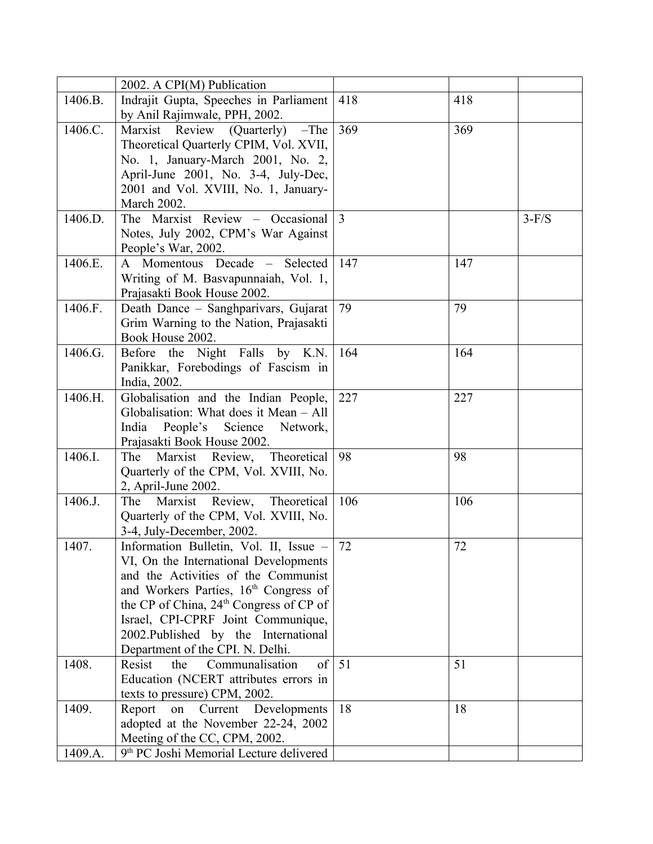|         | 2002. A CPI(M) Publication                          |     |     |         |
|---------|-----------------------------------------------------|-----|-----|---------|
| 1406.B. | Indrajit Gupta, Speeches in Parliament              | 418 | 418 |         |
|         | by Anil Rajimwale, PPH, 2002.                       |     |     |         |
| 1406.C. | Marxist Review (Quarterly) -The                     | 369 | 369 |         |
|         | Theoretical Quarterly CPIM, Vol. XVII,              |     |     |         |
|         | No. 1, January-March 2001, No. 2,                   |     |     |         |
|         | April-June 2001, No. 3-4, July-Dec,                 |     |     |         |
|         | 2001 and Vol. XVIII, No. 1, January-                |     |     |         |
|         | <b>March 2002.</b>                                  |     |     |         |
| 1406.D. | The Marxist Review - Occasional                     | 3   |     | $3-F/S$ |
|         | Notes, July 2002, CPM's War Against                 |     |     |         |
|         | People's War, 2002.                                 |     |     |         |
| 1406.E. | A Momentous Decade - Selected                       | 147 | 147 |         |
|         | Writing of M. Basvapunnaiah, Vol. 1,                |     |     |         |
|         | Prajasakti Book House 2002.                         |     |     |         |
| 1406.F. | Death Dance - Sanghparivars, Gujarat                | 79  | 79  |         |
|         | Grim Warning to the Nation, Prajasakti              |     |     |         |
|         | Book House 2002.                                    |     |     |         |
| 1406.G. | Before the Night Falls by K.N.                      | 164 | 164 |         |
|         | Panikkar, Forebodings of Fascism in                 |     |     |         |
|         | India, 2002.                                        |     |     |         |
| 1406.H. | Globalisation and the Indian People,                | 227 | 227 |         |
|         | Globalisation: What does it Mean - All              |     |     |         |
|         | People's Science Network,<br>India                  |     |     |         |
|         | Prajasakti Book House 2002.                         |     |     |         |
| 1406.I. | Marxist Review, Theoretical<br>The                  | 98  | 98  |         |
|         | Quarterly of the CPM, Vol. XVIII, No.               |     |     |         |
|         | 2, April-June 2002.                                 |     |     |         |
| 1406.J. | Theoretical<br>The Marxist Review,                  | 106 | 106 |         |
|         | Quarterly of the CPM, Vol. XVIII, No.               |     |     |         |
|         | 3-4, July-December, 2002.                           |     |     |         |
| 1407.   | Information Bulletin, Vol. II, Issue -              | 72  | 72  |         |
|         | VI, On the International Developments               |     |     |         |
|         | and the Activities of the Communist                 |     |     |         |
|         | and Workers Parties, 16 <sup>th</sup> Congress of   |     |     |         |
|         | the CP of China, 24 <sup>th</sup> Congress of CP of |     |     |         |
|         | Israel, CPI-CPRF Joint Communique,                  |     |     |         |
|         | 2002. Published by the International                |     |     |         |
|         | Department of the CPI. N. Delhi.                    |     |     |         |
| 1408.   | Resist<br>Communalisation<br>the<br>of              | 51  | 51  |         |
|         | Education (NCERT attributes errors in               |     |     |         |
|         | texts to pressure) CPM, 2002.                       |     |     |         |
| 1409.   | Report<br>Current<br>Developments<br>on             | 18  | 18  |         |
|         | adopted at the November 22-24, 2002                 |     |     |         |
|         | Meeting of the CC, CPM, 2002.                       |     |     |         |
| 1409.A. | 9th PC Joshi Memorial Lecture delivered             |     |     |         |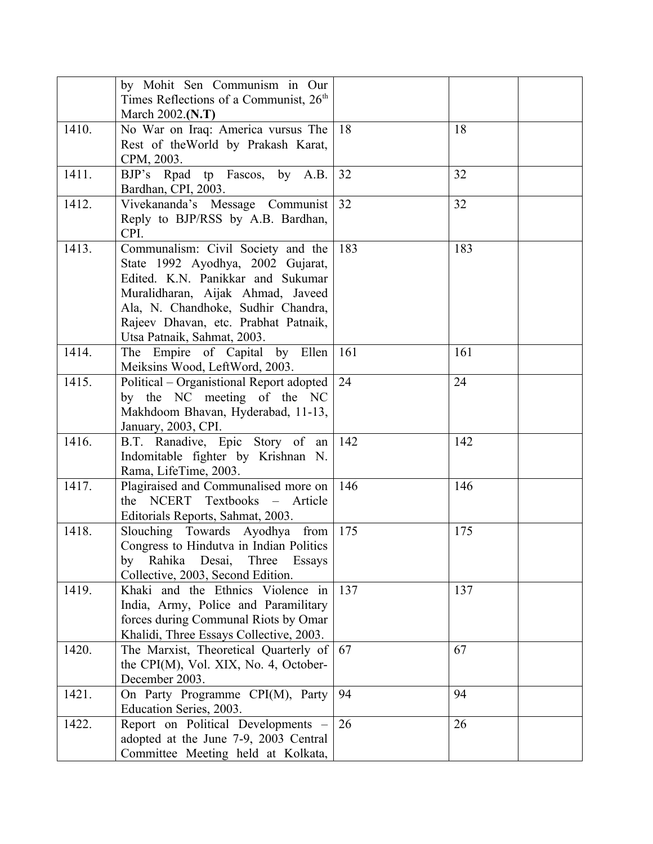|       | by Mohit Sen Communism in Our<br>Times Reflections of a Communist, 26 <sup>th</sup><br>March 2002.(N.T)                                                                                                                                                        |     |     |
|-------|----------------------------------------------------------------------------------------------------------------------------------------------------------------------------------------------------------------------------------------------------------------|-----|-----|
| 1410. | No War on Iraq: America vursus The<br>Rest of the World by Prakash Karat,<br>CPM, 2003.                                                                                                                                                                        | 18  | 18  |
| 1411. | BJP's Rpad tp Fascos, by A.B.<br>Bardhan, CPI, 2003.                                                                                                                                                                                                           | 32  | 32  |
| 1412. | Vivekananda's Message Communist<br>Reply to BJP/RSS by A.B. Bardhan,<br>CPI.                                                                                                                                                                                   | 32  | 32  |
| 1413. | Communalism: Civil Society and the<br>State 1992 Ayodhya, 2002 Gujarat,<br>Edited. K.N. Panikkar and Sukumar<br>Muralidharan, Aijak Ahmad, Javeed<br>Ala, N. Chandhoke, Sudhir Chandra,<br>Rajeev Dhavan, etc. Prabhat Patnaik,<br>Utsa Patnaik, Sahmat, 2003. | 183 | 183 |
| 1414. | The Empire of Capital by Ellen<br>Meiksins Wood, LeftWord, 2003.                                                                                                                                                                                               | 161 | 161 |
| 1415. | Political – Organistional Report adopted<br>by the NC meeting of the NC<br>Makhdoom Bhavan, Hyderabad, 11-13,<br>January, 2003, CPI.                                                                                                                           | 24  | 24  |
| 1416. | B.T. Ranadive, Epic Story of an<br>Indomitable fighter by Krishnan N.<br>Rama, LifeTime, 2003.                                                                                                                                                                 | 142 | 142 |
| 1417. | Plagiraised and Communalised more on<br>the NCERT Textbooks - Article<br>Editorials Reports, Sahmat, 2003.                                                                                                                                                     | 146 | 146 |
| 1418. | Slouching Towards Ayodhya from<br>Congress to Hindutva in Indian Politics<br>by Rahika Desai, Three<br>Essays<br>Collective, 2003, Second Edition.                                                                                                             | 175 | 175 |
| 1419. | Khaki and the Ethnics Violence in<br>India, Army, Police and Paramilitary<br>forces during Communal Riots by Omar<br>Khalidi, Three Essays Collective, 2003.                                                                                                   | 137 | 137 |
| 1420. | The Marxist, Theoretical Quarterly of<br>the CPI(M), Vol. XIX, No. 4, October-<br>December 2003.                                                                                                                                                               | 67  | 67  |
| 1421. | On Party Programme CPI(M), Party<br>Education Series, 2003.                                                                                                                                                                                                    | 94  | 94  |
| 1422. | Report on Political Developments -<br>adopted at the June 7-9, 2003 Central<br>Committee Meeting held at Kolkata,                                                                                                                                              | 26  | 26  |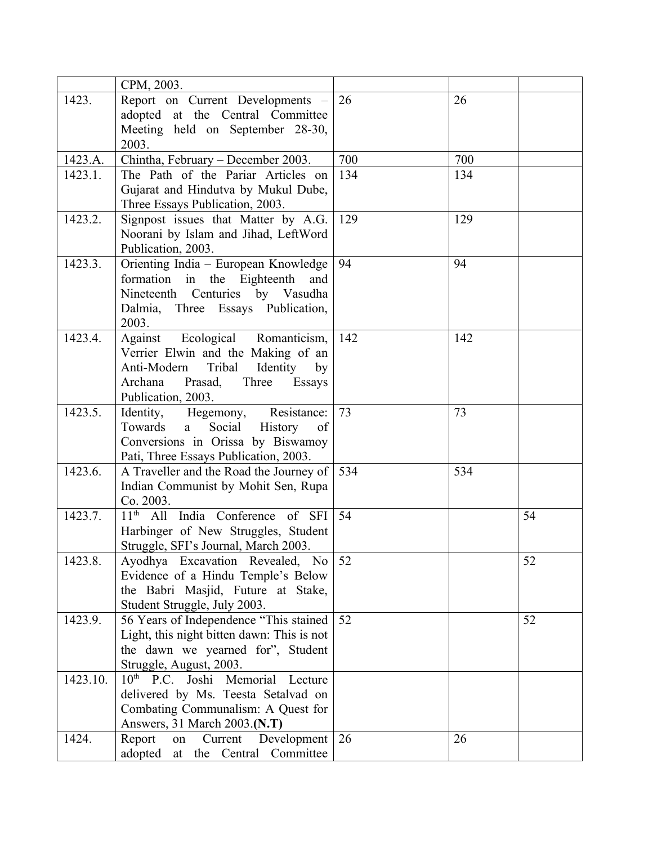|          | CPM, 2003.                                   |     |     |    |
|----------|----------------------------------------------|-----|-----|----|
| 1423.    | Report on Current Developments -             | 26  | 26  |    |
|          | adopted at the Central Committee             |     |     |    |
|          | Meeting held on September 28-30,             |     |     |    |
|          | 2003.                                        |     |     |    |
| 1423.A.  | Chintha, February – December 2003.           | 700 | 700 |    |
| 1423.1.  | The Path of the Pariar Articles on           | 134 | 134 |    |
|          | Gujarat and Hindutva by Mukul Dube,          |     |     |    |
|          | Three Essays Publication, 2003.              |     |     |    |
| 1423.2.  | Signpost issues that Matter by A.G.          | 129 | 129 |    |
|          | Noorani by Islam and Jihad, LeftWord         |     |     |    |
|          | Publication, 2003.                           |     |     |    |
| 1423.3.  | Orienting India – European Knowledge         | 94  | 94  |    |
|          | formation in the Eighteenth<br>and           |     |     |    |
|          | Nineteenth Centuries by Vasudha              |     |     |    |
|          | Dalmia, Three Essays Publication,            |     |     |    |
|          | 2003.                                        |     |     |    |
| 1423.4.  | Against Ecological Romanticism,              | 142 | 142 |    |
|          | Verrier Elwin and the Making of an           |     |     |    |
|          | Anti-Modern<br>Tribal<br>Identity<br>by      |     |     |    |
|          | Archana<br>Prasad,<br>Three<br>Essays        |     |     |    |
|          | Publication, 2003.                           |     |     |    |
| 1423.5.  | Identity, Hegemony, Resistance:              | 73  | 73  |    |
|          | Towards<br>Social<br>History<br>of<br>a      |     |     |    |
|          | Conversions in Orissa by Biswamoy            |     |     |    |
|          | Pati, Three Essays Publication, 2003.        |     |     |    |
| 1423.6.  | A Traveller and the Road the Journey of      | 534 | 534 |    |
|          | Indian Communist by Mohit Sen, Rupa          |     |     |    |
|          | Co. 2003.                                    |     |     |    |
| 1423.7.  | 11 <sup>th</sup> All India Conference of SFI | 54  |     | 54 |
|          | Harbinger of New Struggles, Student          |     |     |    |
|          | Struggle, SFI's Journal, March 2003.         |     |     |    |
| 1423.8.  | Ayodhya Excavation Revealed, No              | 52  |     | 52 |
|          | Evidence of a Hindu Temple's Below           |     |     |    |
|          | the Babri Masjid, Future at Stake,           |     |     |    |
|          | Student Struggle, July 2003.                 |     |     |    |
| 1423.9.  | 56 Years of Independence "This stained       | 52  |     | 52 |
|          | Light, this night bitten dawn: This is not   |     |     |    |
|          | the dawn we yearned for", Student            |     |     |    |
|          | Struggle, August, 2003.                      |     |     |    |
| 1423.10. | 10 <sup>th</sup> P.C. Joshi Memorial Lecture |     |     |    |
|          | delivered by Ms. Teesta Setalvad on          |     |     |    |
|          | Combating Communalism: A Quest for           |     |     |    |
|          | Answers, 31 March 2003.(N.T)                 |     |     |    |
| 1424.    | Development<br>Report<br>Current<br>on       | 26  | 26  |    |
|          | at the Central Committee<br>adopted          |     |     |    |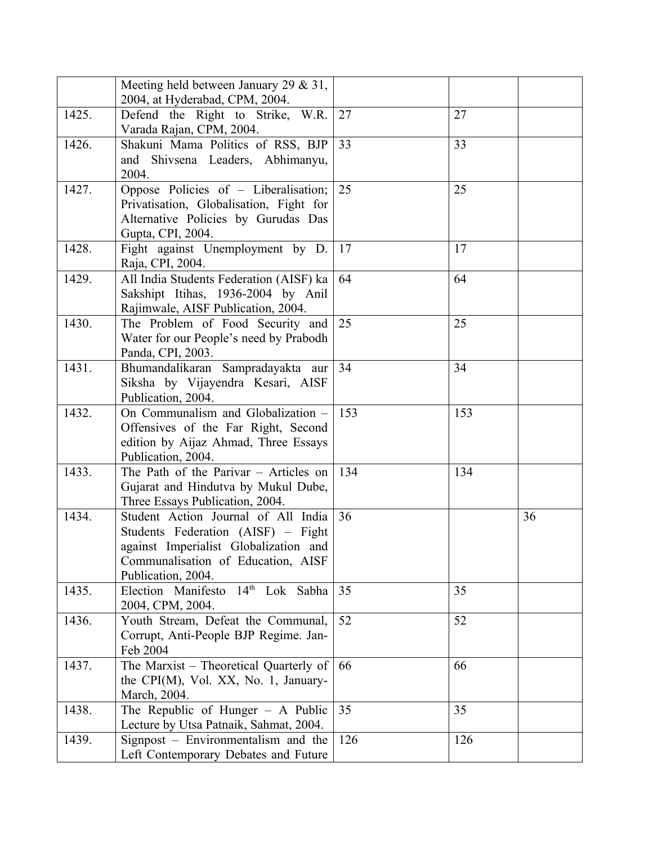|       | Meeting held between January 29 $\&$ 31,<br>2004, at Hyderabad, CPM, 2004.                                                                                                     |            |     |    |
|-------|--------------------------------------------------------------------------------------------------------------------------------------------------------------------------------|------------|-----|----|
| 1425. | Defend the Right to Strike, W.R.                                                                                                                                               | 27         | 27  |    |
| 1426. | Varada Rajan, CPM, 2004.<br>Shakuni Mama Politics of RSS, BJP<br>Shivsena Leaders, Abhimanyu,<br>and<br>2004.                                                                  | 33         | 33  |    |
| 1427. | Oppose Policies of - Liberalisation;<br>Privatisation, Globalisation, Fight for<br>Alternative Policies by Gurudas Das<br>Gupta, CPI, 2004.                                    | 25         | 25  |    |
| 1428. | Fight against Unemployment by D.<br>Raja, CPI, 2004.                                                                                                                           | $\vert$ 17 | 17  |    |
| 1429. | All India Students Federation (AISF) ka<br>Sakshipt Itihas, 1936-2004 by Anil<br>Rajimwale, AISF Publication, 2004.                                                            | 64         | 64  |    |
| 1430. | The Problem of Food Security and<br>Water for our People's need by Prabodh<br>Panda, CPI, 2003.                                                                                | 25         | 25  |    |
| 1431. | Bhumandalikaran Sampradayakta aur<br>Siksha by Vijayendra Kesari, AISF<br>Publication, 2004.                                                                                   | 34         | 34  |    |
| 1432. | On Communalism and Globalization -<br>Offensives of the Far Right, Second<br>edition by Aijaz Ahmad, Three Essays<br>Publication, 2004.                                        | 153        | 153 |    |
| 1433. | The Path of the Parivar - Articles on<br>Gujarat and Hindutva by Mukul Dube,<br>Three Essays Publication, 2004.                                                                | 134        | 134 |    |
| 1434. | Student Action Journal of All India<br>Students Federation (AISF) – Fight<br>against Imperialist Globalization and<br>Communalisation of Education, AISF<br>Publication, 2004. | 36         |     | 36 |
| 1435. | Election Manifesto 14 <sup>th</sup> Lok Sabha<br>2004, CPM, 2004.                                                                                                              | 35         | 35  |    |
| 1436. | Youth Stream, Defeat the Communal,<br>Corrupt, Anti-People BJP Regime. Jan-<br>Feb 2004                                                                                        | 52         | 52  |    |
| 1437. | The Marxist – Theoretical Quarterly of<br>the CPI(M), Vol. XX, No. 1, January-<br>March, 2004.                                                                                 | 66         | 66  |    |
| 1438. | The Republic of Hunger $-$ A Public<br>Lecture by Utsa Patnaik, Sahmat, 2004.                                                                                                  | 35         | 35  |    |
| 1439. | Signpost – Environmentalism and the<br>Left Contemporary Debates and Future                                                                                                    | 126        | 126 |    |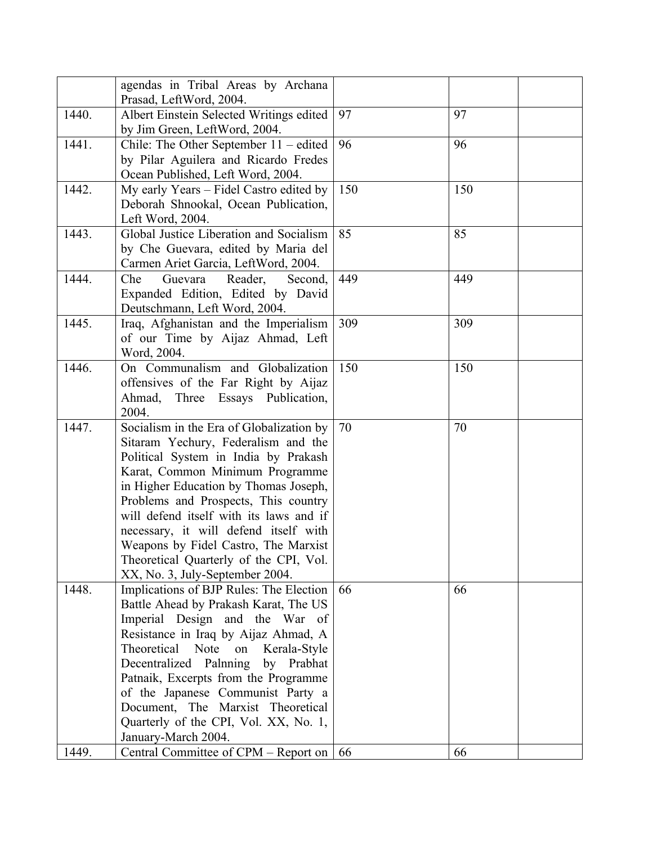|       | agendas in Tribal Areas by Archana<br>Prasad, LeftWord, 2004.                  |     |     |
|-------|--------------------------------------------------------------------------------|-----|-----|
| 1440. | Albert Einstein Selected Writings edited                                       | 97  | 97  |
|       | by Jim Green, LeftWord, 2004.                                                  |     |     |
| 1441. | Chile: The Other September $11 -$ edited                                       | 96  | 96  |
|       | by Pilar Aguilera and Ricardo Fredes                                           |     |     |
|       | Ocean Published, Left Word, 2004.                                              |     |     |
| 1442. | My early Years - Fidel Castro edited by                                        | 150 | 150 |
|       | Deborah Shnookal, Ocean Publication,<br>Left Word, 2004.                       |     |     |
| 1443. | Global Justice Liberation and Socialism                                        | 85  | 85  |
|       | by Che Guevara, edited by Maria del                                            |     |     |
|       | Carmen Ariet Garcia, LeftWord, 2004.                                           |     |     |
| 1444. | Che<br>Guevara<br>Reader,<br>Second,                                           | 449 | 449 |
|       | Expanded Edition, Edited by David                                              |     |     |
|       | Deutschmann, Left Word, 2004.                                                  |     |     |
| 1445. | Iraq, Afghanistan and the Imperialism                                          | 309 | 309 |
|       | of our Time by Aijaz Ahmad, Left                                               |     |     |
|       | Word, 2004.                                                                    |     |     |
| 1446. | On Communalism and Globalization                                               | 150 | 150 |
|       | offensives of the Far Right by Aijaz                                           |     |     |
|       | Ahmad,<br>Three Essays Publication,                                            |     |     |
|       | 2004.                                                                          |     |     |
| 1447. | Socialism in the Era of Globalization by                                       | 70  | 70  |
|       | Sitaram Yechury, Federalism and the                                            |     |     |
|       | Political System in India by Prakash                                           |     |     |
|       | Karat, Common Minimum Programme                                                |     |     |
|       | in Higher Education by Thomas Joseph,                                          |     |     |
|       | Problems and Prospects, This country                                           |     |     |
|       | will defend itself with its laws and if                                        |     |     |
|       | necessary, it will defend itself with                                          |     |     |
|       | Weapons by Fidel Castro, The Marxist<br>Theoretical Quarterly of the CPI, Vol. |     |     |
|       | XX, No. 3, July-September 2004.                                                |     |     |
| 1448. | Implications of BJP Rules: The Election                                        | 66  | 66  |
|       | Battle Ahead by Prakash Karat, The US                                          |     |     |
|       | Imperial Design and the War of                                                 |     |     |
|       | Resistance in Iraq by Aijaz Ahmad, A                                           |     |     |
|       | Theoretical Note<br>on<br>Kerala-Style                                         |     |     |
|       | Decentralized Palnning<br>by Prabhat                                           |     |     |
|       | Patnaik, Excerpts from the Programme                                           |     |     |
|       | of the Japanese Communist Party a                                              |     |     |
|       | Document, The Marxist Theoretical                                              |     |     |
|       | Quarterly of the CPI, Vol. XX, No. 1,                                          |     |     |
|       | January-March 2004.                                                            |     |     |
| 1449. | Central Committee of CPM – Report on                                           | 66  | 66  |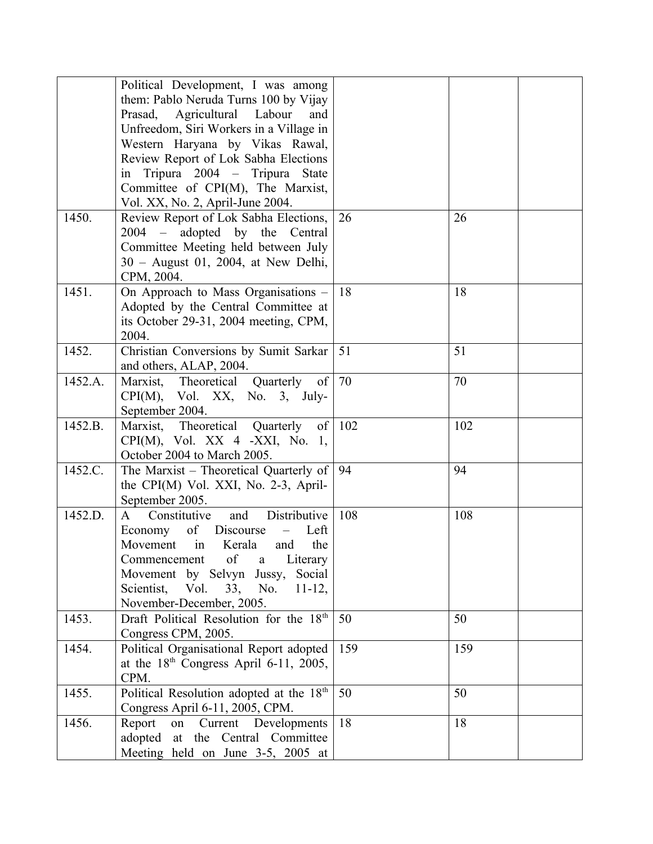|         | Political Development, I was among                               |     |     |  |
|---------|------------------------------------------------------------------|-----|-----|--|
|         | them: Pablo Neruda Turns 100 by Vijay                            |     |     |  |
|         | Agricultural Labour<br>Prasad,<br>and                            |     |     |  |
|         | Unfreedom, Siri Workers in a Village in                          |     |     |  |
|         | Western Haryana by Vikas Rawal,                                  |     |     |  |
|         | Review Report of Lok Sabha Elections                             |     |     |  |
|         | in Tripura 2004 - Tripura State                                  |     |     |  |
|         | Committee of CPI(M), The Marxist,                                |     |     |  |
|         | Vol. XX, No. 2, April-June 2004.                                 |     |     |  |
| 1450.   | Review Report of Lok Sabha Elections,                            | 26  | 26  |  |
|         | 2004 – adopted by the Central                                    |     |     |  |
|         | Committee Meeting held between July                              |     |     |  |
|         | 30 - August 01, 2004, at New Delhi,                              |     |     |  |
|         | CPM, 2004.                                                       |     |     |  |
| 1451.   | On Approach to Mass Organisations -                              | 18  | 18  |  |
|         | Adopted by the Central Committee at                              |     |     |  |
|         | its October 29-31, 2004 meeting, CPM,                            |     |     |  |
|         | 2004.                                                            |     |     |  |
| 1452.   | Christian Conversions by Sumit Sarkar                            | 51  | 51  |  |
|         | and others, ALAP, 2004.                                          |     |     |  |
| 1452.A. | Marxist, Theoretical<br>Quarterly<br>of                          | 70  | 70  |  |
|         | $CPI(M)$ , Vol. XX, No. 3, July-                                 |     |     |  |
|         | September 2004.                                                  |     |     |  |
| 1452.B. | Marxist, Theoretical Quarterly<br>of                             | 102 | 102 |  |
|         | $CPI(M)$ , Vol. XX 4 -XXI, No. 1,<br>October 2004 to March 2005. |     |     |  |
| 1452.C. | The Marxist – Theoretical Quarterly of                           | 94  | 94  |  |
|         | the CPI(M) Vol. XXI, No. 2-3, April-                             |     |     |  |
|         | September 2005.                                                  |     |     |  |
| 1452.D. | Distributive<br>Constitutive<br>and<br>A                         | 108 | 108 |  |
|         | Economy<br>of Discourse<br>Left                                  |     |     |  |
|         | Movement in Kerala<br>the<br>and                                 |     |     |  |
|         | of<br>$\mathbf{a}$<br>Literary<br>Commencement                   |     |     |  |
|         | Movement by Selvyn Jussy,<br>Social                              |     |     |  |
|         | Scientist, Vol.<br>33, No.<br>$11-12,$                           |     |     |  |
|         | November-December, 2005.                                         |     |     |  |
| 1453.   | Draft Political Resolution for the 18th                          | 50  | 50  |  |
|         | Congress CPM, 2005.                                              |     |     |  |
| 1454.   | Political Organisational Report adopted                          | 159 | 159 |  |
|         | at the $18th$ Congress April 6-11, 2005,                         |     |     |  |
|         | CPM.                                                             |     |     |  |
| 1455.   | Political Resolution adopted at the 18th                         | 50  | 50  |  |
|         | Congress April 6-11, 2005, CPM.                                  |     |     |  |
| 1456.   | Report<br>Developments<br>on<br>Current                          | 18  | 18  |  |
|         | adopted at the Central Committee                                 |     |     |  |
|         | Meeting held on June 3-5, 2005 at                                |     |     |  |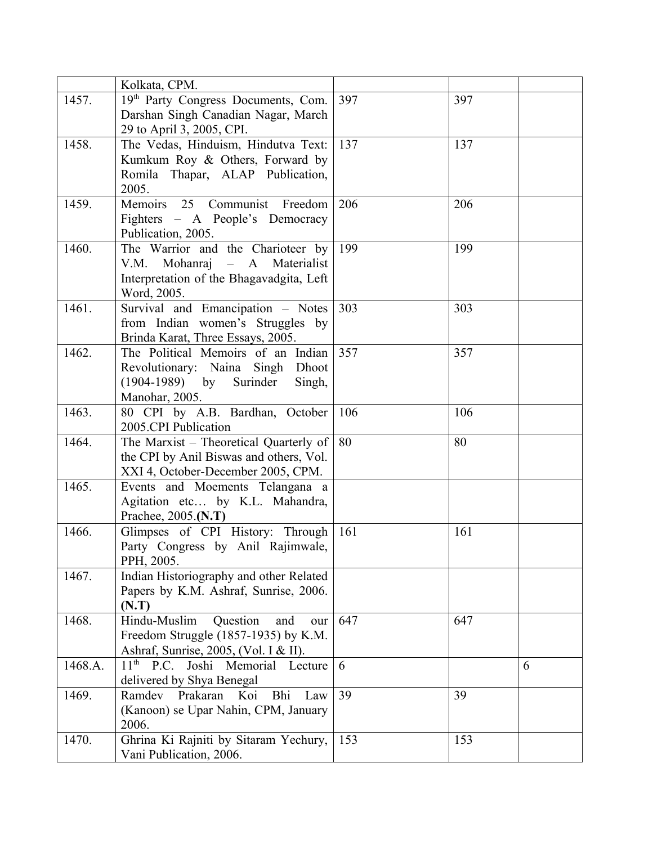|         | Kolkata, CPM.                                             |     |     |   |
|---------|-----------------------------------------------------------|-----|-----|---|
| 1457.   | 19th Party Congress Documents, Com.                       | 397 | 397 |   |
|         | Darshan Singh Canadian Nagar, March                       |     |     |   |
|         | 29 to April 3, 2005, CPI.                                 |     |     |   |
| 1458.   | The Vedas, Hinduism, Hindutva Text:                       | 137 | 137 |   |
|         | Kumkum Roy & Others, Forward by                           |     |     |   |
|         | Romila Thapar, ALAP Publication,                          |     |     |   |
|         | 2005.                                                     |     |     |   |
| 1459.   | Communist<br>Memoirs 25<br>Freedom                        | 206 | 206 |   |
|         | Fighters - A People's Democracy                           |     |     |   |
|         | Publication, 2005.                                        |     |     |   |
| 1460.   | The Warrior and the Charioteer by                         | 199 | 199 |   |
|         | V.M. Mohanraj - A Materialist                             |     |     |   |
|         | Interpretation of the Bhagavadgita, Left                  |     |     |   |
|         | Word, 2005.                                               |     |     |   |
| 1461.   | Survival and Emancipation - Notes                         | 303 | 303 |   |
|         | from Indian women's Struggles by                          |     |     |   |
|         | Brinda Karat, Three Essays, 2005.                         |     |     |   |
| 1462.   | The Political Memoirs of an Indian                        | 357 | 357 |   |
|         | Revolutionary: Naina Singh Dhoot                          |     |     |   |
|         | $(1904-1989)$ by Surinder<br>Singh,                       |     |     |   |
|         | Manohar, 2005.                                            |     |     |   |
| 1463.   | 80 CPI by A.B. Bardhan, October                           | 106 | 106 |   |
|         | 2005.CPI Publication                                      |     |     |   |
| 1464.   | The Marxist - Theoretical Quarterly of                    | 80  | 80  |   |
|         | the CPI by Anil Biswas and others, Vol.                   |     |     |   |
|         | XXI 4, October-December 2005, CPM.                        |     |     |   |
| 1465.   | Events and Moements Telangana a                           |     |     |   |
|         | Agitation etc by K.L. Mahandra,                           |     |     |   |
|         | Prachee, 2005.(N.T)                                       |     |     |   |
| 1466.   | Glimpses of CPI History: Through                          | 161 | 161 |   |
|         | Party Congress by Anil Rajimwale,                         |     |     |   |
|         | PPH, 2005.                                                |     |     |   |
| 1467.   | Indian Historiography and other Related                   |     |     |   |
|         | Papers by K.M. Ashraf, Sunrise, 2006.                     |     |     |   |
|         | (N.T)                                                     |     |     |   |
| 1468.   | Hindu-Muslim<br>Question<br>and<br>our                    | 647 | 647 |   |
|         | Freedom Struggle (1857-1935) by K.M.                      |     |     |   |
|         | Ashraf, Sunrise, 2005, (Vol. I & II).                     |     |     |   |
| 1468.A. | Joshi Memorial Lecture<br>$11^{\text{th}}$<br><b>P.C.</b> | 6   |     | 6 |
|         | delivered by Shya Benegal                                 |     |     |   |
| 1469.   | Ramdev<br>Prakaran<br>Koi<br>Bhi<br>Law                   | 39  | 39  |   |
|         | (Kanoon) se Upar Nahin, CPM, January                      |     |     |   |
|         | 2006.                                                     |     |     |   |
| 1470.   | Ghrina Ki Rajniti by Sitaram Yechury,                     | 153 | 153 |   |
|         | Vani Publication, 2006.                                   |     |     |   |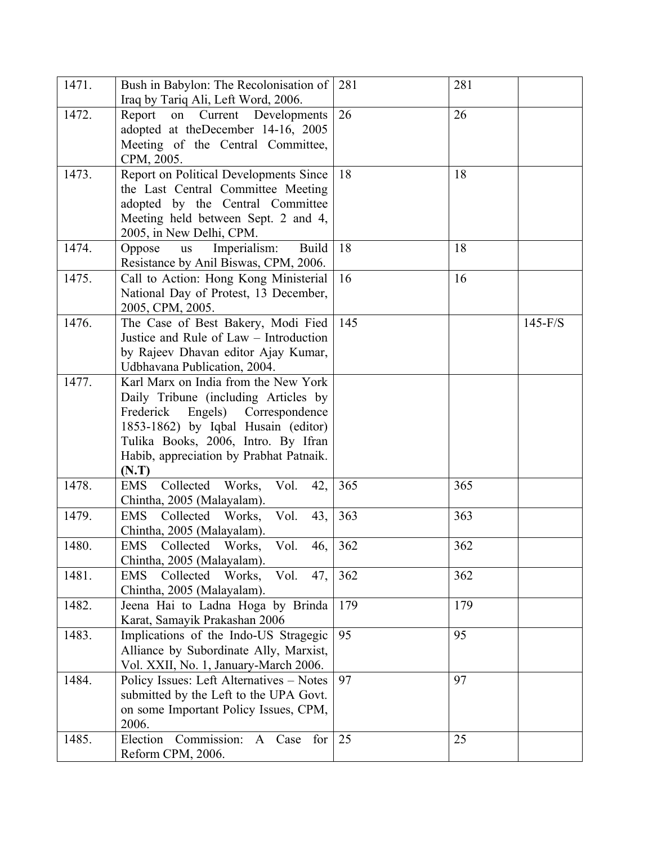| 1471. | Bush in Babylon: The Recolonisation of<br>Iraq by Tariq Ali, Left Word, 2006.                                                                                                                                                                         | 281 | 281 |           |
|-------|-------------------------------------------------------------------------------------------------------------------------------------------------------------------------------------------------------------------------------------------------------|-----|-----|-----------|
| 1472. | Current Developments<br>Report<br>on<br>adopted at theDecember 14-16, 2005<br>Meeting of the Central Committee,<br>CPM, 2005.                                                                                                                         | 26  | 26  |           |
| 1473. | Report on Political Developments Since<br>the Last Central Committee Meeting<br>adopted by the Central Committee<br>Meeting held between Sept. 2 and 4,<br>2005, in New Delhi, CPM.                                                                   | 18  | 18  |           |
| 1474. | <b>Build</b><br>Oppose<br>Imperialism:<br><b>us</b><br>Resistance by Anil Biswas, CPM, 2006.                                                                                                                                                          | 18  | 18  |           |
| 1475. | Call to Action: Hong Kong Ministerial<br>National Day of Protest, 13 December,<br>2005, CPM, 2005.                                                                                                                                                    | 16  | 16  |           |
| 1476. | The Case of Best Bakery, Modi Fied<br>Justice and Rule of Law - Introduction<br>by Rajeev Dhavan editor Ajay Kumar,<br>Udbhavana Publication, 2004.                                                                                                   | 145 |     | $145-F/S$ |
| 1477. | Karl Marx on India from the New York<br>Daily Tribune (including Articles by<br>Frederick<br>Engels) Correspondence<br>1853-1862) by Iqbal Husain (editor)<br>Tulika Books, 2006, Intro. By Ifran<br>Habib, appreciation by Prabhat Patnaik.<br>(N.T) |     |     |           |
| 1478. | Collected Works,<br><b>EMS</b><br>Vol.<br>42,<br>Chintha, 2005 (Malayalam).                                                                                                                                                                           | 365 | 365 |           |
| 1479. | Vol.<br>Collected Works,<br>43,<br><b>EMS</b><br>Chintha, 2005 (Malayalam).                                                                                                                                                                           | 363 | 363 |           |
| 1480. | <b>EMS</b><br>Collected Works,<br>Vol.<br>46,<br>Chintha, 2005 (Malayalam).                                                                                                                                                                           | 362 | 362 |           |
| 1481. | Collected Works,<br>Vol.<br>47,<br>EMS<br>Chintha, 2005 (Malayalam).                                                                                                                                                                                  | 362 | 362 |           |
| 1482. | Jeena Hai to Ladna Hoga by Brinda<br>Karat, Samayik Prakashan 2006                                                                                                                                                                                    | 179 | 179 |           |
| 1483. | Implications of the Indo-US Stragegic<br>Alliance by Subordinate Ally, Marxist,<br>Vol. XXII, No. 1, January-March 2006.                                                                                                                              | 95  | 95  |           |
| 1484. | Policy Issues: Left Alternatives - Notes<br>submitted by the Left to the UPA Govt.<br>on some Important Policy Issues, CPM,<br>2006.                                                                                                                  | 97  | 97  |           |
| 1485. | Commission:<br>Election<br>for<br>A Case<br>Reform CPM, 2006.                                                                                                                                                                                         | 25  | 25  |           |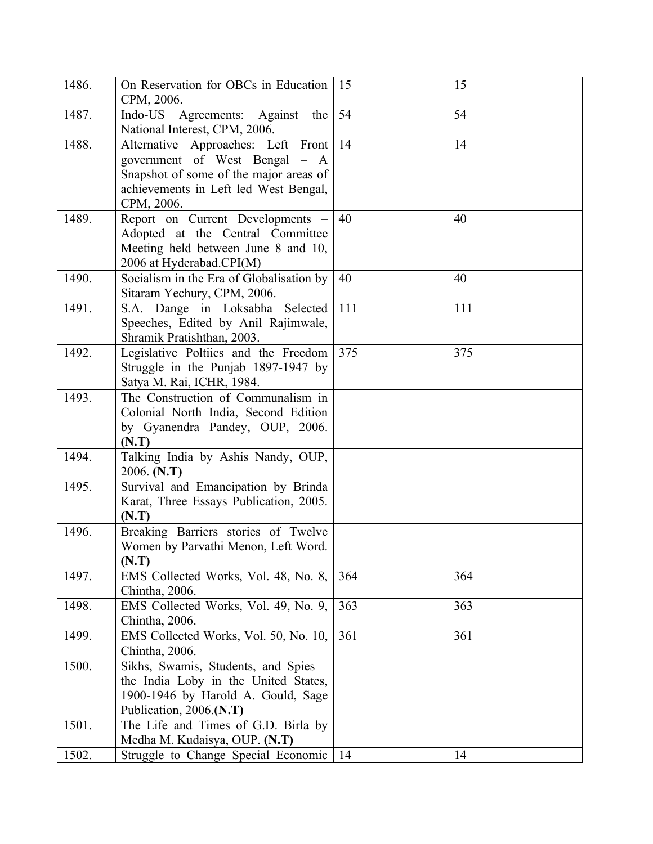| 1486. | On Reservation for OBCs in Education<br>CPM, 2006.                                                                                                                   | 15  | 15  |
|-------|----------------------------------------------------------------------------------------------------------------------------------------------------------------------|-----|-----|
| 1487. | Agreements: Against the<br>Indo-US<br>National Interest, CPM, 2006.                                                                                                  | 54  | 54  |
| 1488. | Alternative Approaches: Left Front<br>government of West Bengal – A<br>Snapshot of some of the major areas of<br>achievements in Left led West Bengal,<br>CPM, 2006. | 14  | 14  |
| 1489. | Report on Current Developments -<br>Adopted at the Central Committee<br>Meeting held between June 8 and 10,<br>2006 at Hyderabad.CPI(M)                              | 40  | 40  |
| 1490. | Socialism in the Era of Globalisation by<br>Sitaram Yechury, CPM, 2006.                                                                                              | 40  | 40  |
| 1491. | S.A. Dange in Loksabha Selected<br>Speeches, Edited by Anil Rajimwale,<br>Shramik Pratishthan, 2003.                                                                 | 111 | 111 |
| 1492. | Legislative Poltiics and the Freedom<br>Struggle in the Punjab 1897-1947 by<br>Satya M. Rai, ICHR, 1984.                                                             | 375 | 375 |
| 1493. | The Construction of Communalism in<br>Colonial North India, Second Edition<br>by Gyanendra Pandey, OUP, 2006.<br>(N.T)                                               |     |     |
| 1494. | Talking India by Ashis Nandy, OUP,<br>2006. (N.T)                                                                                                                    |     |     |
| 1495. | Survival and Emancipation by Brinda<br>Karat, Three Essays Publication, 2005.<br>(N.T)                                                                               |     |     |
| 1496. | Breaking Barriers stories of Twelve<br>Women by Parvathi Menon, Left Word.<br>(N.T)                                                                                  |     |     |
| 1497. | EMS Collected Works, Vol. 48, No. 8,<br>Chintha, 2006.                                                                                                               | 364 | 364 |
| 1498. | EMS Collected Works, Vol. 49, No. 9,<br>Chintha, 2006.                                                                                                               | 363 | 363 |
| 1499. | EMS Collected Works, Vol. 50, No. 10,<br>Chintha, 2006.                                                                                                              | 361 | 361 |
| 1500. | Sikhs, Swamis, Students, and Spies -<br>the India Loby in the United States,<br>1900-1946 by Harold A. Gould, Sage<br>Publication, 2006.(N.T)                        |     |     |
| 1501. | The Life and Times of G.D. Birla by<br>Medha M. Kudaisya, OUP. (N.T)                                                                                                 |     |     |
| 1502. | Struggle to Change Special Economic                                                                                                                                  | 14  | 14  |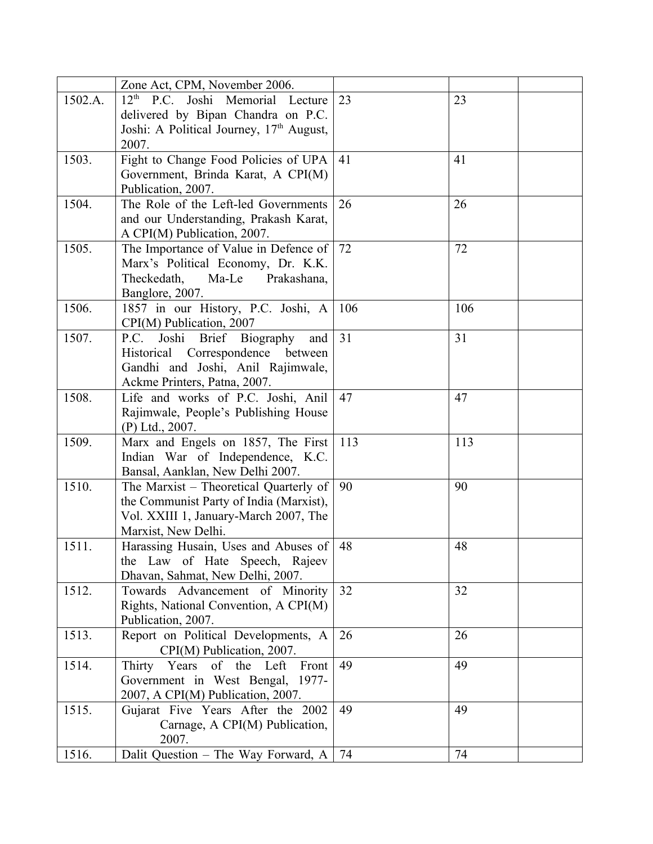|         | Zone Act, CPM, November 2006.                |     |     |
|---------|----------------------------------------------|-----|-----|
| 1502.A. | 12 <sup>th</sup> P.C. Joshi Memorial Lecture | 23  | 23  |
|         | delivered by Bipan Chandra on P.C.           |     |     |
|         | Joshi: A Political Journey, $17th$ August,   |     |     |
|         | 2007.                                        |     |     |
| 1503.   | Fight to Change Food Policies of UPA         | 41  | 41  |
|         | Government, Brinda Karat, A CPI(M)           |     |     |
|         | Publication, 2007.                           |     |     |
| 1504.   | The Role of the Left-led Governments         | 26  | 26  |
|         | and our Understanding, Prakash Karat,        |     |     |
|         | A CPI(M) Publication, 2007.                  |     |     |
| 1505.   | The Importance of Value in Defence of        | 72  | 72  |
|         | Marx's Political Economy, Dr. K.K.           |     |     |
|         | Theckedath,<br>Ma-Le<br>Prakashana,          |     |     |
|         | Banglore, 2007.                              |     |     |
| 1506.   | 1857 in our History, P.C. Joshi, A           | 106 | 106 |
|         | CPI(M) Publication, 2007                     |     |     |
| 1507.   | Joshi Brief Biography<br>P.C.<br>and         | 31  | 31  |
|         | Historical<br>Correspondence between         |     |     |
|         | Gandhi and Joshi, Anil Rajimwale,            |     |     |
|         | Ackme Printers, Patna, 2007.                 |     |     |
| 1508.   | Life and works of P.C. Joshi, Anil           | 47  | 47  |
|         | Rajimwale, People's Publishing House         |     |     |
|         | (P) Ltd., 2007.                              |     |     |
| 1509.   | Marx and Engels on 1857, The First           | 113 | 113 |
|         | Indian War of Independence, K.C.             |     |     |
|         | Bansal, Aanklan, New Delhi 2007.             |     |     |
| 1510.   | The Marxist – Theoretical Quarterly of       | 90  | 90  |
|         | the Communist Party of India (Marxist),      |     |     |
|         | Vol. XXIII 1, January-March 2007, The        |     |     |
|         | Marxist, New Delhi.                          |     |     |
| 1511.   | Harassing Husain, Uses and Abuses of         | 48  | 48  |
|         | the Law of Hate Speech, Rajeev               |     |     |
|         | Dhavan, Sahmat, New Delhi, 2007.             |     |     |
| 1512.   | Towards Advancement of Minority              | 32  | 32  |
|         | Rights, National Convention, A CPI(M)        |     |     |
|         | Publication, 2007.                           |     |     |
| 1513.   | Report on Political Developments, A          | 26  | 26  |
|         | CPI(M) Publication, 2007.                    |     |     |
| 1514.   | Thirty Years of the Left<br>Front            | 49  | 49  |
|         | Government in West Bengal, 1977-             |     |     |
|         | 2007, A CPI(M) Publication, 2007.            |     |     |
| 1515.   | Gujarat Five Years After the 2002            | 49  | 49  |
|         | Carnage, A CPI(M) Publication,               |     |     |
|         | 2007.                                        |     |     |
| 1516.   | Dalit Question - The Way Forward, A          | 74  | 74  |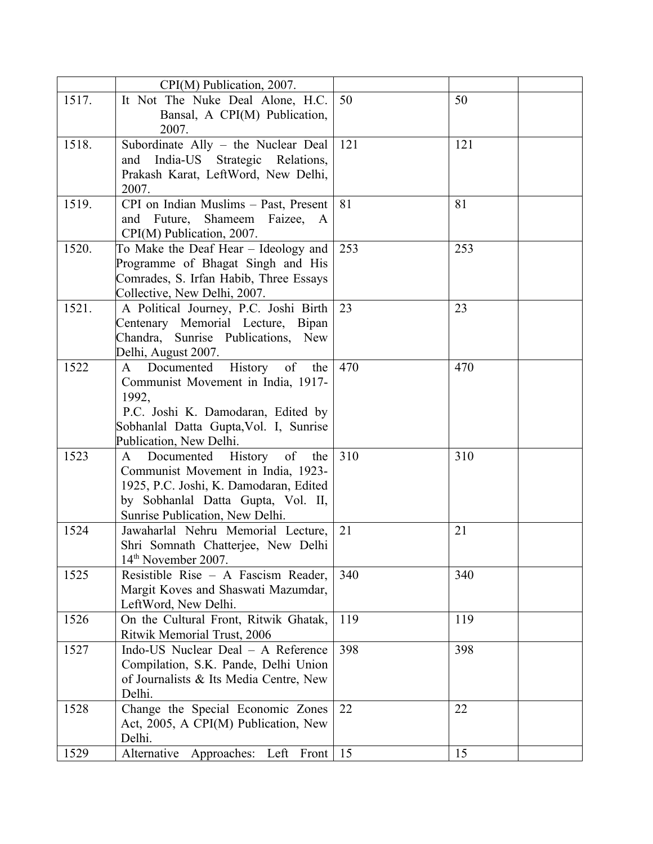|       | CPI(M) Publication, 2007.                    |     |     |
|-------|----------------------------------------------|-----|-----|
| 1517. | It Not The Nuke Deal Alone, H.C.             | 50  | 50  |
|       | Bansal, A CPI(M) Publication,                |     |     |
|       | 2007.                                        |     |     |
| 1518. | Subordinate Ally - the Nuclear Deal          | 121 | 121 |
|       | and India-US Strategic Relations,            |     |     |
|       | Prakash Karat, LeftWord, New Delhi,          |     |     |
|       | 2007.                                        |     |     |
| 1519. | CPI on Indian Muslims - Past, Present        | 81  | 81  |
|       | Future,<br>Shameem Faizee, A<br>and          |     |     |
|       | CPI(M) Publication, 2007.                    |     |     |
| 1520. | To Make the Deaf Hear – Ideology and         | 253 | 253 |
|       | Programme of Bhagat Singh and His            |     |     |
|       | Comrades, S. Irfan Habib, Three Essays       |     |     |
|       | Collective, New Delhi, 2007.                 |     |     |
| 1521. | A Political Journey, P.C. Joshi Birth        | 23  | 23  |
|       | Centenary Memorial Lecture, Bipan            |     |     |
|       | Chandra, Sunrise Publications, New           |     |     |
|       | Delhi, August 2007.                          |     |     |
| 1522  | History of the<br>Documented<br>A            | 470 | 470 |
|       | Communist Movement in India, 1917-           |     |     |
|       | 1992,                                        |     |     |
|       | P.C. Joshi K. Damodaran, Edited by           |     |     |
|       | Sobhanlal Datta Gupta, Vol. I, Sunrise       |     |     |
|       | Publication, New Delhi.                      |     |     |
| 1523  | Documented History of<br>$\mathbf{A}$<br>the | 310 | 310 |
|       | Communist Movement in India, 1923-           |     |     |
|       | 1925, P.C. Joshi, K. Damodaran, Edited       |     |     |
|       | by Sobhanlal Datta Gupta, Vol. II,           |     |     |
|       | Sunrise Publication, New Delhi.              |     |     |
| 1524  | Jawaharlal Nehru Memorial Lecture,           | 21  | 21  |
|       | Shri Somnath Chatterjee, New Delhi           |     |     |
|       | 14 <sup>th</sup> November 2007.              |     |     |
| 1525  | Resistible Rise - A Fascism Reader,          | 340 | 340 |
|       | Margit Koves and Shaswati Mazumdar,          |     |     |
|       | LeftWord, New Delhi.                         |     |     |
| 1526  | On the Cultural Front, Ritwik Ghatak,        | 119 | 119 |
|       | Ritwik Memorial Trust, 2006                  |     |     |
| 1527  | Indo-US Nuclear Deal - A Reference           | 398 | 398 |
|       | Compilation, S.K. Pande, Delhi Union         |     |     |
|       | of Journalists & Its Media Centre, New       |     |     |
|       | Delhi.                                       |     |     |
| 1528  | Change the Special Economic Zones            | 22  | 22  |
|       | Act, 2005, A CPI(M) Publication, New         |     |     |
|       | Delhi.                                       |     |     |
| 1529  | Alternative Approaches: Left Front   15      |     | 15  |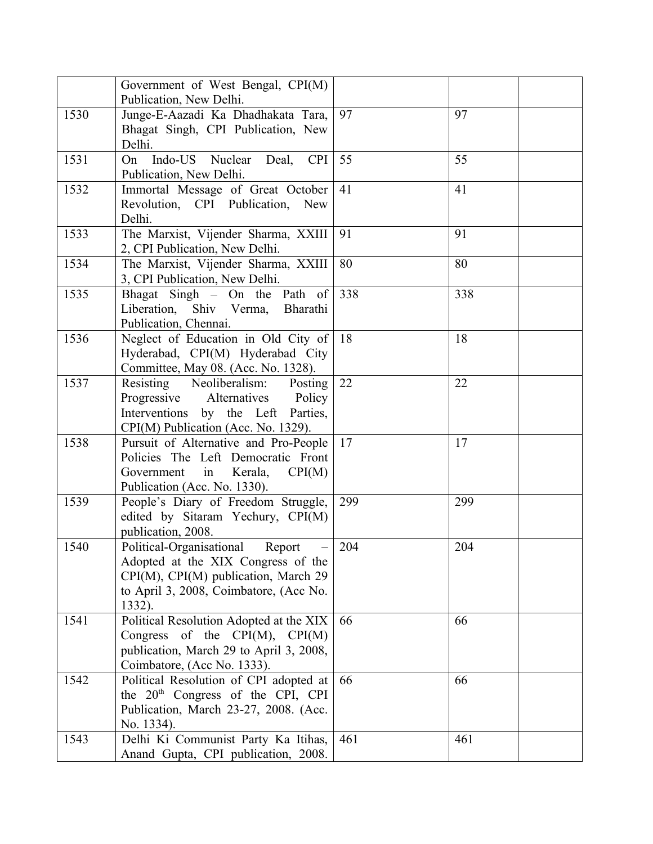|      | Government of West Bengal, CPI(M)<br>Publication, New Delhi.                                                                                                           |     |     |
|------|------------------------------------------------------------------------------------------------------------------------------------------------------------------------|-----|-----|
| 1530 | Junge-E-Aazadi Ka Dhadhakata Tara,<br>Bhagat Singh, CPI Publication, New<br>Delhi.                                                                                     | 97  | 97  |
| 1531 | Indo-US Nuclear<br>Deal,<br><b>CPI</b><br>On<br>Publication, New Delhi.                                                                                                | 55  | 55  |
| 1532 | Immortal Message of Great October<br>Revolution, CPI Publication,<br>New<br>Delhi.                                                                                     | 41  | 41  |
| 1533 | The Marxist, Vijender Sharma, XXIII<br>2, CPI Publication, New Delhi.                                                                                                  | 91  | 91  |
| 1534 | The Marxist, Vijender Sharma, XXIII<br>3, CPI Publication, New Delhi.                                                                                                  | 80  | 80  |
| 1535 | Bhagat Singh $-$ On the Path of<br>Liberation, Shiv Verma,<br>Bharathi<br>Publication, Chennai.                                                                        | 338 | 338 |
| 1536 | Neglect of Education in Old City of<br>Hyderabad, CPI(M) Hyderabad City<br>Committee, May 08. (Acc. No. 1328).                                                         | 18  | 18  |
| 1537 | Resisting<br>Neoliberalism:<br>Posting<br>Progressive Alternatives<br>Policy<br>Interventions by the Left Parties,<br>CPI(M) Publication (Acc. No. 1329).              | 22  | 22  |
| 1538 | Pursuit of Alternative and Pro-People<br>Policies The Left Democratic Front<br>Government<br>in<br>Kerala,<br>CPI(M)<br>Publication (Acc. No. 1330).                   | 17  | 17  |
| 1539 | People's Diary of Freedom Struggle,<br>edited by Sitaram Yechury, CPI(M)<br>publication, 2008.                                                                         | 299 | 299 |
| 1540 | Political-Organisational<br>Report<br>Adopted at the XIX Congress of the<br>CPI(M), CPI(M) publication, March 29<br>to April 3, 2008, Coimbatore, (Acc No.<br>1332).   | 204 | 204 |
| 1541 | Political Resolution Adopted at the XIX<br>Congress of the $\text{CPI}(M)$ , $\text{CPI}(M)$<br>publication, March 29 to April 3, 2008,<br>Coimbatore, (Acc No. 1333). | 66  | 66  |
| 1542 | Political Resolution of CPI adopted at<br>the $20th$ Congress of the CPI, CPI<br>Publication, March 23-27, 2008. (Acc.<br>No. 1334).                                   | 66  | 66  |
| 1543 | Delhi Ki Communist Party Ka Itihas,<br>Anand Gupta, CPI publication, 2008.                                                                                             | 461 | 461 |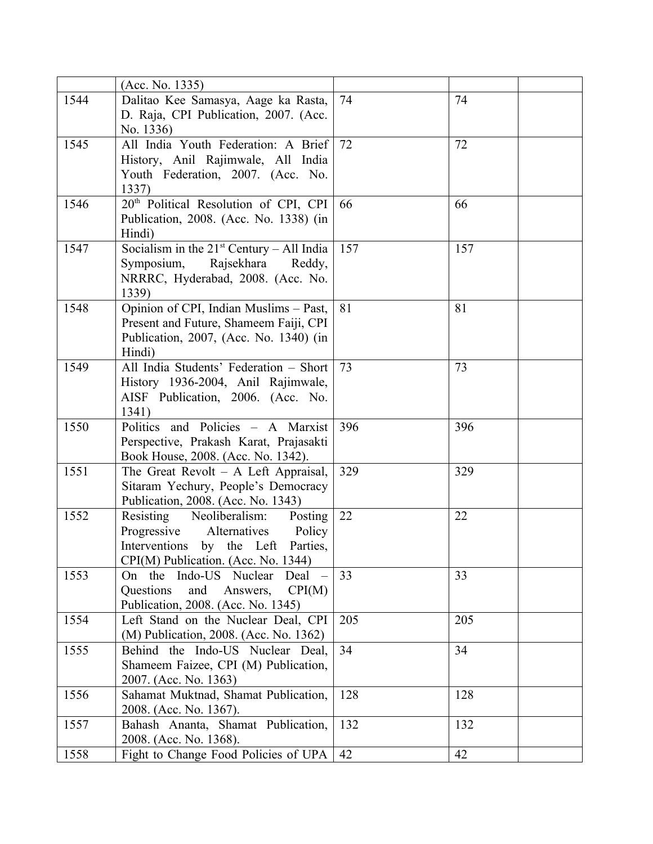|      | (Acc. No. 1335)                                   |     |     |
|------|---------------------------------------------------|-----|-----|
| 1544 | Dalitao Kee Samasya, Aage ka Rasta,               | 74  | 74  |
|      | D. Raja, CPI Publication, 2007. (Acc.             |     |     |
|      | No. 1336)                                         |     |     |
| 1545 | All India Youth Federation: A Brief               | 72  | 72  |
|      | History, Anil Rajimwale, All India                |     |     |
|      | Youth Federation, 2007. (Acc. No.                 |     |     |
|      | 1337)                                             |     |     |
| 1546 | 20 <sup>th</sup> Political Resolution of CPI, CPI | 66  | 66  |
|      | Publication, 2008. (Acc. No. 1338) (in            |     |     |
|      | Hindi)                                            |     |     |
| 1547 | Socialism in the $21st$ Century – All India       | 157 | 157 |
|      | Symposium,<br>Rajsekhara<br>Reddy,                |     |     |
|      | NRRRC, Hyderabad, 2008. (Acc. No.                 |     |     |
|      | 1339)                                             |     |     |
| 1548 | Opinion of CPI, Indian Muslims - Past,            | 81  | 81  |
|      | Present and Future, Shameem Faiji, CPI            |     |     |
|      | Publication, 2007, (Acc. No. 1340) (in            |     |     |
|      | Hindi)                                            |     |     |
| 1549 | All India Students' Federation - Short            | 73  | 73  |
|      | History 1936-2004, Anil Rajimwale,                |     |     |
|      | AISF Publication, 2006. (Acc. No.                 |     |     |
|      | 1341)                                             |     |     |
| 1550 | Politics and Policies - A Marxist                 | 396 | 396 |
|      | Perspective, Prakash Karat, Prajasakti            |     |     |
|      | Book House, 2008. (Acc. No. 1342).                |     |     |
| 1551 | The Great Revolt $-$ A Left Appraisal,            | 329 | 329 |
|      | Sitaram Yechury, People's Democracy               |     |     |
|      | Publication, 2008. (Acc. No. 1343)                |     |     |
| 1552 | Neoliberalism:<br>Resisting<br>Posting            | 22  | 22  |
|      | Progressive<br>Alternatives<br>Policy             |     |     |
|      | Interventions by the Left Parties,                |     |     |
|      | CPI(M) Publication. (Acc. No. 1344)               |     |     |
| 1553 | On the Indo-US Nuclear<br>Deal                    | 33  | 33  |
|      | Questions<br>and<br>CPI(M)<br>Answers,            |     |     |
|      | Publication, 2008. (Acc. No. 1345)                |     |     |
| 1554 | Left Stand on the Nuclear Deal, CPI               | 205 | 205 |
|      | (M) Publication, 2008. (Acc. No. 1362)            |     |     |
| 1555 | Behind the Indo-US Nuclear Deal,                  | 34  | 34  |
|      | Shameem Faizee, CPI (M) Publication,              |     |     |
|      | 2007. (Acc. No. 1363)                             |     |     |
| 1556 | Sahamat Muktnad, Shamat Publication,              | 128 | 128 |
|      | 2008. (Acc. No. 1367).                            |     |     |
| 1557 | Bahash Ananta, Shamat Publication,                | 132 | 132 |
|      | 2008. (Acc. No. 1368).                            |     |     |
| 1558 | Fight to Change Food Policies of UPA              | 42  | 42  |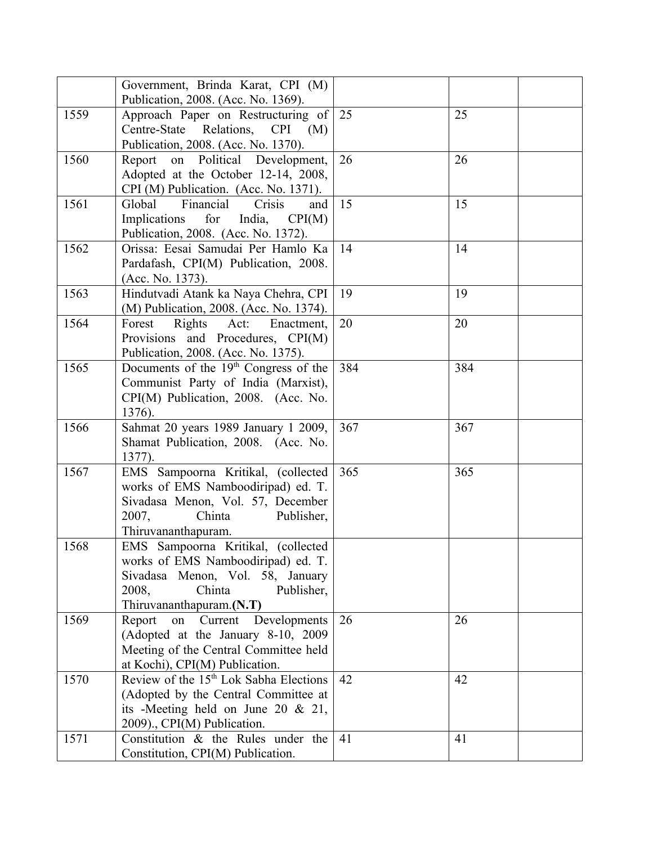|      | Government, Brinda Karat, CPI (M)<br>Publication, 2008. (Acc. No. 1369).                                                                                                  |     |     |  |
|------|---------------------------------------------------------------------------------------------------------------------------------------------------------------------------|-----|-----|--|
| 1559 | Approach Paper on Restructuring of<br>Centre-State Relations, CPI<br>(M)<br>Publication, 2008. (Acc. No. 1370).                                                           | 25  | 25  |  |
| 1560 | Political Development,<br>Report<br>on<br>Adopted at the October 12-14, 2008,<br>CPI (M) Publication. (Acc. No. 1371).                                                    | 26  | 26  |  |
| 1561 | Financial<br>Global<br>Crisis<br>and<br>Implications<br>for<br>India,<br>CPI(M)<br>Publication, 2008. (Acc. No. 1372).                                                    | 15  | 15  |  |
| 1562 | Orissa: Eesai Samudai Per Hamlo Ka<br>Pardafash, CPI(M) Publication, 2008.<br>(Acc. No. 1373).                                                                            | 14  | 14  |  |
| 1563 | Hindutvadi Atank ka Naya Chehra, CPI<br>(M) Publication, 2008. (Acc. No. 1374).                                                                                           | 19  | 19  |  |
| 1564 | Forest<br>Rights Act:<br>Enactment,<br>Provisions and Procedures, CPI(M)<br>Publication, 2008. (Acc. No. 1375).                                                           | 20  | 20  |  |
| 1565 | Documents of the $19th$ Congress of the<br>Communist Party of India (Marxist),<br>CPI(M) Publication, 2008. (Acc. No.<br>1376).                                           | 384 | 384 |  |
| 1566 | Sahmat 20 years 1989 January 1 2009,<br>Shamat Publication, 2008. (Acc. No.<br>1377).                                                                                     | 367 | 367 |  |
| 1567 | EMS Sampoorna Kritikal, (collected<br>works of EMS Namboodiripad) ed. T.<br>Sivadasa Menon, Vol. 57, December<br>Chinta<br>2007,<br>Publisher,<br>Thiruvananthapuram.     | 365 | 365 |  |
| 1568 | EMS Sampoorna Kritikal, (collected<br>works of EMS Namboodiripad) ed. T.<br>Sivadasa Menon, Vol. 58, January<br>2008,<br>Chinta<br>Publisher,<br>Thiruvananthapuram.(N.T) |     |     |  |
| 1569 | Developments<br>Report<br>Current<br>on<br>(Adopted at the January 8-10, 2009)<br>Meeting of the Central Committee held<br>at Kochi), CPI(M) Publication.                 | 26  | 26  |  |
| 1570 | Review of the 15 <sup>th</sup> Lok Sabha Elections<br>(Adopted by the Central Committee at<br>its -Meeting held on June 20 $& 21,$<br>2009)., CPI(M) Publication.         | 42  | 42  |  |
| 1571 | Constitution & the Rules under the<br>Constitution, CPI(M) Publication.                                                                                                   | 41  | 41  |  |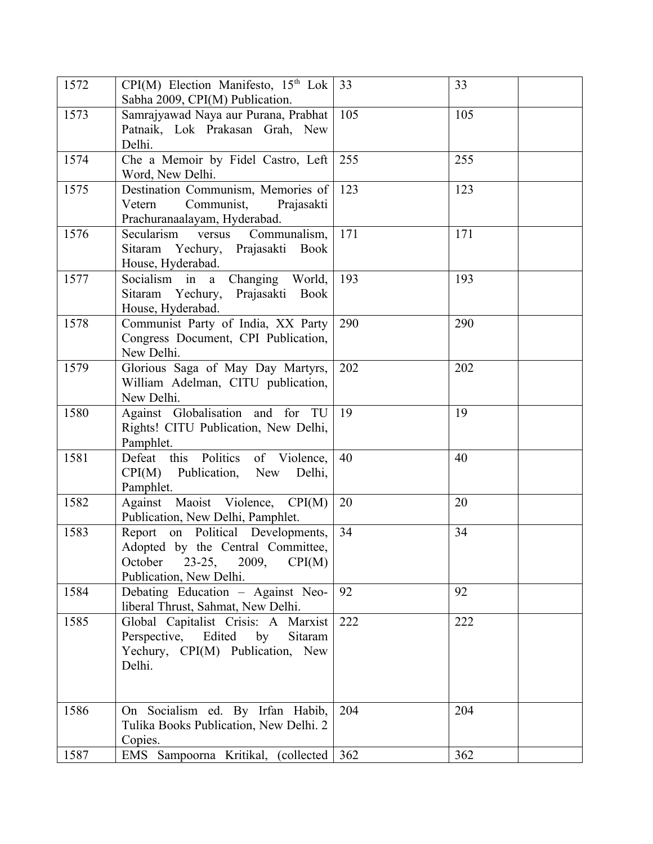| 1572 | $CPI(M)$ Election Manifesto, $15th$ Lok<br>Sabha 2009, CPI(M) Publication.                                                             | 33  | 33  |
|------|----------------------------------------------------------------------------------------------------------------------------------------|-----|-----|
| 1573 | Samrajyawad Naya aur Purana, Prabhat<br>Patnaik, Lok Prakasan Grah, New<br>Delhi.                                                      | 105 | 105 |
| 1574 | Che a Memoir by Fidel Castro, Left<br>Word, New Delhi.                                                                                 | 255 | 255 |
| 1575 | Destination Communism, Memories of<br>Vetern<br>Communist,<br>Prajasakti<br>Prachuranaalayam, Hyderabad.                               | 123 | 123 |
| 1576 | Secularism versus<br>Communalism,<br>Sitaram Yechury, Prajasakti Book<br>House, Hyderabad.                                             | 171 | 171 |
| 1577 | Socialism in a Changing World,<br>Sitaram Yechury, Prajasakti Book<br>House, Hyderabad.                                                | 193 | 193 |
| 1578 | Communist Party of India, XX Party<br>Congress Document, CPI Publication,<br>New Delhi.                                                | 290 | 290 |
| 1579 | Glorious Saga of May Day Martyrs,<br>William Adelman, CITU publication,<br>New Delhi.                                                  | 202 | 202 |
| 1580 | Against Globalisation and for TU<br>Rights! CITU Publication, New Delhi,<br>Pamphlet.                                                  | 19  | 19  |
| 1581 | Defeat this Politics of Violence,<br>CPI(M)<br>Publication, New<br>Delhi,<br>Pamphlet.                                                 | 40  | 40  |
| 1582 | Against Maoist Violence, CPI(M)<br>Publication, New Delhi, Pamphlet.                                                                   | 20  | 20  |
| 1583 | Report on Political Developments,<br>Adopted by the Central Committee,<br>23-25, 2009,<br>CPI(M)<br>October<br>Publication, New Delhi. | 34  | 34  |
| 1584 | Debating Education - Against Neo-<br>liberal Thrust, Sahmat, New Delhi.                                                                | 92  | 92  |
| 1585 | Global Capitalist Crisis: A Marxist<br>Perspective, Edited by<br>Sitaram<br>Yechury, CPI(M) Publication, New<br>Delhi.                 | 222 | 222 |
| 1586 | On Socialism ed. By Irfan Habib,<br>Tulika Books Publication, New Delhi. 2<br>Copies.                                                  | 204 | 204 |
| 1587 | EMS Sampoorna Kritikal, (collected                                                                                                     | 362 | 362 |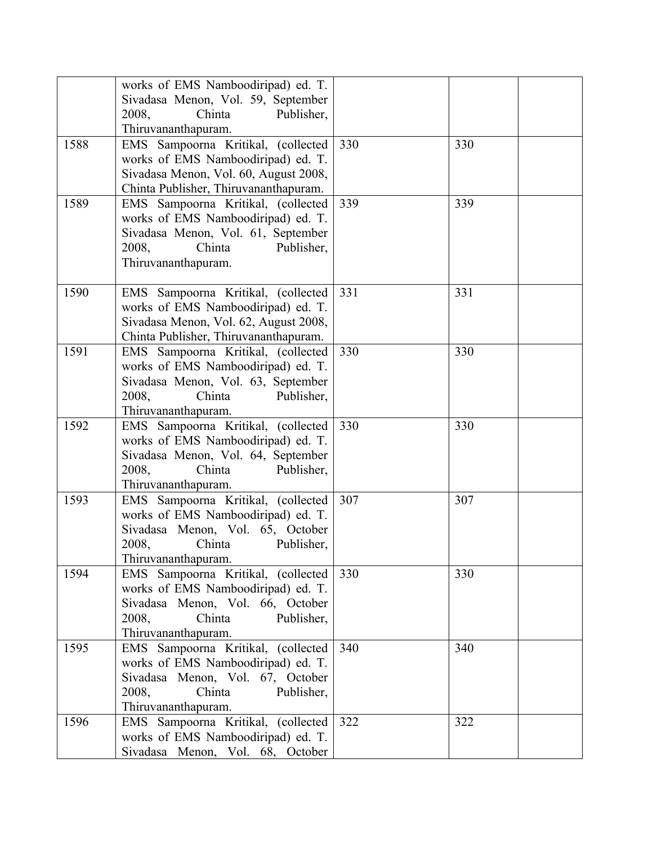|      | works of EMS Namboodiripad) ed. T.<br>Sivadasa Menon, Vol. 59, September<br>Publisher,<br>2008,<br>Chinta<br>Thiruvananthapuram.                                       |     |     |
|------|------------------------------------------------------------------------------------------------------------------------------------------------------------------------|-----|-----|
| 1588 | EMS Sampoorna Kritikal, (collected<br>works of EMS Namboodiripad) ed. T.<br>Sivadasa Menon, Vol. 60, August 2008,<br>Chinta Publisher, Thiruvananthapuram.             | 330 | 330 |
| 1589 | EMS Sampoorna Kritikal, (collected<br>works of EMS Namboodiripad) ed. T.<br>Sivadasa Menon, Vol. 61, September<br>2008,<br>Chinta<br>Publisher,<br>Thiruvananthapuram. | 339 | 339 |
| 1590 | EMS Sampoorna Kritikal, (collected<br>works of EMS Namboodiripad) ed. T.<br>Sivadasa Menon, Vol. 62, August 2008,<br>Chinta Publisher, Thiruvananthapuram.             | 331 | 331 |
| 1591 | EMS Sampoorna Kritikal, (collected<br>works of EMS Namboodiripad) ed. T.<br>Sivadasa Menon, Vol. 63, September<br>2008,<br>Chinta<br>Publisher,<br>Thiruvananthapuram. | 330 | 330 |
| 1592 | EMS Sampoorna Kritikal, (collected<br>works of EMS Namboodiripad) ed. T.<br>Sivadasa Menon, Vol. 64, September<br>Chinta<br>Publisher,<br>2008,<br>Thiruvananthapuram. | 330 | 330 |
| 1593 | EMS Sampoorna Kritikal, (collected<br>works of EMS Namboodiripad) ed. T.<br>Sivadasa Menon, Vol. 65, October<br>2008,<br>Publisher,<br>Chinta<br>Thiruvananthapuram.   | 307 | 307 |
| 1594 | EMS Sampoorna Kritikal, (collected<br>works of EMS Namboodiripad) ed. T.<br>Sivadasa Menon, Vol. 66, October<br>Chinta<br>Publisher,<br>2008,<br>Thiruvananthapuram.   | 330 | 330 |
| 1595 | EMS Sampoorna Kritikal, (collected<br>works of EMS Namboodiripad) ed. T.<br>Sivadasa Menon, Vol. 67, October<br>2008,<br>Chinta<br>Publisher,<br>Thiruvananthapuram.   | 340 | 340 |
| 1596 | EMS Sampoorna Kritikal, (collected<br>works of EMS Namboodiripad) ed. T.<br>Sivadasa Menon, Vol. 68, October                                                           | 322 | 322 |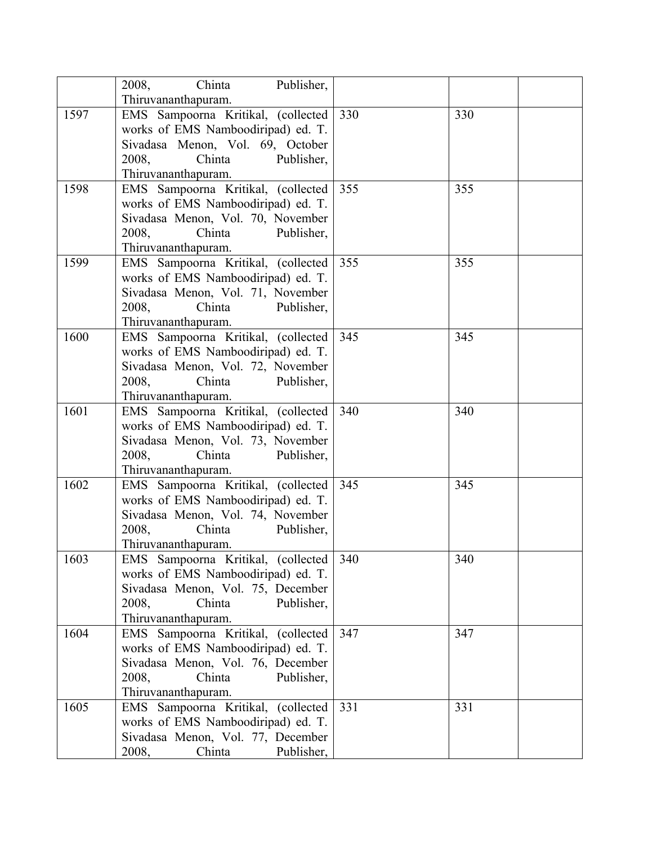|      | Chinta Publisher,<br>2008,         |     |     |
|------|------------------------------------|-----|-----|
|      | Thiruvananthapuram.                |     |     |
| 1597 | EMS Sampoorna Kritikal, (collected | 330 | 330 |
|      | works of EMS Namboodiripad) ed. T. |     |     |
|      | Sivadasa Menon, Vol. 69, October   |     |     |
|      | Chinta<br>2008,<br>Publisher,      |     |     |
|      | Thiruvananthapuram.                |     |     |
| 1598 | EMS Sampoorna Kritikal, (collected | 355 | 355 |
|      | works of EMS Namboodiripad) ed. T. |     |     |
|      | Sivadasa Menon, Vol. 70, November  |     |     |
|      | 2008,<br>Chinta<br>Publisher,      |     |     |
|      | Thiruvananthapuram.                |     |     |
| 1599 | EMS Sampoorna Kritikal, (collected | 355 | 355 |
|      | works of EMS Namboodiripad) ed. T. |     |     |
|      | Sivadasa Menon, Vol. 71, November  |     |     |
|      | 2008,<br>Chinta<br>Publisher,      |     |     |
|      | Thiruvananthapuram.                |     |     |
| 1600 | EMS Sampoorna Kritikal, (collected | 345 | 345 |
|      | works of EMS Namboodiripad) ed. T. |     |     |
|      | Sivadasa Menon, Vol. 72, November  |     |     |
|      | Chinta<br>Publisher,<br>2008,      |     |     |
|      | Thiruvananthapuram.                |     |     |
| 1601 | EMS Sampoorna Kritikal, (collected | 340 | 340 |
|      | works of EMS Namboodiripad) ed. T. |     |     |
|      | Sivadasa Menon, Vol. 73, November  |     |     |
|      | 2008,<br>Chinta<br>Publisher,      |     |     |
|      | Thiruvananthapuram.                |     |     |
| 1602 | EMS Sampoorna Kritikal, (collected | 345 | 345 |
|      | works of EMS Namboodiripad) ed. T. |     |     |
|      | Sivadasa Menon, Vol. 74, November  |     |     |
|      | Chinta<br>2008,<br>Publisher,      |     |     |
|      | Thiruvananthapuram.                |     |     |
| 1603 | EMS Sampoorna Kritikal, (collected | 340 | 340 |
|      | works of EMS Namboodiripad) ed. T. |     |     |
|      | Sivadasa Menon, Vol. 75, December  |     |     |
|      | 2008,<br>Chinta<br>Publisher,      |     |     |
|      | Thiruvananthapuram.                |     |     |
| 1604 | EMS Sampoorna Kritikal, (collected | 347 | 347 |
|      | works of EMS Namboodiripad) ed. T. |     |     |
|      | Sivadasa Menon, Vol. 76, December  |     |     |
|      | 2008,<br>Chinta<br>Publisher,      |     |     |
|      | Thiruvananthapuram.                |     |     |
| 1605 | EMS Sampoorna Kritikal, (collected | 331 | 331 |
|      | works of EMS Namboodiripad) ed. T. |     |     |
|      | Sivadasa Menon, Vol. 77, December  |     |     |
|      | 2008,<br>Chinta<br>Publisher,      |     |     |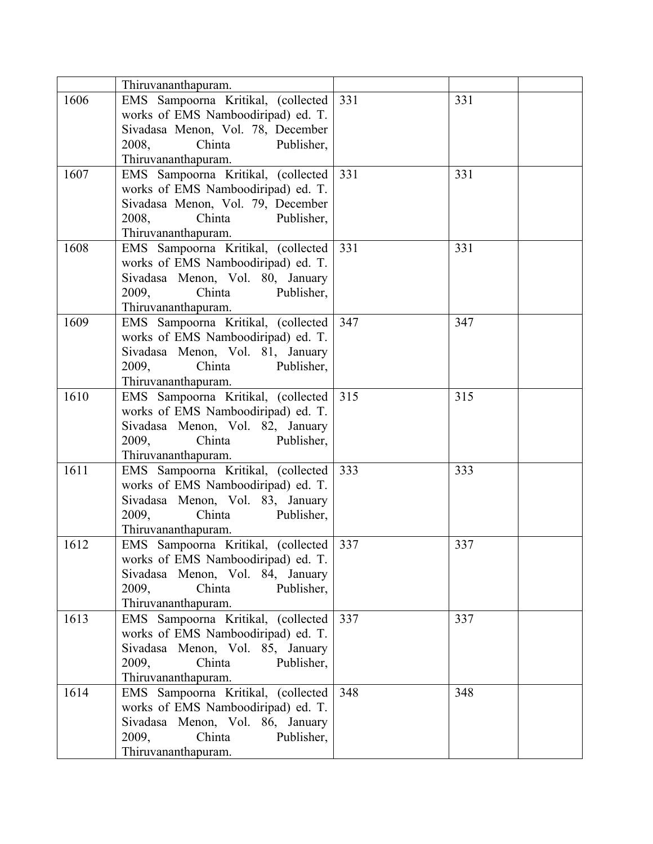|      | Thiruvananthapuram.                                       |     |     |
|------|-----------------------------------------------------------|-----|-----|
| 1606 | EMS Sampoorna Kritikal, (collected                        | 331 | 331 |
|      | works of EMS Namboodiripad) ed. T.                        |     |     |
|      | Sivadasa Menon, Vol. 78, December                         |     |     |
|      | Chinta<br>2008,<br>Publisher,                             |     |     |
|      | Thiruvananthapuram.                                       |     |     |
| 1607 | EMS Sampoorna Kritikal, (collected                        | 331 | 331 |
|      | works of EMS Namboodiripad) ed. T.                        |     |     |
|      | Sivadasa Menon, Vol. 79, December                         |     |     |
|      | 2008,<br>Chinta<br>Publisher,                             |     |     |
|      | Thiruvananthapuram.                                       |     |     |
| 1608 | EMS Sampoorna Kritikal, (collected                        | 331 | 331 |
|      | works of EMS Namboodiripad) ed. T.                        |     |     |
|      | Sivadasa Menon, Vol. 80, January                          |     |     |
|      | Chinta<br>Publisher,<br>2009,                             |     |     |
|      | Thiruvananthapuram.                                       |     |     |
| 1609 | EMS Sampoorna Kritikal, (collected                        | 347 | 347 |
|      | works of EMS Namboodiripad) ed. T.                        |     |     |
|      | Sivadasa Menon, Vol. 81, January                          |     |     |
|      | 2009,<br>Chinta<br>Publisher,                             |     |     |
|      | Thiruvananthapuram.                                       |     |     |
| 1610 | EMS Sampoorna Kritikal, (collected                        | 315 | 315 |
|      | works of EMS Namboodiripad) ed. T.                        |     |     |
|      | Sivadasa Menon, Vol. 82, January                          |     |     |
|      | Chinta<br>2009,<br>Publisher,                             |     |     |
|      | Thiruvananthapuram.                                       |     |     |
| 1611 | EMS Sampoorna Kritikal, (collected                        | 333 | 333 |
|      | works of EMS Namboodiripad) ed. T.                        |     |     |
|      | Sivadasa Menon, Vol. 83, January                          |     |     |
|      | 2009,<br>Chinta<br>Publisher,                             |     |     |
|      | Thiruvananthapuram.                                       |     |     |
| 1612 | EMS Sampoorna Kritikal, (collected                        | 337 | 337 |
|      | works of EMS Namboodiripad) ed. T.                        |     |     |
|      | Sivadasa Menon, Vol. 84, January                          |     |     |
|      | 2009,<br>Chinta<br>Publisher,                             |     |     |
|      | Thiruvananthapuram.                                       |     |     |
| 1613 | EMS Sampoorna Kritikal, (collected                        | 337 | 337 |
|      | works of EMS Namboodiripad) ed. T.                        |     |     |
|      | Sivadasa Menon, Vol. 85, January                          |     |     |
|      | Chinta<br>2009,<br>Publisher,                             |     |     |
| 1614 | Thiruvananthapuram.<br>EMS Sampoorna Kritikal, (collected | 348 | 348 |
|      | works of EMS Namboodiripad) ed. T.                        |     |     |
|      | Sivadasa Menon, Vol. 86, January                          |     |     |
|      | 2009,<br>Chinta<br>Publisher,                             |     |     |
|      | Thiruvananthapuram.                                       |     |     |
|      |                                                           |     |     |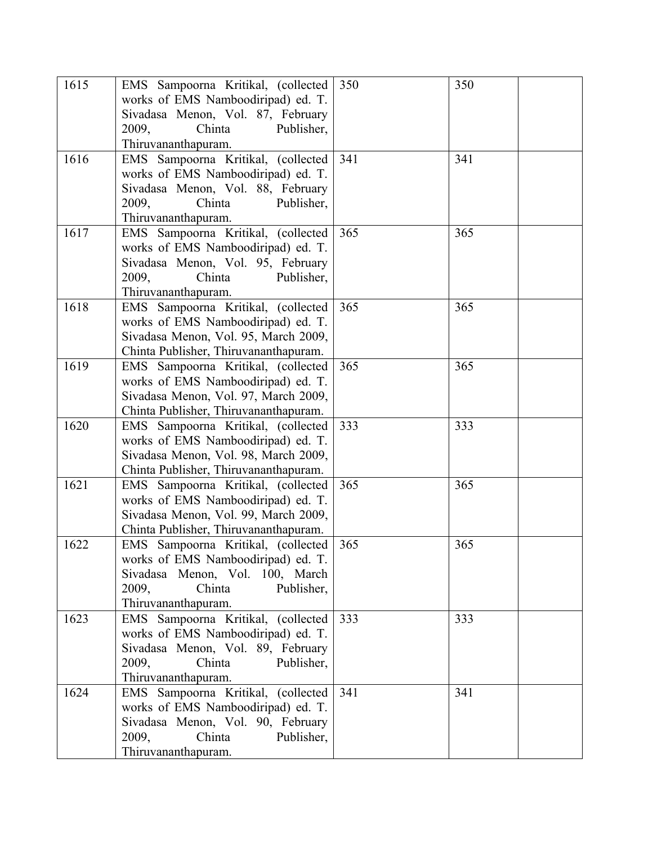| 1615 | EMS Sampoorna Kritikal, (collected<br>works of EMS Namboodiripad) ed. T.<br>Sivadasa Menon, Vol. 87, February<br>Publisher,<br>2009,<br>Chinta<br>Thiruvananthapuram. | 350 | 350 |
|------|-----------------------------------------------------------------------------------------------------------------------------------------------------------------------|-----|-----|
| 1616 | EMS Sampoorna Kritikal, (collected<br>works of EMS Namboodiripad) ed. T.<br>Sivadasa Menon, Vol. 88, February<br>Chinta<br>Publisher,<br>2009,<br>Thiruvananthapuram. | 341 | 341 |
| 1617 | EMS Sampoorna Kritikal, (collected<br>works of EMS Namboodiripad) ed. T.<br>Sivadasa Menon, Vol. 95, February<br>Publisher,<br>2009,<br>Chinta<br>Thiruvananthapuram. | 365 | 365 |
| 1618 | EMS Sampoorna Kritikal, (collected<br>works of EMS Namboodiripad) ed. T.<br>Sivadasa Menon, Vol. 95, March 2009,<br>Chinta Publisher, Thiruvananthapuram.             | 365 | 365 |
| 1619 | EMS Sampoorna Kritikal, (collected<br>works of EMS Namboodiripad) ed. T.<br>Sivadasa Menon, Vol. 97, March 2009,<br>Chinta Publisher, Thiruvananthapuram.             | 365 | 365 |
| 1620 | EMS Sampoorna Kritikal, (collected<br>works of EMS Namboodiripad) ed. T.<br>Sivadasa Menon, Vol. 98, March 2009,<br>Chinta Publisher, Thiruvananthapuram.             | 333 | 333 |
| 1621 | EMS Sampoorna Kritikal, (collected<br>works of EMS Namboodiripad) ed. T.<br>Sivadasa Menon, Vol. 99, March 2009,<br>Chinta Publisher, Thiruvananthapuram.             | 365 | 365 |
| 1622 | EMS Sampoorna Kritikal, (collected<br>works of EMS Namboodiripad) ed. T.<br>Sivadasa Menon, Vol. 100, March<br>2009,<br>Chinta<br>Publisher,<br>Thiruvananthapuram.   | 365 | 365 |
| 1623 | EMS Sampoorna Kritikal, (collected<br>works of EMS Namboodiripad) ed. T.<br>Sivadasa Menon, Vol. 89, February<br>2009,<br>Chinta<br>Publisher,<br>Thiruvananthapuram. | 333 | 333 |
| 1624 | EMS Sampoorna Kritikal, (collected<br>works of EMS Namboodiripad) ed. T.<br>Sivadasa Menon, Vol. 90, February<br>2009,<br>Chinta<br>Publisher,<br>Thiruvananthapuram. | 341 | 341 |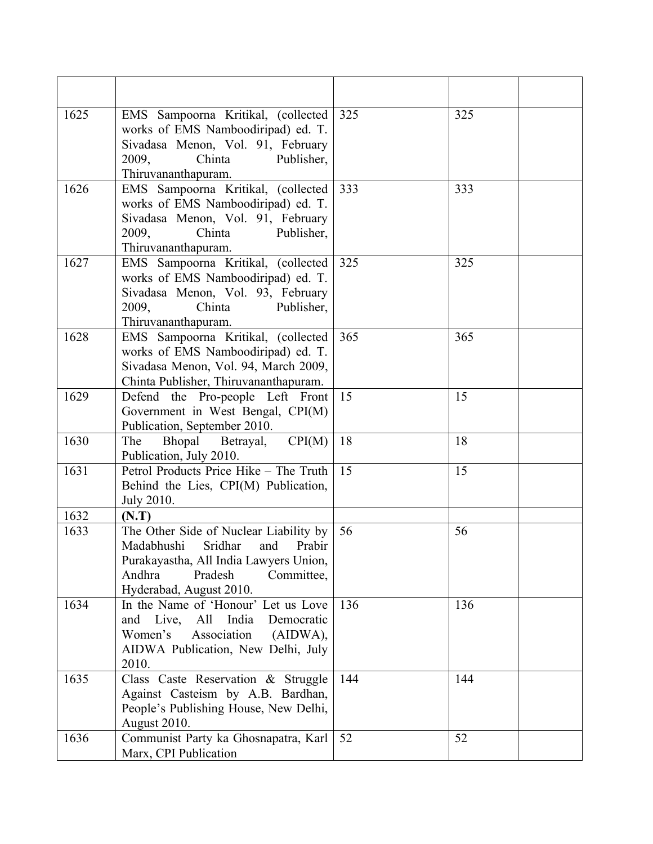| 1625 | EMS Sampoorna Kritikal, (collected<br>works of EMS Namboodiripad) ed. T.<br>Sivadasa Menon, Vol. 91, February<br>2009,<br>Chinta<br>Publisher,<br>Thiruvananthapuram.                    | 325 | 325 |  |
|------|------------------------------------------------------------------------------------------------------------------------------------------------------------------------------------------|-----|-----|--|
| 1626 | EMS Sampoorna Kritikal, (collected<br>works of EMS Namboodiripad) ed. T.<br>Sivadasa Menon, Vol. 91, February<br>2009,<br>Chinta<br>Publisher,<br>Thiruvananthapuram.                    | 333 | 333 |  |
| 1627 | EMS Sampoorna Kritikal, (collected<br>works of EMS Namboodiripad) ed. T.<br>Sivadasa Menon, Vol. 93, February<br>2009,<br>Publisher,<br>Chinta<br>Thiruvananthapuram.                    | 325 | 325 |  |
| 1628 | EMS Sampoorna Kritikal, (collected<br>works of EMS Namboodiripad) ed. T.<br>Sivadasa Menon, Vol. 94, March 2009,<br>Chinta Publisher, Thiruvananthapuram.                                | 365 | 365 |  |
| 1629 | Defend the Pro-people Left Front<br>Government in West Bengal, CPI(M)<br>Publication, September 2010.                                                                                    | 15  | 15  |  |
| 1630 | CPI(M)<br>Bhopal<br>The<br>Betrayal,<br>Publication, July 2010.                                                                                                                          | 18  | 18  |  |
| 1631 | Petrol Products Price Hike - The Truth<br>Behind the Lies, CPI(M) Publication,<br>July 2010.                                                                                             | 15  | 15  |  |
| 1632 | (N.T)                                                                                                                                                                                    |     |     |  |
| 1633 | The Other Side of Nuclear Liability by<br>Madabhushi<br>Sridhar<br>Prabir<br>and<br>Purakayastha, All India Lawyers Union,<br>Andhra<br>Pradesh<br>Committee,<br>Hyderabad, August 2010. | 56  | 56  |  |
| 1634 | In the Name of 'Honour' Let us Love<br>All<br>India<br>Live,<br>Democratic<br>and<br>Women's<br>Association<br>(AIDWA),<br>AIDWA Publication, New Delhi, July<br>2010.                   | 136 | 136 |  |
| 1635 | Class Caste Reservation & Struggle<br>Against Casteism by A.B. Bardhan,<br>People's Publishing House, New Delhi,<br>August 2010.                                                         | 144 | 144 |  |
| 1636 | Communist Party ka Ghosnapatra, Karl<br>Marx, CPI Publication                                                                                                                            | 52  | 52  |  |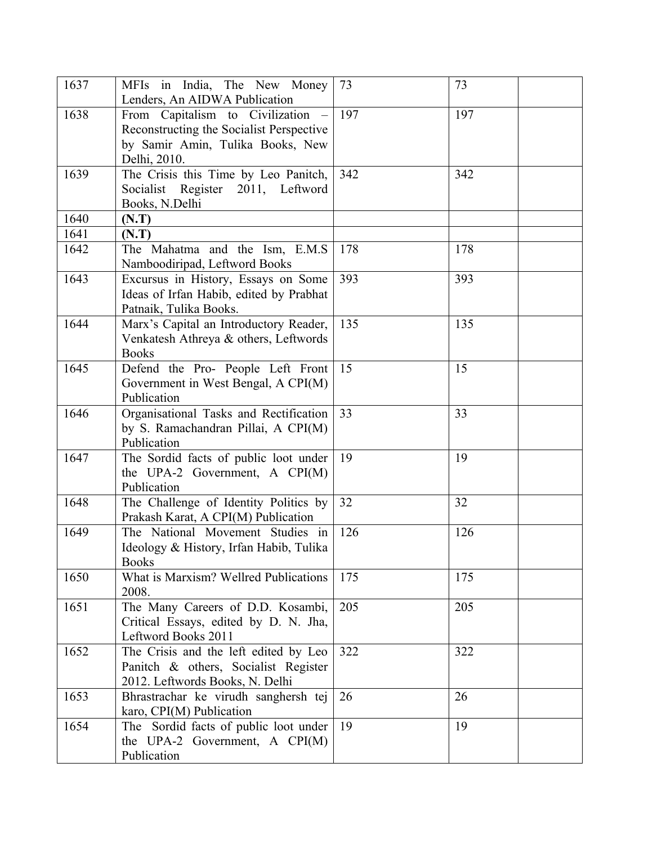| 1637 | MFIs in India, The New Money<br>Lenders, An AIDWA Publication                                                                     | 73  | 73  |
|------|-----------------------------------------------------------------------------------------------------------------------------------|-----|-----|
| 1638 | From Capitalism to Civilization –<br>Reconstructing the Socialist Perspective<br>by Samir Amin, Tulika Books, New<br>Delhi, 2010. | 197 | 197 |
| 1639 | The Crisis this Time by Leo Panitch,<br>Socialist Register 2011, Leftword<br>Books, N.Delhi                                       | 342 | 342 |
| 1640 | (N.T)                                                                                                                             |     |     |
| 1641 | (N.T)                                                                                                                             |     |     |
| 1642 | The Mahatma and the Ism, E.M.S<br>Namboodiripad, Leftword Books                                                                   | 178 | 178 |
| 1643 | Excursus in History, Essays on Some<br>Ideas of Irfan Habib, edited by Prabhat<br>Patnaik, Tulika Books.                          | 393 | 393 |
| 1644 | Marx's Capital an Introductory Reader,<br>Venkatesh Athreya & others, Leftwords<br><b>Books</b>                                   | 135 | 135 |
| 1645 | Defend the Pro- People Left Front<br>Government in West Bengal, A CPI(M)<br>Publication                                           | 15  | 15  |
| 1646 | Organisational Tasks and Rectification<br>by S. Ramachandran Pillai, A CPI(M)<br>Publication                                      | 33  | 33  |
| 1647 | The Sordid facts of public loot under<br>the UPA-2 Government, A $\text{CPI}(M)$<br>Publication                                   | 19  | 19  |
| 1648 | The Challenge of Identity Politics by<br>Prakash Karat, A CPI(M) Publication                                                      | 32  | 32  |
| 1649 | The National Movement Studies in<br>Ideology & History, Irfan Habib, Tulika<br><b>Books</b>                                       | 126 | 126 |
| 1650 | What is Marxism? Wellred Publications<br>2008.                                                                                    | 175 | 175 |
| 1651 | The Many Careers of D.D. Kosambi,<br>Critical Essays, edited by D. N. Jha,<br>Leftword Books 2011                                 | 205 | 205 |
| 1652 | The Crisis and the left edited by Leo<br>Panitch & others, Socialist Register<br>2012. Leftwords Books, N. Delhi                  | 322 | 322 |
| 1653 | Bhrastrachar ke virudh sanghersh tej<br>karo, CPI(M) Publication                                                                  | 26  | 26  |
| 1654 | The Sordid facts of public loot under<br>the UPA-2 Government, A CPI(M)<br>Publication                                            | 19  | 19  |